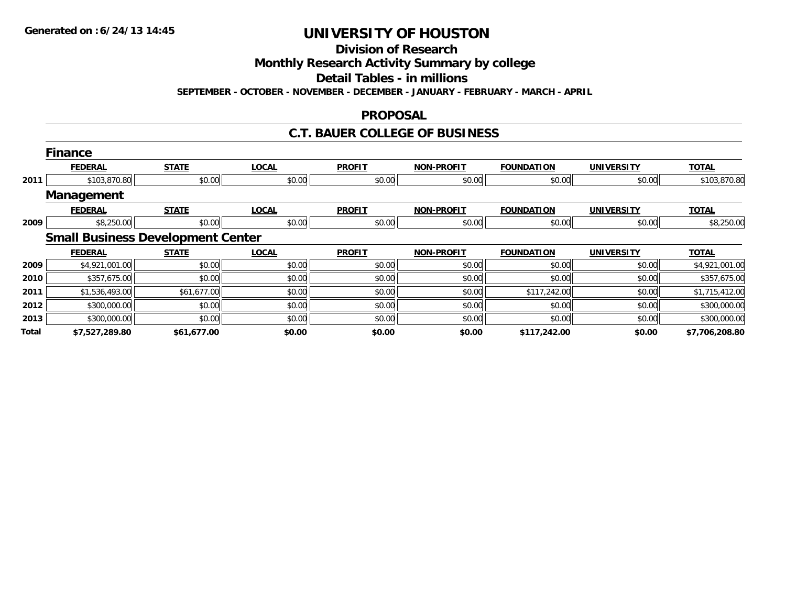**Division of Research**

**Monthly Research Activity Summary by college**

**Detail Tables - in millions**

**SEPTEMBER - OCTOBER - NOVEMBER - DECEMBER - JANUARY - FEBRUARY - MARCH - APRIL**

### **PROPOSAL**

### **C.T. BAUER COLLEGE OF BUSINESS**

|       | <b>Finance</b>    |                                          |              |               |                   |                   |                   |                |
|-------|-------------------|------------------------------------------|--------------|---------------|-------------------|-------------------|-------------------|----------------|
|       | <b>FEDERAL</b>    | <b>STATE</b>                             | <b>LOCAL</b> | <b>PROFIT</b> | <b>NON-PROFIT</b> | <b>FOUNDATION</b> | <b>UNIVERSITY</b> | <b>TOTAL</b>   |
| 2011  | \$103,870.80      | \$0.00                                   | \$0.00       | \$0.00        | \$0.00            | \$0.00            | \$0.00            | \$103,870.80   |
|       | <b>Management</b> |                                          |              |               |                   |                   |                   |                |
|       | <b>FEDERAL</b>    | <b>STATE</b>                             | <b>LOCAL</b> | <b>PROFIT</b> | <b>NON-PROFIT</b> | <b>FOUNDATION</b> | <b>UNIVERSITY</b> | <b>TOTAL</b>   |
| 2009  | \$8,250.00        | \$0.00                                   | \$0.00       | \$0.00        | \$0.00            | \$0.00            | \$0.00            | \$8,250.00     |
|       |                   | <b>Small Business Development Center</b> |              |               |                   |                   |                   |                |
|       | <b>FEDERAL</b>    | <b>STATE</b>                             | <b>LOCAL</b> | <b>PROFIT</b> | <b>NON-PROFIT</b> | <b>FOUNDATION</b> | <b>UNIVERSITY</b> | <b>TOTAL</b>   |
| 2009  | \$4,921,001.00    | \$0.00                                   | \$0.00       | \$0.00        | \$0.00            | \$0.00            | \$0.00            | \$4,921,001.00 |
| 2010  | \$357,675.00      | \$0.00                                   | \$0.00       | \$0.00        | \$0.00            | \$0.00            | \$0.00            | \$357,675.00   |
| 2011  | \$1,536,493.00    | \$61,677.00                              | \$0.00       | \$0.00        | \$0.00            | \$117,242.00      | \$0.00            | \$1,715,412.00 |
| 2012  | \$300,000.00      | \$0.00                                   | \$0.00       | \$0.00        | \$0.00            | \$0.00            | \$0.00            | \$300,000.00   |
| 2013  | \$300,000.00      | \$0.00                                   | \$0.00       | \$0.00        | \$0.00            | \$0.00            | \$0.00            | \$300,000.00   |
| Total | \$7,527,289.80    | \$61,677.00                              | \$0.00       | \$0.00        | \$0.00            | \$117,242.00      | \$0.00            | \$7,706,208.80 |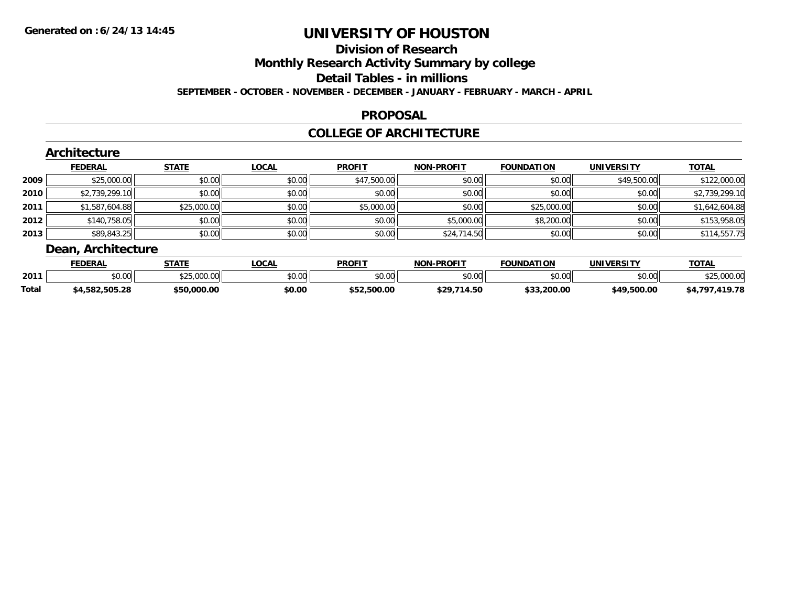## **Division of Research**

**Monthly Research Activity Summary by college**

**Detail Tables - in millions**

**SEPTEMBER - OCTOBER - NOVEMBER - DECEMBER - JANUARY - FEBRUARY - MARCH - APRIL**

### **PROPOSAL**

### **COLLEGE OF ARCHITECTURE**

|        | Architecture       |              |              |               |                   |                   |                   |                |  |  |  |
|--------|--------------------|--------------|--------------|---------------|-------------------|-------------------|-------------------|----------------|--|--|--|
|        | <b>FEDERAL</b>     | <b>STATE</b> | <b>LOCAL</b> | <b>PROFIT</b> | <b>NON-PROFIT</b> | <b>FOUNDATION</b> | <b>UNIVERSITY</b> | <b>TOTAL</b>   |  |  |  |
| 2009   | \$25,000.00        | \$0.00       | \$0.00       | \$47,500.00   | \$0.00            | \$0.00            | \$49,500.00       | \$122,000.00   |  |  |  |
| ا 2010 | \$2,739,299.10     | \$0.00       | \$0.00       | \$0.00        | \$0.00            | \$0.00            | \$0.00            | \$2,739,299.10 |  |  |  |
| 2011   | \$1,587,604.88     | \$25,000.00  | \$0.00       | \$5,000.00    | \$0.00            | \$25,000.00       | \$0.00            | \$1,642,604.88 |  |  |  |
| 2012   | \$140,758.05       | \$0.00       | \$0.00       | \$0.00        | \$5,000.00        | \$8,200.00        | \$0.00            | \$153,958.05   |  |  |  |
| 2013   | \$89,843.25        | \$0.00       | \$0.00       | \$0.00        | \$24,714.50       | \$0.00            | \$0.00            | \$114,557.75   |  |  |  |
|        | Dean, Architecture |              |              |               |                   |                   |                   |                |  |  |  |

|              | <b>FEDERAL</b>     | <b>STATE</b>                    | .OCAL  | <b>PROFIT</b>          | <b>J-PROFIT</b><br>NON | <b>FOUNDATION</b> | <b>UNIVERSITY</b> | TOTAL            |
|--------------|--------------------|---------------------------------|--------|------------------------|------------------------|-------------------|-------------------|------------------|
| 2011         | 0.00<br>DU.UU      | <b>COL OOO OO</b><br>92.J.WW.WW | \$0.00 | $n \cap \neg$<br>JU.UU | \$0.00                 | ቀስ ሰስ<br>DU.UU    | nn na<br>וטט.טע   | 0000<br>⊅∠ບ∪∪.ບປ |
| <b>Total</b> | .582.505.28<br>54. | \$50,000.00                     | \$0.00 | \$52,500.00            | \$29<br>.714.50        | \$33.200.00       | \$49.500.00       | 110 70<br>70     |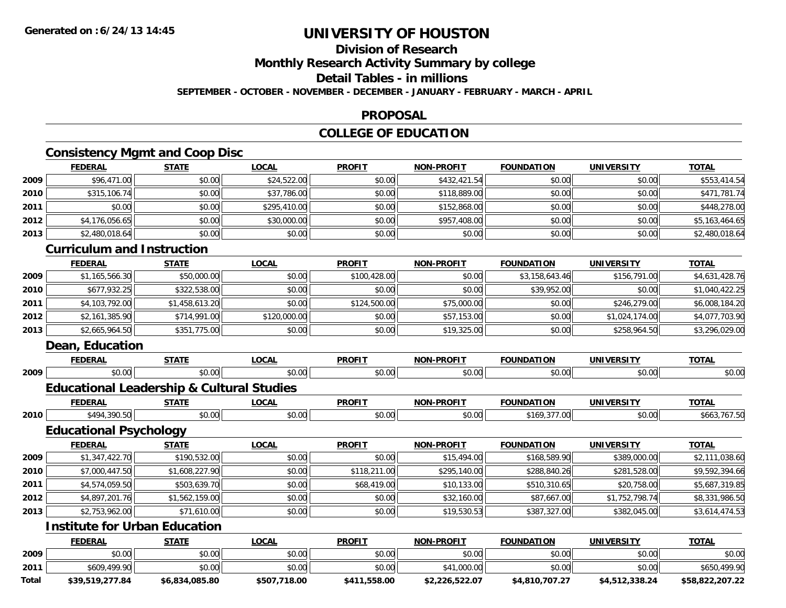### **Division of Research**

**Monthly Research Activity Summary by college**

**Detail Tables - in millions**

**SEPTEMBER - OCTOBER - NOVEMBER - DECEMBER - JANUARY - FEBRUARY - MARCH - APRIL**

#### **PROPOSAL**

### **COLLEGE OF EDUCATION**

### **Consistency Mgmt and Coop Disc**

|      | <b>FEDERAL</b>                    | <b>STATE</b>   | <b>LOCAL</b> | <b>PROFIT</b> | <b>NON-PROFIT</b> | <b>FOUNDATION</b> | <b>UNIVERSITY</b> | <b>TOTAL</b>   |
|------|-----------------------------------|----------------|--------------|---------------|-------------------|-------------------|-------------------|----------------|
| 2009 | \$96,471.00                       | \$0.00         | \$24,522.00  | \$0.00        | \$432,421.54      | \$0.00            | \$0.00            | \$553,414.54   |
| 2010 | \$315,106.74                      | \$0.00         | \$37,786.00  | \$0.00        | \$118,889.00      | \$0.00            | \$0.00            | \$471,781.74   |
| 2011 | \$0.00                            | \$0.00         | \$295,410.00 | \$0.00        | \$152,868.00      | \$0.00            | \$0.00            | \$448,278.00   |
| 2012 | \$4,176,056.65                    | \$0.00         | \$30,000.00  | \$0.00        | \$957,408.00      | \$0.00            | \$0.00            | \$5,163,464.65 |
| 2013 | \$2,480,018.64                    | \$0.00         | \$0.00       | \$0.00        | \$0.00            | \$0.00            | \$0.00            | \$2,480,018.64 |
|      | <b>Curriculum and Instruction</b> |                |              |               |                   |                   |                   |                |
|      | <b>FEDERAL</b>                    | <b>STATE</b>   | <b>LOCAL</b> | <b>PROFIT</b> | <b>NON-PROFIT</b> | <b>FOUNDATION</b> | <b>UNIVERSITY</b> | <b>TOTAL</b>   |
| 2009 | \$1,165,566.30                    | \$50,000.00    | \$0.00       | \$100,428.00  | \$0.00            | \$3,158,643.46    | \$156,791.00      | \$4,631,428.76 |
| 2010 | \$677,932.25                      | \$322,538.00   | \$0.00       | \$0.00        | \$0.00            | \$39,952.00       | \$0.00            | \$1,040,422.25 |
| 2011 | \$4,103,792.00                    | \$1,458,613.20 | \$0.00       | \$124,500.00  | \$75,000.00       | \$0.00            | \$246,279.00      | \$6,008,184.20 |
| 2012 | \$2,161,385.90                    | \$714,991.00   | \$120,000.00 | \$0.00        | \$57,153.00       | \$0.00            | \$1,024,174.00    | \$4,077,703.90 |
| 2013 | \$2,665,964.50                    | \$351,775.00   | \$0.00       | \$0.00        | \$19,325.00       | \$0.00            | \$258,964.50      | \$3,296,029.00 |
|      | Dean, Education                   |                |              |               |                   |                   |                   |                |
|      | <b>FEDERAL</b>                    | <b>STATE</b>   | <b>LOCAL</b> | <b>PROFIT</b> | <b>NON-PROFIT</b> | <b>FOUNDATION</b> | <b>UNIVERSITY</b> | <b>TOTAL</b>   |

### **Educational Leadership & Cultural Studies**

|      |                   | $- - - -$ | $\sim$         | <b>DDOEIT</b><br>'RUF | .<br><b>N<sub>IO</sub></b> | 1N F                 | т             | <b>TOTA</b> |
|------|-------------------|-----------|----------------|-----------------------|----------------------------|----------------------|---------------|-------------|
| 2010 | 10/<br>.          | 0000      | $\sim$<br>10.U | $\sim$                | $\sim$ 00<br>vo.ov         | $\mathbf{r}$<br>,,,, | 0000<br>vv.vv |             |
|      | __<br>- -<br>$ -$ |           |                |                       |                            |                      |               |             |

\$0.00 \$0.00 \$0.00 \$0.00 \$0.00 \$0.00 \$0.00 \$0.00

**Educational Psychology**

**2009**

|      | <b>FEDERAL</b> | <b>STATE</b>   | <b>LOCAL</b> | <b>PROFIT</b> | NON-PROFIT   | <b>FOUNDATION</b> | <b>UNIVERSITY</b> | <b>TOTAL</b>   |
|------|----------------|----------------|--------------|---------------|--------------|-------------------|-------------------|----------------|
| 2009 | \$1,347,422.70 | \$190,532.00   | \$0.00       | \$0.00        | \$15,494.00  | \$168,589.90      | \$389,000.00      | \$2,111,038.60 |
| 2010 | \$7,000,447.50 | \$1,608,227.90 | \$0.00       | \$118,211,00  | \$295,140.00 | \$288,840.26      | \$281,528.00      | \$9,592,394.66 |
| 2011 | \$4,574,059.50 | \$503,639.70   | \$0.00       | \$68,419.00   | \$10,133.00  | \$510,310.65      | \$20,758.00       | \$5,687,319.85 |
| 2012 | \$4,897,201.76 | \$1,562,159.00 | \$0.00       | \$0.00        | \$32,160.00  | \$87,667.00       | \$1,752,798.74    | \$8,331,986.50 |
| 2013 | \$2,753,962.00 | \$71,610.00    | \$0.00       | \$0.00        | \$19,530.53  | \$387,327.00      | \$382,045.00      | \$3,614,474.53 |

### **Institute for Urban Education**

|       | <b>FEDERAL</b>  | <b>STATE</b>   | <u>LOCAL</u> | <b>PROFIT</b> | <b>NON-PROFIT</b> | <b>FOUNDATION</b> | UNIVERSITY     | <u>TOTAL</u>    |
|-------|-----------------|----------------|--------------|---------------|-------------------|-------------------|----------------|-----------------|
| 2009  | \$0.00          | \$0.00         | \$0.00       | \$0.00        | \$0.00            | \$0.00            | \$0.00         | \$0.00          |
| 2011  | \$609,499.90    | \$0.00         | \$0.00       | \$0.00        | \$41,000.00       | \$0.00            | \$0.00         | \$650,499.90    |
| Total | \$39.519.277.84 | \$6,834,085.80 | \$507,718.00 | \$411,558.00  | \$2,226,522.07    | \$4.810.707.27    | \$4,512,338.24 | \$58,822,207.22 |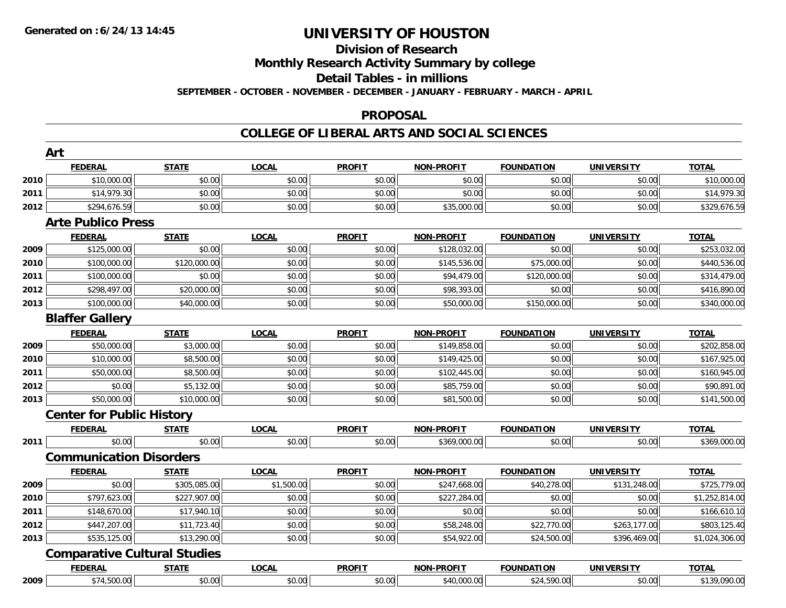## **Division of Research**

**Monthly Research Activity Summary by college**

**Detail Tables - in millions**

**SEPTEMBER - OCTOBER - NOVEMBER - DECEMBER - JANUARY - FEBRUARY - MARCH - APRIL**

#### **PROPOSAL**

|      | <b>FEDERAL</b>                      | <b>STATE</b> | <b>LOCAL</b> | <b>PROFIT</b> | <b>NON-PROFIT</b> | <b>FOUNDATION</b> | <b>UNIVERSITY</b> | <b>TOTAL</b>   |
|------|-------------------------------------|--------------|--------------|---------------|-------------------|-------------------|-------------------|----------------|
| 2010 | \$10,000.00                         | \$0.00       | \$0.00       | \$0.00        | \$0.00            | \$0.00            | \$0.00            | \$10,000.00    |
| 2011 | \$14,979.30                         | \$0.00       | \$0.00       | \$0.00        | \$0.00            | \$0.00            | \$0.00            | \$14,979.30    |
| 2012 | \$294,676.59                        | \$0.00       | \$0.00       | \$0.00        | \$35,000.00       | \$0.00            | \$0.00            | \$329,676.59   |
|      | <b>Arte Publico Press</b>           |              |              |               |                   |                   |                   |                |
|      | <b>FEDERAL</b>                      | <b>STATE</b> | <b>LOCAL</b> | <b>PROFIT</b> | <b>NON-PROFIT</b> | <b>FOUNDATION</b> | <b>UNIVERSITY</b> | <b>TOTAL</b>   |
| 2009 | \$125,000.00                        | \$0.00       | \$0.00       | \$0.00        | \$128,032.00      | \$0.00            | \$0.00            | \$253,032.00   |
| 2010 | \$100,000.00                        | \$120,000.00 | \$0.00       | \$0.00        | \$145,536.00      | \$75,000.00       | \$0.00            | \$440,536.00   |
| 2011 | \$100,000.00                        | \$0.00       | \$0.00       | \$0.00        | \$94,479.00       | \$120,000.00      | \$0.00            | \$314,479.00   |
| 2012 | \$298,497.00                        | \$20,000.00  | \$0.00       | \$0.00        | \$98,393.00       | \$0.00            | \$0.00            | \$416,890.00   |
| 2013 | \$100,000.00                        | \$40,000.00  | \$0.00       | \$0.00        | \$50,000.00       | \$150,000.00      | \$0.00            | \$340,000.00   |
|      | <b>Blaffer Gallery</b>              |              |              |               |                   |                   |                   |                |
|      | <b>FEDERAL</b>                      | <b>STATE</b> | <b>LOCAL</b> | <b>PROFIT</b> | <b>NON-PROFIT</b> | <b>FOUNDATION</b> | <b>UNIVERSITY</b> | <b>TOTAL</b>   |
| 2009 | \$50,000.00                         | \$3,000.00   | \$0.00       | \$0.00        | \$149,858.00      | \$0.00            | \$0.00            | \$202,858.00   |
| 2010 | \$10,000.00                         | \$8,500.00   | \$0.00       | \$0.00        | \$149,425.00      | \$0.00            | \$0.00            | \$167,925.00   |
| 2011 | \$50,000.00                         | \$8,500.00   | \$0.00       | \$0.00        | \$102,445.00      | \$0.00            | \$0.00            | \$160,945.00   |
| 2012 | \$0.00                              | \$5,132.00   | \$0.00       | \$0.00        | \$85,759.00       | \$0.00            | \$0.00            | \$90,891.00    |
| 2013 | \$50,000.00                         | \$10,000.00  | \$0.00       | \$0.00        | \$81,500.00       | \$0.00            | \$0.00            | \$141,500.00   |
|      | <b>Center for Public History</b>    |              |              |               |                   |                   |                   |                |
|      | <u>FEDERAL</u>                      | <u>STATE</u> | <b>LOCAL</b> | <b>PROFIT</b> | <b>NON-PROFIT</b> | <b>FOUNDATION</b> | <b>UNIVERSITY</b> | <b>TOTAL</b>   |
| 2011 | \$0.00                              | \$0.00       | \$0.00       | \$0.00        | \$369,000.00      | \$0.00            | \$0.00            | \$369,000.00   |
|      | <b>Communication Disorders</b>      |              |              |               |                   |                   |                   |                |
|      | <b>FEDERAL</b>                      | <b>STATE</b> | <b>LOCAL</b> | <b>PROFIT</b> | <b>NON-PROFIT</b> | <b>FOUNDATION</b> | <b>UNIVERSITY</b> | <b>TOTAL</b>   |
| 2009 | \$0.00                              | \$305,085.00 | \$1,500.00   | \$0.00        | \$247,668.00      | \$40,278.00       | \$131,248.00      | \$725,779.00   |
| 2010 | \$797,623.00                        | \$227,907.00 | \$0.00       | \$0.00        | \$227,284.00      | \$0.00            | \$0.00            | \$1,252,814.00 |
| 2011 | \$148,670.00                        | \$17,940.10  | \$0.00       | \$0.00        | \$0.00            | \$0.00            | \$0.00            | \$166,610.10   |
| 2012 | \$447,207.00                        | \$11,723.40  | \$0.00       | \$0.00        | \$58,248.00       | \$22,770.00       | \$263,177.00      | \$803,125.40   |
| 2013 | \$535,125.00                        | \$13,290.00  | \$0.00       | \$0.00        | \$54,922.00       | \$24,500.00       | \$396,469.00      | \$1,024,306.00 |
|      | <b>Comparative Cultural Studies</b> |              |              |               |                   |                   |                   |                |
|      | <b>FEDERAL</b>                      | <b>STATE</b> | <b>LOCAL</b> | <b>PROFIT</b> | <b>NON-PROFIT</b> | <b>FOUNDATION</b> | <b>UNIVERSITY</b> | <b>TOTAL</b>   |
| 2009 | \$74,500.00                         | \$0.00       | \$0.00       | \$0.00        | \$40,000.00       | \$24,590.00       | \$0.00            | \$139,090.00   |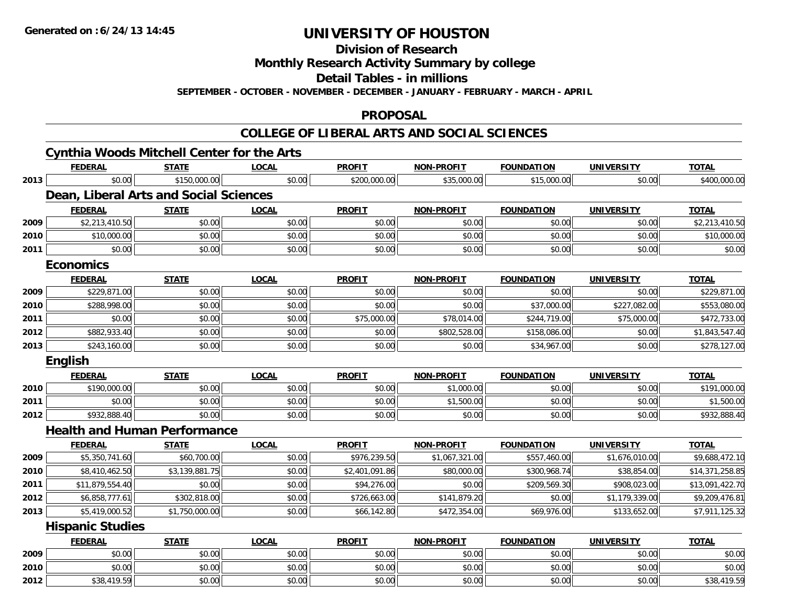**Division of Research**

**Monthly Research Activity Summary by college**

**Detail Tables - in millions**

**SEPTEMBER - OCTOBER - NOVEMBER - DECEMBER - JANUARY - FEBRUARY - MARCH - APRIL**

#### **PROPOSAL**

|      | <b>Cynthia Woods Mitchell Center for the Arts</b> |                |              |                |                   |                   |                   |                 |
|------|---------------------------------------------------|----------------|--------------|----------------|-------------------|-------------------|-------------------|-----------------|
|      | <b>FEDERAL</b>                                    | <b>STATE</b>   | <b>LOCAL</b> | <b>PROFIT</b>  | <b>NON-PROFIT</b> | <b>FOUNDATION</b> | <b>UNIVERSITY</b> | <b>TOTAL</b>    |
| 2013 | \$0.00                                            | \$150,000.00   | \$0.00       | \$200,000.00   | \$35,000.00       | \$15,000.00       | \$0.00            | \$400,000.00    |
|      | Dean, Liberal Arts and Social Sciences            |                |              |                |                   |                   |                   |                 |
|      | <b>FEDERAL</b>                                    | <b>STATE</b>   | <b>LOCAL</b> | <b>PROFIT</b>  | <b>NON-PROFIT</b> | <b>FOUNDATION</b> | <b>UNIVERSITY</b> | <b>TOTAL</b>    |
| 2009 | \$2,213,410.50                                    | \$0.00         | \$0.00       | \$0.00         | \$0.00            | \$0.00            | \$0.00            | \$2,213,410.50  |
| 2010 | \$10,000.00                                       | \$0.00         | \$0.00       | \$0.00         | \$0.00            | \$0.00            | \$0.00            | \$10,000.00     |
| 2011 | \$0.00                                            | \$0.00         | \$0.00       | \$0.00         | \$0.00            | \$0.00            | \$0.00            | \$0.00          |
|      | <b>Economics</b>                                  |                |              |                |                   |                   |                   |                 |
|      | <b>FEDERAL</b>                                    | <b>STATE</b>   | <b>LOCAL</b> | <b>PROFIT</b>  | <b>NON-PROFIT</b> | <b>FOUNDATION</b> | <b>UNIVERSITY</b> | <b>TOTAL</b>    |
| 2009 | \$229,871.00                                      | \$0.00         | \$0.00       | \$0.00         | \$0.00            | \$0.00            | \$0.00            | \$229,871.00    |
| 2010 | \$288,998.00                                      | \$0.00         | \$0.00       | \$0.00         | \$0.00            | \$37,000.00       | \$227,082.00      | \$553,080.00    |
| 2011 | \$0.00                                            | \$0.00         | \$0.00       | \$75,000.00    | \$78,014.00       | \$244,719.00      | \$75,000.00       | \$472,733.00    |
| 2012 | \$882,933.40                                      | \$0.00         | \$0.00       | \$0.00         | \$802,528.00      | \$158,086.00      | \$0.00            | \$1,843,547.40  |
| 2013 | \$243,160.00                                      | \$0.00         | \$0.00       | \$0.00         | \$0.00            | \$34,967.00       | \$0.00            | \$278,127.00    |
|      | <b>English</b>                                    |                |              |                |                   |                   |                   |                 |
|      | <b>FEDERAL</b>                                    | STATE          | <b>LOCAL</b> | <b>PROFIT</b>  | <b>NON-PROFIT</b> | <b>FOUNDATION</b> | <b>UNIVERSITY</b> | <b>TOTAL</b>    |
| 2010 | \$190,000.00                                      | \$0.00         | \$0.00       | \$0.00         | \$1,000.00        | \$0.00            | \$0.00            | \$191,000.00    |
| 2011 | \$0.00                                            | \$0.00         | \$0.00       | \$0.00         | \$1,500.00        | \$0.00            | \$0.00            | \$1,500.00      |
| 2012 | \$932,888.40                                      | \$0.00         | \$0.00       | \$0.00         | \$0.00            | \$0.00            | \$0.00            | \$932,888.40    |
|      | <b>Health and Human Performance</b>               |                |              |                |                   |                   |                   |                 |
|      | <b>FEDERAL</b>                                    | <b>STATE</b>   | <b>LOCAL</b> | <b>PROFIT</b>  | <b>NON-PROFIT</b> | <b>FOUNDATION</b> | <b>UNIVERSITY</b> | <b>TOTAL</b>    |
| 2009 | \$5,350,741.60                                    | \$60,700.00    | \$0.00       | \$976,239.50   | \$1,067,321.00    | \$557,460.00      | \$1,676,010.00    | \$9,688,472.10  |
| 2010 | \$8,410,462.50                                    | \$3,139,881.75 | \$0.00       | \$2,401,091.86 | \$80,000.00       | \$300,968.74      | \$38,854.00       | \$14,371,258.85 |
| 2011 | \$11,879,554.40                                   | \$0.00         | \$0.00       | \$94,276.00    | \$0.00            | \$209,569.30      | \$908,023.00      | \$13,091,422.70 |
| 2012 | \$6,858,777.61                                    | \$302,818.00   | \$0.00       | \$726,663.00   | \$141,879.20      | \$0.00            | \$1,179,339.00    | \$9,209,476.81  |
| 2013 | \$5,419,000.52                                    | \$1,750,000.00 | \$0.00       | \$66,142.80    | \$472,354.00      | \$69,976.00       | \$133,652.00      | \$7,911,125.32  |
|      | <b>Hispanic Studies</b>                           |                |              |                |                   |                   |                   |                 |
|      | <b>FEDERAL</b>                                    | <b>STATE</b>   | <b>LOCAL</b> | <b>PROFIT</b>  | <b>NON-PROFIT</b> | <b>FOUNDATION</b> | <b>UNIVERSITY</b> | <b>TOTAL</b>    |
| 2009 | \$0.00                                            | \$0.00         | \$0.00       | \$0.00         | \$0.00            | \$0.00            | \$0.00            | \$0.00          |
| 2010 | \$0.00                                            | \$0.00         | \$0.00       | \$0.00         | \$0.00            | \$0.00            | \$0.00            | \$0.00          |
| 2012 | \$38,419.59                                       | \$0.00         | \$0.00       | \$0.00         | \$0.00            | \$0.00            | \$0.00            | \$38,419.59     |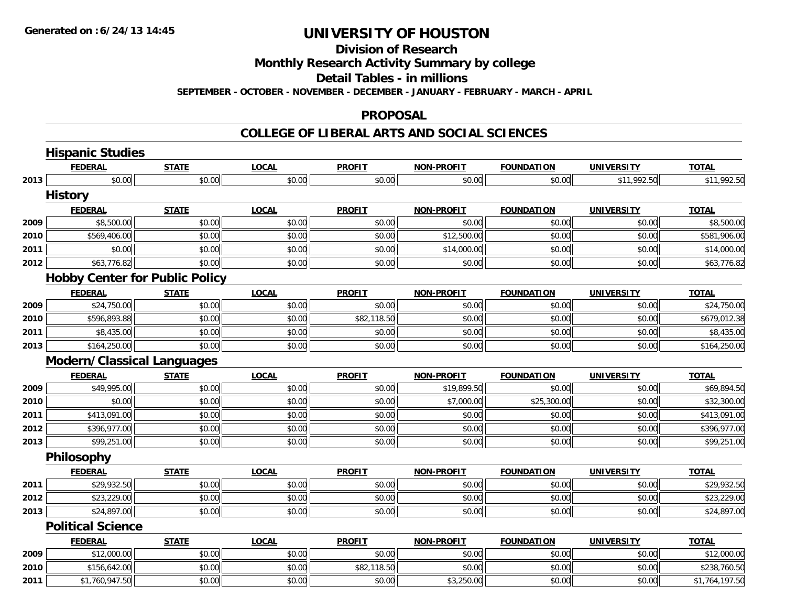**Division of Research**

**Monthly Research Activity Summary by college**

**Detail Tables - in millions**

**SEPTEMBER - OCTOBER - NOVEMBER - DECEMBER - JANUARY - FEBRUARY - MARCH - APRIL**

#### **PROPOSAL**

|      | <b>Hispanic Studies</b>               |              |              |               |                   |                   |                   |                        |
|------|---------------------------------------|--------------|--------------|---------------|-------------------|-------------------|-------------------|------------------------|
|      | <b>FEDERAL</b>                        | <b>STATE</b> | <b>LOCAL</b> | <b>PROFIT</b> | <b>NON-PROFIT</b> | <b>FOUNDATION</b> | <b>UNIVERSITY</b> | <b>TOTAL</b>           |
| 2013 | \$0.00                                | \$0.00       | \$0.00       | \$0.00        | \$0.00            | \$0.00            | \$11,992.50       | \$11,992.50            |
|      | <b>History</b>                        |              |              |               |                   |                   |                   |                        |
|      | <b>FEDERAL</b>                        | <b>STATE</b> | <b>LOCAL</b> | <b>PROFIT</b> | NON-PROFIT        | <b>FOUNDATION</b> | <b>UNIVERSITY</b> | <b>TOTAL</b>           |
| 2009 | \$8,500.00                            | \$0.00       | \$0.00       | \$0.00        | \$0.00            | \$0.00            | \$0.00            | \$8,500.00             |
| 2010 | \$569,406.00                          | \$0.00       | \$0.00       | \$0.00        | \$12,500.00       | \$0.00            | \$0.00            | \$581,906.00           |
| 2011 | \$0.00                                | \$0.00       | \$0.00       | \$0.00        | \$14,000.00       | \$0.00            | \$0.00            | \$14,000.00            |
| 2012 | \$63,776.82                           | \$0.00       | \$0.00       | \$0.00        | \$0.00            | \$0.00            | \$0.00            | \$63,776.82            |
|      | <b>Hobby Center for Public Policy</b> |              |              |               |                   |                   |                   |                        |
|      | <b>FEDERAL</b>                        | <b>STATE</b> | <b>LOCAL</b> | <b>PROFIT</b> | <b>NON-PROFIT</b> | <b>FOUNDATION</b> | <b>UNIVERSITY</b> | <b>TOTAL</b>           |
| 2009 | \$24,750.00                           | \$0.00       | \$0.00       | \$0.00        | \$0.00            | \$0.00            | \$0.00            | \$24,750.00            |
| 2010 | \$596,893.88                          | \$0.00       | \$0.00       | \$82,118.50   | \$0.00            | \$0.00            | \$0.00            | \$679,012.38           |
| 2011 | \$8,435.00                            | \$0.00       | \$0.00       | \$0.00        | \$0.00            | \$0.00            | \$0.00            | $\overline{$8,435.00}$ |
| 2013 | \$164,250.00                          | \$0.00       | \$0.00       | \$0.00        | \$0.00            | \$0.00            | \$0.00            | \$164,250.00           |
|      | <b>Modern/Classical Languages</b>     |              |              |               |                   |                   |                   |                        |
|      | <b>FEDERAL</b>                        | <b>STATE</b> | <b>LOCAL</b> | <b>PROFIT</b> | <b>NON-PROFIT</b> | <b>FOUNDATION</b> | <b>UNIVERSITY</b> | <b>TOTAL</b>           |
| 2009 | \$49,995.00                           | \$0.00       | \$0.00       | \$0.00        | \$19,899.50       | \$0.00            | \$0.00            | \$69,894.50            |
| 2010 | \$0.00                                | \$0.00       | \$0.00       | \$0.00        | \$7,000.00        | \$25,300.00       | \$0.00            | \$32,300.00            |
| 2011 | \$413,091.00                          | \$0.00       | \$0.00       | \$0.00        | \$0.00            | \$0.00            | \$0.00            | \$413,091.00           |
| 2012 | \$396,977.00                          | \$0.00       | \$0.00       | \$0.00        | \$0.00            | \$0.00            | \$0.00            | \$396,977.00           |
| 2013 | \$99,251.00                           | \$0.00       | \$0.00       | \$0.00        | \$0.00            | \$0.00            | \$0.00            | \$99,251.00            |
|      | Philosophy                            |              |              |               |                   |                   |                   |                        |
|      | <b>FEDERAL</b>                        | <b>STATE</b> | <b>LOCAL</b> | <b>PROFIT</b> | <b>NON-PROELI</b> | <b>FOUNDATION</b> | <b>UNIVERSITY</b> | <b>TOTAL</b>           |
| 2011 | \$29,932.50                           | \$0.00       | \$0.00       | \$0.00        | \$0.00            | \$0.00            | \$0.00            | \$29,932.50            |
| 2012 | \$23,229.00                           | \$0.00       | \$0.00       | \$0.00        | \$0.00            | \$0.00            | \$0.00            | \$23,229.00            |
| 2013 | \$24,897.00                           | \$0.00       | \$0.00       | \$0.00        | \$0.00            | \$0.00            | \$0.00            | \$24,897.00            |
|      | <b>Political Science</b>              |              |              |               |                   |                   |                   |                        |
|      |                                       |              |              |               |                   |                   |                   |                        |
|      | <b>FEDERAL</b>                        | <b>STATE</b> | <b>LOCAL</b> | <b>PROFIT</b> | <b>NON-PROFIT</b> | <b>FOUNDATION</b> | <b>UNIVERSITY</b> | <b>TOTAL</b>           |
| 2009 | \$12,000.00                           | \$0.00       | \$0.00       | \$0.00        | \$0.00            | \$0.00            | \$0.00            | \$12,000.00            |
| 2010 | \$156,642.00                          | \$0.00       | \$0.00       | \$82,118.50   | \$0.00            | \$0.00            | \$0.00            | \$238,760.50           |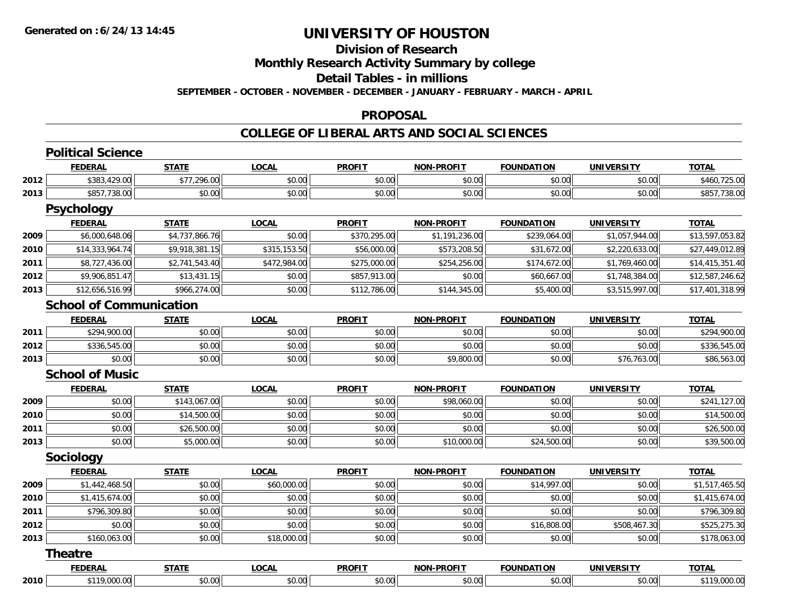## **Division of Research**

**Monthly Research Activity Summary by college**

**Detail Tables - in millions**

**SEPTEMBER - OCTOBER - NOVEMBER - DECEMBER - JANUARY - FEBRUARY - MARCH - APRIL**

#### **PROPOSAL**

|      | <b>Political Science</b>       |                |              |               |                   |                   |                   |                 |
|------|--------------------------------|----------------|--------------|---------------|-------------------|-------------------|-------------------|-----------------|
|      | <b>FEDERAL</b>                 | <b>STATE</b>   | <b>LOCAL</b> | <b>PROFIT</b> | <b>NON-PROFIT</b> | <b>FOUNDATION</b> | <b>UNIVERSITY</b> | <b>TOTAL</b>    |
| 2012 | \$383,429.00                   | \$77,296.00    | \$0.00       | \$0.00        | \$0.00            | \$0.00            | \$0.00            | \$460,725.00    |
| 2013 | \$857,738.00                   | \$0.00         | \$0.00       | \$0.00        | \$0.00            | \$0.00            | \$0.00            | \$857,738.00    |
|      | <b>Psychology</b>              |                |              |               |                   |                   |                   |                 |
|      | <b>FEDERAL</b>                 | <b>STATE</b>   | <b>LOCAL</b> | <b>PROFIT</b> | <b>NON-PROFIT</b> | <b>FOUNDATION</b> | <b>UNIVERSITY</b> | <b>TOTAL</b>    |
| 2009 | \$6,000,648.06                 | \$4,737,866.76 | \$0.00       | \$370,295.00  | \$1,191,236.00    | \$239,064.00      | \$1,057,944.00    | \$13,597,053.82 |
| 2010 | \$14,333,964.74                | \$9,918,381.15 | \$315,153.50 | \$56,000.00   | \$573,208.50      | \$31,672.00       | \$2,220,633.00    | \$27,449,012.89 |
| 2011 | \$8,727,436.00                 | \$2,741,543.40 | \$472,984.00 | \$275,000.00  | \$254,256.00      | \$174,672.00      | \$1,769,460.00    | \$14,415,351.40 |
| 2012 | \$9,906,851.47                 | \$13,431.15    | \$0.00       | \$857,913.00  | \$0.00            | \$60,667.00       | \$1,748,384.00    | \$12,587,246.62 |
| 2013 | \$12,656,516.99                | \$966,274.00   | \$0.00       | \$112,786.00  | \$144,345.00      | \$5,400.00        | \$3,515,997.00    | \$17,401,318.99 |
|      | <b>School of Communication</b> |                |              |               |                   |                   |                   |                 |
|      | <b>FEDERAL</b>                 | <b>STATE</b>   | <b>LOCAL</b> | <b>PROFIT</b> | <b>NON-PROFIT</b> | <b>FOUNDATION</b> | <b>UNIVERSITY</b> | TOTAL           |
| 2011 | \$294,900.00                   | \$0.00         | \$0.00       | \$0.00        | \$0.00            | \$0.00            | \$0.00            | \$294,900.00    |
| 2012 | \$336,545.00                   | \$0.00         | \$0.00       | \$0.00        | \$0.00            | \$0.00            | \$0.00            | \$336,545.00    |
| 2013 | \$0.00                         | \$0.00         | \$0.00       | \$0.00        | \$9,800.00        | \$0.00            | \$76,763.00       | \$86,563.00     |
|      | <b>School of Music</b>         |                |              |               |                   |                   |                   |                 |
|      | <b>FEDERAL</b>                 | <b>STATE</b>   | <b>LOCAL</b> | <b>PROFIT</b> | <b>NON-PROFIT</b> | <b>FOUNDATION</b> | <b>UNIVERSITY</b> | <b>TOTAL</b>    |
| 2009 | \$0.00                         | \$143,067.00   | \$0.00       | \$0.00        | \$98,060.00       | \$0.00            | \$0.00            | \$241,127.00    |
| 2010 | \$0.00                         | \$14,500.00    | \$0.00       | \$0.00        | \$0.00            | \$0.00            | \$0.00            | \$14,500.00     |
| 2011 | \$0.00                         | \$26,500.00    | \$0.00       | \$0.00        | \$0.00            | \$0.00            | \$0.00            | \$26,500.00     |
| 2013 | \$0.00                         | \$5,000.00     | \$0.00       | \$0.00        | \$10,000.00       | \$24,500.00       | \$0.00            | \$39,500.00     |
|      | Sociology                      |                |              |               |                   |                   |                   |                 |
|      | <b>FEDERAL</b>                 | <b>STATE</b>   | <b>LOCAL</b> | <b>PROFIT</b> | <b>NON-PROFIT</b> | <b>FOUNDATION</b> | <b>UNIVERSITY</b> | <b>TOTAL</b>    |
| 2009 | \$1,442,468.50                 | \$0.00         | \$60,000.00  | \$0.00        | \$0.00            | \$14,997.00       | \$0.00            | \$1,517,465.50  |
| 2010 | \$1,415,674.00                 | \$0.00         | \$0.00       | \$0.00        | \$0.00            | \$0.00            | \$0.00            | \$1,415,674.00  |
| 2011 | \$796,309.80                   | \$0.00         | \$0.00       | \$0.00        | \$0.00            | \$0.00            | \$0.00            | \$796,309.80    |
| 2012 | \$0.00                         | \$0.00         | \$0.00       | \$0.00        | \$0.00            | \$16,808.00       | \$508,467.30      | \$525,275.30    |
| 2013 | \$160,063.00                   | \$0.00         | \$18,000.00  | \$0.00        | \$0.00            | \$0.00            | \$0.00            | \$178,063.00    |
|      | <b>Theatre</b>                 |                |              |               |                   |                   |                   |                 |
|      | <b>FEDERAL</b>                 | <b>STATE</b>   | <b>LOCAL</b> | <b>PROFIT</b> | <b>NON-PROFIT</b> | <b>FOUNDATION</b> | <b>UNIVERSITY</b> | <b>TOTAL</b>    |
| 2010 | \$119,000.00                   | \$0.00         | \$0.00       | \$0.00        | \$0.00            | \$0.00            | \$0.00            | \$119,000.00    |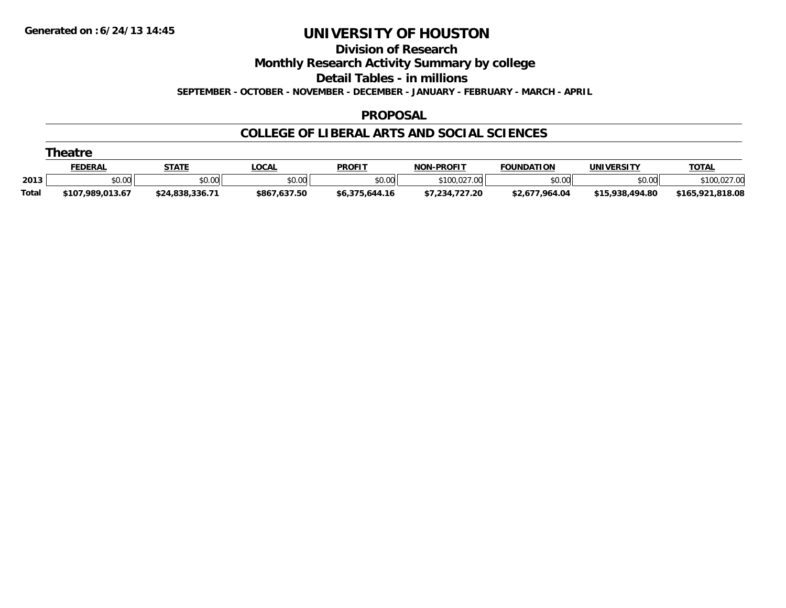**Division of Research**

**Monthly Research Activity Summary by college**

**Detail Tables - in millions**

**SEPTEMBER - OCTOBER - NOVEMBER - DECEMBER - JANUARY - FEBRUARY - MARCH - APRIL**

#### **PROPOSAL**

|       | <b>Theatre</b>   |                 |              |                |                   |                   |                 |                  |  |  |  |  |
|-------|------------------|-----------------|--------------|----------------|-------------------|-------------------|-----------------|------------------|--|--|--|--|
|       | <b>FEDERAL</b>   | <b>STATE</b>    | <b>LOCAL</b> | <b>PROFIT</b>  | <b>NON-PROFIT</b> | <b>FOUNDATION</b> | UNIVERSITY      | <b>TOTAL</b>     |  |  |  |  |
| 2013  | \$0.00           | \$0.00          | \$0.00       | \$0.00         | \$100,027.00      | \$0.00            | \$0.00          | \$100,027.00     |  |  |  |  |
| Total | \$107.989.013.67 | \$24.838.336.71 | \$867,637.50 | \$6,375,644.16 | \$7,234,727.20    | \$2,677,964.04    | \$15,938,494.80 | \$165.921.818.08 |  |  |  |  |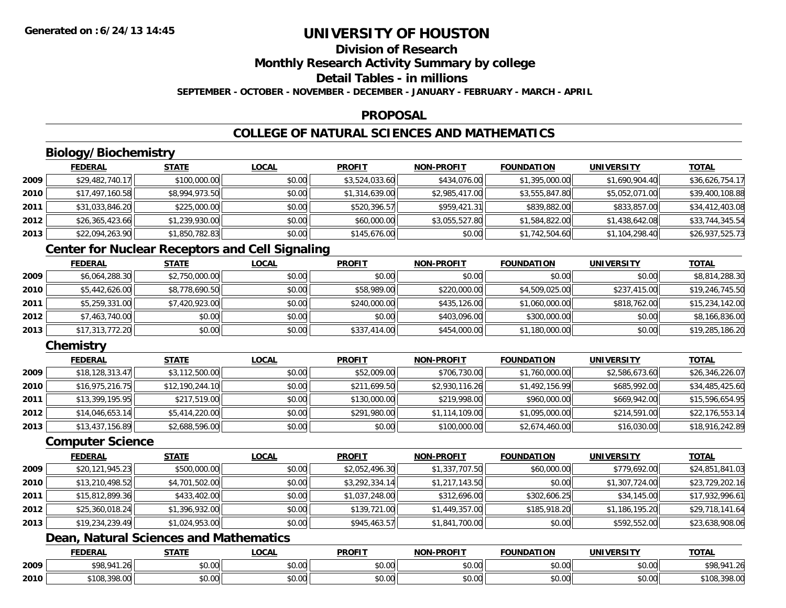### **Division of Research**

**Monthly Research Activity Summary by college**

### **Detail Tables - in millions**

**SEPTEMBER - OCTOBER - NOVEMBER - DECEMBER - JANUARY - FEBRUARY - MARCH - APRIL**

#### **PROPOSAL**

### **COLLEGE OF NATURAL SCIENCES AND MATHEMATICS**

## **Biology/Biochemistry**

|      | <b>FEDERAL</b>  | <b>STATE</b>   | <u>LOCAL</u> | <b>PROFIT</b>  | <b>NON-PROFIT</b> | <b>FOUNDATION</b> | <b>UNIVERSITY</b> | <b>TOTAL</b>    |
|------|-----------------|----------------|--------------|----------------|-------------------|-------------------|-------------------|-----------------|
| 2009 | \$29,482,740.17 | \$100,000.00   | \$0.00       | \$3,524,033.60 | \$434,076.00      | \$1,395,000.00    | \$1,690,904.40    | \$36,626,754.17 |
| 2010 | \$17,497,160.58 | \$8,994,973.50 | \$0.00       | \$1,314,639.00 | \$2,985,417.00    | \$3,555,847.80    | \$5,052,071.00    | \$39,400,108.88 |
| 2011 | \$31,033,846.20 | \$225,000.00   | \$0.00       | \$520,396.57   | \$959,421.31      | \$839,882.00      | \$833,857.00      | \$34,412,403.08 |
| 2012 | \$26,365,423.66 | \$1,239,930.00 | \$0.00       | \$60,000.00    | \$3,055,527.80    | \$1,584,822.00    | \$1,438,642.08    | \$33,744,345.54 |
| 2013 | \$22,094,263.90 | \$1,850,782.83 | \$0.00       | \$145,676.00   | \$0.00            | \$1,742,504.60    | \$1,104,298.40    | \$26,937,525.73 |

### **Center for Nuclear Receptors and Cell Signaling**

|      | <b>FEDERAL</b>  | <b>STATE</b>   | <b>LOCAL</b> | <b>PROFIT</b> | <b>NON-PROFIT</b> | <b>FOUNDATION</b> | <b>UNIVERSITY</b> | <b>TOTAL</b>    |
|------|-----------------|----------------|--------------|---------------|-------------------|-------------------|-------------------|-----------------|
| 2009 | \$6,064,288.30  | \$2,750,000.00 | \$0.00       | \$0.00        | \$0.00            | \$0.00            | \$0.00            | \$8,814,288.30  |
| 2010 | \$5,442,626.00  | \$8,778,690.50 | \$0.00       | \$58,989.00   | \$220,000.00      | \$4,509,025.00    | \$237,415,00      | \$19,246,745.50 |
| 2011 | \$5,259,331.00  | \$7,420,923.00 | \$0.00       | \$240,000.00  | \$435,126.00      | \$1,060,000.00    | \$818,762,00      | \$15,234,142.00 |
| 2012 | \$7,463,740.00  | \$0.00         | \$0.00       | \$0.00        | \$403,096.00      | \$300,000.00      | \$0.00            | \$8,166,836.00  |
| 2013 | \$17,313,772.20 | \$0.00         | \$0.00       | \$337,414.00  | \$454,000.00      | \$1,180,000.00    | \$0.00            | \$19,285,186.20 |

### **Chemistry**

|      | <b>FEDERAL</b>  | <u>STATE</u>    | <b>LOCAL</b> | <b>PROFIT</b> | <b>NON-PROFIT</b> | <b>FOUNDATION</b> | <b>UNIVERSITY</b> | <b>TOTAL</b>    |
|------|-----------------|-----------------|--------------|---------------|-------------------|-------------------|-------------------|-----------------|
| 2009 | \$18,128,313.47 | \$3,112,500.00  | \$0.00       | \$52,009.00   | \$706,730.00      | \$1,760,000.00    | \$2,586,673.60    | \$26,346,226.07 |
| 2010 | \$16,975,216.75 | \$12,190,244.10 | \$0.00       | \$211,699.50  | \$2,930,116.26    | \$1,492,156.99    | \$685,992.00      | \$34,485,425.60 |
| 2011 | \$13,399,195.95 | \$217,519.00    | \$0.00       | \$130,000.00  | \$219,998.00      | \$960,000.00      | \$669,942.00      | \$15,596,654.95 |
| 2012 | \$14,046,653.14 | \$5,414,220.00  | \$0.00       | \$291,980.00  | \$1,114,109.00    | \$1,095,000.00    | \$214,591.00      | \$22,176,553.14 |
| 2013 | \$13,437,156.89 | \$2,688,596.00  | \$0.00       | \$0.00        | \$100,000.00      | \$2,674,460.00    | \$16,030.00       | \$18,916,242.89 |

#### **Computer Science**

|      | <b>FEDERAL</b>  | <b>STATE</b>   | <b>LOCAL</b> | <b>PROFIT</b>  | <b>NON-PROFIT</b> | <b>FOUNDATION</b> | <b>UNIVERSITY</b> | <b>TOTAL</b>    |
|------|-----------------|----------------|--------------|----------------|-------------------|-------------------|-------------------|-----------------|
| 2009 | \$20,121,945.23 | \$500,000.00   | \$0.00       | \$2,052,496.30 | \$1,337,707.50    | \$60,000.00       | \$779,692.00      | \$24,851,841.03 |
| 2010 | \$13,210,498.52 | \$4,701,502.00 | \$0.00       | \$3,292,334.14 | \$1,217,143.50    | \$0.00            | \$1,307,724.00    | \$23,729,202.16 |
| 2011 | \$15,812,899.36 | \$433,402.00   | \$0.00       | \$1,037,248.00 | \$312,696.00      | \$302,606.25      | \$34,145.00       | \$17,932,996.61 |
| 2012 | \$25,360,018.24 | \$1,396,932.00 | \$0.00       | \$139,721.00   | \$1,449,357.00    | \$185,918.20      | \$1,186,195.20    | \$29,718,141.64 |
| 2013 | \$19,234,239.49 | \$1,024,953.00 | \$0.00       | \$945,463.57   | \$1,841,700.00    | \$0.00            | \$592,552.00      | \$23,638,908.06 |

### **Dean, Natural Sciences and Mathematics**

|      | <b>FEDERAL</b>                           | $- - - -$                                  | .OCAI                        | <b>PROFIT</b>          | <b>JLPROF!</b><br>ימות | FOUNDATION                          | UNIVE<br>:neity | <b>TOTAL</b><br>$\blacksquare$ |
|------|------------------------------------------|--------------------------------------------|------------------------------|------------------------|------------------------|-------------------------------------|-----------------|--------------------------------|
| 2009 | 000011<br>- 70<br>ا ، د ب                | $\mathfrak{c}\cap\mathfrak{a}\cap$<br>ט.טע | ሖ へ<br>$\sim$ $\sim$<br>וטט. | ტი იი<br>JU.UU         | $\sim$ $\sim$<br>vu.uu | \$0.00                              | nn nnl<br>vu.vu | 11.21<br>¢ O O<br>70.<br>1 J   |
| 2010 | $\sim$ $\sim$ $\sim$<br>\$108.3<br>70.UU | $\sim$<br>וט.טי                            | vv.vv                        | $\sim$<br>ት ヘ<br>JU.UL | $\sim$ 00<br>PO.OO     | $\theta$ $\theta$ $\theta$<br>DU.UU | 0000<br>\$0.00  | 0000<br>`10ኔ<br>70.UU          |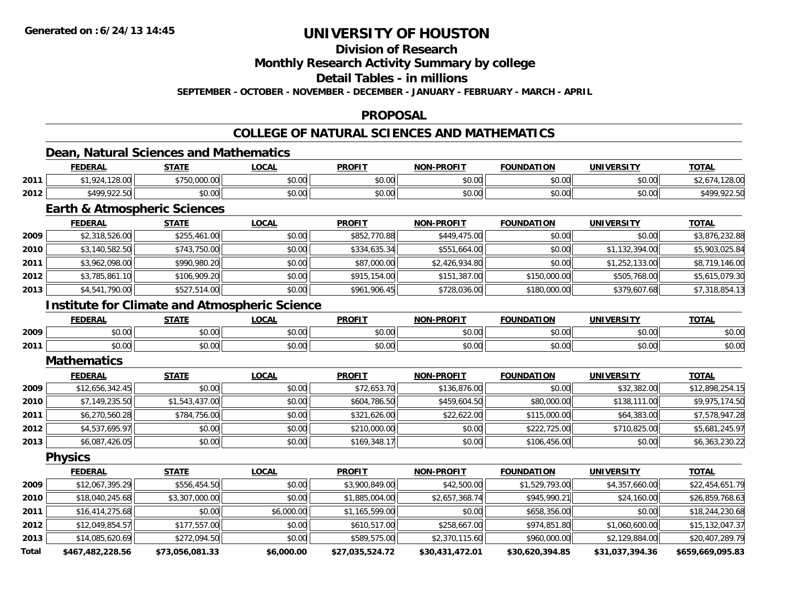### **Division of Research**

**Monthly Research Activity Summary by college**

**Detail Tables - in millions**

**SEPTEMBER - OCTOBER - NOVEMBER - DECEMBER - JANUARY - FEBRUARY - MARCH - APRIL**

#### **PROPOSAL**

### **COLLEGE OF NATURAL SCIENCES AND MATHEMATICS**

### **Dean, Natural Sciences and Mathematics**

|      | <b>FEDERAI</b>    | <b>CTATE</b>            | _OCAL  | <b>PROFIT</b> | <b>LDDOFIT</b><br><b>NON</b> | <b>FOUNDATION</b> | <b>UNIVERSITY</b> | <b>TOTAL</b> |
|------|-------------------|-------------------------|--------|---------------|------------------------------|-------------------|-------------------|--------------|
| 2011 | 12000<br>120.UU   | 00000<br>さフにん<br>uuu.uu | \$0.00 | \$0.00        | \$0.00                       | ሶስ ሰሰ<br>JU.UU    | \$0.00            | $\sim$       |
| 2012 | <b>A00 022 50</b> | ሶስ ሰሰ<br>DU.UG          | \$0.00 | \$0.00        | \$0.00                       | 0000<br>PU.UU     | \$0.00            | :400         |

### **Earth & Atmospheric Sciences**

|      | <b>FEDERAL</b> | <b>STATE</b> | <b>LOCAL</b> | <b>PROFIT</b> | <b>NON-PROFIT</b> | <b>FOUNDATION</b> | <b>UNIVERSITY</b> | <b>TOTAL</b>   |
|------|----------------|--------------|--------------|---------------|-------------------|-------------------|-------------------|----------------|
| 2009 | \$2,318,526.00 | \$255,461.00 | \$0.00       | \$852,770.88  | \$449,475,00      | \$0.00            | \$0.00            | \$3,876,232.88 |
| 2010 | \$3,140,582.50 | \$743,750.00 | \$0.00       | \$334,635.34  | \$551,664.00      | \$0.00            | \$1,132,394.00    | \$5,903,025.84 |
| 2011 | \$3,962,098.00 | \$990,980.20 | \$0.00       | \$87,000.00   | \$2,426,934.80    | \$0.00            | \$1,252,133.00    | \$8,719,146.00 |
| 2012 | \$3,785,861.10 | \$106,909.20 | \$0.00       | \$915,154,00  | \$151,387.00      | \$150,000.00      | \$505,768.00      | \$5,615,079.30 |
| 2013 | \$4,541,790.00 | \$527,514.00 | \$0.00       | \$961,906.45  | \$728,036.00      | \$180,000.00      | \$379,607.68      | \$7,318,854.13 |

### **Institute for Climate and Atmospheric Science**

|      | <b>CENER ::</b><br>    | 27.77                | $\sim$<br>$\mathbf{u}$                              | <b>PROFIT</b>  | <b>DDOFIT</b><br>וחרות | ר גרוווווה<br>.                   | <b>IINIVEDSITV</b>         | <b>TOT</b>     |
|------|------------------------|----------------------|-----------------------------------------------------|----------------|------------------------|-----------------------------------|----------------------------|----------------|
| 2009 | 0000<br>70.UU          | $\sim$ $\sim$<br>ט.ט | $\uparrow$ $\uparrow$ $\uparrow$ $\uparrow$<br>ט.טי | 0.00<br>wu.uu. | \$0.00                 | $\mathsf{A} \cap \mathsf{A}$<br>w | nn nn<br>$\cdot$ uu<br>ּשׁ | 0000<br>pv.uu  |
| 2011 | $\sim$ $\sim$<br>JU.UU | $\sim$ 00<br>JU.UU   | $\sim$ 00<br>וטטוע                                  | 0.00<br>JU.UU  | 0000<br>JU.U           | ሶስ ስስ<br>. UU                     | $\sim$ 00<br>וטט.טע        | ልስ ሰሰ<br>PU.UU |

#### **Mathematics**

|      | <b>FEDERAL</b>  | <b>STATE</b>   | <b>LOCAL</b> | <b>PROFIT</b> | <b>NON-PROFIT</b> | <b>FOUNDATION</b> | <b>UNIVERSITY</b> | <b>TOTAL</b>    |
|------|-----------------|----------------|--------------|---------------|-------------------|-------------------|-------------------|-----------------|
| 2009 | \$12,656,342.45 | \$0.00         | \$0.00       | \$72,653.70   | \$136,876.00      | \$0.00            | \$32,382.00       | \$12,898,254.15 |
| 2010 | \$7,149,235.50  | \$1,543,437.00 | \$0.00       | \$604,786.50  | \$459,604.50      | \$80,000.00       | \$138,111.00      | \$9,975,174.50  |
| 2011 | \$6,270,560.28  | \$784,756.00   | \$0.00       | \$321,626.00  | \$22,622.00       | \$115,000.00      | \$64,383.00       | \$7,578,947.28  |
| 2012 | \$4,537,695.97  | \$0.00         | \$0.00       | \$210,000.00  | \$0.00            | \$222,725.00      | \$710,825.00      | \$5,681,245.97  |
| 2013 | \$6,087,426.05  | \$0.00         | \$0.00       | \$169,348.17  | \$0.00            | \$106,456.00      | \$0.00            | \$6,363,230.22  |

**Physics**

|              | <b>FEDERAL</b>   | <b>STATE</b>    | LOCAL      | <b>PROFIT</b>   | <b>NON-PROFIT</b> | <b>FOUNDATION</b> | <b>UNIVERSITY</b> | <b>TOTAL</b>     |
|--------------|------------------|-----------------|------------|-----------------|-------------------|-------------------|-------------------|------------------|
| 2009         | \$12,067,395.29  | \$556,454.50    | \$0.00     | \$3,900,849.00  | \$42,500.00       | \$1,529,793.00    | \$4,357,660.00    | \$22,454,651.79  |
| 2010         | \$18,040,245.68  | \$3,307,000.00  | \$0.00     | \$1,885,004.00  | \$2,657,368.74    | \$945,990.21      | \$24,160.00       | \$26,859,768.63  |
| 2011         | \$16,414,275.68  | \$0.00          | \$6,000.00 | \$1,165,599.00  | \$0.00            | \$658,356.00      | \$0.00            | \$18,244,230.68  |
| 2012         | \$12,049,854.57  | \$177,557.00    | \$0.00     | \$610,517.00    | \$258,667.00      | \$974,851.80      | \$1,060,600.00    | \$15,132,047.37  |
| 2013         | \$14,085,620.69  | \$272,094.50    | \$0.00     | \$589,575.00    | \$2,370,115.60    | \$960,000.00      | \$2,129,884.00    | \$20,407,289.79  |
| <b>Total</b> | \$467,482,228.56 | \$73,056,081.33 | \$6,000.00 | \$27,035,524.72 | \$30,431,472.01   | \$30,620,394.85   | \$31,037,394.36   | \$659,669,095.83 |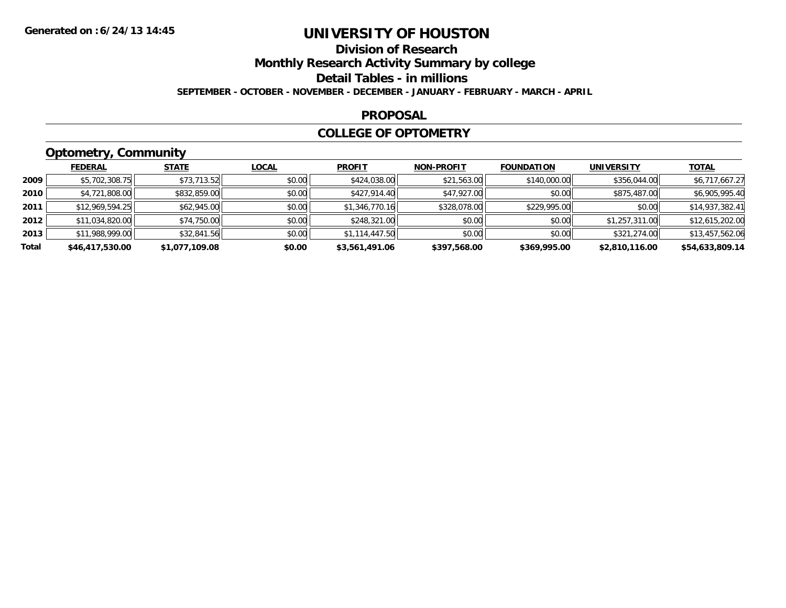## **Division of Research**

**Monthly Research Activity Summary by college**

**Detail Tables - in millions**

**SEPTEMBER - OCTOBER - NOVEMBER - DECEMBER - JANUARY - FEBRUARY - MARCH - APRIL**

#### **PROPOSAL**

### **COLLEGE OF OPTOMETRY**

## **Optometry, Community**

|       | .               |                |              |                |                   |                   |                   |                 |
|-------|-----------------|----------------|--------------|----------------|-------------------|-------------------|-------------------|-----------------|
|       | <b>FEDERAL</b>  | <b>STATE</b>   | <b>LOCAL</b> | <b>PROFIT</b>  | <b>NON-PROFIT</b> | <b>FOUNDATION</b> | <b>UNIVERSITY</b> | <u>TOTAL</u>    |
| 2009  | \$5,702,308.75  | \$73,713.52    | \$0.00       | \$424,038.00   | \$21,563.00       | \$140,000.00      | \$356,044.00      | \$6,717,667.27  |
| 2010  | \$4,721,808.00  | \$832,859.00   | \$0.00       | \$427,914.40   | \$47,927.00       | \$0.00            | \$875,487.00      | \$6,905,995.40  |
| 2011  | \$12,969,594.25 | \$62,945.00    | \$0.00       | \$1,346,770.16 | \$328,078.00      | \$229,995.00      | \$0.00            | \$14,937,382.41 |
| 2012  | \$11,034,820,00 | \$74,750.00    | \$0.00       | \$248,321.00   | \$0.00            | \$0.00            | \$1,257,311.00    | \$12,615,202.00 |
| 2013  | \$11,988,999.00 | \$32,841.56    | \$0.00       | \$1,114,447.50 | \$0.00            | \$0.00            | \$321,274.00      | \$13,457,562.06 |
| Total | \$46,417,530.00 | \$1,077,109.08 | \$0.00       | \$3,561,491.06 | \$397,568.00      | \$369,995.00      | \$2,810,116.00    | \$54,633,809.14 |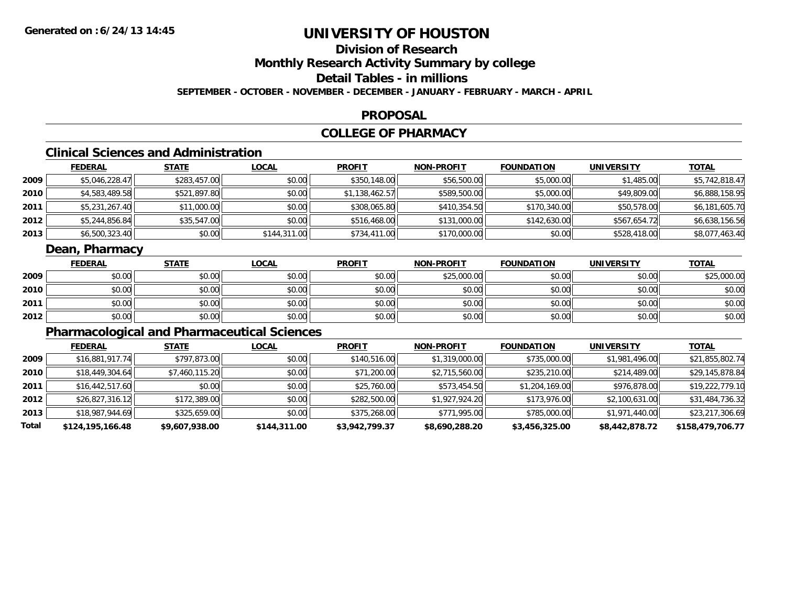## **Division of Research**

**Monthly Research Activity Summary by college**

**Detail Tables - in millions**

**SEPTEMBER - OCTOBER - NOVEMBER - DECEMBER - JANUARY - FEBRUARY - MARCH - APRIL**

#### **PROPOSAL**

### **COLLEGE OF PHARMACY**

## **Clinical Sciences and Administration**

|        | <b>FEDERAL</b> | <u>STATE</u> | <b>LOCAL</b> | <b>PROFIT</b>  | <b>NON-PROFIT</b> | <b>FOUNDATION</b> | <b>UNIVERSITY</b> | <b>TOTAL</b>   |
|--------|----------------|--------------|--------------|----------------|-------------------|-------------------|-------------------|----------------|
| 2009   | \$5,046,228.47 | \$283,457.00 | \$0.00       | \$350,148.00   | \$56,500.00       | \$5,000.00        | \$1,485.00        | \$5,742,818.47 |
| ا 2010 | \$4,583,489.58 | \$521,897.80 | \$0.00       | \$1,138,462.57 | \$589,500.00      | \$5,000.00        | \$49,809.00       | \$6,888,158.95 |
| 2011   | \$5,231,267.40 | \$11,000.00  | \$0.00       | \$308,065.80   | \$410,354.50      | \$170,340.00      | \$50,578.00       | \$6,181,605.70 |
| 2012   | \$5,244,856.84 | \$35,547.00  | \$0.00       | \$516,468.00   | \$131,000.00      | \$142,630.00      | \$567,654.72      | \$6,638,156.56 |
| 2013   | \$6,500,323.40 | \$0.00       | \$144,311.00 | \$734,411.00   | \$170,000.00      | \$0.00            | \$528,418.00      | \$8,077,463.40 |

### **Dean, Pharmacy**

|      | <b>FEDERAL</b> | <b>STATE</b> | <u>LOCAL</u> | <b>PROFIT</b> | <b>NON-PROFIT</b> | <b>FOUNDATION</b> | UNIVERSITY | <b>TOTAL</b> |
|------|----------------|--------------|--------------|---------------|-------------------|-------------------|------------|--------------|
| 2009 | \$0.00         | \$0.00       | \$0.00       | \$0.00        | \$25,000.00       | \$0.00            | \$0.00     | \$25,000.00  |
| 2010 | \$0.00         | \$0.00       | \$0.00       | \$0.00        | \$0.00            | \$0.00            | \$0.00     | \$0.00       |
| 2011 | \$0.00         | \$0.00       | \$0.00       | \$0.00        | \$0.00            | \$0.00            | \$0.00     | \$0.00       |
| 2012 | \$0.00         | \$0.00       | \$0.00       | \$0.00        | \$0.00            | \$0.00            | \$0.00     | \$0.00       |

## **Pharmacological and Pharmaceutical Sciences**

|       | <u>FEDERAL</u>   | <b>STATE</b>   | <b>LOCAL</b> | <b>PROFIT</b>  | <b>NON-PROFIT</b> | <b>FOUNDATION</b> | UNIVERSITY     | <u>TOTAL</u>     |
|-------|------------------|----------------|--------------|----------------|-------------------|-------------------|----------------|------------------|
| 2009  | \$16,881,917.74  | \$797,873.00   | \$0.00       | \$140,516.00   | \$1,319,000.00    | \$735,000.00      | \$1,981,496.00 | \$21,855,802.74  |
| 2010  | \$18,449,304.64  | \$7,460,115.20 | \$0.00       | \$71,200.00    | \$2,715,560.00    | \$235,210.00      | \$214,489.00   | \$29,145,878.84  |
| 2011  | \$16,442,517.60  | \$0.00         | \$0.00       | \$25,760.00    | \$573,454.50      | \$1,204,169.00    | \$976,878.00   | \$19,222,779.10  |
| 2012  | \$26,827,316.12  | \$172,389.00   | \$0.00       | \$282,500.00   | \$1,927,924.20    | \$173,976.00      | \$2,100,631.00 | \$31,484,736.32  |
| 2013  | \$18,987,944.69  | \$325,659.00   | \$0.00       | \$375,268.00   | \$771,995.00      | \$785,000.00      | \$1,971,440.00 | \$23,217,306.69  |
| Total | \$124,195,166.48 | \$9,607,938.00 | \$144,311.00 | \$3,942,799.37 | \$8,690,288.20    | \$3,456,325.00    | \$8,442,878.72 | \$158,479,706.77 |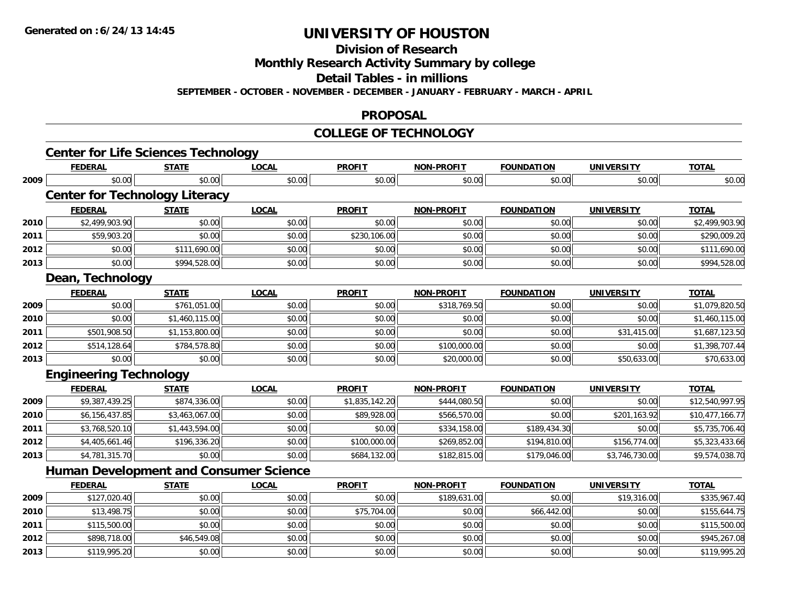**Division of Research**

**Monthly Research Activity Summary by college**

**Detail Tables - in millions**

**SEPTEMBER - OCTOBER - NOVEMBER - DECEMBER - JANUARY - FEBRUARY - MARCH - APRIL**

#### **PROPOSAL**

#### **COLLEGE OF TECHNOLOGY**

|      | <b>Center for Life Sciences Technology</b>    |                |              |                |                   |                   |                   |                 |
|------|-----------------------------------------------|----------------|--------------|----------------|-------------------|-------------------|-------------------|-----------------|
|      | <b>FEDERAL</b>                                | <b>STATE</b>   | <b>LOCAL</b> | <b>PROFIT</b>  | <b>NON-PROFIT</b> | <b>FOUNDATION</b> | <b>UNIVERSITY</b> | <b>TOTAL</b>    |
| 2009 | \$0.00                                        | \$0.00         | \$0.00       | \$0.00         | \$0.00            | \$0.00            | \$0.00            | \$0.00          |
|      | <b>Center for Technology Literacy</b>         |                |              |                |                   |                   |                   |                 |
|      | <b>FEDERAL</b>                                | <b>STATE</b>   | <b>LOCAL</b> | <b>PROFIT</b>  | <b>NON-PROFIT</b> | <b>FOUNDATION</b> | <b>UNIVERSITY</b> | <b>TOTAL</b>    |
| 2010 | \$2,499,903.90                                | \$0.00         | \$0.00       | \$0.00         | \$0.00            | \$0.00            | \$0.00            | \$2,499,903.90  |
| 2011 | \$59,903.20                                   | \$0.00         | \$0.00       | \$230,106.00   | \$0.00            | \$0.00            | \$0.00            | \$290,009.20    |
| 2012 | \$0.00                                        | \$111,690.00   | \$0.00       | \$0.00         | \$0.00            | \$0.00            | \$0.00            | \$111,690.00    |
| 2013 | \$0.00                                        | \$994,528.00   | \$0.00       | \$0.00         | \$0.00            | \$0.00            | \$0.00            | \$994,528.00    |
|      | Dean, Technology                              |                |              |                |                   |                   |                   |                 |
|      | <b>FEDERAL</b>                                | <b>STATE</b>   | <b>LOCAL</b> | <b>PROFIT</b>  | <b>NON-PROFIT</b> | <b>FOUNDATION</b> | <b>UNIVERSITY</b> | <b>TOTAL</b>    |
| 2009 | \$0.00                                        | \$761,051.00   | \$0.00       | \$0.00         | \$318,769.50      | \$0.00            | \$0.00            | \$1,079,820.50  |
| 2010 | \$0.00                                        | \$1,460,115.00 | \$0.00       | \$0.00         | \$0.00            | \$0.00            | \$0.00            | \$1,460,115.00  |
| 2011 | \$501,908.50                                  | \$1,153,800.00 | \$0.00       | \$0.00         | \$0.00            | \$0.00            | \$31,415.00       | \$1,687,123.50  |
| 2012 | \$514,128.64                                  | \$784,578.80   | \$0.00       | \$0.00         | \$100,000.00      | \$0.00            | \$0.00            | \$1,398,707.44  |
| 2013 | \$0.00                                        | \$0.00         | \$0.00       | \$0.00         | \$20,000.00       | \$0.00            | \$50,633.00       | \$70,633.00     |
|      | <b>Engineering Technology</b>                 |                |              |                |                   |                   |                   |                 |
|      | <b>FEDERAL</b>                                | <b>STATE</b>   | <b>LOCAL</b> | <b>PROFIT</b>  | <b>NON-PROFIT</b> | <b>FOUNDATION</b> | <b>UNIVERSITY</b> | <b>TOTAL</b>    |
| 2009 | \$9,387,439.25                                | \$874,336.00   | \$0.00       | \$1,835,142.20 | \$444,080.50      | \$0.00            | \$0.00            | \$12,540,997.95 |
| 2010 | \$6,156,437.85                                | \$3,463,067.00 | \$0.00       | \$89,928.00    | \$566,570.00      | \$0.00            | \$201,163.92      | \$10,477,166.77 |
| 2011 | \$3,768,520.10                                | \$1,443,594.00 | \$0.00       | \$0.00         | \$334,158.00      | \$189,434.30      | \$0.00            | \$5,735,706.40  |
| 2012 | \$4,405,661.46                                | \$196,336.20   | \$0.00       | \$100,000.00   | \$269,852.00      | \$194,810.00      | \$156,774.00      | \$5,323,433.66  |
| 2013 | \$4,781,315.70                                | \$0.00         | \$0.00       | \$684,132.00   | \$182,815.00      | \$179,046.00      | \$3,746,730.00    | \$9,574,038.70  |
|      | <b>Human Development and Consumer Science</b> |                |              |                |                   |                   |                   |                 |
|      | <b>FEDERAL</b>                                | <b>STATE</b>   | <b>LOCAL</b> | <b>PROFIT</b>  | <b>NON-PROFIT</b> | <b>FOUNDATION</b> | <b>UNIVERSITY</b> | <b>TOTAL</b>    |
| 2009 | \$127,020.40                                  | \$0.00         | \$0.00       | \$0.00         | \$189,631.00      | \$0.00            | \$19,316.00       | \$335,967.40    |
| 2010 | \$13,498.75                                   | \$0.00         | \$0.00       | \$75,704.00    | \$0.00            | \$66,442.00       | \$0.00            | \$155,644.75    |
| 2011 | \$115,500.00                                  | \$0.00         | \$0.00       | \$0.00         | \$0.00            | \$0.00            | \$0.00            | \$115,500.00    |
| 2012 | \$898,718.00                                  | \$46,549.08    | \$0.00       | \$0.00         | \$0.00            | \$0.00            | \$0.00            | \$945,267.08    |
| 2013 | \$119,995.20                                  | \$0.00         | \$0.00       | \$0.00         | \$0.00            | \$0.00            | \$0.00            | \$119,995.20    |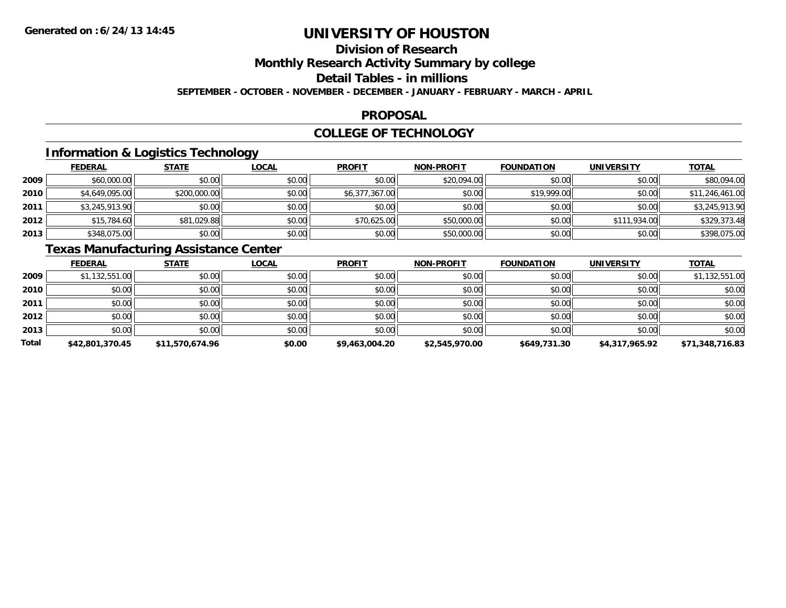## **Division of Research**

**Monthly Research Activity Summary by college**

**Detail Tables - in millions**

**SEPTEMBER - OCTOBER - NOVEMBER - DECEMBER - JANUARY - FEBRUARY - MARCH - APRIL**

#### **PROPOSAL**

### **COLLEGE OF TECHNOLOGY**

### **Information & Logistics Technology**

|        | <b>FEDERAL</b> | <b>STATE</b> | <b>LOCAL</b> | <b>PROFIT</b>  | <b>NON-PROFIT</b> | <b>FOUNDATION</b> | UNIVERSITY   | <b>TOTAL</b>    |
|--------|----------------|--------------|--------------|----------------|-------------------|-------------------|--------------|-----------------|
| 2009   | \$60,000.00    | \$0.00       | \$0.00       | \$0.00         | \$20,094.00       | \$0.00            | \$0.00       | \$80,094.00     |
| ا 2010 | \$4,649,095.00 | \$200,000.00 | \$0.00       | \$6,377,367.00 | \$0.00            | \$19,999.00       | \$0.00       | \$11,246,461.00 |
| 2011   | \$3,245,913.90 | \$0.00       | \$0.00       | \$0.00         | \$0.00            | \$0.00            | \$0.00       | \$3,245,913.90  |
| 2012   | \$15,784.60    | \$81,029.88  | \$0.00       | \$70,625.00    | \$50,000.00       | \$0.00            | \$111,934.00 | \$329,373.48    |
| 2013   | \$348,075.00   | \$0.00       | \$0.00       | \$0.00         | \$50,000.00       | \$0.00            | \$0.00       | \$398,075.00    |

## **Texas Manufacturing Assistance Center**

|       | <b>FEDERAL</b>  | <b>STATE</b>    | <b>LOCAL</b> | <b>PROFIT</b>  | <b>NON-PROFIT</b> | <b>FOUNDATION</b> | <b>UNIVERSITY</b> | <b>TOTAL</b>    |
|-------|-----------------|-----------------|--------------|----------------|-------------------|-------------------|-------------------|-----------------|
| 2009  | \$1,132,551.00  | \$0.00          | \$0.00       | \$0.00         | \$0.00            | \$0.00            | \$0.00            | \$1,132,551.00  |
| 2010  | \$0.00          | \$0.00          | \$0.00       | \$0.00         | \$0.00            | \$0.00            | \$0.00            | \$0.00          |
| 2011  | \$0.00          | \$0.00          | \$0.00       | \$0.00         | \$0.00            | \$0.00            | \$0.00            | \$0.00          |
| 2012  | \$0.00          | \$0.00          | \$0.00       | \$0.00         | \$0.00            | \$0.00            | \$0.00            | \$0.00          |
| 2013  | \$0.00          | \$0.00          | \$0.00       | \$0.00         | \$0.00            | \$0.00            | \$0.00            | \$0.00          |
| Total | \$42,801,370.45 | \$11,570,674.96 | \$0.00       | \$9,463,004.20 | \$2,545,970.00    | \$649,731.30      | \$4,317,965.92    | \$71,348,716.83 |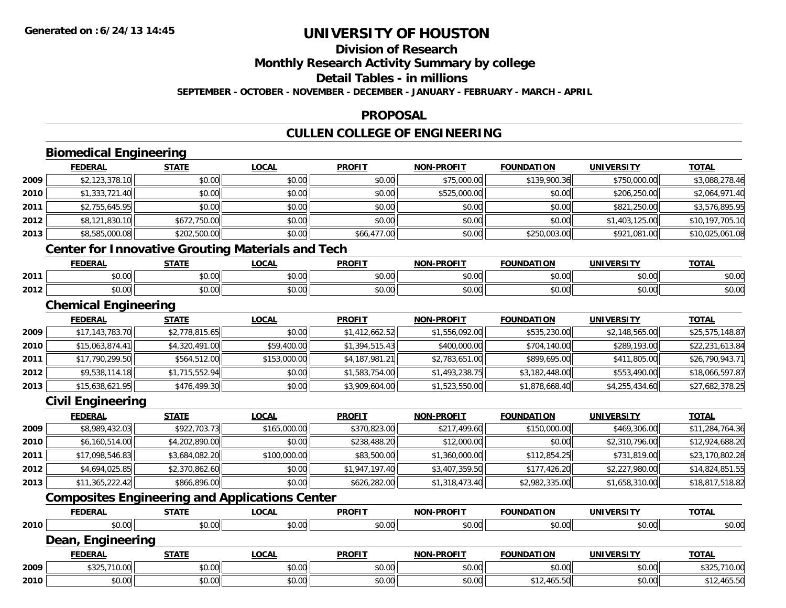**Division of Research**

**Monthly Research Activity Summary by college**

**Detail Tables - in millions**

**SEPTEMBER - OCTOBER - NOVEMBER - DECEMBER - JANUARY - FEBRUARY - MARCH - APRIL**

#### **PROPOSAL**

## **CULLEN COLLEGE OF ENGINEERING**

|      | <b>Biomedical Engineering</b> |                |                                                          |                |                   |                   |                   |                 |
|------|-------------------------------|----------------|----------------------------------------------------------|----------------|-------------------|-------------------|-------------------|-----------------|
|      | <b>FEDERAL</b>                | <b>STATE</b>   | <b>LOCAL</b>                                             | <b>PROFIT</b>  | <b>NON-PROFIT</b> | <b>FOUNDATION</b> | <b>UNIVERSITY</b> | <b>TOTAL</b>    |
| 2009 | \$2,123,378.10                | \$0.00         | \$0.00                                                   | \$0.00         | \$75,000.00       | \$139,900.36      | \$750,000.00      | \$3,088,278.46  |
| 2010 | \$1,333,721.40                | \$0.00         | \$0.00                                                   | \$0.00         | \$525,000.00      | \$0.00            | \$206,250.00      | \$2,064,971.40  |
| 2011 | \$2,755,645.95                | \$0.00         | \$0.00                                                   | \$0.00         | \$0.00            | \$0.00            | \$821,250.00      | \$3,576,895.95  |
| 2012 | \$8,121,830.10                | \$672,750.00   | \$0.00                                                   | \$0.00         | \$0.00            | \$0.00            | \$1,403,125.00    | \$10,197,705.10 |
| 2013 | \$8,585,000.08                | \$202,500.00   | \$0.00                                                   | \$66,477.00    | \$0.00            | \$250,003.00      | \$921,081.00      | \$10,025,061.08 |
|      |                               |                | <b>Center for Innovative Grouting Materials and Tech</b> |                |                   |                   |                   |                 |
|      | <b>FEDERAL</b>                | <b>STATE</b>   | <b>LOCAL</b>                                             | <b>PROFIT</b>  | <b>NON-PROFIT</b> | <b>FOUNDATION</b> | <b>UNIVERSITY</b> | <b>TOTAL</b>    |
| 2011 | \$0.00                        | \$0.00         | \$0.00                                                   | \$0.00         | \$0.00            | \$0.00            | \$0.00            | \$0.00          |
| 2012 | \$0.00                        | \$0.00         | \$0.00                                                   | \$0.00         | \$0.00            | \$0.00            | \$0.00            | \$0.00          |
|      | <b>Chemical Engineering</b>   |                |                                                          |                |                   |                   |                   |                 |
|      | <b>FEDERAL</b>                | <b>STATE</b>   | <b>LOCAL</b>                                             | <b>PROFIT</b>  | <b>NON-PROFIT</b> | <b>FOUNDATION</b> | <b>UNIVERSITY</b> | <b>TOTAL</b>    |
| 2009 | \$17,143,783.70               | \$2,778,815.65 | \$0.00                                                   | \$1,412,662.52 | \$1,556,092.00    | \$535,230.00      | \$2,148,565.00    | \$25,575,148.87 |
| 2010 | \$15,063,874.41               | \$4,320,491.00 | \$59,400.00                                              | \$1,394,515.43 | \$400,000.00      | \$704,140.00      | \$289,193.00      | \$22,231,613.84 |
| 2011 | \$17,790,299.50               | \$564,512.00   | \$153,000.00                                             | \$4,187,981.21 | \$2,783,651.00    | \$899,695.00      | \$411,805.00      | \$26,790,943.71 |
| 2012 | \$9,538,114.18                | \$1,715,552.94 | \$0.00                                                   | \$1,583,754.00 | \$1,493,238.75    | \$3,182,448.00    | \$553,490.00      | \$18,066,597.87 |
| 2013 | \$15,638,621.95               | \$476,499.30   | \$0.00                                                   | \$3,909,604.00 | \$1,523,550.00    | \$1,878,668.40    | \$4,255,434.60    | \$27,682,378.25 |
|      | <b>Civil Engineering</b>      |                |                                                          |                |                   |                   |                   |                 |
|      | <b>FEDERAL</b>                | <b>STATE</b>   | <b>LOCAL</b>                                             | <b>PROFIT</b>  | <b>NON-PROFIT</b> | <b>FOUNDATION</b> | <b>UNIVERSITY</b> | <b>TOTAL</b>    |
| 2009 | \$8,989,432.03                | \$922,703.73   | \$165,000.00                                             | \$370,823.00   | \$217,499.60      | \$150,000.00      | \$469,306.00      | \$11,284,764.36 |
| 2010 | \$6,160,514.00                | \$4,202,890.00 | \$0.00                                                   | \$238,488.20   | \$12,000.00       | \$0.00            | \$2,310,796.00    | \$12,924,688.20 |
| 2011 | \$17,098,546.83               | \$3,684,082.20 | \$100,000.00                                             | \$83,500.00    | \$1,360,000.00    | \$112,854.25      | \$731,819.00      | \$23,170,802.28 |
| 2012 | \$4,694,025.85                | \$2,370,862.60 | \$0.00                                                   | \$1,947,197.40 | \$3,407,359.50    | \$177,426.20      | \$2,227,980.00    | \$14,824,851.55 |
| 2013 | \$11,365,222.42               | \$866,896.00   | \$0.00                                                   | \$626,282.00   | \$1,318,473.40    | \$2,982,335.00    | \$1,658,310.00    | \$18,817,518.82 |
|      |                               |                | <b>Composites Engineering and Applications Center</b>    |                |                   |                   |                   |                 |
|      | <b>FEDERAL</b>                | <b>STATE</b>   | <b>LOCAL</b>                                             | <b>PROFIT</b>  | <b>NON-PROFIT</b> | <b>FOUNDATION</b> | <b>UNIVERSITY</b> | <b>TOTAL</b>    |
| 2010 | \$0.00                        | \$0.00         | \$0.00                                                   | \$0.00         | \$0.00            | \$0.00            | \$0.00            | \$0.00          |
|      | Dean, Engineering             |                |                                                          |                |                   |                   |                   |                 |
|      | <b>FEDERAL</b>                | <b>STATE</b>   | <b>LOCAL</b>                                             | <b>PROFIT</b>  | <b>NON-PROFIT</b> | <b>FOUNDATION</b> | <b>UNIVERSITY</b> | <b>TOTAL</b>    |
| 2009 | \$325,710.00                  | \$0.00         | \$0.00                                                   | \$0.00         | \$0.00            | \$0.00            | \$0.00            | \$325,710.00    |
| 2010 | \$0.00                        | \$0.00         | \$0.00                                                   | \$0.00         | \$0.00            | \$12,465.50       | \$0.00            | \$12,465.50     |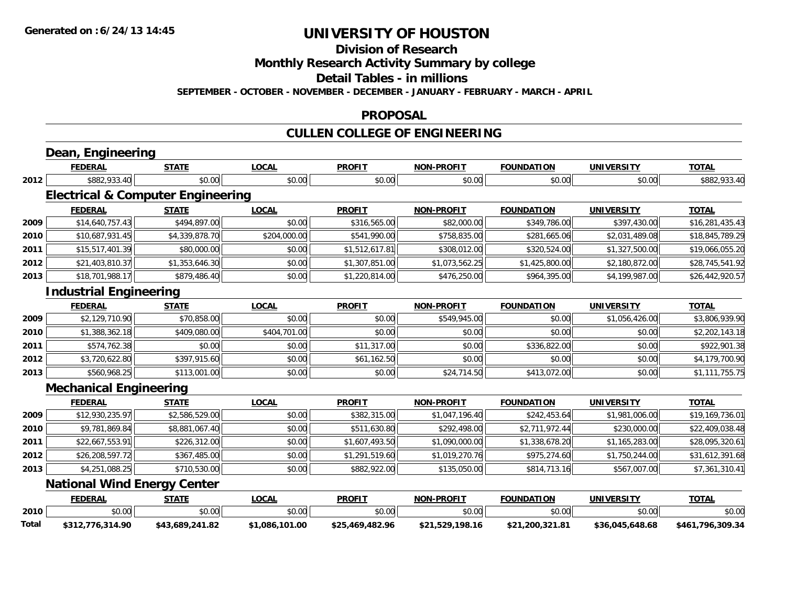**Division of Research**

**Monthly Research Activity Summary by college**

**Detail Tables - in millions**

**SEPTEMBER - OCTOBER - NOVEMBER - DECEMBER - JANUARY - FEBRUARY - MARCH - APRIL**

#### **PROPOSAL**

## **CULLEN COLLEGE OF ENGINEERING**

|       | Dean, Engineering                            |                 |                |                 |                   |                   |                   |                  |
|-------|----------------------------------------------|-----------------|----------------|-----------------|-------------------|-------------------|-------------------|------------------|
|       | <b>FEDERAL</b>                               | <b>STATE</b>    | <b>LOCAL</b>   | <b>PROFIT</b>   | <b>NON-PROFIT</b> | <b>FOUNDATION</b> | <b>UNIVERSITY</b> | <b>TOTAL</b>     |
| 2012  | \$882,933.40                                 | \$0.00          | \$0.00         | \$0.00          | \$0.00            | \$0.00            | \$0.00            | \$882,933.40     |
|       | <b>Electrical &amp; Computer Engineering</b> |                 |                |                 |                   |                   |                   |                  |
|       | <b>FEDERAL</b>                               | <b>STATE</b>    | <b>LOCAL</b>   | <b>PROFIT</b>   | <b>NON-PROFIT</b> | <b>FOUNDATION</b> | <b>UNIVERSITY</b> | <b>TOTAL</b>     |
| 2009  | \$14,640,757.43                              | \$494,897.00    | \$0.00         | \$316,565.00    | \$82,000.00       | \$349,786.00      | \$397,430.00      | \$16,281,435.43  |
| 2010  | \$10,687,931.45                              | \$4,339,878.70  | \$204,000.00   | \$541,990.00    | \$758,835.00      | \$281,665.06      | \$2,031,489.08    | \$18,845,789.29  |
| 2011  | \$15,517,401.39                              | \$80,000.00     | \$0.00         | \$1,512,617.81  | \$308,012.00      | \$320,524.00      | \$1,327,500.00    | \$19,066,055.20  |
| 2012  | \$21,403,810.37                              | \$1,353,646.30  | \$0.00         | \$1,307,851.00  | \$1,073,562.25    | \$1,425,800.00    | \$2,180,872.00    | \$28,745,541.92  |
| 2013  | \$18,701,988.17                              | \$879,486.40    | \$0.00         | \$1,220,814.00  | \$476,250.00      | \$964,395.00      | \$4,199,987.00    | \$26,442,920.57  |
|       | <b>Industrial Engineering</b>                |                 |                |                 |                   |                   |                   |                  |
|       | <b>FEDERAL</b>                               | <b>STATE</b>    | <b>LOCAL</b>   | <b>PROFIT</b>   | <b>NON-PROFIT</b> | <b>FOUNDATION</b> | <b>UNIVERSITY</b> | <b>TOTAL</b>     |
| 2009  | \$2,129,710.90                               | \$70,858.00     | \$0.00         | \$0.00          | \$549,945.00      | \$0.00            | \$1,056,426.00    | \$3,806,939.90   |
| 2010  | \$1,388,362.18                               | \$409,080.00    | \$404,701.00   | \$0.00          | \$0.00            | \$0.00            | \$0.00            | \$2,202,143.18   |
| 2011  | \$574,762.38                                 | \$0.00          | \$0.00         | \$11,317.00     | \$0.00            | \$336,822.00      | \$0.00            | \$922,901.38     |
| 2012  | \$3,720,622.80                               | \$397,915.60    | \$0.00         | \$61,162.50     | \$0.00            | \$0.00            | \$0.00            | \$4,179,700.90   |
| 2013  | \$560,968.25                                 | \$113,001.00    | \$0.00         | \$0.00          | \$24,714.50       | \$413,072.00      | \$0.00            | \$1,111,755.75   |
|       | <b>Mechanical Engineering</b>                |                 |                |                 |                   |                   |                   |                  |
|       | <b>FEDERAL</b>                               | <b>STATE</b>    | <b>LOCAL</b>   | <b>PROFIT</b>   | <b>NON-PROFIT</b> | <b>FOUNDATION</b> | <b>UNIVERSITY</b> | <b>TOTAL</b>     |
| 2009  | \$12,930,235.97                              | \$2,586,529.00  | \$0.00         | \$382,315.00    | \$1,047,196.40    | \$242,453.64      | \$1,981,006.00    | \$19,169,736.01  |
| 2010  | \$9,781,869.84                               | \$8,881,067.40  | \$0.00         | \$511,630.80    | \$292,498.00      | \$2,711,972.44    | \$230,000.00      | \$22,409,038.48  |
| 2011  | \$22,667,553.91                              | \$226,312.00    | \$0.00         | \$1,607,493.50  | \$1,090,000.00    | \$1,338,678.20    | \$1,165,283.00    | \$28,095,320.61  |
| 2012  | \$26,208,597.72                              | \$367,485.00    | \$0.00         | \$1,291,519.60  | \$1,019,270.76    | \$975,274.60      | \$1,750,244.00    | \$31,612,391.68  |
| 2013  | \$4,251,088.25                               | \$710,530.00    | \$0.00         | \$882,922.00    | \$135,050.00      | \$814,713.16      | \$567,007.00      | \$7,361,310.41   |
|       | <b>National Wind Energy Center</b>           |                 |                |                 |                   |                   |                   |                  |
|       | <b>FEDERAL</b>                               | <b>STATE</b>    | <b>LOCAL</b>   | <b>PROFIT</b>   | <b>NON-PROFIT</b> | <b>FOUNDATION</b> | <b>UNIVERSITY</b> | <b>TOTAL</b>     |
| 2010  | \$0.00                                       | \$0.00          | \$0.00         | \$0.00          | \$0.00            | \$0.00            | \$0.00            | \$0.00           |
| Total | \$312,776,314.90                             | \$43,689,241.82 | \$1,086,101.00 | \$25,469,482.96 | \$21,529,198.16   | \$21,200,321.81   | \$36,045,648.68   | \$461,796,309.34 |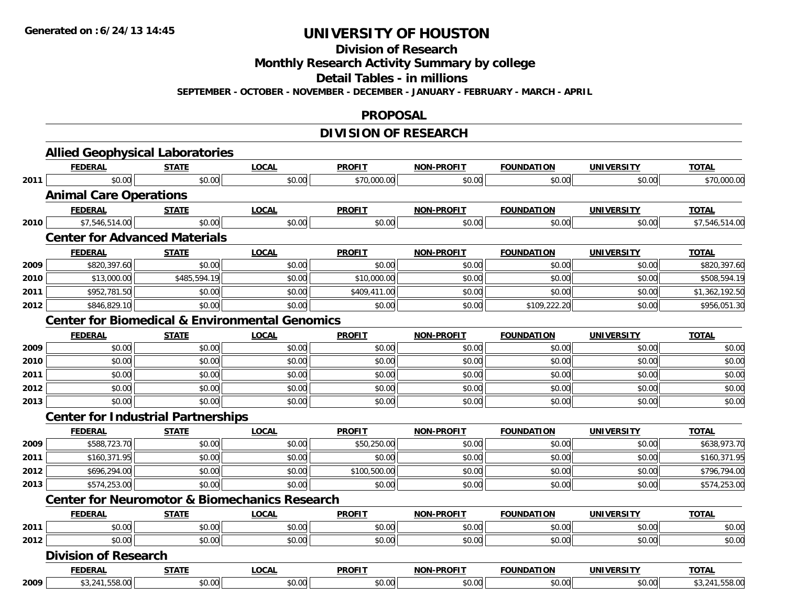**Division of Research**

**Monthly Research Activity Summary by college**

**Detail Tables - in millions**

**SEPTEMBER - OCTOBER - NOVEMBER - DECEMBER - JANUARY - FEBRUARY - MARCH - APRIL**

#### **PROPOSAL**

### **DIVISION OF RESEARCH**

|      | <b>Allied Geophysical Laboratories</b>    |              |                                                           |               |                   |                   |                   |                |
|------|-------------------------------------------|--------------|-----------------------------------------------------------|---------------|-------------------|-------------------|-------------------|----------------|
|      | <b>FEDERAL</b>                            | <b>STATE</b> | <b>LOCAL</b>                                              | <b>PROFIT</b> | <b>NON-PROFIT</b> | <b>FOUNDATION</b> | <b>UNIVERSITY</b> | <b>TOTAL</b>   |
| 2011 | \$0.00                                    | \$0.00       | \$0.00                                                    | \$70,000.00   | \$0.00            | \$0.00            | \$0.00            | \$70,000.00    |
|      | <b>Animal Care Operations</b>             |              |                                                           |               |                   |                   |                   |                |
|      | <b>FEDERAL</b>                            | <b>STATE</b> | <b>LOCAL</b>                                              | <b>PROFIT</b> | NON-PROFIT        | <b>FOUNDATION</b> | <b>UNIVERSITY</b> | <b>TOTAL</b>   |
| 2010 | \$7,546,514.00                            | \$0.00       | \$0.00                                                    | \$0.00        | \$0.00            | \$0.00            | \$0.00            | \$7,546,514.00 |
|      | <b>Center for Advanced Materials</b>      |              |                                                           |               |                   |                   |                   |                |
|      | <b>FEDERAL</b>                            | <u>STATE</u> | <b>LOCAL</b>                                              | <b>PROFIT</b> | <b>NON-PROFIT</b> | <b>FOUNDATION</b> | <b>UNIVERSITY</b> | <b>TOTAL</b>   |
| 2009 | \$820,397.60                              | \$0.00       | \$0.00                                                    | \$0.00        | \$0.00            | \$0.00            | \$0.00            | \$820,397.60   |
| 2010 | \$13,000.00                               | \$485,594.19 | \$0.00                                                    | \$10,000.00   | \$0.00            | \$0.00            | \$0.00            | \$508,594.19   |
| 2011 | \$952,781.50                              | \$0.00       | \$0.00                                                    | \$409,411.00  | \$0.00            | \$0.00            | \$0.00            | \$1,362,192.50 |
| 2012 | \$846,829.10                              | \$0.00       | \$0.00                                                    | \$0.00        | \$0.00            | \$109,222.20      | \$0.00            | \$956,051.30   |
|      |                                           |              | <b>Center for Biomedical &amp; Environmental Genomics</b> |               |                   |                   |                   |                |
|      | <b>FEDERAL</b>                            | <b>STATE</b> | <b>LOCAL</b>                                              | <b>PROFIT</b> | <b>NON-PROFIT</b> | <b>FOUNDATION</b> | <b>UNIVERSITY</b> | <b>TOTAL</b>   |
| 2009 | \$0.00                                    | \$0.00       | \$0.00                                                    | \$0.00        | \$0.00            | \$0.00            | \$0.00            | \$0.00         |
| 2010 | \$0.00                                    | \$0.00       | \$0.00                                                    | \$0.00        | \$0.00            | \$0.00            | \$0.00            | \$0.00         |
| 2011 | \$0.00                                    | \$0.00       | \$0.00                                                    | \$0.00        | \$0.00            | \$0.00            | \$0.00            | \$0.00         |
| 2012 | \$0.00                                    | \$0.00       | \$0.00                                                    | \$0.00        | \$0.00            | \$0.00            | \$0.00            | \$0.00         |
| 2013 | \$0.00                                    | \$0.00       | \$0.00                                                    | \$0.00        | \$0.00            | \$0.00            | \$0.00            | \$0.00         |
|      | <b>Center for Industrial Partnerships</b> |              |                                                           |               |                   |                   |                   |                |
|      | <b>FEDERAL</b>                            | <b>STATE</b> | <b>LOCAL</b>                                              | <b>PROFIT</b> | <b>NON-PROFIT</b> | <b>FOUNDATION</b> | <b>UNIVERSITY</b> | <b>TOTAL</b>   |
| 2009 | \$588,723.70                              | \$0.00       | \$0.00                                                    | \$50,250.00   | \$0.00            | \$0.00            | \$0.00            | \$638,973.70   |
| 2011 | \$160,371.95                              | \$0.00       | \$0.00                                                    | \$0.00        | \$0.00            | \$0.00            | \$0.00            | \$160,371.95   |
| 2012 | \$696,294.00                              | \$0.00       | \$0.00                                                    | \$100,500.00  | \$0.00            | \$0.00            | \$0.00            | \$796,794.00   |
| 2013 | \$574,253.00                              | \$0.00       | \$0.00                                                    | \$0.00        | \$0.00            | \$0.00            | \$0.00            | \$574,253.00   |
|      |                                           |              | <b>Center for Neuromotor &amp; Biomechanics Research</b>  |               |                   |                   |                   |                |
|      | <b>FEDERAL</b>                            | <b>STATE</b> | <b>LOCAL</b>                                              | <b>PROFIT</b> | <b>NON-PROFIT</b> | <b>FOUNDATION</b> | <b>UNIVERSITY</b> | <b>TOTAL</b>   |
| 2011 | \$0.00                                    | \$0.00       | \$0.00                                                    | \$0.00        | \$0.00            | \$0.00            | \$0.00            | \$0.00         |
| 2012 | \$0.00                                    | \$0.00       | \$0.00                                                    | \$0.00        | \$0.00            | \$0.00            | \$0.00            | \$0.00         |
|      | <b>Division of Research</b>               |              |                                                           |               |                   |                   |                   |                |
|      | <b>FEDERAL</b>                            | <b>STATE</b> | <b>LOCAL</b>                                              | <b>PROFIT</b> | <b>NON-PROFIT</b> | <b>FOUNDATION</b> | <b>UNIVERSITY</b> | <b>TOTAL</b>   |
| 2009 | \$3,241,558.00                            | \$0.00       | \$0.00                                                    | \$0.00        | \$0.00            | \$0.00            | \$0.00            | \$3,241,558.00 |
|      |                                           |              |                                                           |               |                   |                   |                   |                |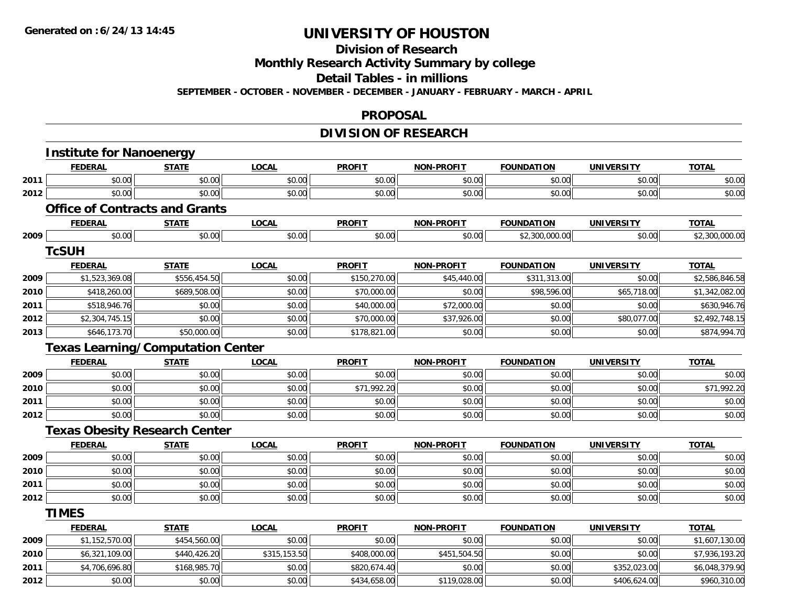## **Division of Research**

**Monthly Research Activity Summary by college**

**Detail Tables - in millions**

**SEPTEMBER - OCTOBER - NOVEMBER - DECEMBER - JANUARY - FEBRUARY - MARCH - APRIL**

#### **PROPOSAL**

### **DIVISION OF RESEARCH**

|      | <b>Institute for Nanoenergy</b>          |              |              |               |                   |                   |                   |                |
|------|------------------------------------------|--------------|--------------|---------------|-------------------|-------------------|-------------------|----------------|
|      | <b>FEDERAL</b>                           | <b>STATE</b> | <b>LOCAL</b> | <b>PROFIT</b> | <b>NON-PROFIT</b> | <b>FOUNDATION</b> | <b>UNIVERSITY</b> | <b>TOTAL</b>   |
| 2011 | \$0.00                                   | \$0.00       | \$0.00       | \$0.00        | \$0.00            | \$0.00            | \$0.00            | \$0.00         |
| 2012 | \$0.00                                   | \$0.00       | \$0.00       | \$0.00        | \$0.00            | \$0.00            | \$0.00            | \$0.00         |
|      | <b>Office of Contracts and Grants</b>    |              |              |               |                   |                   |                   |                |
|      | <b>FEDERAL</b>                           | <u>STATE</u> | <b>LOCAL</b> | <b>PROFIT</b> | <b>NON-PROFIT</b> | <b>FOUNDATION</b> | <b>UNIVERSITY</b> | <b>TOTAL</b>   |
| 2009 | \$0.00                                   | \$0.00       | \$0.00       | \$0.00        | \$0.00            | \$2,300,000.00    | \$0.00            | \$2,300,000.00 |
|      | <b>TcSUH</b>                             |              |              |               |                   |                   |                   |                |
|      | <b>FEDERAL</b>                           | <b>STATE</b> | <b>LOCAL</b> | <b>PROFIT</b> | <b>NON-PROFIT</b> | <b>FOUNDATION</b> | <b>UNIVERSITY</b> | <b>TOTAL</b>   |
| 2009 | \$1,523,369.08                           | \$556,454.50 | \$0.00       | \$150,270.00  | \$45,440.00       | \$311,313.00      | \$0.00            | \$2,586,846.58 |
| 2010 | \$418,260.00                             | \$689,508.00 | \$0.00       | \$70,000.00   | \$0.00            | \$98,596.00       | \$65,718.00       | \$1,342,082.00 |
| 2011 | \$518,946.76                             | \$0.00       | \$0.00       | \$40,000.00   | \$72,000.00       | \$0.00            | \$0.00            | \$630,946.76   |
| 2012 | \$2,304,745.15                           | \$0.00       | \$0.00       | \$70,000.00   | \$37,926.00       | \$0.00            | \$80,077.00       | \$2,492,748.15 |
| 2013 | \$646,173.70                             | \$50,000.00  | \$0.00       | \$178,821.00  | \$0.00            | \$0.00            | \$0.00            | \$874,994.70   |
|      | <b>Texas Learning/Computation Center</b> |              |              |               |                   |                   |                   |                |
|      | <b>FEDERAL</b>                           | <b>STATE</b> | <b>LOCAL</b> | <b>PROFIT</b> | <b>NON-PROFIT</b> | <b>FOUNDATION</b> | <b>UNIVERSITY</b> | <b>TOTAL</b>   |
| 2009 | \$0.00                                   | \$0.00       | \$0.00       | \$0.00        | \$0.00            | \$0.00            | \$0.00            | \$0.00         |
| 2010 | \$0.00                                   | \$0.00       | \$0.00       | \$71,992.20   | \$0.00            | \$0.00            | \$0.00            | \$71,992.20    |
| 2011 | \$0.00                                   | \$0.00       | \$0.00       | \$0.00        | \$0.00            | \$0.00            | \$0.00            | \$0.00         |
| 2012 | \$0.00                                   | \$0.00       | \$0.00       | \$0.00        | \$0.00            | \$0.00            | \$0.00            | \$0.00         |
|      | <b>Texas Obesity Research Center</b>     |              |              |               |                   |                   |                   |                |
|      | <b>FEDERAL</b>                           | <b>STATE</b> | <b>LOCAL</b> | <b>PROFIT</b> | <b>NON-PROFIT</b> | <b>FOUNDATION</b> | <b>UNIVERSITY</b> | <b>TOTAL</b>   |
| 2009 | \$0.00                                   | \$0.00       | \$0.00       | \$0.00        | \$0.00            | \$0.00            | \$0.00            | \$0.00         |
| 2010 | \$0.00                                   | \$0.00       | \$0.00       | \$0.00        | \$0.00            | \$0.00            | \$0.00            | \$0.00         |
| 2011 | \$0.00                                   | \$0.00       | \$0.00       | \$0.00        | \$0.00            | \$0.00            | \$0.00            | \$0.00         |
| 2012 | \$0.00                                   | \$0.00       | \$0.00       | \$0.00        | \$0.00            | \$0.00            | \$0.00            | \$0.00         |
|      | <b>TIMES</b>                             |              |              |               |                   |                   |                   |                |
|      | <b>FEDERAL</b>                           | <b>STATE</b> | <b>LOCAL</b> | <b>PROFIT</b> | <b>NON-PROFIT</b> | <b>FOUNDATION</b> | <b>UNIVERSITY</b> | <b>TOTAL</b>   |
| 2009 | \$1,152,570.00                           | \$454,560.00 | \$0.00       | \$0.00        | \$0.00            | \$0.00            | \$0.00            | \$1,607,130.00 |
| 2010 | \$6,321,109.00                           | \$440,426.20 | \$315,153.50 | \$408,000.00  | \$451,504.50      | \$0.00            | \$0.00            | \$7,936,193.20 |
| 2011 | \$4,706,696.80                           | \$168,985.70 | \$0.00       | \$820,674.40  | \$0.00            | \$0.00            | \$352,023.00      | \$6,048,379.90 |
| 2012 | \$0.00                                   | \$0.00       | \$0.00       | \$434,658.00  | \$119,028.00      | \$0.00            | \$406,624.00      | \$960,310.00   |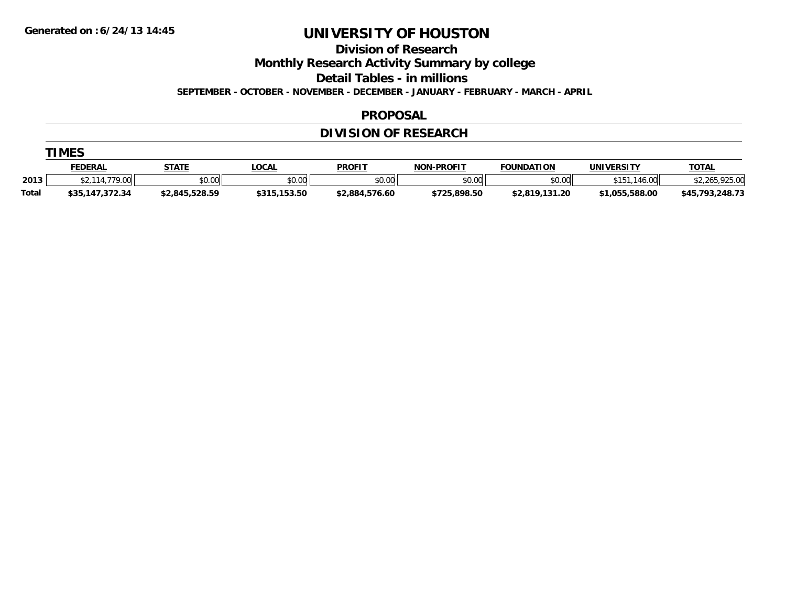**Division of Research**

**Monthly Research Activity Summary by college**

**Detail Tables - in millions**

**SEPTEMBER - OCTOBER - NOVEMBER - DECEMBER - JANUARY - FEBRUARY - MARCH - APRIL**

#### **PROPOSAL**

### **DIVISION OF RESEARCH**

|  | M |  |
|--|---|--|
|--|---|--|

|       | <u>FEDERAL</u>            | <b>STATE</b>   | <b>_OCAI</b> | <b>PROFIT</b>  | <b>NON-PROFIT</b> | <b>FOUNDATION</b> | <b>UNIVERSITY</b> | <b>TOTAL</b>                |
|-------|---------------------------|----------------|--------------|----------------|-------------------|-------------------|-------------------|-----------------------------|
| 2013  | $- - -$<br>$\sim$<br>1.UU | \$0.00         | \$0.00       | \$0.00         | \$0.00            | \$0.00            | .00<br>.          | LODE OC<br>- 765.<br>925.UU |
| Total | 147,372.34                | \$2,845,528.59 | \$315,153.50 | \$2,884,576.60 | \$725,898.50      | \$2,819,131.20    | \$1,055,588.00    | .248.73<br>702<br>\$45      |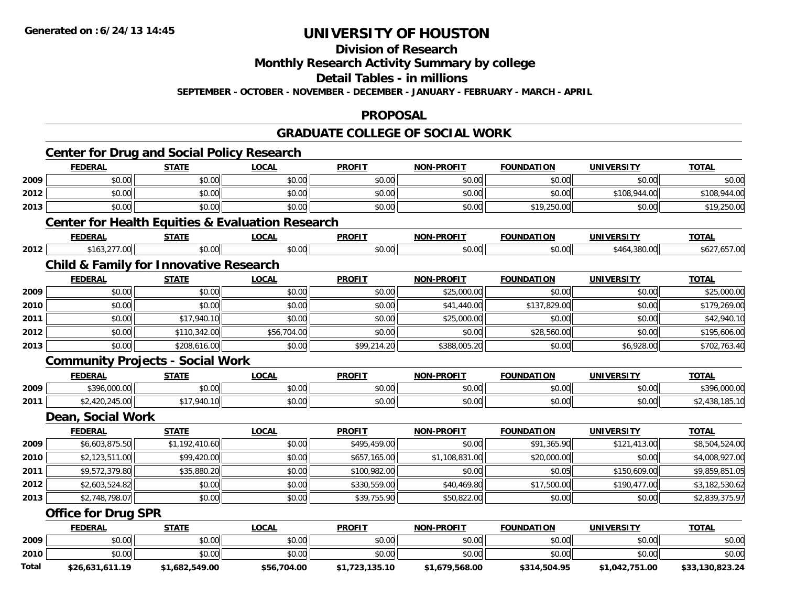## **Division of Research**

## **Monthly Research Activity Summary by college**

#### **Detail Tables - in millions**

**SEPTEMBER - OCTOBER - NOVEMBER - DECEMBER - JANUARY - FEBRUARY - MARCH - APRIL**

#### **PROPOSAL**

### **GRADUATE COLLEGE OF SOCIAL WORK**

|       | <b>Center for Drug and Social Policy Research</b>           |                |              |                |                   |                   |                   |                 |
|-------|-------------------------------------------------------------|----------------|--------------|----------------|-------------------|-------------------|-------------------|-----------------|
|       | <b>FEDERAL</b>                                              | <b>STATE</b>   | <b>LOCAL</b> | <b>PROFIT</b>  | <b>NON-PROFIT</b> | <b>FOUNDATION</b> | <b>UNIVERSITY</b> | <b>TOTAL</b>    |
| 2009  | \$0.00                                                      | \$0.00         | \$0.00       | \$0.00         | \$0.00            | \$0.00            | \$0.00            | \$0.00          |
| 2012  | \$0.00                                                      | \$0.00         | \$0.00       | \$0.00         | \$0.00            | \$0.00            | \$108,944.00      | \$108,944.00    |
| 2013  | \$0.00                                                      | \$0.00         | \$0.00       | \$0.00         | \$0.00            | \$19,250.00       | \$0.00            | \$19,250.00     |
|       | <b>Center for Health Equities &amp; Evaluation Research</b> |                |              |                |                   |                   |                   |                 |
|       | <b>FEDERAL</b>                                              | <b>STATE</b>   | <b>LOCAL</b> | <b>PROFIT</b>  | <b>NON-PROFIT</b> | <b>FOUNDATION</b> | <b>UNIVERSITY</b> | <b>TOTAL</b>    |
| 2012  | \$163,277.00                                                | \$0.00         | \$0.00       | \$0.00         | \$0.00            | \$0.00            | \$464,380.00      | \$627,657.00    |
|       | <b>Child &amp; Family for Innovative Research</b>           |                |              |                |                   |                   |                   |                 |
|       | <b>FEDERAL</b>                                              | <b>STATE</b>   | <b>LOCAL</b> | <b>PROFIT</b>  | <b>NON-PROFIT</b> | <b>FOUNDATION</b> | <b>UNIVERSITY</b> | <b>TOTAL</b>    |
| 2009  | \$0.00                                                      | \$0.00         | \$0.00       | \$0.00         | \$25,000.00       | \$0.00            | \$0.00            | \$25,000.00     |
| 2010  | \$0.00                                                      | \$0.00         | \$0.00       | \$0.00         | \$41,440.00       | \$137,829.00      | \$0.00            | \$179,269.00    |
| 2011  | \$0.00                                                      | \$17,940.10    | \$0.00       | \$0.00         | \$25,000.00       | \$0.00            | \$0.00            | \$42,940.10     |
| 2012  | \$0.00                                                      | \$110,342.00   | \$56,704.00  | \$0.00         | \$0.00            | \$28,560.00       | \$0.00            | \$195,606.00    |
| 2013  | \$0.00                                                      | \$208,616.00   | \$0.00       | \$99,214.20    | \$388,005.20      | \$0.00            | \$6,928.00        | \$702,763.40    |
|       | <b>Community Projects - Social Work</b>                     |                |              |                |                   |                   |                   |                 |
|       | <b>FEDERAL</b>                                              | <b>STATE</b>   | <b>LOCAL</b> | <b>PROFIT</b>  | <b>NON-PROFIT</b> | <b>FOUNDATION</b> | <b>UNIVERSITY</b> | <b>TOTAL</b>    |
| 2009  | \$396,000.00                                                | \$0.00         | \$0.00       | \$0.00         | \$0.00            | \$0.00            | \$0.00            | \$396,000.00    |
| 2011  | \$2,420,245.00                                              | \$17,940.10    | \$0.00       | \$0.00         | \$0.00            | \$0.00            | \$0.00            | \$2,438,185.10  |
|       | Dean, Social Work                                           |                |              |                |                   |                   |                   |                 |
|       | <b>FEDERAL</b>                                              | <b>STATE</b>   | <b>LOCAL</b> | <b>PROFIT</b>  | <b>NON-PROFIT</b> | <b>FOUNDATION</b> | <b>UNIVERSITY</b> | <b>TOTAL</b>    |
| 2009  | \$6,603,875.50                                              | \$1,192,410.60 | \$0.00       | \$495,459.00   | \$0.00            | \$91,365.90       | \$121,413.00      | \$8,504,524.00  |
| 2010  | \$2,123,511.00                                              | \$99,420.00    | \$0.00       | \$657,165.00   | \$1,108,831.00    | \$20,000.00       | \$0.00            | \$4,008,927.00  |
| 2011  | \$9,572,379.80                                              | \$35,880.20    | \$0.00       | \$100,982.00   | \$0.00            | \$0.05            | \$150,609.00      | \$9,859,851.05  |
| 2012  | \$2,603,524.82                                              | \$0.00         | \$0.00       | \$330,559.00   | \$40,469.80       | \$17,500.00       | \$190,477.00      | \$3,182,530.62  |
| 2013  | \$2,748,798.07                                              | \$0.00         | \$0.00       | \$39,755.90    | \$50,822.00       | \$0.00            | \$0.00            | \$2,839,375.97  |
|       | <b>Office for Drug SPR</b>                                  |                |              |                |                   |                   |                   |                 |
|       | <b>FEDERAL</b>                                              | <b>STATE</b>   | <b>LOCAL</b> | <b>PROFIT</b>  | <b>NON-PROFIT</b> | <b>FOUNDATION</b> | <b>UNIVERSITY</b> | <b>TOTAL</b>    |
| 2009  | \$0.00                                                      | \$0.00         | \$0.00       | \$0.00         | \$0.00            | \$0.00            | \$0.00            | \$0.00          |
| 2010  | \$0.00                                                      | \$0.00         | \$0.00       | \$0.00         | \$0.00            | \$0.00            | \$0.00            | \$0.00          |
| Total | \$26,631,611.19                                             | \$1,682,549.00 | \$56,704.00  | \$1,723,135.10 | \$1,679,568.00    | \$314,504.95      | \$1,042,751.00    | \$33,130,823.24 |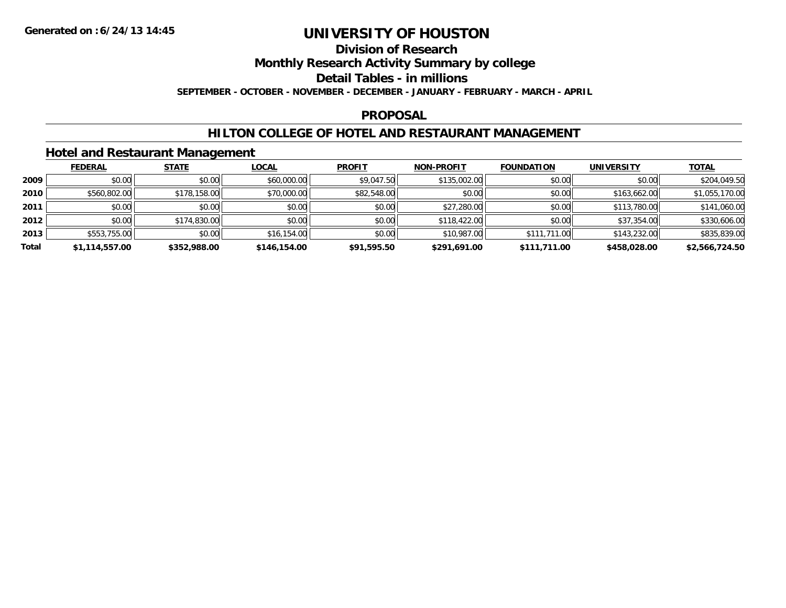## **Division of Research**

**Monthly Research Activity Summary by college**

**Detail Tables - in millions**

**SEPTEMBER - OCTOBER - NOVEMBER - DECEMBER - JANUARY - FEBRUARY - MARCH - APRIL**

### **PROPOSAL**

### **HILTON COLLEGE OF HOTEL AND RESTAURANT MANAGEMENT**

### **Hotel and Restaurant Management**

|       | <b>FEDERAL</b> | <b>STATE</b> | <b>LOCAL</b> | <b>PROFIT</b> | <b>NON-PROFIT</b> | <b>FOUNDATION</b> | <b>UNIVERSITY</b> | <b>TOTAL</b>   |
|-------|----------------|--------------|--------------|---------------|-------------------|-------------------|-------------------|----------------|
| 2009  | \$0.00         | \$0.00       | \$60,000.00  | \$9,047.50    | \$135,002.00      | \$0.00            | \$0.00            | \$204,049.50   |
| 2010  | \$560,802.00   | \$178,158.00 | \$70,000.00  | \$82,548.00   | \$0.00            | \$0.00            | \$163,662.00      | \$1,055,170.00 |
| 2011  | \$0.00         | \$0.00       | \$0.00       | \$0.00        | \$27,280.00       | \$0.00            | \$113,780.00      | \$141,060.00   |
| 2012  | \$0.00         | \$174,830.00 | \$0.00       | \$0.00        | \$118,422.00      | \$0.00            | \$37,354.00       | \$330,606.00   |
| 2013  | \$553,755.00   | \$0.00       | \$16,154.00  | \$0.00        | \$10,987.00       | \$111,711.00      | \$143,232.00      | \$835,839.00   |
| Total | \$1,114,557.00 | \$352,988.00 | \$146,154.00 | \$91,595.50   | \$291,691.00      | \$111,711.00      | \$458,028.00      | \$2,566,724.50 |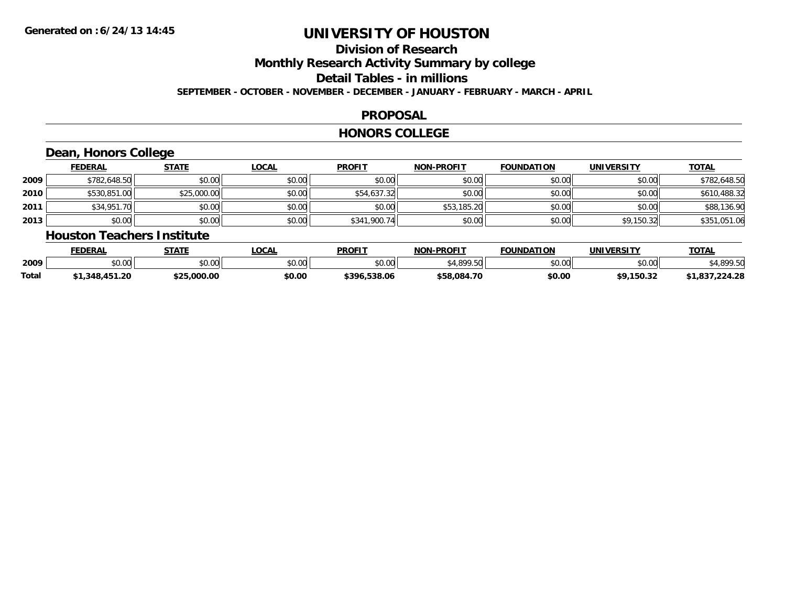# **Division of Research**

**Monthly Research Activity Summary by college**

**Detail Tables - in millions**

**SEPTEMBER - OCTOBER - NOVEMBER - DECEMBER - JANUARY - FEBRUARY - MARCH - APRIL**

### **PROPOSAL**

#### **HONORS COLLEGE**

### **Dean, Honors College**

|      | <b>FEDERAL</b> | <b>STATE</b> | <u>LOCAL</u> | <b>PROFIT</b> | <b>NON-PROFIT</b> | <b>FOUNDATION</b> | <b>UNIVERSITY</b> | <b>TOTAL</b> |
|------|----------------|--------------|--------------|---------------|-------------------|-------------------|-------------------|--------------|
| 2009 | \$782,648.50   | \$0.00       | \$0.00       | \$0.00        | \$0.00            | \$0.00            | \$0.00            | \$782,648.50 |
| 2010 | \$530,851.00   | \$25,000.00  | \$0.00       | \$54,637.32   | \$0.00            | \$0.00            | \$0.00            | \$610,488.32 |
| 2011 | \$34,951.70    | \$0.00       | \$0.00       | \$0.00        | \$53,185.20       | \$0.00            | \$0.00            | \$88,136.90  |
| 2013 | \$0.00         | \$0.00       | \$0.00       | \$341,900.74  | \$0.00            | \$0.00            | \$9,150.32        | \$351,051.06 |

#### **Houston Teachers Institute**

|       | <b>FEDERAL</b>     | STATE       | LOCAL                | <b>PROFIT</b>     | <b>J-PROFIT</b><br><b>NON</b> | <b>FOUNDATION</b>  | <b>UNIVERSITY</b>                   | <b>TOTAL</b> |
|-------|--------------------|-------------|----------------------|-------------------|-------------------------------|--------------------|-------------------------------------|--------------|
| 2009  | $\sim$ 00<br>pu.uu | \$0.00      | 0.00<br><b>DU.UU</b> | \$0.00            | 0.10000                       | $\sim$ 00<br>JU.UU | $\uparrow$ $\land$ $\land$<br>DU.U¢ | 000F         |
| Total | .348.451.20        | \$25.000.00 | \$0.00               | .538.06<br>\$396. | \$58.084.70                   | \$0.00             | \$9,150.32                          | .224.28      |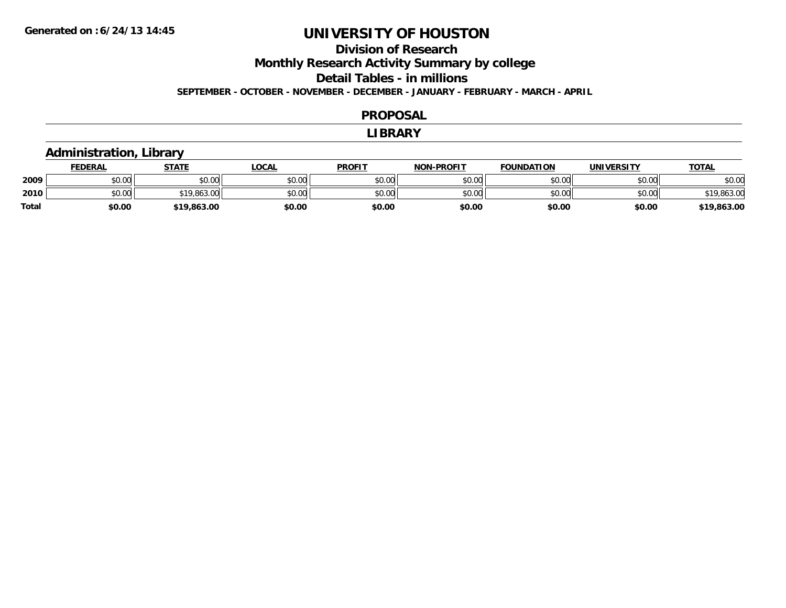# **Division of Research**

**Monthly Research Activity Summary by college**

**Detail Tables - in millions**

**SEPTEMBER - OCTOBER - NOVEMBER - DECEMBER - JANUARY - FEBRUARY - MARCH - APRIL**

#### **PROPOSAL**

#### **LIBRARY**

### **Administration, Library**

|              | <b>FEDERAL</b> | <b>STATE</b> | _OCAL  | <b>PROFIT</b> | <b>NON-PROFIT</b> | <b>FOUNDATION</b> | <b>UNIVERSITY</b> | <u>TOTAL</u> |
|--------------|----------------|--------------|--------|---------------|-------------------|-------------------|-------------------|--------------|
| 2009         | 0000<br>DU.UU  | \$0.00       | \$0.00 | \$0.00        | \$0.00            | \$0.00            | \$0.00            | \$0.00       |
| 2010         | ልስ ሰሰ<br>JU.UU | \$19,863.00  | \$0.00 | \$0.00        | \$0.00            | \$0.00            | \$0.00            | \$19,863.00  |
| <b>Total</b> | \$0.00         | \$19,863.00  | \$0.00 | \$0.00        | \$0.00            | \$0.00            | \$0.00            | \$19,863.00  |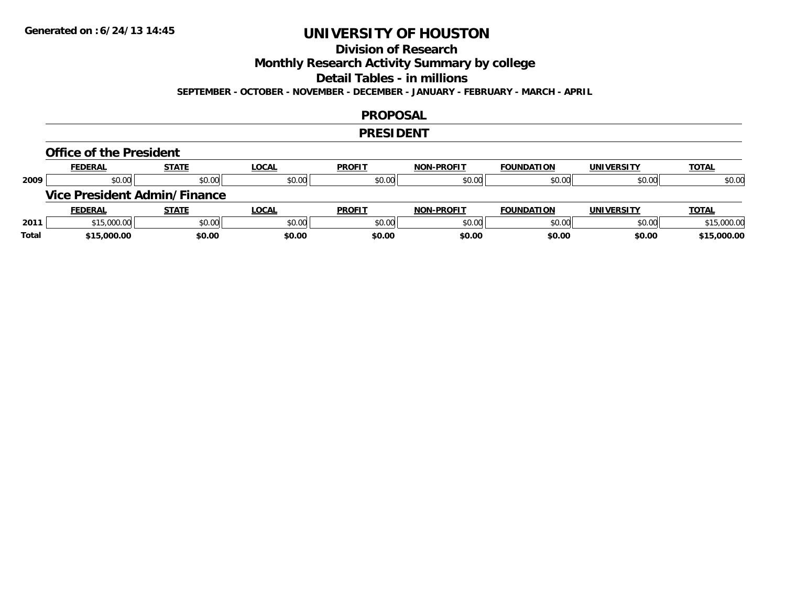### **Division of Research**

**Monthly Research Activity Summary by college**

**Detail Tables - in millions**

**SEPTEMBER - OCTOBER - NOVEMBER - DECEMBER - JANUARY - FEBRUARY - MARCH - APRIL**

#### **PROPOSAL**

#### **PRESIDENT**

#### **Office of the President**

|      | <b>FEDERAL</b>                      | <b>STATE</b> | <b>LOCAL</b> | <b>PROFIT</b> | <b>NON-PROFIT</b> | <b>FOUNDATION</b> | <b>UNIVERSITY</b> | <b>TOTAL</b> |
|------|-------------------------------------|--------------|--------------|---------------|-------------------|-------------------|-------------------|--------------|
| 2009 | \$0.00                              | \$0.00       | \$0.00       | \$0.00        | \$0.00            | \$0.00            | \$0.00            | \$0.00       |
|      | <b>Vice President Admin/Finance</b> |              |              |               |                   |                   |                   |              |
|      |                                     |              |              |               |                   |                   |                   |              |
|      | <b>FEDERAL</b>                      | <b>STATE</b> | <u>LOCAL</u> | <b>PROFIT</b> | <b>NON-PROFIT</b> | <b>FOUNDATION</b> | <b>UNIVERSITY</b> | <b>TOTAL</b> |
| 2011 | \$15,000.00                         | \$0.00       | \$0.00       | \$0.00        | \$0.00            | \$0.00            | \$0.00            | \$15,000.00  |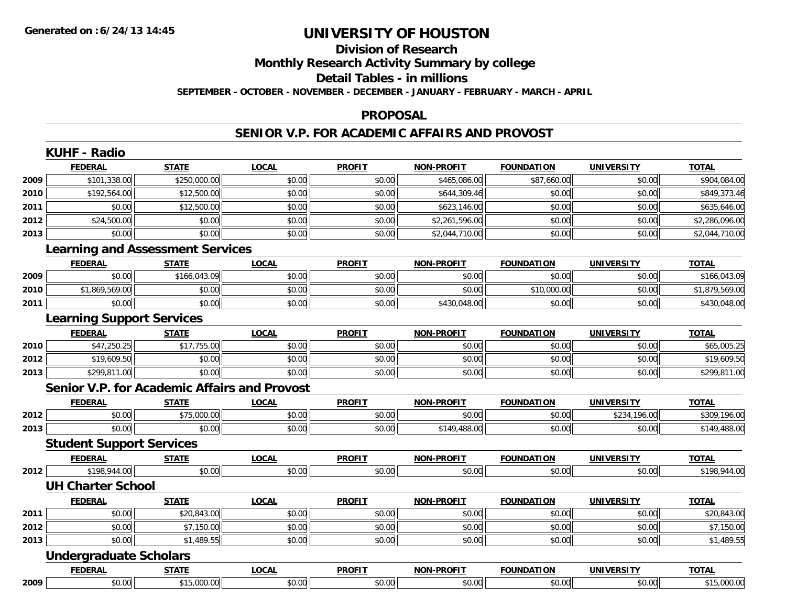## **Division of ResearchMonthly Research Activity Summary by college**

### **Detail Tables - in millions**

**SEPTEMBER - OCTOBER - NOVEMBER - DECEMBER - JANUARY - FEBRUARY - MARCH - APRIL**

#### **PROPOSAL**

### **SENIOR V.P. FOR ACADEMIC AFFAIRS AND PROVOST**

|      | <b>FEDERAL</b>                                      | <b>STATE</b> | <b>LOCAL</b> | <b>PROFIT</b> | <b>NON-PROFIT</b> | <b>FOUNDATION</b> | <b>UNIVERSITY</b> | <b>TOTAL</b>   |
|------|-----------------------------------------------------|--------------|--------------|---------------|-------------------|-------------------|-------------------|----------------|
| 2009 | \$101,338.00                                        | \$250,000.00 | \$0.00       | \$0.00        | \$465,086.00      | \$87,660.00       | \$0.00            | \$904,084.00   |
| 2010 | \$192,564.00                                        | \$12,500.00  | \$0.00       | \$0.00        | \$644,309.46      | \$0.00            | \$0.00            | \$849,373.46   |
| 2011 | \$0.00                                              | \$12,500.00  | \$0.00       | \$0.00        | \$623,146.00      | \$0.00            | \$0.00            | \$635,646.00   |
| 2012 | \$24,500.00                                         | \$0.00       | \$0.00       | \$0.00        | \$2,261,596.00    | \$0.00            | \$0.00            | \$2,286,096.00 |
| 2013 | \$0.00                                              | \$0.00       | \$0.00       | \$0.00        | \$2,044,710.00    | \$0.00            | \$0.00            | \$2,044,710.00 |
|      | <b>Learning and Assessment Services</b>             |              |              |               |                   |                   |                   |                |
|      | <b>FEDERAL</b>                                      | <b>STATE</b> | <b>LOCAL</b> | <b>PROFIT</b> | <b>NON-PROFIT</b> | <b>FOUNDATION</b> | <b>UNIVERSITY</b> | <b>TOTAL</b>   |
| 2009 | \$0.00                                              | \$166,043.09 | \$0.00       | \$0.00        | \$0.00            | \$0.00            | \$0.00            | \$166,043.09   |
| 2010 | \$1,869,569.00                                      | \$0.00       | \$0.00       | \$0.00        | \$0.00            | \$10,000.00       | \$0.00            | \$1,879,569.00 |
| 2011 | \$0.00                                              | \$0.00       | \$0.00       | \$0.00        | \$430,048.00      | \$0.00            | \$0.00            | \$430,048.00   |
|      | <b>Learning Support Services</b>                    |              |              |               |                   |                   |                   |                |
|      | <b>FEDERAL</b>                                      | <b>STATE</b> | <b>LOCAL</b> | <b>PROFIT</b> | <b>NON-PROFIT</b> | <b>FOUNDATION</b> | <b>UNIVERSITY</b> | <b>TOTAL</b>   |
| 2010 | \$47,250.25                                         | \$17,755.00  | \$0.00       | \$0.00        | \$0.00            | \$0.00            | \$0.00            | \$65,005.25    |
| 2012 | \$19,609.50                                         | \$0.00       | \$0.00       | \$0.00        | \$0.00            | \$0.00            | \$0.00            | \$19,609.50    |
| 2013 | \$299,811.00                                        | \$0.00       | \$0.00       | \$0.00        | \$0.00            | \$0.00            | \$0.00            | \$299,811.00   |
|      | <b>Senior V.P. for Academic Affairs and Provost</b> |              |              |               |                   |                   |                   |                |
|      | <b>FEDERAL</b>                                      | <b>STATE</b> | <b>LOCAL</b> | <b>PROFIT</b> | <b>NON-PROFIT</b> | <b>FOUNDATION</b> | <b>UNIVERSITY</b> | <b>TOTAL</b>   |
| 2012 | \$0.00                                              | \$75,000.00  | \$0.00       | \$0.00        | \$0.00            | \$0.00            | \$234,196.00      | \$309,196.00   |
| 2013 | \$0.00                                              | \$0.00       | \$0.00       | \$0.00        | \$149,488.00      | \$0.00            | \$0.00            | \$149,488.00   |
|      | <b>Student Support Services</b>                     |              |              |               |                   |                   |                   |                |
|      | <b>FEDERAL</b>                                      | <b>STATE</b> | <b>LOCAL</b> | <b>PROFIT</b> | <b>NON-PROFIT</b> | <b>FOUNDATION</b> | <b>UNIVERSITY</b> | <b>TOTAL</b>   |
| 2012 | \$198,944.00                                        | \$0.00       | \$0.00       | \$0.00        | \$0.00            | \$0.00            | \$0.00            | \$198,944.00   |
|      | <b>UH Charter School</b>                            |              |              |               |                   |                   |                   |                |
|      | <b>FEDERAL</b>                                      | <b>STATE</b> | <b>LOCAL</b> | <b>PROFIT</b> | <b>NON-PROFIT</b> | <b>FOUNDATION</b> | <b>UNIVERSITY</b> | <b>TOTAL</b>   |
| 2011 | \$0.00                                              | \$20,843.00  | \$0.00       | \$0.00        | \$0.00            | \$0.00            | \$0.00            | \$20,843.00    |
| 2012 | \$0.00                                              | \$7,150.00   | \$0.00       | \$0.00        | \$0.00            | \$0.00            | \$0.00            | \$7,150.00     |
| 2013 | \$0.00                                              | \$1,489.55   | \$0.00       | \$0.00        | \$0.00            | \$0.00            | \$0.00            | \$1,489.55     |
|      | <b>Undergraduate Scholars</b>                       |              |              |               |                   |                   |                   |                |
|      | <b>FEDERAL</b>                                      | <b>STATE</b> | <b>LOCAL</b> | <b>PROFIT</b> | <b>NON-PROFIT</b> | <b>FOUNDATION</b> | <b>UNIVERSITY</b> | <b>TOTAL</b>   |
| 2009 | \$0.00                                              | \$15,000.00  | \$0.00       | \$0.00        | \$0.00            | \$0.00            | \$0.00            | \$15,000.00    |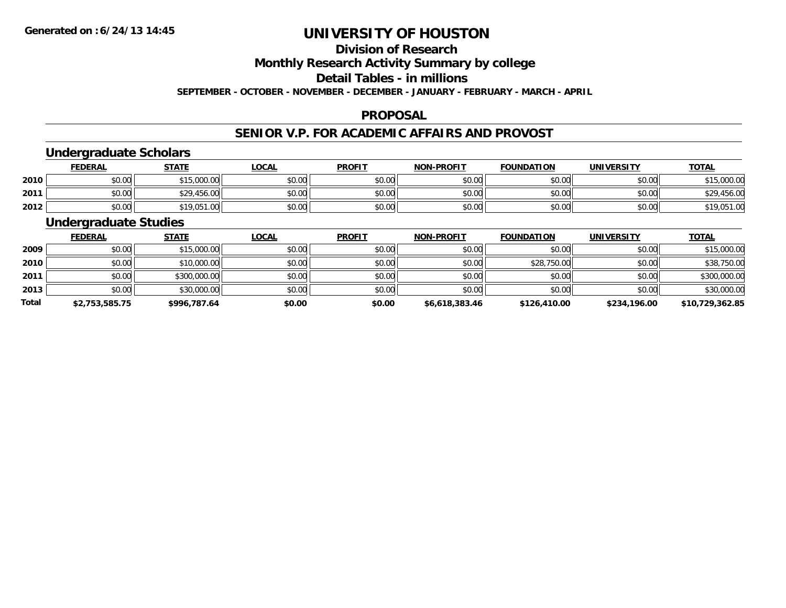## **Division of Research**

**Monthly Research Activity Summary by college**

**Detail Tables - in millions**

**SEPTEMBER - OCTOBER - NOVEMBER - DECEMBER - JANUARY - FEBRUARY - MARCH - APRIL**

### **PROPOSAL**

### **SENIOR V.P. FOR ACADEMIC AFFAIRS AND PROVOST**

### **Undergraduate Scholars**

|      | <b>FEDERAL</b> | <b>STATE</b>     | <u>LOCAL</u> | <b>PROFIT</b> | <b>NON-PROFIT</b> | <b>FOUNDATION</b> | <b>UNIVERSITY</b> | <b>TOTAL</b> |
|------|----------------|------------------|--------------|---------------|-------------------|-------------------|-------------------|--------------|
| 2010 | \$0.00         | 15,000.00<br>ぐっに | \$0.00       | \$0.00        | \$0.00            | \$0.00            | \$0.00            | \$15,000.00  |
| 2011 | \$0.00         | \$29,456.00      | \$0.00       | \$0.00        | \$0.00            | \$0.00            | \$0.00            | \$29,456.00  |
| 2012 | \$0.00         | \$19,051.00      | \$0.00       | \$0.00        | \$0.00            | \$0.00            | \$0.00            | \$19,051.00  |

### **Undergraduate Studies**

|              | <b>FEDERAL</b> | <b>STATE</b> | <u>LOCAL</u> | <b>PROFIT</b> | <b>NON-PROFIT</b> | <b>FOUNDATION</b> | <b>UNIVERSITY</b> | <b>TOTAL</b>    |
|--------------|----------------|--------------|--------------|---------------|-------------------|-------------------|-------------------|-----------------|
| 2009         | \$0.00         | \$15,000.00  | \$0.00       | \$0.00        | \$0.00            | \$0.00            | \$0.00            | \$15,000.00     |
| 2010         | \$0.00         | \$10,000.00  | \$0.00       | \$0.00        | \$0.00            | \$28,750.00       | \$0.00            | \$38,750.00     |
| 2011         | \$0.00         | \$300,000.00 | \$0.00       | \$0.00        | \$0.00            | \$0.00            | \$0.00            | \$300,000.00    |
| 2013         | \$0.00         | \$30,000.00  | \$0.00       | \$0.00        | \$0.00            | \$0.00            | \$0.00            | \$30,000.00     |
| <b>Total</b> | \$2,753,585.75 | \$996,787.64 | \$0.00       | \$0.00        | \$6,618,383.46    | \$126,410.00      | \$234,196.00      | \$10,729,362.85 |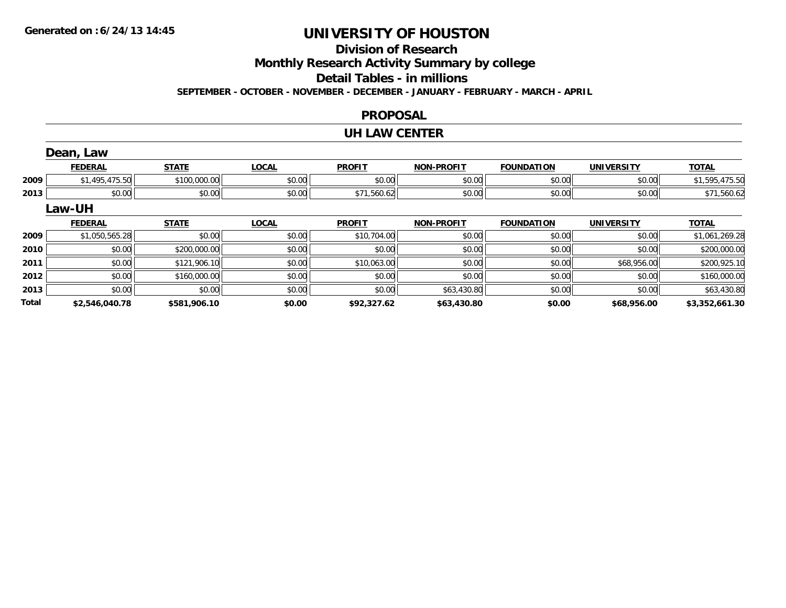### **Division of Research**

**Monthly Research Activity Summary by college**

**Detail Tables - in millions**

**SEPTEMBER - OCTOBER - NOVEMBER - DECEMBER - JANUARY - FEBRUARY - MARCH - APRIL**

#### **PROPOSAL**

#### **UH LAW CENTER**

|              | Dean, Law      |              |              |               |                   |                   |                   |                |
|--------------|----------------|--------------|--------------|---------------|-------------------|-------------------|-------------------|----------------|
|              | <b>FEDERAL</b> | <b>STATE</b> | <b>LOCAL</b> | <b>PROFIT</b> | <b>NON-PROFIT</b> | <b>FOUNDATION</b> | <b>UNIVERSITY</b> | <b>TOTAL</b>   |
| 2009         | \$1,495,475.50 | \$100,000.00 | \$0.00       | \$0.00        | \$0.00            | \$0.00            | \$0.00            | \$1,595,475.50 |
| 2013         | \$0.00         | \$0.00       | \$0.00       | \$71,560.62   | \$0.00            | \$0.00            | \$0.00            | \$71,560.62    |
|              | Law-UH         |              |              |               |                   |                   |                   |                |
|              | <b>FEDERAL</b> | <b>STATE</b> | <b>LOCAL</b> | <b>PROFIT</b> | <b>NON-PROFIT</b> | <b>FOUNDATION</b> | <b>UNIVERSITY</b> | <b>TOTAL</b>   |
| 2009         | \$1,050,565.28 | \$0.00       | \$0.00       | \$10,704.00   | \$0.00            | \$0.00            | \$0.00            | \$1,061,269.28 |
| 2010         | \$0.00         | \$200,000.00 | \$0.00       | \$0.00        | \$0.00            | \$0.00            | \$0.00            | \$200,000.00   |
| 2011         | \$0.00         | \$121,906.10 | \$0.00       | \$10,063.00   | \$0.00            | \$0.00            | \$68,956.00       | \$200,925.10   |
| 2012         | \$0.00         | \$160,000.00 | \$0.00       | \$0.00        | \$0.00            | \$0.00            | \$0.00            | \$160,000.00   |
| 2013         | \$0.00         | \$0.00       | \$0.00       | \$0.00        | \$63,430.80       | \$0.00            | \$0.00            | \$63,430.80    |
| <b>Total</b> | \$2,546,040.78 | \$581,906.10 | \$0.00       | \$92,327.62   | \$63,430.80       | \$0.00            | \$68,956.00       | \$3,352,661.30 |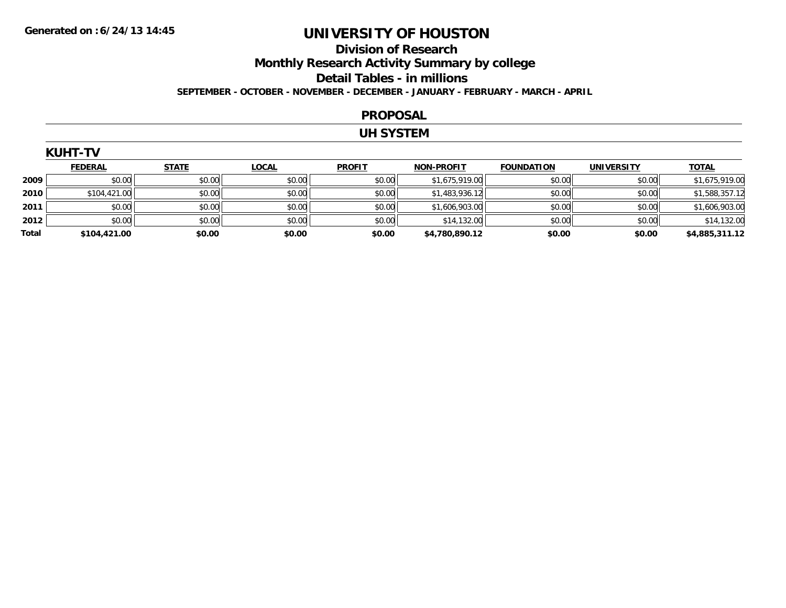### **Division of ResearchMonthly Research Activity Summary by college Detail Tables - in millions SEPTEMBER - OCTOBER - NOVEMBER - DECEMBER - JANUARY - FEBRUARY - MARCH - APRIL**

#### **PROPOSAL**

### **UH SYSTEM**

| <b>KUHT-TV</b> |                |              |              |               |                   |                   |                   |                |
|----------------|----------------|--------------|--------------|---------------|-------------------|-------------------|-------------------|----------------|
|                | <b>FEDERAL</b> | <b>STATE</b> | <b>LOCAL</b> | <b>PROFIT</b> | <b>NON-PROFIT</b> | <b>FOUNDATION</b> | <b>UNIVERSITY</b> | <b>TOTAL</b>   |
| 2009           | \$0.00         | \$0.00       | \$0.00       | \$0.00        | \$1,675,919.00    | \$0.00            | \$0.00            | \$1,675,919.00 |
| 2010           | \$104,421.00   | \$0.00       | \$0.00       | \$0.00        | \$1,483,936.12    | \$0.00            | \$0.00            | \$1,588,357.12 |
| 2011           | \$0.00         | \$0.00       | \$0.00       | \$0.00        | \$1,606,903.00    | \$0.00            | \$0.00            | \$1,606,903.00 |
| 2012           | \$0.00         | \$0.00       | \$0.00       | \$0.00        | \$14,132.00       | \$0.00            | \$0.00            | \$14,132.00    |
| Total          | \$104,421.00   | \$0.00       | \$0.00       | \$0.00        | \$4,780,890.12    | \$0.00            | \$0.00            | \$4,885,311.12 |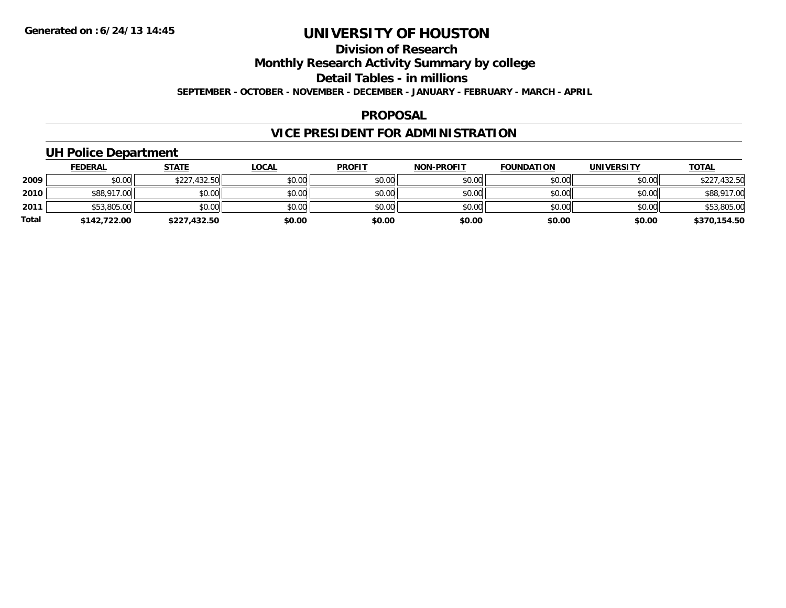## **Division of Research**

**Monthly Research Activity Summary by college**

**Detail Tables - in millions**

**SEPTEMBER - OCTOBER - NOVEMBER - DECEMBER - JANUARY - FEBRUARY - MARCH - APRIL**

#### **PROPOSAL**

## **VICE PRESIDENT FOR ADMINISTRATION**

### **UH Police Department**

|              | <b>FEDERAL</b> | <b>STATE</b> | <u>LOCAL</u> | <b>PROFIT</b> | <b>NON-PROFIT</b> | <b>FOUNDATION</b> | <b>UNIVERSITY</b> | <b>TOTAL</b> |
|--------------|----------------|--------------|--------------|---------------|-------------------|-------------------|-------------------|--------------|
| 2009         | \$0.00         | \$227,432.50 | \$0.00       | \$0.00        | \$0.00            | \$0.00            | \$0.00            | \$227,432.50 |
| 2010         | \$88,917.00    | \$0.00       | \$0.00       | \$0.00        | \$0.00            | \$0.00            | \$0.00            | \$88,917.00  |
| 2011         | \$53,805.00    | \$0.00       | \$0.00       | \$0.00        | \$0.00            | \$0.00            | \$0.00            | \$53,805.00  |
| <b>Total</b> | \$142,722.00   | \$227,432.50 | \$0.00       | \$0.00        | \$0.00            | \$0.00            | \$0.00            | \$370,154.50 |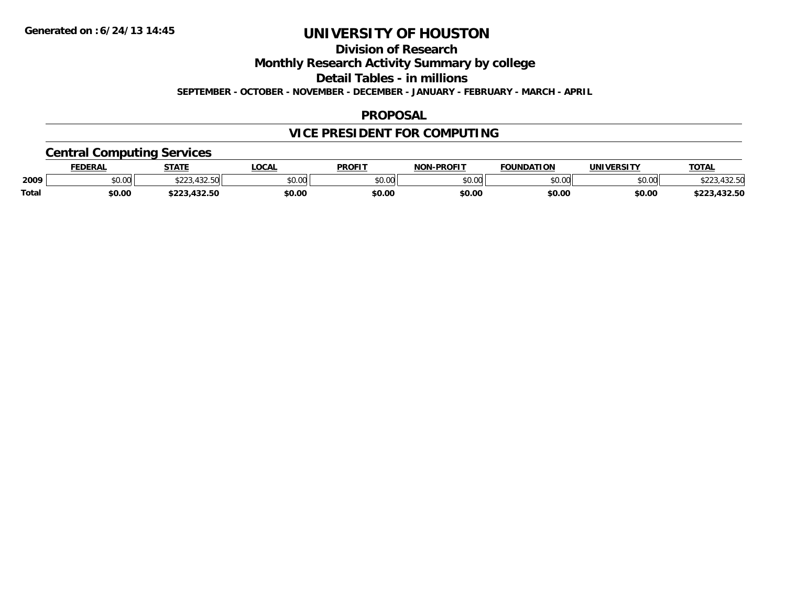**Division of Research**

**Monthly Research Activity Summary by college**

**Detail Tables - in millions**

**SEPTEMBER - OCTOBER - NOVEMBER - DECEMBER - JANUARY - FEBRUARY - MARCH - APRIL**

### **PROPOSAL**

### **VICE PRESIDENT FOR COMPUTING**

## **Central Computing Services**

|              | <b>DERAL</b> | <b>STATE</b>       | <b>LOCAL</b>            | <b>PROFIT</b> | <b>DDAEIT</b><br><b>ארות</b> | <b>FOUNDATION</b>     | UNIVERSITY | <b>TOTAL</b>         |
|--------------|--------------|--------------------|-------------------------|---------------|------------------------------|-----------------------|------------|----------------------|
| 2009         | \$0.00       | $\sqrt{2}$<br>ሐ へへ | 0 <sup>n</sup><br>DU.UC | 0000<br>JU.UU | ልስ ሰሰ<br>,u.uu               | $n \cap \overline{D}$ | \$0.00     | $\sim$ $\sim$ $\sim$ |
| <b>Total</b> | \$0.00       | .                  | \$0.00                  | \$0.00        | \$0.00                       | \$0.00                | \$0.00     | JZ.JL                |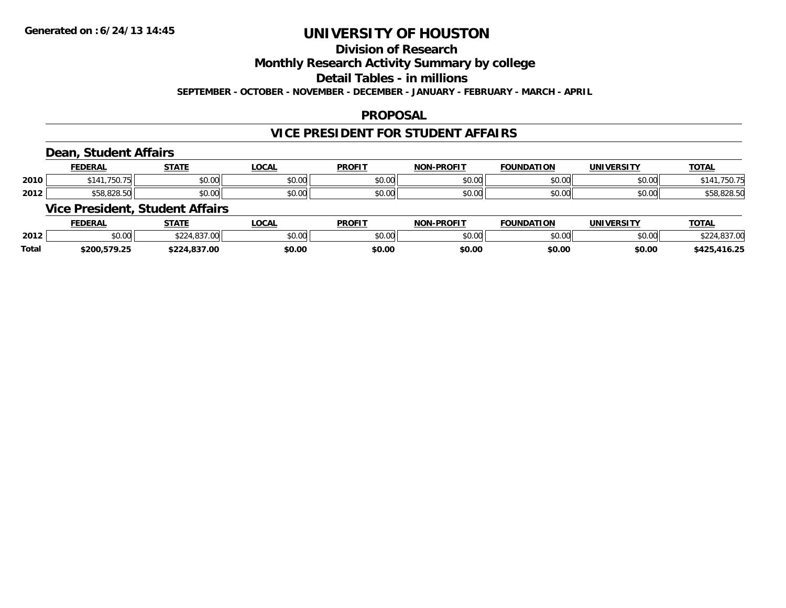## **Division of Research**

**Monthly Research Activity Summary by college**

**Detail Tables - in millions**

**SEPTEMBER - OCTOBER - NOVEMBER - DECEMBER - JANUARY - FEBRUARY - MARCH - APRIL**

### **PROPOSAL**

### **VICE PRESIDENT FOR STUDENT AFFAIRS**

### **Dean, Student Affairs**

|      | <b>EENEDA</b><br>-n.m | $C = A + C$    | $\sim$ $\sim$<br>・ハレト | <b>PROFIT</b> |                                           | TON                     | <br>JN               | <b>TOTAL</b> |
|------|-----------------------|----------------|-----------------------|---------------|-------------------------------------------|-------------------------|----------------------|--------------|
| 2010 | .750.                 | ሐሴ ሰሰ<br>טט.טט | ሶስ ሰሰ<br>- 50. UU     | \$0.00        | ტი იი<br>vu.u                             | 0 <sup>n</sup><br>JU.UU | 0.00<br>JU.UU        | 75U.         |
| 2012 | 000E<br>              | ሐሴ ሰሰ<br>90.UU | $\sim$ 00<br>JU.UU    | \$0.00        | $\uparrow$ $\uparrow$ $\uparrow$<br>vv.vv | 0 <sub>n</sub><br>JU.UU | 0.00<br><b>JU.UU</b> | JU.OZO.JL    |

### **Vice President, Student Affairs**

|              | <b>FEDERAL</b>        | <b>CTATE</b>                           | <b>OCAL</b> | <b>PROFIT</b> | <b>LPROFIT</b><br><b>MAR</b> | <b>FOUNDATION</b>  | <b>UNIVERSITY</b> | <b>TOTAL</b>                  |
|--------------|-----------------------|----------------------------------------|-------------|---------------|------------------------------|--------------------|-------------------|-------------------------------|
| 2012         | 0.00<br>,u.uu         | $\sim$<br>$\sim$ $\sim$<br>$\sim$<br>w | \$0.00      | 0000<br>JU.UU | 0000<br>,u.uu                | $\sim$ 00<br>JU.UU | \$0.00            |                               |
| <b>Total</b> | \$200.5<br>70<br>7.ZJ | 7.00<br>.                              | \$0.00      | \$0.00        | \$0.00                       | \$0.00             | \$0.00            | $\sim$ $\sim$<br>:42<br>16.25 |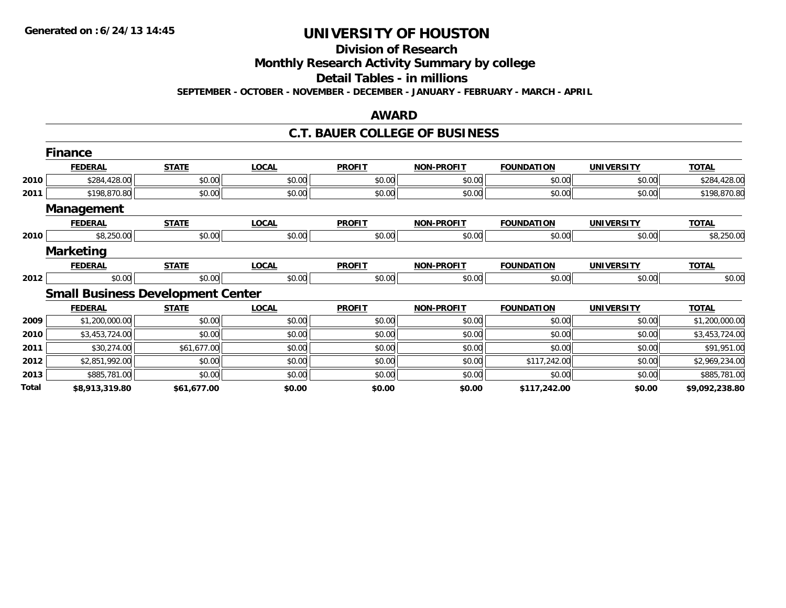**Division of Research**

**Monthly Research Activity Summary by college**

**Detail Tables - in millions**

**SEPTEMBER - OCTOBER - NOVEMBER - DECEMBER - JANUARY - FEBRUARY - MARCH - APRIL**

### **AWARD**

### **C.T. BAUER COLLEGE OF BUSINESS**

|       | <b>Finance</b>                           |              |              |               |                   |                   |                   |                |
|-------|------------------------------------------|--------------|--------------|---------------|-------------------|-------------------|-------------------|----------------|
|       | <b>FEDERAL</b>                           | <b>STATE</b> | <b>LOCAL</b> | <b>PROFIT</b> | <b>NON-PROFIT</b> | <b>FOUNDATION</b> | <b>UNIVERSITY</b> | <b>TOTAL</b>   |
| 2010  | \$284,428.00                             | \$0.00       | \$0.00       | \$0.00        | \$0.00            | \$0.00            | \$0.00            | \$284,428.00   |
| 2011  | \$198,870.80                             | \$0.00       | \$0.00       | \$0.00        | \$0.00            | \$0.00            | \$0.00            | \$198,870.80   |
|       | Management                               |              |              |               |                   |                   |                   |                |
|       | <b>FEDERAL</b>                           | <b>STATE</b> | <b>LOCAL</b> | <b>PROFIT</b> | <b>NON-PROFIT</b> | <b>FOUNDATION</b> | <b>UNIVERSITY</b> | <b>TOTAL</b>   |
| 2010  | \$8,250.00                               | \$0.00       | \$0.00       | \$0.00        | \$0.00            | \$0.00            | \$0.00            | \$8,250.00     |
|       | <b>Marketing</b>                         |              |              |               |                   |                   |                   |                |
|       | <b>FEDERAL</b>                           | <b>STATE</b> | <b>LOCAL</b> | <b>PROFIT</b> | <b>NON-PROFIT</b> | <b>FOUNDATION</b> | <b>UNIVERSITY</b> | <b>TOTAL</b>   |
| 2012  | \$0.00                                   | \$0.00       | \$0.00       | \$0.00        | \$0.00            | \$0.00            | \$0.00            | \$0.00         |
|       | <b>Small Business Development Center</b> |              |              |               |                   |                   |                   |                |
|       | <b>FEDERAL</b>                           | <b>STATE</b> | <b>LOCAL</b> | <b>PROFIT</b> | <b>NON-PROFIT</b> | <b>FOUNDATION</b> | <b>UNIVERSITY</b> | <b>TOTAL</b>   |
| 2009  | \$1,200,000.00                           | \$0.00       | \$0.00       | \$0.00        | \$0.00            | \$0.00            | \$0.00            | \$1,200,000.00 |
| 2010  | \$3,453,724.00                           | \$0.00       | \$0.00       | \$0.00        | \$0.00            | \$0.00            | \$0.00            | \$3,453,724.00 |
| 2011  | \$30,274.00                              | \$61,677.00  | \$0.00       | \$0.00        | \$0.00            | \$0.00            | \$0.00            | \$91,951.00    |
| 2012  | \$2,851,992.00                           | \$0.00       | \$0.00       | \$0.00        | \$0.00            | \$117,242.00      | \$0.00            | \$2,969,234.00 |
| 2013  | \$885,781.00                             | \$0.00       | \$0.00       | \$0.00        | \$0.00            | \$0.00            | \$0.00            | \$885,781.00   |
| Total | \$8,913,319.80                           | \$61,677.00  | \$0.00       | \$0.00        | \$0.00            | \$117,242.00      | \$0.00            | \$9,092,238.80 |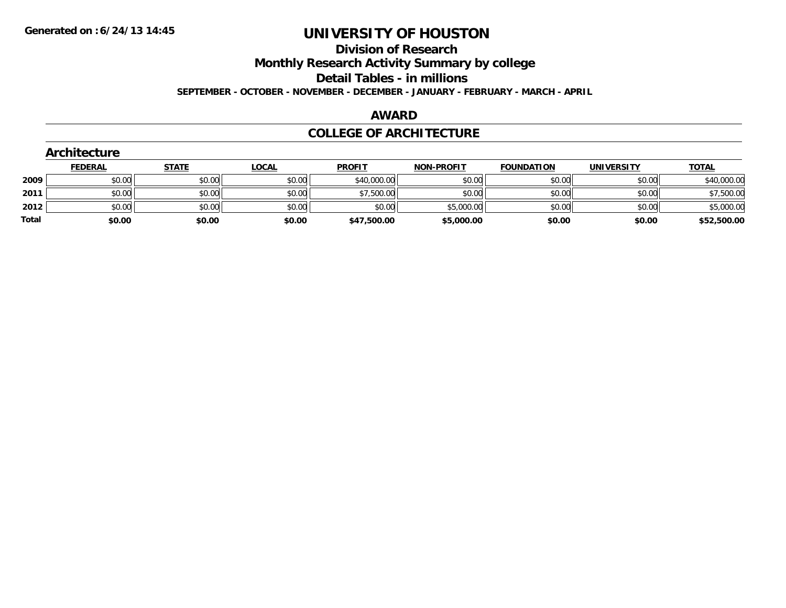**Division of Research**

**Monthly Research Activity Summary by college**

**Detail Tables - in millions**

**SEPTEMBER - OCTOBER - NOVEMBER - DECEMBER - JANUARY - FEBRUARY - MARCH - APRIL**

#### **AWARD**

### **COLLEGE OF ARCHITECTURE**

|       | Architecture   |              |              |               |                   |                   |                   |              |
|-------|----------------|--------------|--------------|---------------|-------------------|-------------------|-------------------|--------------|
|       | <b>FEDERAL</b> | <b>STATE</b> | <b>LOCAL</b> | <b>PROFIT</b> | <b>NON-PROFIT</b> | <b>FOUNDATION</b> | <b>UNIVERSITY</b> | <b>TOTAL</b> |
| 2009  | \$0.00         | \$0.00       | \$0.00       | \$40,000.00   | \$0.00            | \$0.00            | \$0.00            | \$40,000.00  |
| 2011  | \$0.00         | \$0.00       | \$0.00       | \$7,500.00    | \$0.00            | \$0.00            | \$0.00            | \$7,500.00   |
| 2012  | \$0.00         | \$0.00       | \$0.00       | \$0.00        | \$5,000.00        | \$0.00            | \$0.00            | \$5,000.00   |
| Total | \$0.00         | \$0.00       | \$0.00       | \$47,500.00   | \$5,000.00        | \$0.00            | \$0.00            | \$52,500.00  |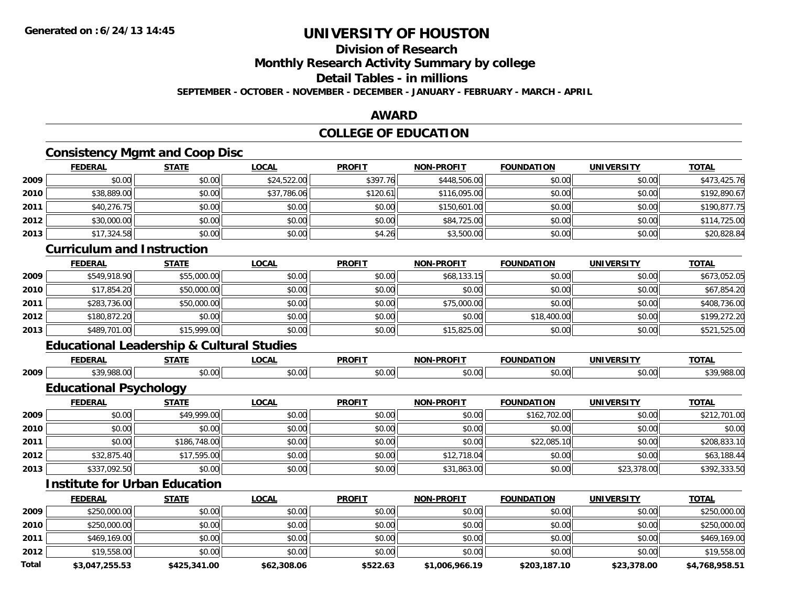### **Division of Research**

**Monthly Research Activity Summary by college**

### **Detail Tables - in millions**

**SEPTEMBER - OCTOBER - NOVEMBER - DECEMBER - JANUARY - FEBRUARY - MARCH - APRIL**

### **AWARD**

### **COLLEGE OF EDUCATION**

### **Consistency Mgmt and Coop Disc**

|        | <b>FEDERAL</b> | <b>STATE</b> | <u>LOCAL</u> | <b>PROFIT</b> | <b>NON-PROFIT</b> | <b>FOUNDATION</b> | <b>UNIVERSITY</b> | <b>TOTAL</b> |
|--------|----------------|--------------|--------------|---------------|-------------------|-------------------|-------------------|--------------|
| 2009   | \$0.00         | \$0.00       | \$24,522.00  | \$397.76      | \$448,506.00      | \$0.00            | \$0.00            | \$473,425.76 |
| ا 2010 | \$38,889.00    | \$0.00       | \$37,786.06  | \$120.61      | \$116,095.00      | \$0.00            | \$0.00            | \$192,890.67 |
| 2011   | \$40,276.75    | \$0.00       | \$0.00       | \$0.00        | \$150,601.00      | \$0.00            | \$0.00            | \$190,877.75 |
| 2012   | \$30,000.00    | \$0.00       | \$0.00       | \$0.00        | \$84,725.00       | \$0.00            | \$0.00            | \$114,725.00 |
| 2013   | \$17,324.58    | \$0.00       | \$0.00       | \$4.26        | \$3,500.00        | \$0.00            | \$0.00            | \$20,828.84  |

### **Curriculum and Instruction**

|      | <b>FEDERAL</b> | <b>STATE</b> | <b>LOCAL</b> | <b>PROFIT</b> | <b>NON-PROFIT</b> | <b>FOUNDATION</b> | <b>UNIVERSITY</b> | <b>TOTAL</b> |
|------|----------------|--------------|--------------|---------------|-------------------|-------------------|-------------------|--------------|
| 2009 | \$549,918.90   | \$55,000.00  | \$0.00       | \$0.00        | \$68,133.15       | \$0.00            | \$0.00            | \$673,052.05 |
| 2010 | \$17,854.20    | \$50,000.00  | \$0.00       | \$0.00        | \$0.00            | \$0.00            | \$0.00            | \$67,854.20  |
| 2011 | \$283,736.00   | \$50,000.00  | \$0.00       | \$0.00        | \$75,000.00       | \$0.00            | \$0.00            | \$408,736.00 |
| 2012 | \$180,872.20   | \$0.00       | \$0.00       | \$0.00        | \$0.00            | \$18,400.00       | \$0.00            | \$199,272.20 |
| 2013 | \$489,701.00   | \$15,999.00  | \$0.00       | \$0.00        | \$15,825.00       | \$0.00            | \$0.00            | \$521,525.00 |

## **Educational Leadership & Cultural Studies**

|      | <b>FEDERAI</b>               | $- - - - -$         | $\sim$ $\sim$<br>.vunl | <b>PROFIT</b>      | <b>N-PROF!</b><br>חמוי | .<br>10N<br>  | <b>INIVE</b>          | <b>TOT</b> |
|------|------------------------------|---------------------|------------------------|--------------------|------------------------|---------------|-----------------------|------------|
| 2009 | $\Delta$<br>$\sim$<br>700.VU | $\sim$<br>- J. U. " | $\sim$<br>rn.<br>ט.טי  | $\sim$ 00<br>vv.vu | טט.טע                  | 0000<br>JU.UU | $\sim$ 0.01.<br>JU.UU | `າດ∶       |

## **Educational Psychology**

|      | <b>FEDERAL</b> | <b>STATE</b> | <u>LOCAL</u> | <b>PROFIT</b> | <b>NON-PROFIT</b> | <b>FOUNDATION</b> | <b>UNIVERSITY</b> | <b>TOTAL</b> |
|------|----------------|--------------|--------------|---------------|-------------------|-------------------|-------------------|--------------|
| 2009 | \$0.00         | \$49,999.00  | \$0.00       | \$0.00        | \$0.00            | \$162,702.00      | \$0.00            | \$212,701.00 |
| 2010 | \$0.00         | \$0.00       | \$0.00       | \$0.00        | \$0.00            | \$0.00            | \$0.00            | \$0.00       |
| 2011 | \$0.00         | \$186,748.00 | \$0.00       | \$0.00        | \$0.00            | \$22,085.10       | \$0.00            | \$208,833.10 |
| 2012 | \$32,875.40    | \$17,595.00  | \$0.00       | \$0.00        | \$12,718.04       | \$0.00            | \$0.00            | \$63,188.44  |
| 2013 | \$337,092.50   | \$0.00       | \$0.00       | \$0.00        | \$31,863.00       | \$0.00            | \$23,378.00       | \$392,333.50 |

### **Institute for Urban Education**

|       | <b>FEDERAL</b> | <u>STATE</u> | <u>LOCAL</u> | <b>PROFIT</b> | <b>NON-PROFIT</b> | <b>FOUNDATION</b> | <b>UNIVERSITY</b> | <b>TOTAL</b>   |
|-------|----------------|--------------|--------------|---------------|-------------------|-------------------|-------------------|----------------|
| 2009  | \$250,000.00   | \$0.00       | \$0.00       | \$0.00        | \$0.00            | \$0.00            | \$0.00            | \$250,000.00   |
| 2010  | \$250,000.00   | \$0.00       | \$0.00       | \$0.00        | \$0.00            | \$0.00            | \$0.00            | \$250,000.00   |
| 2011  | \$469,169.00   | \$0.00       | \$0.00       | \$0.00        | \$0.00            | \$0.00            | \$0.00            | \$469,169.00   |
| 2012  | \$19,558.00    | \$0.00       | \$0.00       | \$0.00        | \$0.00            | \$0.00            | \$0.00            | \$19,558.00    |
| Total | \$3,047,255.53 | \$425,341.00 | \$62,308.06  | \$522.63      | \$1,006,966.19    | \$203,187.10      | \$23,378.00       | \$4,768,958.51 |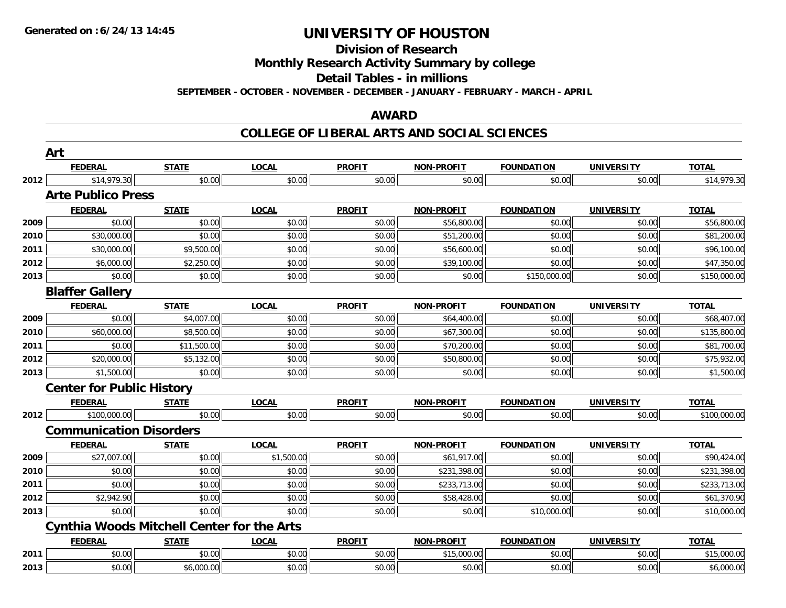**Division of Research**

**Monthly Research Activity Summary by college**

**Detail Tables - in millions**

**SEPTEMBER - OCTOBER - NOVEMBER - DECEMBER - JANUARY - FEBRUARY - MARCH - APRIL**

### **AWARD**

|      | Art                                               |              |              |               |                   |                   |                   |              |
|------|---------------------------------------------------|--------------|--------------|---------------|-------------------|-------------------|-------------------|--------------|
|      | <b>FEDERAL</b>                                    | <b>STATE</b> | <b>LOCAL</b> | <b>PROFIT</b> | <b>NON-PROFIT</b> | <b>FOUNDATION</b> | <b>UNIVERSITY</b> | <b>TOTAL</b> |
| 2012 | \$14,979.30                                       | \$0.00       | \$0.00       | \$0.00        | \$0.00            | \$0.00            | \$0.00            | \$14,979.30  |
|      | <b>Arte Publico Press</b>                         |              |              |               |                   |                   |                   |              |
|      | <b>FEDERAL</b>                                    | <b>STATE</b> | <b>LOCAL</b> | <b>PROFIT</b> | <b>NON-PROFIT</b> | <b>FOUNDATION</b> | <b>UNIVERSITY</b> | <b>TOTAL</b> |
| 2009 | \$0.00                                            | \$0.00       | \$0.00       | \$0.00        | \$56,800.00       | \$0.00            | \$0.00            | \$56,800.00  |
| 2010 | \$30,000.00                                       | \$0.00       | \$0.00       | \$0.00        | \$51,200.00       | \$0.00            | \$0.00            | \$81,200.00  |
| 2011 | \$30,000.00                                       | \$9,500.00   | \$0.00       | \$0.00        | \$56,600.00       | \$0.00            | \$0.00            | \$96,100.00  |
| 2012 | \$6,000.00                                        | \$2,250.00   | \$0.00       | \$0.00        | \$39,100.00       | \$0.00            | \$0.00            | \$47,350.00  |
| 2013 | \$0.00                                            | \$0.00       | \$0.00       | \$0.00        | \$0.00            | \$150,000.00      | \$0.00            | \$150,000.00 |
|      | <b>Blaffer Gallery</b>                            |              |              |               |                   |                   |                   |              |
|      | <b>FEDERAL</b>                                    | <b>STATE</b> | <b>LOCAL</b> | <b>PROFIT</b> | <b>NON-PROFIT</b> | <b>FOUNDATION</b> | <b>UNIVERSITY</b> | <b>TOTAL</b> |
| 2009 | \$0.00                                            | \$4,007.00   | \$0.00       | \$0.00        | \$64,400.00       | \$0.00            | \$0.00            | \$68,407.00  |
| 2010 | \$60,000.00                                       | \$8,500.00   | \$0.00       | \$0.00        | \$67,300.00       | \$0.00            | \$0.00            | \$135,800.00 |
| 2011 | \$0.00                                            | \$11,500.00  | \$0.00       | \$0.00        | \$70,200.00       | \$0.00            | \$0.00            | \$81,700.00  |
| 2012 | \$20,000.00                                       | \$5,132.00   | \$0.00       | \$0.00        | \$50,800.00       | \$0.00            | \$0.00            | \$75,932.00  |
| 2013 | \$1,500.00                                        | \$0.00       | \$0.00       | \$0.00        | \$0.00            | \$0.00            | \$0.00            | \$1,500.00   |
|      | <b>Center for Public History</b>                  |              |              |               |                   |                   |                   |              |
|      | <b>FEDERAL</b>                                    | <b>STATE</b> | <b>LOCAL</b> | <b>PROFIT</b> | <b>NON-PROFIT</b> | <b>FOUNDATION</b> | <b>UNIVERSITY</b> | <b>TOTAL</b> |
| 2012 | \$100,000.00                                      | \$0.00       | \$0.00       | \$0.00        | \$0.00            | \$0.00            | \$0.00            | \$100,000.00 |
|      | <b>Communication Disorders</b>                    |              |              |               |                   |                   |                   |              |
|      | <b>FEDERAL</b>                                    | <b>STATE</b> | <b>LOCAL</b> | <b>PROFIT</b> | <b>NON-PROFIT</b> | <b>FOUNDATION</b> | <b>UNIVERSITY</b> | <b>TOTAL</b> |
| 2009 | \$27,007.00                                       | \$0.00       | \$1,500.00   | \$0.00        | \$61,917.00       | \$0.00            | \$0.00            | \$90,424.00  |
| 2010 | \$0.00                                            | \$0.00       | \$0.00       | \$0.00        | \$231,398.00      | \$0.00            | \$0.00            | \$231,398.00 |
| 2011 | \$0.00                                            | \$0.00       | \$0.00       | \$0.00        | \$233,713.00      | \$0.00            | \$0.00            | \$233,713.00 |
| 2012 | \$2,942.90                                        | \$0.00       | \$0.00       | \$0.00        | \$58,428.00       | \$0.00            | \$0.00            | \$61,370.90  |
| 2013 | \$0.00                                            | \$0.00       | \$0.00       | \$0.00        | \$0.00            | \$10,000.00       | \$0.00            | \$10,000.00  |
|      | <b>Cynthia Woods Mitchell Center for the Arts</b> |              |              |               |                   |                   |                   |              |
|      | <b>FEDERAL</b>                                    | <b>STATE</b> | <b>LOCAL</b> | <b>PROFIT</b> | <b>NON-PROFIT</b> | <b>FOUNDATION</b> | <b>UNIVERSITY</b> | <b>TOTAL</b> |
| 2011 | \$0.00                                            | \$0.00       | \$0.00       | \$0.00        | \$15,000.00       | \$0.00            | \$0.00            | \$15,000.00  |
| 2013 | \$0.00                                            | \$6,000.00   | \$0.00       | \$0.00        | \$0.00            | \$0.00            | \$0.00            | \$6,000.00   |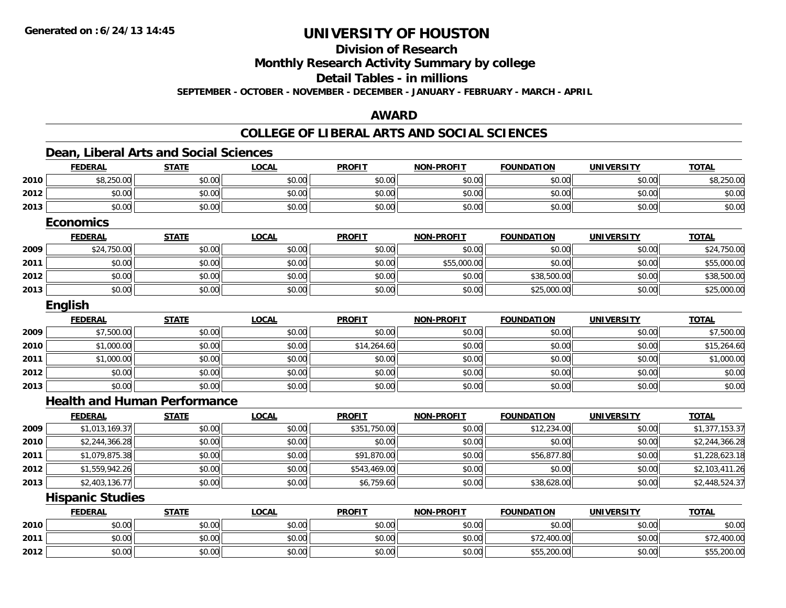**Division of Research**

**Monthly Research Activity Summary by college**

**Detail Tables - in millions**

**SEPTEMBER - OCTOBER - NOVEMBER - DECEMBER - JANUARY - FEBRUARY - MARCH - APRIL**

### **AWARD**

|      | <b>FEDERAL</b>                      | <b>STATE</b> | <b>LOCAL</b> | <b>PROFIT</b> | <b>NON-PROFIT</b> | <b>FOUNDATION</b> | <b>UNIVERSITY</b> | <b>TOTAL</b>   |
|------|-------------------------------------|--------------|--------------|---------------|-------------------|-------------------|-------------------|----------------|
| 2010 | \$8,250.00                          | \$0.00       | \$0.00       | \$0.00        | \$0.00            | \$0.00            | \$0.00            | \$8,250.00     |
| 2012 | \$0.00                              | \$0.00       | \$0.00       | \$0.00        | \$0.00            | \$0.00            | \$0.00            | \$0.00         |
| 2013 | \$0.00                              | \$0.00       | \$0.00       | \$0.00        | \$0.00            | \$0.00            | \$0.00            | \$0.00         |
|      |                                     |              |              |               |                   |                   |                   |                |
|      | <b>Economics</b>                    | <b>STATE</b> |              | <b>PROFIT</b> |                   |                   |                   | <b>TOTAL</b>   |
|      | <b>FEDERAL</b>                      |              | <b>LOCAL</b> |               | <b>NON-PROFIT</b> | <b>FOUNDATION</b> | <b>UNIVERSITY</b> |                |
| 2009 | \$24,750.00                         | \$0.00       | \$0.00       | \$0.00        | \$0.00            | \$0.00            | \$0.00            | \$24,750.00    |
| 2011 | \$0.00                              | \$0.00       | \$0.00       | \$0.00        | \$55,000.00       | \$0.00            | \$0.00            | \$55,000.00    |
| 2012 | \$0.00                              | \$0.00       | \$0.00       | \$0.00        | \$0.00            | \$38,500.00       | \$0.00            | \$38,500.00    |
| 2013 | \$0.00                              | \$0.00       | \$0.00       | \$0.00        | \$0.00            | \$25,000.00       | \$0.00            | \$25,000.00    |
|      | <b>English</b>                      |              |              |               |                   |                   |                   |                |
|      | <b>FEDERAL</b>                      | <b>STATE</b> | <b>LOCAL</b> | <b>PROFIT</b> | <b>NON-PROFIT</b> | <b>FOUNDATION</b> | <b>UNIVERSITY</b> | <b>TOTAL</b>   |
| 2009 | \$7,500.00                          | \$0.00       | \$0.00       | \$0.00        | \$0.00            | \$0.00            | \$0.00            | \$7,500.00     |
| 2010 | \$1,000.00                          | \$0.00       | \$0.00       | \$14,264.60   | \$0.00            | \$0.00            | \$0.00            | \$15,264.60    |
| 2011 | \$1,000.00                          | \$0.00       | \$0.00       | \$0.00        | \$0.00            | \$0.00            | \$0.00            | \$1,000.00     |
| 2012 | \$0.00                              | \$0.00       | \$0.00       | \$0.00        | \$0.00            | \$0.00            | \$0.00            | \$0.00         |
| 2013 | \$0.00                              | \$0.00       | \$0.00       | \$0.00        | \$0.00            | \$0.00            | \$0.00            | \$0.00         |
|      | <b>Health and Human Performance</b> |              |              |               |                   |                   |                   |                |
|      | <b>FEDERAL</b>                      | <b>STATE</b> | <b>LOCAL</b> | <b>PROFIT</b> | <b>NON-PROFIT</b> | <b>FOUNDATION</b> | <b>UNIVERSITY</b> | <b>TOTAL</b>   |
| 2009 | \$1,013,169.37                      | \$0.00       | \$0.00       | \$351,750.00  | \$0.00            | \$12,234.00       | \$0.00            | \$1,377,153.37 |
| 2010 | \$2,244,366.28                      | \$0.00       | \$0.00       | \$0.00        | \$0.00            | \$0.00            | \$0.00            | \$2,244,366.28 |
| 2011 | \$1,079,875.38                      | \$0.00       | \$0.00       | \$91,870.00   | \$0.00            | \$56,877.80       | \$0.00            | \$1,228,623.18 |
| 2012 | \$1,559,942.26                      | \$0.00       | \$0.00       | \$543,469.00  | \$0.00            | \$0.00            | \$0.00            | \$2,103,411.26 |
| 2013 | \$2,403,136.77                      | \$0.00       | \$0.00       | \$6,759.60    | \$0.00            | \$38,628.00       | \$0.00            | \$2,448,524.37 |
|      | <b>Hispanic Studies</b>             |              |              |               |                   |                   |                   |                |
|      | <b>FEDERAL</b>                      | <b>STATE</b> | <b>LOCAL</b> | <b>PROFIT</b> | <b>NON-PROFIT</b> | <b>FOUNDATION</b> | <b>UNIVERSITY</b> | <b>TOTAL</b>   |
| 2010 | \$0.00                              | \$0.00       | \$0.00       | \$0.00        | \$0.00            | \$0.00            | \$0.00            | \$0.00         |
| 2011 | \$0.00                              | \$0.00       | \$0.00       | \$0.00        | \$0.00            | \$72,400.00       | \$0.00            | \$72,400.00    |
| 2012 | \$0.00                              | \$0.00       | \$0.00       | \$0.00        | \$0.00            | \$55,200.00       | \$0.00            | \$55,200.00    |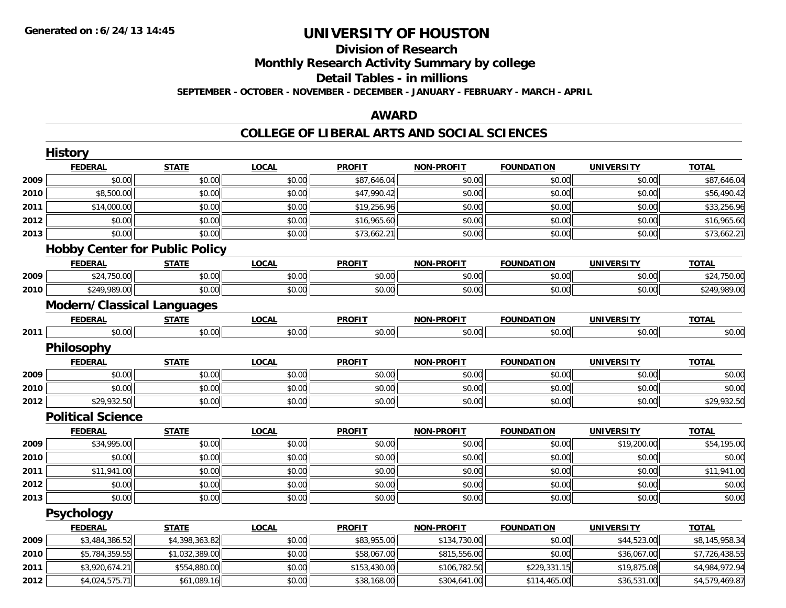# **Division of ResearchMonthly Research Activity Summary by college Detail Tables - in millions**

**SEPTEMBER - OCTOBER - NOVEMBER - DECEMBER - JANUARY - FEBRUARY - MARCH - APRIL**

#### **AWARD**

#### **COLLEGE OF LIBERAL ARTS AND SOCIAL SCIENCES**

|      | <b>History</b>                        |                |              |               |                   |                   |                   |                |
|------|---------------------------------------|----------------|--------------|---------------|-------------------|-------------------|-------------------|----------------|
|      | <b>FEDERAL</b>                        | <b>STATE</b>   | <b>LOCAL</b> | <b>PROFIT</b> | <b>NON-PROFIT</b> | <b>FOUNDATION</b> | <b>UNIVERSITY</b> | <b>TOTAL</b>   |
| 2009 | \$0.00                                | \$0.00         | \$0.00       | \$87,646.04   | \$0.00            | \$0.00            | \$0.00            | \$87,646.04    |
| 2010 | \$8,500.00                            | \$0.00         | \$0.00       | \$47,990.42   | \$0.00            | \$0.00            | \$0.00            | \$56,490.42    |
| 2011 | \$14,000.00                           | \$0.00         | \$0.00       | \$19,256.96   | \$0.00            | \$0.00            | \$0.00            | \$33,256.96    |
| 2012 | \$0.00                                | \$0.00         | \$0.00       | \$16,965.60   | \$0.00            | \$0.00            | \$0.00            | \$16,965.60    |
| 2013 | \$0.00                                | \$0.00         | \$0.00       | \$73,662.21   | \$0.00            | \$0.00            | \$0.00            | \$73,662.21    |
|      | <b>Hobby Center for Public Policy</b> |                |              |               |                   |                   |                   |                |
|      | <b>FEDERAL</b>                        | <b>STATE</b>   | <b>LOCAL</b> | <b>PROFIT</b> | <b>NON-PROFIT</b> | <b>FOUNDATION</b> | <b>UNIVERSITY</b> | <b>TOTAL</b>   |
| 2009 | \$24,750.00                           | \$0.00         | \$0.00       | \$0.00        | \$0.00            | \$0.00            | \$0.00            | \$24,750.00    |
| 2010 | \$249,989.00                          | \$0.00         | \$0.00       | \$0.00        | \$0.00            | \$0.00            | \$0.00            | \$249,989.00   |
|      | <b>Modern/Classical Languages</b>     |                |              |               |                   |                   |                   |                |
|      | <b>FEDERAL</b>                        | <b>STATE</b>   | <b>LOCAL</b> | <b>PROFIT</b> | <b>NON-PROFIT</b> | <b>FOUNDATION</b> | <b>UNIVERSITY</b> | <b>TOTAL</b>   |
| 2011 | \$0.00                                | \$0.00         | \$0.00       | \$0.00        | \$0.00            | \$0.00            | \$0.00            | \$0.00         |
|      | Philosophy                            |                |              |               |                   |                   |                   |                |
|      | <b>FEDERAL</b>                        | <b>STATE</b>   | <b>LOCAL</b> | <b>PROFIT</b> | <b>NON-PROFIT</b> | <b>FOUNDATION</b> | <b>UNIVERSITY</b> | <b>TOTAL</b>   |
| 2009 | \$0.00                                | \$0.00         | \$0.00       | \$0.00        | \$0.00            | \$0.00            | \$0.00            | \$0.00         |
| 2010 | \$0.00                                | \$0.00         | \$0.00       | \$0.00        | \$0.00            | \$0.00            | \$0.00            | \$0.00         |
| 2012 | \$29,932.50                           | \$0.00         | \$0.00       | \$0.00        | \$0.00            | \$0.00            | \$0.00            | \$29,932.50    |
|      | <b>Political Science</b>              |                |              |               |                   |                   |                   |                |
|      | <b>FEDERAL</b>                        | <b>STATE</b>   | <b>LOCAL</b> | <b>PROFIT</b> | <b>NON-PROFIT</b> | <b>FOUNDATION</b> | <b>UNIVERSITY</b> | <b>TOTAL</b>   |
| 2009 | \$34,995.00                           | \$0.00         | \$0.00       | \$0.00        | \$0.00            | \$0.00            | \$19,200.00       | \$54,195.00    |
| 2010 | \$0.00                                | \$0.00         | \$0.00       | \$0.00        | \$0.00            | \$0.00            | \$0.00            | \$0.00         |
| 2011 | \$11,941.00                           | \$0.00         | \$0.00       | \$0.00        | \$0.00            | \$0.00            | \$0.00            | \$11,941.00    |
| 2012 | \$0.00                                | \$0.00         | \$0.00       | \$0.00        | \$0.00            | \$0.00            | \$0.00            | \$0.00         |
| 2013 | \$0.00                                | \$0.00         | \$0.00       | \$0.00        | \$0.00            | \$0.00            | \$0.00            | \$0.00         |
|      | <b>Psychology</b>                     |                |              |               |                   |                   |                   |                |
|      | <b>FEDERAL</b>                        | <b>STATE</b>   | <b>LOCAL</b> | <b>PROFIT</b> | <b>NON-PROFIT</b> | <b>FOUNDATION</b> | <b>UNIVERSITY</b> | <b>TOTAL</b>   |
| 2009 | \$3,484,386.52                        | \$4,398,363.82 | \$0.00       | \$83,955.00   | \$134,730.00      | \$0.00            | \$44,523.00       | \$8,145,958.34 |
| 2010 | \$5,784,359.55                        | \$1,032,389.00 | \$0.00       | \$58,067.00   | \$815,556.00      | \$0.00            | \$36,067.00       | \$7,726,438.55 |
| 2011 | \$3,920,674.21                        | \$554,880.00   | \$0.00       | \$153,430.00  | \$106,782.50      | \$229,331.15      | \$19,875.08       | \$4,984,972.94 |
| 2012 | \$4,024,575.71                        | \$61,089.16    | \$0.00       | \$38,168.00   | \$304,641.00      | \$114,465.00      | \$36,531.00       | \$4,579,469.87 |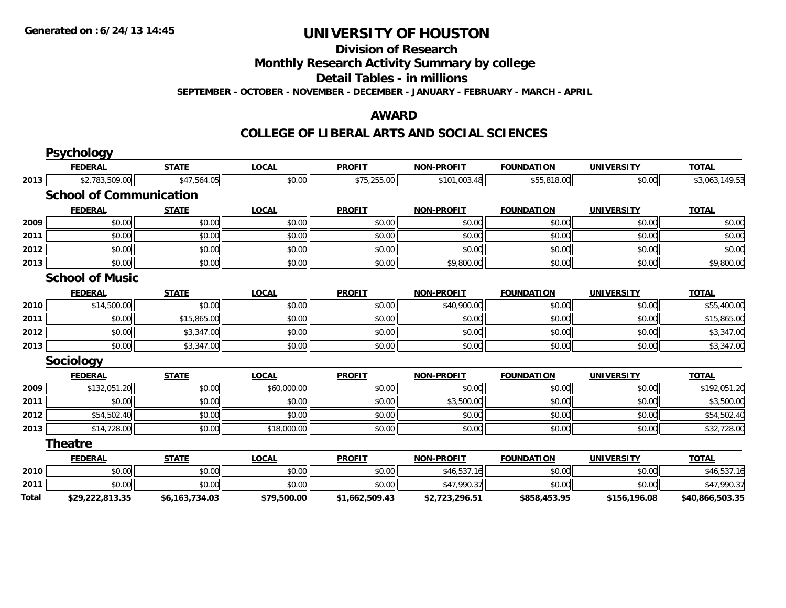**Division of Research**

**Monthly Research Activity Summary by college**

**Detail Tables - in millions**

**SEPTEMBER - OCTOBER - NOVEMBER - DECEMBER - JANUARY - FEBRUARY - MARCH - APRIL**

## **AWARD**

#### **COLLEGE OF LIBERAL ARTS AND SOCIAL SCIENCES**

|              | <b>Psychology</b>              |                |              |                |                   |                   |                   |                 |
|--------------|--------------------------------|----------------|--------------|----------------|-------------------|-------------------|-------------------|-----------------|
|              | <b>FEDERAL</b>                 | <b>STATE</b>   | <b>LOCAL</b> | <b>PROFIT</b>  | <b>NON-PROFIT</b> | <b>FOUNDATION</b> | <b>UNIVERSITY</b> | <b>TOTAL</b>    |
| 2013         | \$2,783,509.00                 | \$47,564.05    | \$0.00       | \$75,255.00    | \$101,003.48      | \$55,818.00       | \$0.00            | \$3,063,149.53  |
|              | <b>School of Communication</b> |                |              |                |                   |                   |                   |                 |
|              | <b>FEDERAL</b>                 | <b>STATE</b>   | <b>LOCAL</b> | <b>PROFIT</b>  | <b>NON-PROFIT</b> | <b>FOUNDATION</b> | <b>UNIVERSITY</b> | <b>TOTAL</b>    |
| 2009         | \$0.00                         | \$0.00         | \$0.00       | \$0.00         | \$0.00            | \$0.00            | \$0.00            | \$0.00          |
| 2011         | \$0.00                         | \$0.00         | \$0.00       | \$0.00         | \$0.00            | \$0.00            | \$0.00            | \$0.00          |
| 2012         | \$0.00                         | \$0.00         | \$0.00       | \$0.00         | \$0.00            | \$0.00            | \$0.00            | \$0.00          |
| 2013         | \$0.00                         | \$0.00         | \$0.00       | \$0.00         | \$9,800.00        | \$0.00            | \$0.00            | \$9,800.00      |
|              | <b>School of Music</b>         |                |              |                |                   |                   |                   |                 |
|              | <b>FEDERAL</b>                 | <b>STATE</b>   | <b>LOCAL</b> | <b>PROFIT</b>  | <b>NON-PROFIT</b> | <b>FOUNDATION</b> | <b>UNIVERSITY</b> | <b>TOTAL</b>    |
| 2010         | \$14,500.00                    | \$0.00         | \$0.00       | \$0.00         | \$40,900.00       | \$0.00            | \$0.00            | \$55,400.00     |
| 2011         | \$0.00                         | \$15,865.00    | \$0.00       | \$0.00         | \$0.00            | \$0.00            | \$0.00            | \$15,865.00     |
| 2012         | \$0.00                         | \$3,347.00     | \$0.00       | \$0.00         | \$0.00            | \$0.00            | \$0.00            | \$3,347.00      |
| 2013         | \$0.00                         | \$3,347.00     | \$0.00       | \$0.00         | \$0.00            | \$0.00            | \$0.00            | \$3,347.00      |
|              | <b>Sociology</b>               |                |              |                |                   |                   |                   |                 |
|              | <b>FEDERAL</b>                 | <b>STATE</b>   | <b>LOCAL</b> | <b>PROFIT</b>  | <b>NON-PROFIT</b> | <b>FOUNDATION</b> | <b>UNIVERSITY</b> | <b>TOTAL</b>    |
| 2009         | \$132,051.20                   | \$0.00         | \$60,000.00  | \$0.00         | \$0.00            | \$0.00            | \$0.00            | \$192,051.20    |
| 2011         | \$0.00                         | \$0.00         | \$0.00       | \$0.00         | \$3,500.00        | \$0.00            | \$0.00            | \$3,500.00      |
| 2012         | \$54,502.40                    | \$0.00         | \$0.00       | \$0.00         | \$0.00            | \$0.00            | \$0.00            | \$54,502.40     |
| 2013         | \$14,728.00                    | \$0.00         | \$18,000.00  | \$0.00         | \$0.00            | \$0.00            | \$0.00            | \$32,728.00     |
|              | <b>Theatre</b>                 |                |              |                |                   |                   |                   |                 |
|              | <b>FEDERAL</b>                 | <b>STATE</b>   | <b>LOCAL</b> | <b>PROFIT</b>  | <b>NON-PROFIT</b> | <b>FOUNDATION</b> | <b>UNIVERSITY</b> | <b>TOTAL</b>    |
| 2010         | \$0.00                         | \$0.00         | \$0.00       | \$0.00         | \$46,537.16       | \$0.00            | \$0.00            | \$46,537.16     |
| 2011         | \$0.00                         | \$0.00         | \$0.00       | \$0.00         | \$47,990.37       | \$0.00            | \$0.00            | \$47,990.37     |
| <b>Total</b> | \$29,222,813.35                | \$6,163,734.03 | \$79,500.00  | \$1,662,509.43 | \$2,723,296.51    | \$858,453.95      | \$156,196.08      | \$40,866,503.35 |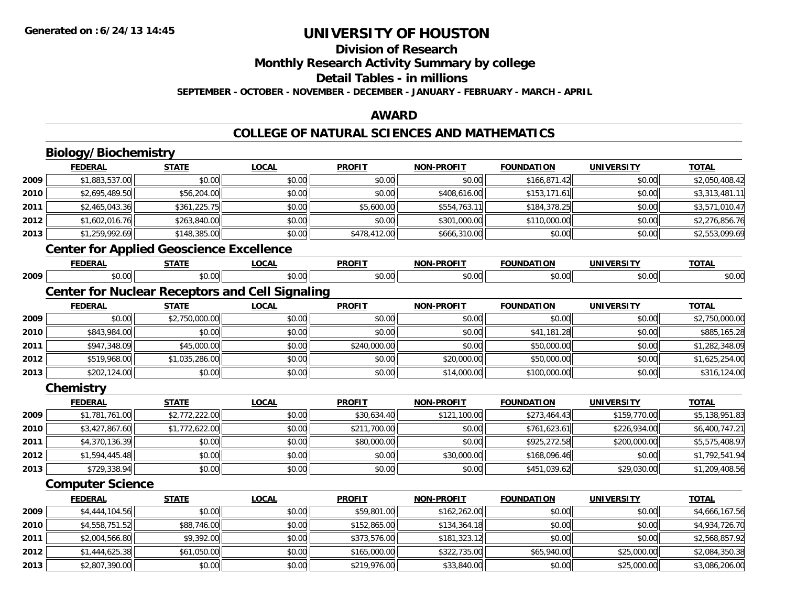## **Division of Research**

**Monthly Research Activity Summary by college**

#### **Detail Tables - in millions**

**SEPTEMBER - OCTOBER - NOVEMBER - DECEMBER - JANUARY - FEBRUARY - MARCH - APRIL**

### **AWARD**

#### **COLLEGE OF NATURAL SCIENCES AND MATHEMATICS**

|      | Biology/Biochemistry                                   |                |              |               |                   |                   |                   |                |
|------|--------------------------------------------------------|----------------|--------------|---------------|-------------------|-------------------|-------------------|----------------|
|      | <b>FEDERAL</b>                                         | <b>STATE</b>   | <b>LOCAL</b> | <b>PROFIT</b> | <b>NON-PROFIT</b> | <b>FOUNDATION</b> | <b>UNIVERSITY</b> | <b>TOTAL</b>   |
| 2009 | \$1,883,537.00                                         | \$0.00         | \$0.00       | \$0.00        | \$0.00            | \$166,871.42      | \$0.00            | \$2,050,408.42 |
| 2010 | \$2,695,489.50                                         | \$56,204.00    | \$0.00       | \$0.00        | \$408,616.00      | \$153,171.61      | \$0.00            | \$3,313,481.11 |
| 2011 | \$2,465,043.36                                         | \$361,225.75   | \$0.00       | \$5,600.00    | \$554,763.11      | \$184,378.25      | \$0.00            | \$3,571,010.47 |
| 2012 | \$1,602,016.76                                         | \$263,840.00   | \$0.00       | \$0.00        | \$301,000.00      | \$110,000.00      | \$0.00            | \$2,276,856.76 |
| 2013 | \$1,259,992.69                                         | \$148,385.00   | \$0.00       | \$478,412.00  | \$666,310.00      | \$0.00            | \$0.00            | \$2,553,099.69 |
|      | <b>Center for Applied Geoscience Excellence</b>        |                |              |               |                   |                   |                   |                |
|      | <b>FEDERAL</b>                                         | <b>STATE</b>   | <b>LOCAL</b> | <b>PROFIT</b> | <b>NON-PROFIT</b> | <b>FOUNDATION</b> | <b>UNIVERSITY</b> | <b>TOTAL</b>   |
| 2009 | \$0.00                                                 | \$0.00         | \$0.00       | \$0.00        | \$0.00            | \$0.00            | \$0.00            | \$0.00         |
|      | <b>Center for Nuclear Receptors and Cell Signaling</b> |                |              |               |                   |                   |                   |                |
|      | <b>FEDERAL</b>                                         | <b>STATE</b>   | <b>LOCAL</b> | <b>PROFIT</b> | <b>NON-PROFIT</b> | <b>FOUNDATION</b> | <b>UNIVERSITY</b> | <b>TOTAL</b>   |
| 2009 | \$0.00                                                 | \$2,750,000.00 | \$0.00       | \$0.00        | \$0.00            | \$0.00            | \$0.00            | \$2,750,000.00 |
| 2010 | \$843,984.00                                           | \$0.00         | \$0.00       | \$0.00        | \$0.00            | \$41,181.28       | \$0.00            | \$885,165.28   |
| 2011 | \$947,348.09                                           | \$45,000.00    | \$0.00       | \$240,000.00  | \$0.00            | \$50,000.00       | \$0.00            | \$1,282,348.09 |
| 2012 | \$519,968.00                                           | \$1,035,286.00 | \$0.00       | \$0.00        | \$20,000.00       | \$50,000.00       | \$0.00            | \$1,625,254.00 |
| 2013 | \$202,124.00                                           | \$0.00         | \$0.00       | \$0.00        | \$14,000.00       | \$100,000.00      | \$0.00            | \$316,124.00   |
|      | Chemistry                                              |                |              |               |                   |                   |                   |                |
|      | <b>FEDERAL</b>                                         | <b>STATE</b>   | <b>LOCAL</b> | <b>PROFIT</b> | <b>NON-PROFIT</b> | <b>FOUNDATION</b> | <b>UNIVERSITY</b> | <b>TOTAL</b>   |
| 2009 | \$1,781,761.00                                         | \$2,772,222.00 | \$0.00       | \$30,634.40   | \$121,100.00      | \$273,464.43      | \$159,770.00      | \$5,138,951.83 |
| 2010 | \$3,427,867.60                                         | \$1,772,622.00 | \$0.00       | \$211,700.00  | \$0.00            | \$761,623.61      | \$226,934.00      | \$6,400,747.21 |
| 2011 | \$4,370,136.39                                         | \$0.00         | \$0.00       | \$80,000.00   | \$0.00            | \$925,272.58      | \$200,000.00      | \$5,575,408.97 |
| 2012 | \$1,594,445.48                                         | \$0.00         | \$0.00       | \$0.00        | \$30,000.00       | \$168,096.46      | \$0.00            | \$1,792,541.94 |
| 2013 | \$729,338.94                                           | \$0.00         | \$0.00       | \$0.00        | \$0.00            | \$451,039.62      | \$29,030.00       | \$1,209,408.56 |
|      | <b>Computer Science</b>                                |                |              |               |                   |                   |                   |                |
|      | <b>FEDERAL</b>                                         | <b>STATE</b>   | <b>LOCAL</b> | <b>PROFIT</b> | <b>NON-PROFIT</b> | <b>FOUNDATION</b> | <b>UNIVERSITY</b> | <b>TOTAL</b>   |
| 2009 | \$4,444,104.56                                         | \$0.00         | \$0.00       | \$59,801.00   | \$162,262.00      | \$0.00            | \$0.00            | \$4,666,167.56 |
| 2010 | \$4,558,751.52                                         | \$88,746.00    | \$0.00       | \$152,865.00  | \$134,364.18      | \$0.00            | \$0.00            | \$4,934,726.70 |
| 2011 | \$2,004,566.80                                         | \$9,392.00     | \$0.00       | \$373,576.00  | \$181,323.12      | \$0.00            | \$0.00            | \$2,568,857.92 |
| 2012 | \$1,444,625.38                                         | \$61,050.00    | \$0.00       | \$165,000.00  | \$322,735.00      | \$65,940.00       | \$25,000.00       | \$2,084,350.38 |
| 2013 | \$2,807,390.00                                         | \$0.00         | \$0.00       | \$219,976.00  | \$33,840.00       | \$0.00            | \$25,000.00       | \$3,086,206.00 |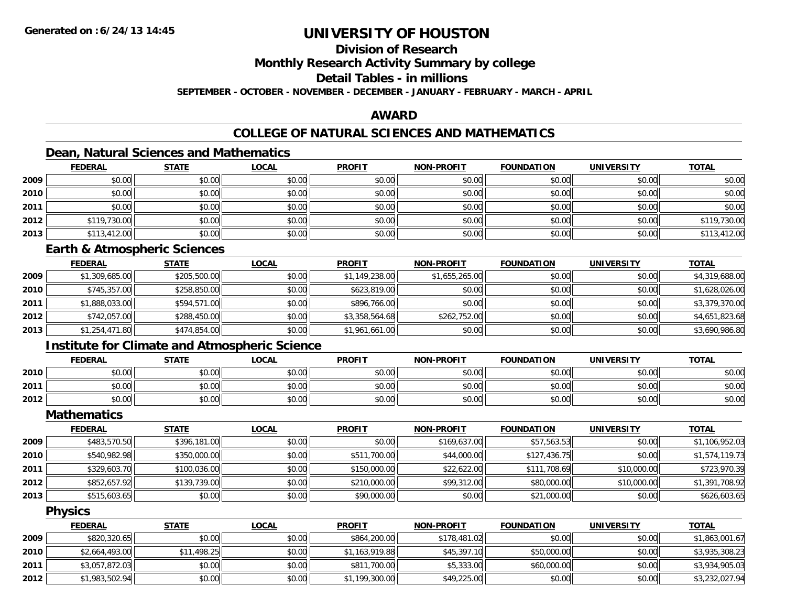## **Division of Research**

**Monthly Research Activity Summary by college**

## **Detail Tables - in millions**

**SEPTEMBER - OCTOBER - NOVEMBER - DECEMBER - JANUARY - FEBRUARY - MARCH - APRIL**

## **AWARD**

## **COLLEGE OF NATURAL SCIENCES AND MATHEMATICS**

## **Dean, Natural Sciences and Mathematics**

|      | <u>FEDERAL</u> | <u>STATE</u> | <b>LOCAL</b> | <b>PROFIT</b> | <b>NON-PROFIT</b> | <b>FOUNDATION</b> | <b>UNIVERSITY</b> | <b>TOTAL</b> |
|------|----------------|--------------|--------------|---------------|-------------------|-------------------|-------------------|--------------|
| 2009 | \$0.00         | \$0.00       | \$0.00       | \$0.00        | \$0.00            | \$0.00            | \$0.00            | \$0.00       |
| 2010 | \$0.00         | \$0.00       | \$0.00       | \$0.00        | \$0.00            | \$0.00            | \$0.00            | \$0.00       |
| 2011 | \$0.00         | \$0.00       | \$0.00       | \$0.00        | \$0.00            | \$0.00            | \$0.00            | \$0.00       |
| 2012 | \$119,730.00   | \$0.00       | \$0.00       | \$0.00        | \$0.00            | \$0.00            | \$0.00            | \$119,730.00 |
| 2013 | \$113,412.00   | \$0.00       | \$0.00       | \$0.00        | \$0.00            | \$0.00            | \$0.00            | \$113,412.00 |

### **Earth & Atmospheric Sciences**

|      | <b>FEDERAL</b> | <b>STATE</b> | <b>LOCAL</b> | <b>PROFIT</b>  | <b>NON-PROFIT</b> | <b>FOUNDATION</b> | UNIVERSITY | <b>TOTAL</b>   |
|------|----------------|--------------|--------------|----------------|-------------------|-------------------|------------|----------------|
| 2009 | \$1,309,685.00 | \$205,500.00 | \$0.00       | \$1,149,238.00 | \$1,655,265.00    | \$0.00            | \$0.00     | \$4,319,688.00 |
| 2010 | \$745,357.00   | \$258,850.00 | \$0.00       | \$623,819.00   | \$0.00            | \$0.00            | \$0.00     | \$1,628,026.00 |
| 2011 | \$1,888,033.00 | \$594,571.00 | \$0.00       | \$896,766.00   | \$0.00            | \$0.00            | \$0.00     | \$3,379,370.00 |
| 2012 | \$742,057.00   | \$288,450.00 | \$0.00       | \$3,358,564.68 | \$262,752.00      | \$0.00            | \$0.00     | \$4,651,823.68 |
| 2013 | \$1,254,471.80 | \$474,854.00 | \$0.00       | \$1,961,661.00 | \$0.00            | \$0.00            | \$0.00     | \$3,690,986.80 |

## **Institute for Climate and Atmospheric Science**

|      | <b>FEDERAL</b> | <b>STATE</b> | <u>LOCAL</u>                  | <b>PROFIT</b>          | <b>NON-PROFIT</b> | <b>FOUNDATION</b> | <b>UNIVERSITY</b> | <b>TOTAL</b> |
|------|----------------|--------------|-------------------------------|------------------------|-------------------|-------------------|-------------------|--------------|
| 2010 | \$0.00         | \$0.00       | 0000<br>DU.UG                 | \$0.00<br><b>SU.UU</b> | \$0.00            | \$0.00            | \$0.00            | \$0.00       |
| 2011 | \$0.00         | \$0.00       | $n \cap \neg$<br><b>DU.UU</b> | \$0.00                 | \$0.00            | \$0.00            | \$0.00            | \$0.00       |
| 2012 | \$0.00         | \$0.00       | \$0.00                        | \$0.00                 | \$0.00            | \$0.00            | \$0.00            | \$0.00       |

#### **Mathematics**

|      | <b>FEDERAL</b> | <b>STATE</b> | <b>LOCAL</b> | <b>PROFIT</b> | <b>NON-PROFIT</b> | <b>FOUNDATION</b> | <b>UNIVERSITY</b> | <b>TOTAL</b>   |
|------|----------------|--------------|--------------|---------------|-------------------|-------------------|-------------------|----------------|
| 2009 | \$483,570.50   | \$396,181.00 | \$0.00       | \$0.00        | \$169,637.00      | \$57,563.53       | \$0.00            | \$1,106,952.03 |
| 2010 | \$540,982.98   | \$350,000.00 | \$0.00       | \$511,700.00  | \$44,000.00       | \$127,436.75      | \$0.00            | \$1,574,119.73 |
| 2011 | \$329,603.70   | \$100,036.00 | \$0.00       | \$150,000.00  | \$22,622.00       | \$111,708.69      | \$10,000.00       | \$723,970.39   |
| 2012 | \$852,657.92   | \$139,739.00 | \$0.00       | \$210,000.00  | \$99,312.00       | \$80,000.00       | \$10,000.00       | \$1,391,708.92 |
| 2013 | \$515,603.65   | \$0.00       | \$0.00       | \$90,000.00   | \$0.00            | \$21,000.00       | \$0.00            | \$626,603.65   |

#### **Physics**

|      | <u>FEDERAL</u> | <u>STATE</u> | <u>LOCAL</u> | <b>PROFIT</b>  | <b>NON-PROFIT</b> | <b>FOUNDATION</b> | UNIVERSITY | <b>TOTAL</b>   |
|------|----------------|--------------|--------------|----------------|-------------------|-------------------|------------|----------------|
| 2009 | \$820,320.65   | \$0.00       | \$0.00       | \$864,200.00   | \$178,481.02      | \$0.00            | \$0.00     | \$1,863,001.67 |
| 2010 | \$2,664,493.00 | \$11,498.25  | \$0.00       | \$1,163,919.88 | \$45,397.10       | \$50,000.00       | \$0.00     | \$3,935,308.23 |
| 2011 | \$3,057,872.03 | \$0.00       | \$0.00       | \$811,700.00   | \$5,333.00        | \$60,000.00       | \$0.00     | \$3,934,905.03 |
| 2012 | \$1,983,502.94 | \$0.00       | \$0.00       | \$1,199,300.00 | \$49,225.00       | \$0.00            | \$0.00     | \$3,232,027.94 |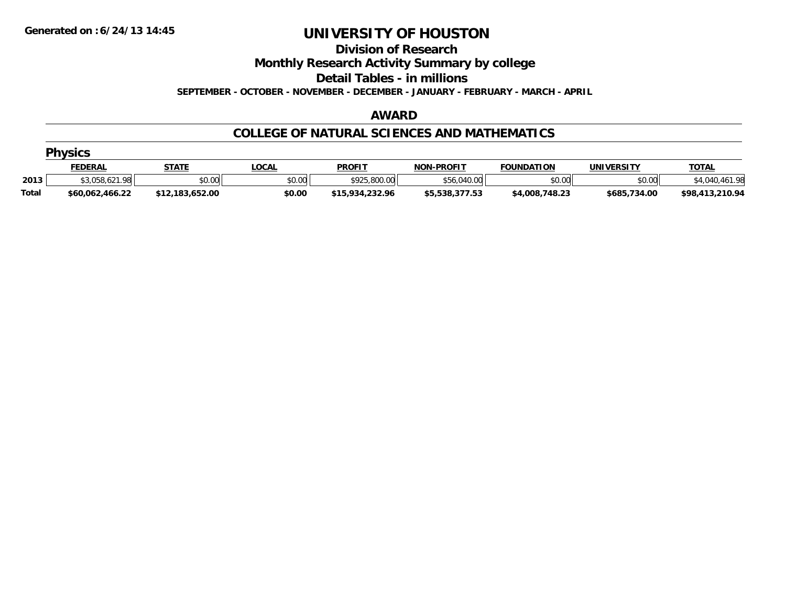**Division of Research**

**Monthly Research Activity Summary by college**

**Detail Tables - in millions**

**SEPTEMBER - OCTOBER - NOVEMBER - DECEMBER - JANUARY - FEBRUARY - MARCH - APRIL**

#### **AWARD**

### **COLLEGE OF NATURAL SCIENCES AND MATHEMATICS**

|              | <b>Physics</b>  |                 |              |                 |                   |                   |              |                 |  |  |  |
|--------------|-----------------|-----------------|--------------|-----------------|-------------------|-------------------|--------------|-----------------|--|--|--|
|              | FEDERAL         | <b>STATE</b>    | <u>LOCAL</u> | <b>PROFIT</b>   | <b>NON-PROFIT</b> | <b>FOUNDATION</b> | UNIVERSITY   | <u>TOTAL</u>    |  |  |  |
| 2013         | \$3,058,621.98  | \$0.00          | \$0.00       | \$925,800.00    | \$56,040.00       | \$0.00            | \$0.00       | \$4,040,461.98  |  |  |  |
| <b>Total</b> | \$60,062,466.22 | \$12,183,652.00 | \$0.00       | \$15,934,232.96 | \$5,538,377.53    | \$4,008,748.23    | \$685,734.00 | \$98,413,210.94 |  |  |  |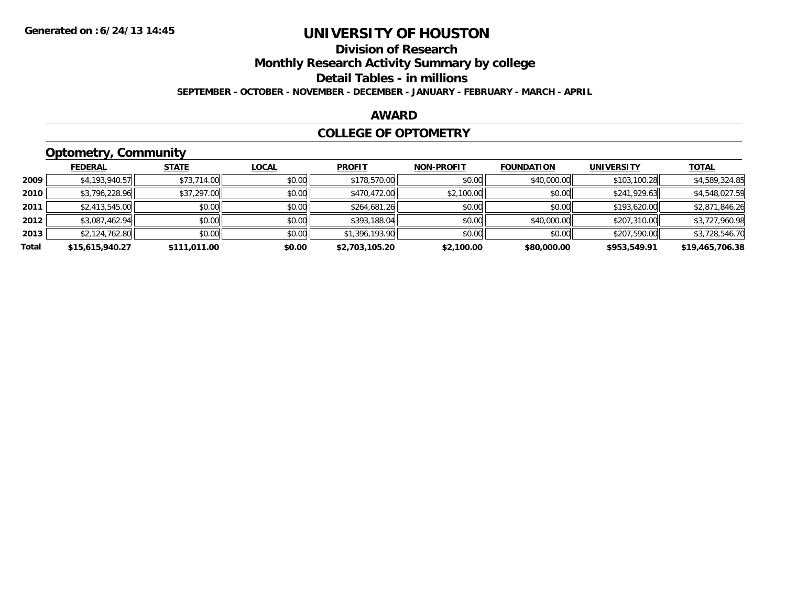## **Division of Research**

**Monthly Research Activity Summary by college**

**Detail Tables - in millions**

**SEPTEMBER - OCTOBER - NOVEMBER - DECEMBER - JANUARY - FEBRUARY - MARCH - APRIL**

#### **AWARD**

#### **COLLEGE OF OPTOMETRY**

## **Optometry, Community**

|       | <b>FEDERAL</b>  | <b>STATE</b> | <b>LOCAL</b> | <b>PROFIT</b>  | <b>NON-PROFIT</b> | <b>FOUNDATION</b> | <b>UNIVERSITY</b> | <b>TOTAL</b>    |
|-------|-----------------|--------------|--------------|----------------|-------------------|-------------------|-------------------|-----------------|
| 2009  | \$4,193,940.57  | \$73,714.00  | \$0.00       | \$178,570.00   | \$0.00            | \$40,000.00       | \$103,100.28      | \$4,589,324.85  |
| 2010  | \$3,796,228.96  | \$37,297.00  | \$0.00       | \$470,472,00   | \$2,100.00        | \$0.00            | \$241,929.63      | \$4,548,027.59  |
| 2011  | \$2,413,545.00  | \$0.00       | \$0.00       | \$264,681.26   | \$0.00            | \$0.00            | \$193,620.00      | \$2,871,846.26  |
| 2012  | \$3,087,462.94  | \$0.00       | \$0.00       | \$393,188.04   | \$0.00            | \$40,000.00       | \$207,310.00      | \$3,727,960.98  |
| 2013  | \$2,124,762.80  | \$0.00       | \$0.00       | \$1,396,193.90 | \$0.00            | \$0.00            | \$207,590.00      | \$3,728,546.70  |
| Total | \$15,615,940.27 | \$111,011.00 | \$0.00       | \$2,703,105.20 | \$2,100.00        | \$80,000.00       | \$953,549.91      | \$19,465,706.38 |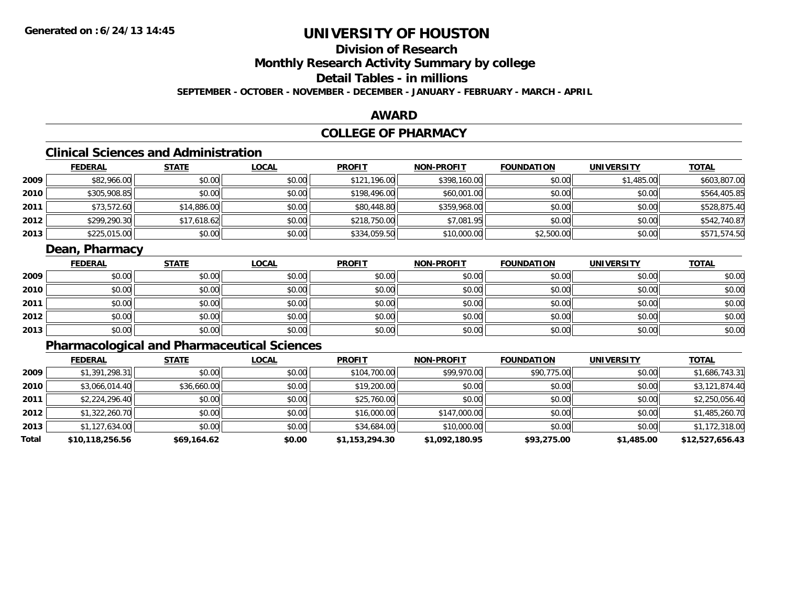## **Division of Research**

**Monthly Research Activity Summary by college**

## **Detail Tables - in millions**

**SEPTEMBER - OCTOBER - NOVEMBER - DECEMBER - JANUARY - FEBRUARY - MARCH - APRIL**

### **AWARD**

## **COLLEGE OF PHARMACY**

## **Clinical Sciences and Administration**

|      | <b>FEDERAL</b> | <u>STATE</u> | <b>LOCAL</b> | <b>PROFIT</b> | <b>NON-PROFIT</b> | <b>FOUNDATION</b> | <b>UNIVERSITY</b> | <b>TOTAL</b> |
|------|----------------|--------------|--------------|---------------|-------------------|-------------------|-------------------|--------------|
| 2009 | \$82,966.00    | \$0.00       | \$0.00       | \$121,196.00  | \$398,160.00      | \$0.00            | \$1,485.00        | \$603,807.00 |
| 2010 | \$305,908.85   | \$0.00       | \$0.00       | \$198,496.00  | \$60,001.00       | \$0.00            | \$0.00            | \$564,405.85 |
| 2011 | \$73,572.60    | \$14,886.00  | \$0.00       | \$80,448.80   | \$359,968.00      | \$0.00            | \$0.00            | \$528,875.40 |
| 2012 | \$299,290.30   | \$17,618.62  | \$0.00       | \$218,750.00  | \$7,081.95        | \$0.00            | \$0.00            | \$542,740.87 |
| 2013 | \$225,015.00   | \$0.00       | \$0.00       | \$334,059.50  | \$10,000.00       | \$2,500.00        | \$0.00            | \$571,574.50 |

## **Dean, Pharmacy**

|      | <u>FEDERAL</u> | <u>STATE</u> | <u>LOCAL</u> | <b>PROFIT</b> | <b>NON-PROFIT</b> | <b>FOUNDATION</b> | <b>UNIVERSITY</b> | <b>TOTAL</b> |
|------|----------------|--------------|--------------|---------------|-------------------|-------------------|-------------------|--------------|
| 2009 | \$0.00         | \$0.00       | \$0.00       | \$0.00        | \$0.00            | \$0.00            | \$0.00            | \$0.00       |
| 2010 | \$0.00         | \$0.00       | \$0.00       | \$0.00        | \$0.00            | \$0.00            | \$0.00            | \$0.00       |
| 2011 | \$0.00         | \$0.00       | \$0.00       | \$0.00        | \$0.00            | \$0.00            | \$0.00            | \$0.00       |
| 2012 | \$0.00         | \$0.00       | \$0.00       | \$0.00        | \$0.00            | \$0.00            | \$0.00            | \$0.00       |
| 2013 | \$0.00         | \$0.00       | \$0.00       | \$0.00        | \$0.00            | \$0.00            | \$0.00            | \$0.00       |

## **Pharmacological and Pharmaceutical Sciences**

|       | <b>FEDERAL</b>  | <b>STATE</b> | <b>LOCAL</b> | <b>PROFIT</b>  | <b>NON-PROFIT</b> | <b>FOUNDATION</b> | <b>UNIVERSITY</b> | <u>TOTAL</u>    |
|-------|-----------------|--------------|--------------|----------------|-------------------|-------------------|-------------------|-----------------|
| 2009  | \$1,391,298.31  | \$0.00       | \$0.00       | \$104,700.00   | \$99,970.00       | \$90,775.00       | \$0.00            | \$1,686,743.31  |
| 2010  | \$3,066,014.40  | \$36,660.00  | \$0.00       | \$19,200.00    | \$0.00            | \$0.00            | \$0.00            | \$3,121,874.40  |
| 2011  | \$2,224,296.40  | \$0.00       | \$0.00       | \$25,760.00    | \$0.00            | \$0.00            | \$0.00            | \$2,250,056.40  |
| 2012  | \$1,322,260.70  | \$0.00       | \$0.00       | \$16,000.00    | \$147,000.00      | \$0.00            | \$0.00            | \$1,485,260.70  |
| 2013  | \$1,127,634.00  | \$0.00       | \$0.00       | \$34,684.00    | \$10,000.00       | \$0.00            | \$0.00            | \$1,172,318.00  |
| Total | \$10,118,256.56 | \$69,164.62  | \$0.00       | \$1,153,294.30 | \$1,092,180.95    | \$93,275.00       | \$1,485.00        | \$12,527,656.43 |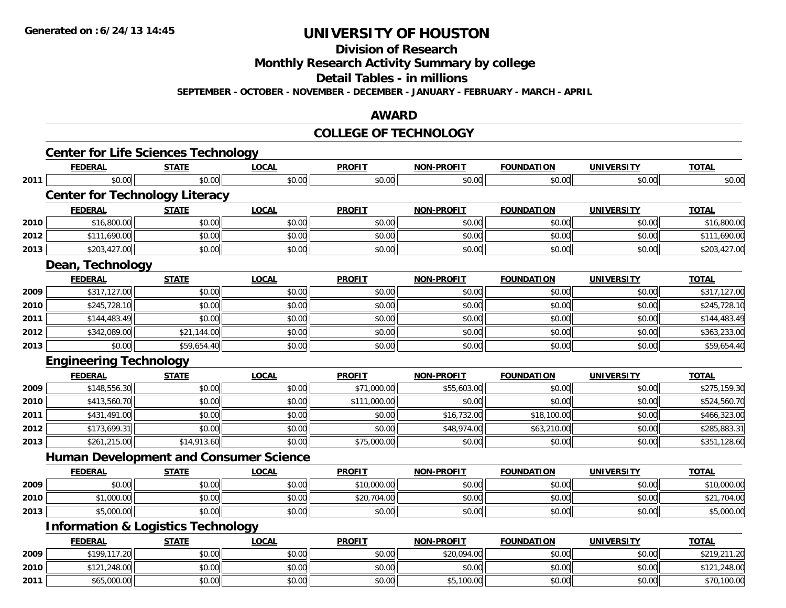**Division of Research**

**Monthly Research Activity Summary by college**

**Detail Tables - in millions**

**SEPTEMBER - OCTOBER - NOVEMBER - DECEMBER - JANUARY - FEBRUARY - MARCH - APRIL**

#### **AWARD**

#### **COLLEGE OF TECHNOLOGY**

|      | <b>Center for Life Sciences Technology</b>    |              |              |               |                   |                   |                   |              |
|------|-----------------------------------------------|--------------|--------------|---------------|-------------------|-------------------|-------------------|--------------|
|      | <b>FEDERAL</b>                                | <b>STATE</b> | <b>LOCAL</b> | <b>PROFIT</b> | NON-PROFIT        | <b>FOUNDATION</b> | <b>UNIVERSITY</b> | <b>TOTAL</b> |
| 2011 | \$0.00                                        | \$0.00       | \$0.00       | \$0.00        | \$0.00            | \$0.00            | \$0.00            | \$0.00       |
|      | <b>Center for Technology Literacy</b>         |              |              |               |                   |                   |                   |              |
|      | <b>FEDERAL</b>                                | <b>STATE</b> | <b>LOCAL</b> | <b>PROFIT</b> | <b>NON-PROFIT</b> | <b>FOUNDATION</b> | <b>UNIVERSITY</b> | <b>TOTAL</b> |
| 2010 | \$16,800.00                                   | \$0.00       | \$0.00       | \$0.00        | \$0.00            | \$0.00            | \$0.00            | \$16,800.00  |
| 2012 | \$111,690.00                                  | \$0.00       | \$0.00       | \$0.00        | \$0.00            | \$0.00            | \$0.00            | \$111,690.00 |
| 2013 | \$203,427.00                                  | \$0.00       | \$0.00       | \$0.00        | \$0.00            | \$0.00            | \$0.00            | \$203,427.00 |
|      | Dean, Technology                              |              |              |               |                   |                   |                   |              |
|      | <b>FEDERAL</b>                                | <b>STATE</b> | <b>LOCAL</b> | <b>PROFIT</b> | <b>NON-PROFIT</b> | <b>FOUNDATION</b> | <b>UNIVERSITY</b> | <b>TOTAL</b> |
| 2009 | \$317,127.00                                  | \$0.00       | \$0.00       | \$0.00        | \$0.00            | \$0.00            | \$0.00            | \$317,127.00 |
| 2010 | \$245,728.10                                  | \$0.00       | \$0.00       | \$0.00        | \$0.00            | \$0.00            | \$0.00            | \$245,728.10 |
| 2011 | \$144,483.49                                  | \$0.00       | \$0.00       | \$0.00        | \$0.00            | \$0.00            | \$0.00            | \$144,483.49 |
| 2012 | \$342,089.00                                  | \$21,144.00  | \$0.00       | \$0.00        | \$0.00            | \$0.00            | \$0.00            | \$363,233.00 |
| 2013 | \$0.00                                        | \$59,654.40  | \$0.00       | \$0.00        | \$0.00            | \$0.00            | \$0.00            | \$59,654.40  |
|      | <b>Engineering Technology</b>                 |              |              |               |                   |                   |                   |              |
|      | <b>FEDERAL</b>                                | <b>STATE</b> | <b>LOCAL</b> | <b>PROFIT</b> | <b>NON-PROFIT</b> | <b>FOUNDATION</b> | <b>UNIVERSITY</b> | <b>TOTAL</b> |
| 2009 | \$148,556.30                                  | \$0.00       | \$0.00       | \$71,000.00   | \$55,603.00       | \$0.00            | \$0.00            | \$275,159.30 |
| 2010 | \$413,560.70                                  | \$0.00       | \$0.00       | \$111,000.00  | \$0.00            | \$0.00            | \$0.00            | \$524,560.70 |
| 2011 | \$431,491.00                                  | \$0.00       | \$0.00       | \$0.00        | \$16,732.00       | \$18,100.00       | \$0.00            | \$466,323.00 |
| 2012 | \$173,699.31                                  | \$0.00       | \$0.00       | \$0.00        | \$48,974.00       | \$63,210.00       | \$0.00            | \$285,883.31 |
| 2013 | \$261,215.00                                  | \$14,913.60  | \$0.00       | \$75,000.00   | \$0.00            | \$0.00            | \$0.00            | \$351,128.60 |
|      | <b>Human Development and Consumer Science</b> |              |              |               |                   |                   |                   |              |
|      | <b>FEDERAL</b>                                | <b>STATE</b> | <b>LOCAL</b> | <b>PROFIT</b> | <b>NON-PROFIT</b> | <b>FOUNDATION</b> | <b>UNIVERSITY</b> | <b>TOTAL</b> |
| 2009 | \$0.00                                        | \$0.00       | \$0.00       | \$10,000.00   | \$0.00            | \$0.00            | \$0.00            | \$10,000.00  |
| 2010 | \$1,000.00                                    | \$0.00       | \$0.00       | \$20,704.00   | \$0.00            | \$0.00            | \$0.00            | \$21,704.00  |
| 2013 | \$5,000.00                                    | \$0.00       | \$0.00       | \$0.00        | \$0.00            | \$0.00            | \$0.00            | \$5,000.00   |
|      | <b>Information &amp; Logistics Technology</b> |              |              |               |                   |                   |                   |              |
|      | <b>FEDERAL</b>                                | <b>STATE</b> | <b>LOCAL</b> | <b>PROFIT</b> | <b>NON-PROFIT</b> | <b>FOUNDATION</b> | <b>UNIVERSITY</b> | <b>TOTAL</b> |
| 2009 | \$199,117.20                                  | \$0.00       | \$0.00       | \$0.00        | \$20,094.00       | \$0.00            | \$0.00            | \$219,211.20 |
| 2010 | \$121,248.00                                  | \$0.00       | \$0.00       | \$0.00        | \$0.00            | \$0.00            | \$0.00            | \$121,248.00 |
|      |                                               | \$0.00       |              |               |                   |                   |                   |              |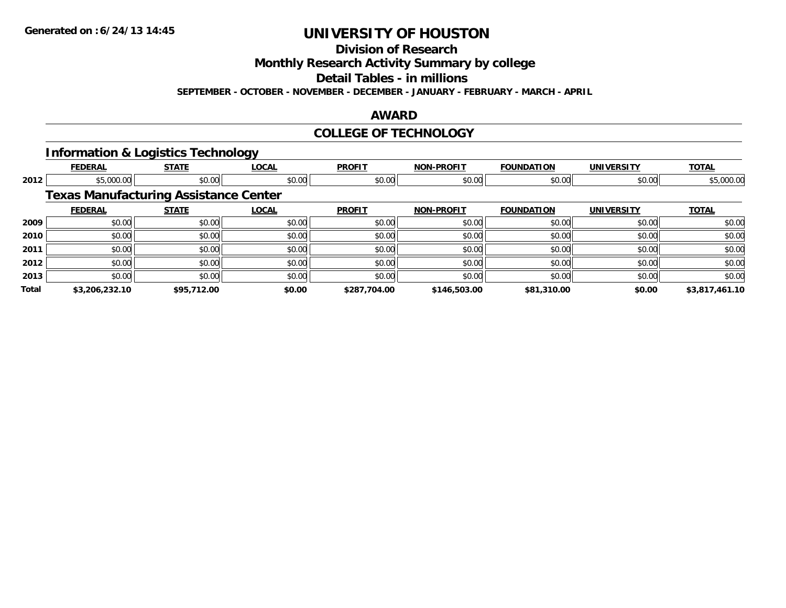**Division of Research**

**Monthly Research Activity Summary by college**

**Detail Tables - in millions**

**SEPTEMBER - OCTOBER - NOVEMBER - DECEMBER - JANUARY - FEBRUARY - MARCH - APRIL**

## **AWARD**

## **COLLEGE OF TECHNOLOGY**

#### **Information & Logistics Technology**

|       | <b>FEDERAL</b> | <b>STATE</b>                                 | <b>LOCAL</b> | <b>PROFIT</b> | <b>NON-PROFIT</b> | <b>FOUNDATION</b> | <b>UNIVERSITY</b> | <b>TOTAL</b>   |
|-------|----------------|----------------------------------------------|--------------|---------------|-------------------|-------------------|-------------------|----------------|
| 2012  | \$5,000.00     | \$0.00                                       | \$0.00       | \$0.00        | \$0.00            | \$0.00            | \$0.00            | \$5,000.00     |
|       |                | <b>Texas Manufacturing Assistance Center</b> |              |               |                   |                   |                   |                |
|       | <b>FEDERAL</b> | <b>STATE</b>                                 | <b>LOCAL</b> | <b>PROFIT</b> | <b>NON-PROFIT</b> | <b>FOUNDATION</b> | <b>UNIVERSITY</b> | <b>TOTAL</b>   |
| 2009  | \$0.00         | \$0.00                                       | \$0.00       | \$0.00        | \$0.00            | \$0.00            | \$0.00            | \$0.00         |
| 2010  | \$0.00         | \$0.00                                       | \$0.00       | \$0.00        | \$0.00            | \$0.00            | \$0.00            | \$0.00         |
| 2011  | \$0.00         | \$0.00                                       | \$0.00       | \$0.00        | \$0.00            | \$0.00            | \$0.00            | \$0.00         |
| 2012  | \$0.00         | \$0.00                                       | \$0.00       | \$0.00        | \$0.00            | \$0.00            | \$0.00            | \$0.00         |
| 2013  | \$0.00         | \$0.00                                       | \$0.00       | \$0.00        | \$0.00            | \$0.00            | \$0.00            | \$0.00         |
| Total | \$3,206,232.10 | \$95,712.00                                  | \$0.00       | \$287,704.00  | \$146,503.00      | \$81,310.00       | \$0.00            | \$3,817,461.10 |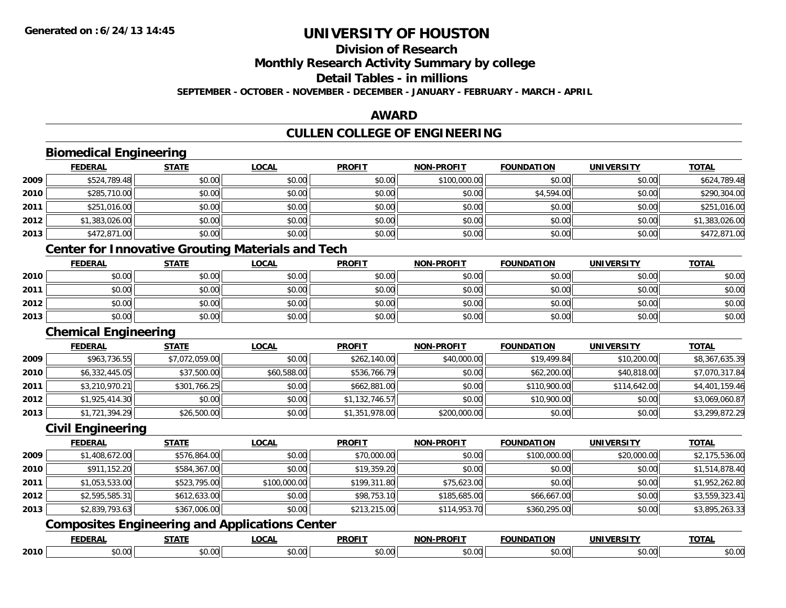**Division of Research**

**Monthly Research Activity Summary by college**

**Detail Tables - in millions**

**SEPTEMBER - OCTOBER - NOVEMBER - DECEMBER - JANUARY - FEBRUARY - MARCH - APRIL**

#### **AWARD**

## **CULLEN COLLEGE OF ENGINEERING**

|      | <b>Biomedical Engineering</b> |                |                                                          |                |                   |                   |                   |                |
|------|-------------------------------|----------------|----------------------------------------------------------|----------------|-------------------|-------------------|-------------------|----------------|
|      | <b>FEDERAL</b>                | <b>STATE</b>   | <b>LOCAL</b>                                             | <b>PROFIT</b>  | <b>NON-PROFIT</b> | <b>FOUNDATION</b> | <b>UNIVERSITY</b> | <b>TOTAL</b>   |
| 2009 | \$524,789.48                  | \$0.00         | \$0.00                                                   | \$0.00         | \$100,000.00      | \$0.00            | \$0.00            | \$624,789.48   |
| 2010 | \$285,710.00                  | \$0.00         | \$0.00                                                   | \$0.00         | \$0.00            | \$4,594.00        | \$0.00            | \$290,304.00   |
| 2011 | \$251,016.00                  | \$0.00         | \$0.00                                                   | \$0.00         | \$0.00            | \$0.00            | \$0.00            | \$251,016.00   |
| 2012 | \$1,383,026.00                | \$0.00         | \$0.00                                                   | \$0.00         | \$0.00            | \$0.00            | \$0.00            | \$1,383,026.00 |
| 2013 | \$472,871.00                  | \$0.00         | \$0.00                                                   | \$0.00         | \$0.00            | \$0.00            | \$0.00            | \$472,871.00   |
|      |                               |                | <b>Center for Innovative Grouting Materials and Tech</b> |                |                   |                   |                   |                |
|      | <b>FEDERAL</b>                | <b>STATE</b>   | <b>LOCAL</b>                                             | <b>PROFIT</b>  | <b>NON-PROFIT</b> | <b>FOUNDATION</b> | <b>UNIVERSITY</b> | <b>TOTAL</b>   |
| 2010 | \$0.00                        | \$0.00         | \$0.00                                                   | \$0.00         | \$0.00            | \$0.00            | \$0.00            | \$0.00         |
| 2011 | \$0.00                        | \$0.00         | \$0.00                                                   | \$0.00         | \$0.00            | \$0.00            | \$0.00            | \$0.00         |
| 2012 | \$0.00                        | \$0.00         | \$0.00                                                   | \$0.00         | \$0.00            | \$0.00            | \$0.00            | \$0.00         |
| 2013 | \$0.00                        | \$0.00         | \$0.00                                                   | \$0.00         | \$0.00            | \$0.00            | \$0.00            | \$0.00         |
|      | <b>Chemical Engineering</b>   |                |                                                          |                |                   |                   |                   |                |
|      | <b>FEDERAL</b>                | <b>STATE</b>   | <b>LOCAL</b>                                             | <b>PROFIT</b>  | <b>NON-PROFIT</b> | <b>FOUNDATION</b> | <b>UNIVERSITY</b> | <b>TOTAL</b>   |
| 2009 | \$963,736.55                  | \$7,072,059.00 | \$0.00                                                   | \$262,140.00   | \$40,000.00       | \$19,499.84       | \$10,200.00       | \$8,367,635.39 |
| 2010 | \$6,332,445.05                | \$37,500.00    | \$60,588.00                                              | \$536,766.79   | \$0.00            | \$62,200.00       | \$40,818.00       | \$7,070,317.84 |
| 2011 | \$3,210,970.21                | \$301,766.25   | \$0.00                                                   | \$662,881.00   | \$0.00            | \$110,900.00      | \$114,642.00      | \$4,401,159.46 |
| 2012 | \$1,925,414.30                | \$0.00         | \$0.00                                                   | \$1,132,746.57 | \$0.00            | \$10,900.00       | \$0.00            | \$3,069,060.87 |
| 2013 | \$1,721,394.29                | \$26,500.00    | \$0.00                                                   | \$1,351,978.00 | \$200,000.00      | \$0.00            | \$0.00            | \$3,299,872.29 |
|      | <b>Civil Engineering</b>      |                |                                                          |                |                   |                   |                   |                |
|      | <b>FEDERAL</b>                | <b>STATE</b>   | <b>LOCAL</b>                                             | <b>PROFIT</b>  | <b>NON-PROFIT</b> | <b>FOUNDATION</b> | <b>UNIVERSITY</b> | <b>TOTAL</b>   |
| 2009 | \$1,408,672.00                | \$576,864.00   | \$0.00                                                   | \$70,000.00    | \$0.00            | \$100,000.00      | \$20,000.00       | \$2,175,536.00 |
| 2010 | \$911,152.20                  | \$584,367.00   | \$0.00                                                   | \$19,359.20    | \$0.00            | \$0.00            | \$0.00            | \$1,514,878.40 |
| 2011 | \$1,053,533.00                | \$523,795.00   | \$100,000.00                                             | \$199,311.80   | \$75,623.00       | \$0.00            | \$0.00            | \$1,952,262.80 |
| 2012 | \$2,595,585.31                | \$612,633.00   | \$0.00                                                   | \$98,753.10    | \$185,685.00      | \$66,667.00       | \$0.00            | \$3,559,323.41 |
| 2013 | \$2,839,793.63                | \$367,006.00   | \$0.00                                                   | \$213,215.00   | \$114,953.70      | \$360,295.00      | \$0.00            | \$3,895,263.33 |
|      |                               |                | <b>Composites Engineering and Applications Center</b>    |                |                   |                   |                   |                |
|      | <b>FEDERAL</b>                | <b>STATE</b>   | <b>LOCAL</b>                                             | <b>PROFIT</b>  | <b>NON-PROFIT</b> | <b>FOUNDATION</b> | <b>UNIVERSITY</b> | <b>TOTAL</b>   |
| 2010 | \$0.00                        | \$0.00         | \$0.00                                                   | \$0.00         | \$0.00            | \$0.00            | \$0.00            | \$0.00         |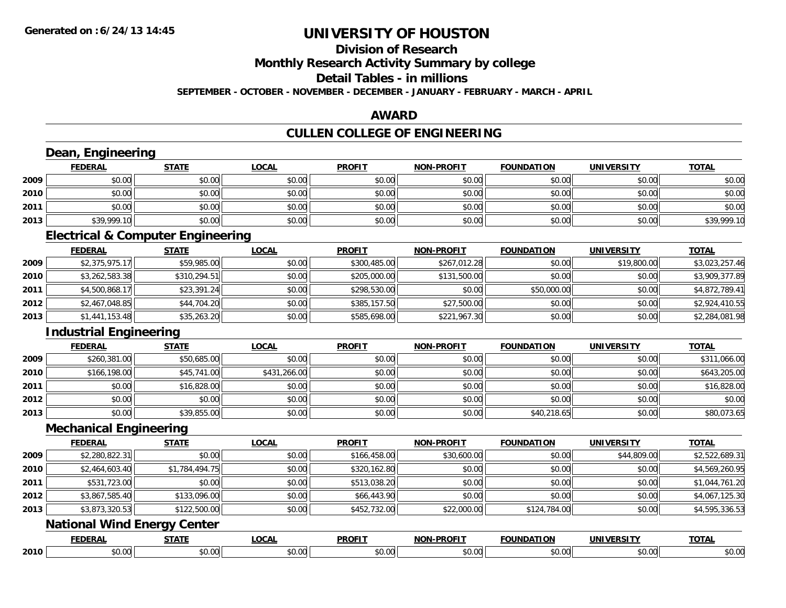#### **Division of Research**

**Monthly Research Activity Summary by college**

**Detail Tables - in millions**

**SEPTEMBER - OCTOBER - NOVEMBER - DECEMBER - JANUARY - FEBRUARY - MARCH - APRIL**

#### **AWARD**

## **CULLEN COLLEGE OF ENGINEERING**

| <b>FEDERAL</b> | <b>STATE</b>   | <b>LOCAL</b>                                                                                                                                                            | <b>PROFIT</b>                                | <b>NON-PROFIT</b> | <b>FOUNDATION</b> | <b>UNIVERSITY</b> | <b>TOTAL</b>   |
|----------------|----------------|-------------------------------------------------------------------------------------------------------------------------------------------------------------------------|----------------------------------------------|-------------------|-------------------|-------------------|----------------|
| \$0.00         | \$0.00         | \$0.00                                                                                                                                                                  | \$0.00                                       | \$0.00            | \$0.00            | \$0.00            | \$0.00         |
| \$0.00         | \$0.00         | \$0.00                                                                                                                                                                  | \$0.00                                       | \$0.00            | \$0.00            | \$0.00            | \$0.00         |
| \$0.00         | \$0.00         | \$0.00                                                                                                                                                                  | \$0.00                                       | \$0.00            | \$0.00            | \$0.00            | \$0.00         |
| \$39,999.10    | \$0.00         | \$0.00                                                                                                                                                                  | \$0.00                                       | \$0.00            | \$0.00            | \$0.00            | \$39,999.10    |
|                |                |                                                                                                                                                                         |                                              |                   |                   |                   |                |
| <b>FEDERAL</b> | <b>STATE</b>   | <b>LOCAL</b>                                                                                                                                                            | <b>PROFIT</b>                                | <b>NON-PROFIT</b> | <b>FOUNDATION</b> | <b>UNIVERSITY</b> | <b>TOTAL</b>   |
|                | \$59,985.00    | \$0.00                                                                                                                                                                  | \$300,485.00                                 | \$267,012.28      | \$0.00            | \$19,800.00       | \$3,023,257.46 |
|                | \$310,294.51   | \$0.00                                                                                                                                                                  | \$205,000.00                                 | \$131,500.00      | \$0.00            | \$0.00            | \$3,909,377.89 |
| \$4,500,868.17 | \$23,391.24    | \$0.00                                                                                                                                                                  | \$298,530.00                                 | \$0.00            | \$50,000.00       | \$0.00            | \$4,872,789.41 |
| \$2,467,048.85 | \$44,704.20    | \$0.00                                                                                                                                                                  | \$385,157.50                                 | \$27,500.00       | \$0.00            | \$0.00            | \$2,924,410.55 |
| \$1,441,153.48 | \$35,263.20    | \$0.00                                                                                                                                                                  | \$585,698.00                                 | \$221,967.30      | \$0.00            | \$0.00            | \$2,284,081.98 |
|                |                |                                                                                                                                                                         |                                              |                   |                   |                   |                |
| <b>FEDERAL</b> | <b>STATE</b>   | <b>LOCAL</b>                                                                                                                                                            | <b>PROFIT</b>                                | <b>NON-PROFIT</b> | <b>FOUNDATION</b> | <b>UNIVERSITY</b> | <b>TOTAL</b>   |
| \$260,381.00   | \$50,685.00    | \$0.00                                                                                                                                                                  | \$0.00                                       | \$0.00            | \$0.00            | \$0.00            | \$311,066.00   |
| \$166,198.00   | \$45,741.00    | \$431,266.00                                                                                                                                                            | \$0.00                                       | \$0.00            | \$0.00            | \$0.00            | \$643,205.00   |
| \$0.00         | \$16,828.00    | \$0.00                                                                                                                                                                  | \$0.00                                       | \$0.00            | \$0.00            | \$0.00            | \$16,828.00    |
| \$0.00         | \$0.00         | \$0.00                                                                                                                                                                  | \$0.00                                       | \$0.00            | \$0.00            | \$0.00            | \$0.00         |
| \$0.00         | \$39,855.00    | \$0.00                                                                                                                                                                  | \$0.00                                       | \$0.00            | \$40,218.65       | \$0.00            | \$80,073.65    |
|                |                |                                                                                                                                                                         |                                              |                   |                   |                   |                |
| <b>FEDERAL</b> | <b>STATE</b>   | <b>LOCAL</b>                                                                                                                                                            | <b>PROFIT</b>                                | <b>NON-PROFIT</b> | <b>FOUNDATION</b> | <b>UNIVERSITY</b> | <b>TOTAL</b>   |
| \$2,280,822.31 | \$0.00         | \$0.00                                                                                                                                                                  | \$166,458.00                                 | \$30,600.00       | \$0.00            | \$44,809.00       | \$2,522,689.31 |
| \$2,464,603.40 | \$1,784,494.75 | \$0.00                                                                                                                                                                  | \$320,162.80                                 | \$0.00            | \$0.00            | \$0.00            | \$4,569,260.95 |
| \$531,723.00   | \$0.00         | \$0.00                                                                                                                                                                  | \$513,038.20                                 | \$0.00            | \$0.00            | \$0.00            | \$1,044,761.20 |
| \$3,867,585.40 | \$133,096.00   | \$0.00                                                                                                                                                                  | \$66,443.90                                  | \$0.00            | \$0.00            | \$0.00            | \$4,067,125.30 |
| \$3,873,320.53 | \$122,500.00   | \$0.00                                                                                                                                                                  | \$452,732.00                                 | \$22,000.00       | \$124,784.00      | \$0.00            | \$4,595,336.53 |
|                |                |                                                                                                                                                                         |                                              |                   |                   |                   |                |
| <b>FEDERAL</b> | <b>STATE</b>   | <b>LOCAL</b>                                                                                                                                                            | <b>PROFIT</b>                                | <b>NON-PROFIT</b> | <b>FOUNDATION</b> | <b>UNIVERSITY</b> | <b>TOTAL</b>   |
|                | \$0.00         | \$0.00                                                                                                                                                                  | \$0.00                                       | \$0.00            | \$0.00            | \$0.00            | \$0.00         |
|                |                | Dean, Engineering<br>\$2,375,975.17<br>\$3,262,583.38<br><b>Industrial Engineering</b><br><b>Mechanical Engineering</b><br><b>National Wind Energy Center</b><br>\$0.00 | <b>Electrical &amp; Computer Engineering</b> |                   |                   |                   |                |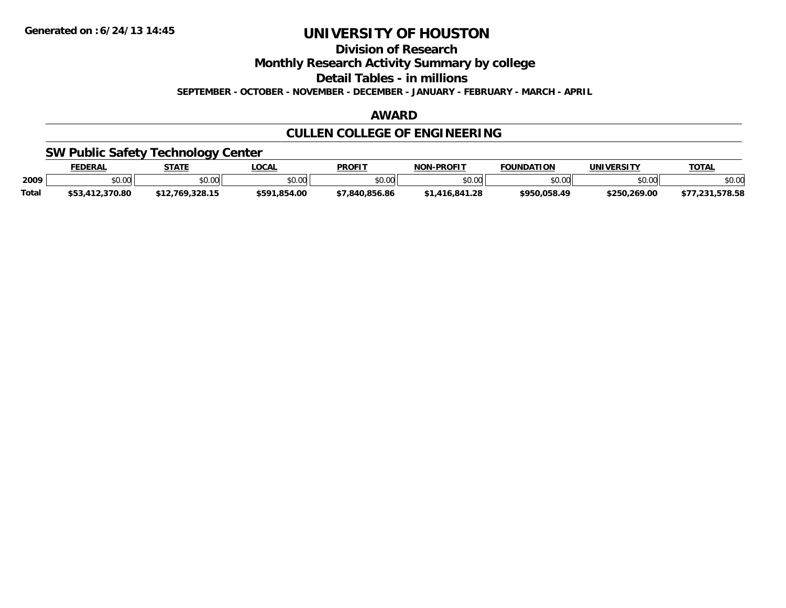**Division of Research**

**Monthly Research Activity Summary by college**

**Detail Tables - in millions**

**SEPTEMBER - OCTOBER - NOVEMBER - DECEMBER - JANUARY - FEBRUARY - MARCH - APRIL**

## **AWARD**

## **CULLEN COLLEGE OF ENGINEERING**

## **SW Public Safety Technology Center**

|       | <b>FEDERAL</b> | <b>STATE</b>   | <b>LOCA</b>    | <b>PROFIT</b>                | -PROFIT<br><b>NON</b> | <b>FOUNDATION</b> | <b>UNIVERSITY</b> | <b>TOTAL</b>             |
|-------|----------------|----------------|----------------|------------------------------|-----------------------|-------------------|-------------------|--------------------------|
| 2009  | \$0.00         | 40.00<br>JU.UU | ልስ ሀህ<br>,u.uu | \$0.00                       | \$0.00                | ≛∩ ∩∩lı<br>טט.טע  | 0000<br>,u.uu     | \$0.00                   |
| Total | .370.80        | .328.15        | \$591.854.00   | 856.86<br>7.840 <sub>5</sub> | .28<br><b>R4</b>      | \$950.058.49      | \$250.269.00      | E70 EO<br>56.00،<br>د. ک |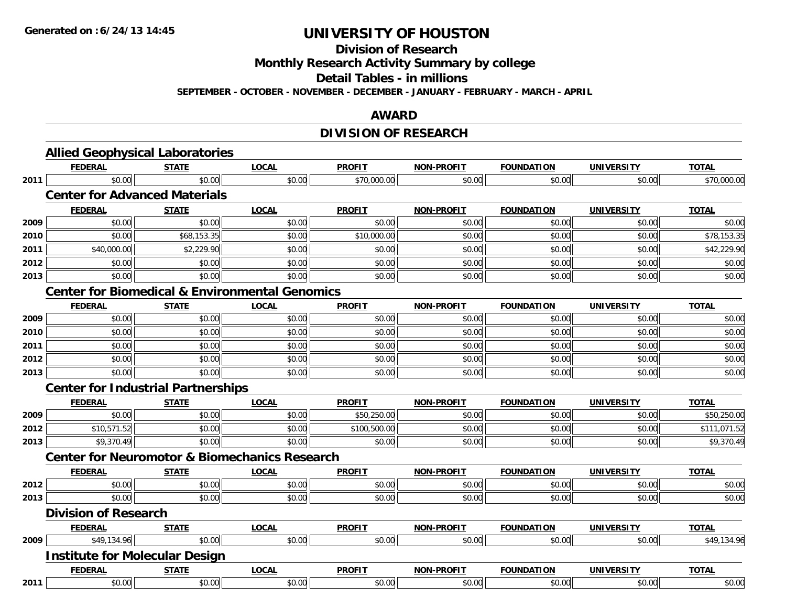**Division of Research**

**Monthly Research Activity Summary by college**

**Detail Tables - in millions**

**SEPTEMBER - OCTOBER - NOVEMBER - DECEMBER - JANUARY - FEBRUARY - MARCH - APRIL**

### **AWARD**

## **DIVISION OF RESEARCH**

|      | <b>Allied Geophysical Laboratories</b>                    |              |              |               |                   |                   |                   |              |
|------|-----------------------------------------------------------|--------------|--------------|---------------|-------------------|-------------------|-------------------|--------------|
|      | <b>FEDERAL</b>                                            | <b>STATE</b> | <b>LOCAL</b> | <b>PROFIT</b> | <b>NON-PROFIT</b> | <b>FOUNDATION</b> | <b>UNIVERSITY</b> | <b>TOTAL</b> |
| 2011 | \$0.00                                                    | \$0.00       | \$0.00       | \$70,000.00   | \$0.00            | \$0.00            | \$0.00            | \$70,000.00  |
|      | <b>Center for Advanced Materials</b>                      |              |              |               |                   |                   |                   |              |
|      | <b>FEDERAL</b>                                            | <b>STATE</b> | <b>LOCAL</b> | <b>PROFIT</b> | <b>NON-PROFIT</b> | <b>FOUNDATION</b> | <b>UNIVERSITY</b> | <b>TOTAL</b> |
| 2009 | \$0.00                                                    | \$0.00       | \$0.00       | \$0.00        | \$0.00            | \$0.00            | \$0.00            | \$0.00       |
| 2010 | \$0.00                                                    | \$68,153.35  | \$0.00       | \$10,000.00   | \$0.00            | \$0.00            | \$0.00            | \$78,153.35  |
| 2011 | \$40,000.00                                               | \$2,229.90   | \$0.00       | \$0.00        | \$0.00            | \$0.00            | \$0.00            | \$42,229.90  |
| 2012 | \$0.00                                                    | \$0.00       | \$0.00       | \$0.00        | \$0.00            | \$0.00            | \$0.00            | \$0.00       |
| 2013 | \$0.00                                                    | \$0.00       | \$0.00       | \$0.00        | \$0.00            | \$0.00            | \$0.00            | \$0.00       |
|      | <b>Center for Biomedical &amp; Environmental Genomics</b> |              |              |               |                   |                   |                   |              |
|      | <b>FEDERAL</b>                                            | <b>STATE</b> | <b>LOCAL</b> | <b>PROFIT</b> | <b>NON-PROFIT</b> | <b>FOUNDATION</b> | <b>UNIVERSITY</b> | <b>TOTAL</b> |
| 2009 | \$0.00                                                    | \$0.00       | \$0.00       | \$0.00        | \$0.00            | \$0.00            | \$0.00            | \$0.00       |
| 2010 | \$0.00                                                    | \$0.00       | \$0.00       | \$0.00        | \$0.00            | \$0.00            | \$0.00            | \$0.00       |
| 2011 | \$0.00                                                    | \$0.00       | \$0.00       | \$0.00        | \$0.00            | \$0.00            | \$0.00            | \$0.00       |
| 2012 | \$0.00                                                    | \$0.00       | \$0.00       | \$0.00        | \$0.00            | \$0.00            | \$0.00            | \$0.00       |
| 2013 | \$0.00                                                    | \$0.00       | \$0.00       | \$0.00        | \$0.00            | \$0.00            | \$0.00            | \$0.00       |
|      | <b>Center for Industrial Partnerships</b>                 |              |              |               |                   |                   |                   |              |
|      | <b>FEDERAL</b>                                            | <b>STATE</b> | <b>LOCAL</b> | <b>PROFIT</b> | <b>NON-PROFIT</b> | <b>FOUNDATION</b> | <b>UNIVERSITY</b> | <b>TOTAL</b> |
| 2009 | \$0.00                                                    | \$0.00       | \$0.00       | \$50,250.00   | \$0.00            | \$0.00            | \$0.00            | \$50,250.00  |
| 2012 | \$10,571.52                                               | \$0.00       | \$0.00       | \$100,500.00  | \$0.00            | \$0.00            | \$0.00            | \$111,071.52 |
| 2013 | \$9,370.49                                                | \$0.00       | \$0.00       | \$0.00        | \$0.00            | \$0.00            | \$0.00            | \$9,370.49   |
|      | <b>Center for Neuromotor &amp; Biomechanics Research</b>  |              |              |               |                   |                   |                   |              |
|      | <b>FEDERAL</b>                                            | <b>STATE</b> | <b>LOCAL</b> | <b>PROFIT</b> | NON-PROFIT        | <b>FOUNDATION</b> | <b>UNIVERSITY</b> | <b>TOTAL</b> |
| 2012 | \$0.00                                                    | \$0.00       | \$0.00       | \$0.00        | \$0.00            | \$0.00            | \$0.00            | \$0.00       |
| 2013 | \$0.00                                                    | \$0.00       | \$0.00       | \$0.00        | \$0.00            | \$0.00            | \$0.00            | \$0.00       |
|      | <b>Division of Research</b>                               |              |              |               |                   |                   |                   |              |
|      | <b>FEDERAL</b>                                            | <b>STATE</b> | <b>LOCAL</b> | <b>PROFIT</b> | <b>NON-PROFIT</b> | <b>FOUNDATION</b> | <b>UNIVERSITY</b> | <b>TOTAL</b> |
| 2009 | \$49,134.96                                               | \$0.00       | \$0.00       | \$0.00        | \$0.00            | \$0.00            | \$0.00            | \$49,134.96  |
|      | <b>Institute for Molecular Design</b>                     |              |              |               |                   |                   |                   |              |
|      | <b>FEDERAL</b>                                            | <b>STATE</b> | <b>LOCAL</b> | <b>PROFIT</b> | <b>NON-PROFIT</b> | <b>FOUNDATION</b> | <b>UNIVERSITY</b> | <b>TOTAL</b> |
| 2011 | \$0.00                                                    | \$0.00       | \$0.00       | \$0.00        | \$0.00            | \$0.00            | \$0.00            | \$0.00       |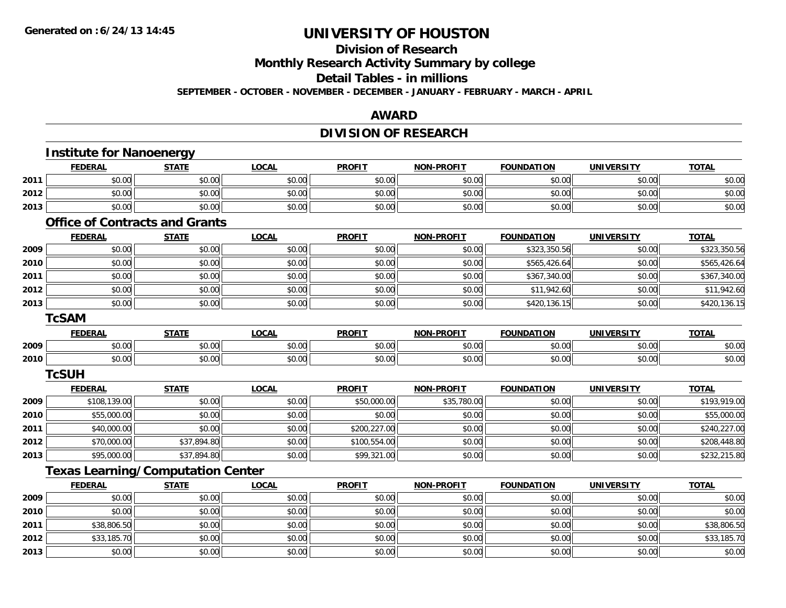**Division of Research**

**Monthly Research Activity Summary by college**

**Detail Tables - in millions**

**SEPTEMBER - OCTOBER - NOVEMBER - DECEMBER - JANUARY - FEBRUARY - MARCH - APRIL**

#### **AWARD**

## **DIVISION OF RESEARCH**

|      | <b>Institute for Nanoenergy</b>          |              |              |               |                   |                   |                   |              |
|------|------------------------------------------|--------------|--------------|---------------|-------------------|-------------------|-------------------|--------------|
|      | <b>FEDERAL</b>                           | <b>STATE</b> | <b>LOCAL</b> | <b>PROFIT</b> | <b>NON-PROFIT</b> | <b>FOUNDATION</b> | <b>UNIVERSITY</b> | <b>TOTAL</b> |
| 2011 | \$0.00                                   | \$0.00       | \$0.00       | \$0.00        | \$0.00            | \$0.00            | \$0.00            | \$0.00       |
| 2012 | \$0.00                                   | \$0.00       | \$0.00       | \$0.00        | \$0.00            | \$0.00            | \$0.00            | \$0.00       |
| 2013 | \$0.00                                   | \$0.00       | \$0.00       | \$0.00        | \$0.00            | \$0.00            | \$0.00            | \$0.00       |
|      | <b>Office of Contracts and Grants</b>    |              |              |               |                   |                   |                   |              |
|      | <b>FEDERAL</b>                           | <b>STATE</b> | <b>LOCAL</b> | <b>PROFIT</b> | <b>NON-PROFIT</b> | <b>FOUNDATION</b> | <b>UNIVERSITY</b> | <b>TOTAL</b> |
| 2009 | \$0.00                                   | \$0.00       | \$0.00       | \$0.00        | \$0.00            | \$323,350.56      | \$0.00            | \$323,350.56 |
| 2010 | \$0.00                                   | \$0.00       | \$0.00       | \$0.00        | \$0.00            | \$565,426.64      | \$0.00            | \$565,426.64 |
| 2011 | \$0.00                                   | \$0.00       | \$0.00       | \$0.00        | \$0.00            | \$367,340.00      | \$0.00            | \$367,340.00 |
| 2012 | \$0.00                                   | \$0.00       | \$0.00       | \$0.00        | \$0.00            | \$11,942.60       | \$0.00            | \$11,942.60  |
| 2013 | \$0.00                                   | \$0.00       | \$0.00       | \$0.00        | \$0.00            | \$420,136.15      | \$0.00            | \$420,136.15 |
|      | <b>TcSAM</b>                             |              |              |               |                   |                   |                   |              |
|      | <b>FEDERAL</b>                           | <b>STATE</b> | <b>LOCAL</b> | <b>PROFIT</b> | <b>NON-PROFIT</b> | <b>FOUNDATION</b> | <b>UNIVERSITY</b> | <b>TOTAL</b> |
| 2009 | \$0.00                                   | \$0.00       | \$0.00       | \$0.00        | \$0.00            | \$0.00            | \$0.00            | \$0.00       |
| 2010 | \$0.00                                   | \$0.00       | \$0.00       | \$0.00        | \$0.00            | \$0.00            | \$0.00            | \$0.00       |
|      | <b>TcSUH</b>                             |              |              |               |                   |                   |                   |              |
|      | <b>FEDERAL</b>                           | <b>STATE</b> | <b>LOCAL</b> | <b>PROFIT</b> | <b>NON-PROFIT</b> | <b>FOUNDATION</b> | <b>UNIVERSITY</b> | <b>TOTAL</b> |
| 2009 | \$108,139.00                             | \$0.00       | \$0.00       | \$50,000.00   | \$35,780.00       | \$0.00            | \$0.00            | \$193,919.00 |
| 2010 | \$55,000.00                              | \$0.00       | \$0.00       | \$0.00        | \$0.00            | \$0.00            | \$0.00            | \$55,000.00  |
| 2011 | \$40,000.00                              | \$0.00       | \$0.00       | \$200,227.00  | \$0.00            | \$0.00            | \$0.00            | \$240,227.00 |
| 2012 | \$70,000.00                              | \$37,894.80  | \$0.00       | \$100,554.00  | \$0.00            | \$0.00            | \$0.00            | \$208,448.80 |
| 2013 | \$95,000.00                              | \$37,894.80  | \$0.00       | \$99,321.00   | \$0.00            | \$0.00            | \$0.00            | \$232,215.80 |
|      | <b>Texas Learning/Computation Center</b> |              |              |               |                   |                   |                   |              |
|      | <b>FEDERAL</b>                           | <b>STATE</b> | <b>LOCAL</b> | <b>PROFIT</b> | <b>NON-PROFIT</b> | <b>FOUNDATION</b> | <b>UNIVERSITY</b> | <b>TOTAL</b> |
| 2009 | \$0.00                                   | \$0.00       | \$0.00       | \$0.00        | \$0.00            | \$0.00            | \$0.00            | \$0.00       |
| 2010 | \$0.00                                   | \$0.00       | \$0.00       | \$0.00        | \$0.00            | \$0.00            | \$0.00            | \$0.00       |
| 2011 | \$38,806.50                              | \$0.00       | \$0.00       | \$0.00        | \$0.00            | \$0.00            | \$0.00            | \$38,806.50  |
| 2012 | \$33,185.70                              | \$0.00       | \$0.00       | \$0.00        | \$0.00            | \$0.00            | \$0.00            | \$33,185.70  |
| 2013 | \$0.00                                   | \$0.00       | \$0.00       | \$0.00        | \$0.00            | \$0.00            | \$0.00            | \$0.00       |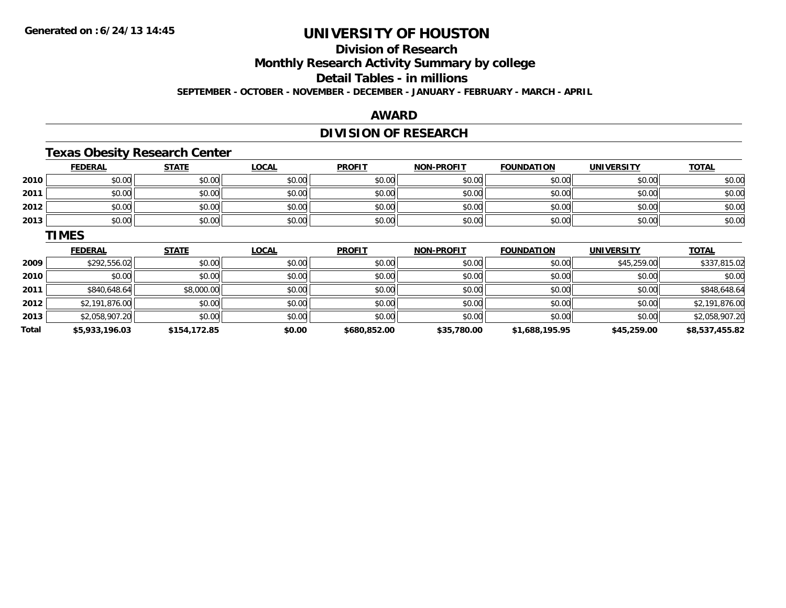## **Division of Research**

**Monthly Research Activity Summary by college**

**Detail Tables - in millions**

**SEPTEMBER - OCTOBER - NOVEMBER - DECEMBER - JANUARY - FEBRUARY - MARCH - APRIL**

### **AWARD**

## **DIVISION OF RESEARCH**

## **Texas Obesity Research Center**

|      | <b>FEDERAL</b> | <b>STATE</b> | <u>LOCAL</u> | <b>PROFIT</b> | <b>NON-PROFIT</b> | <b>FOUNDATION</b> | <b>UNIVERSITY</b> | <b>TOTAL</b> |
|------|----------------|--------------|--------------|---------------|-------------------|-------------------|-------------------|--------------|
| 2010 | \$0.00         | \$0.00       | \$0.00       | \$0.00        | \$0.00            | \$0.00            | \$0.00            | \$0.00       |
| 2011 | \$0.00         | \$0.00       | \$0.00       | \$0.00        | \$0.00            | \$0.00            | \$0.00            | \$0.00       |
| 2012 | \$0.00         | \$0.00       | \$0.00       | \$0.00        | \$0.00            | \$0.00            | \$0.00            | \$0.00       |
| 2013 | \$0.00         | \$0.00       | \$0.00       | \$0.00        | \$0.00            | \$0.00            | \$0.00            | \$0.00       |

#### **TIMES**

|       | <b>FEDERAL</b> | <b>STATE</b> | <u>LOCAL</u> | <b>PROFIT</b> | <b>NON-PROFIT</b> | <b>FOUNDATION</b> | <b>UNIVERSITY</b> | <b>TOTAL</b>   |
|-------|----------------|--------------|--------------|---------------|-------------------|-------------------|-------------------|----------------|
| 2009  | \$292,556.02   | \$0.00       | \$0.00       | \$0.00        | \$0.00            | \$0.00            | \$45,259.00       | \$337,815.02   |
| 2010  | \$0.00         | \$0.00       | \$0.00       | \$0.00        | \$0.00            | \$0.00            | \$0.00            | \$0.00         |
| 2011  | \$840,648.64   | \$8,000.00   | \$0.00       | \$0.00        | \$0.00            | \$0.00            | \$0.00            | \$848,648.64   |
| 2012  | \$2,191,876.00 | \$0.00       | \$0.00       | \$0.00        | \$0.00            | \$0.00            | \$0.00            | \$2,191,876.00 |
| 2013  | \$2,058,907.20 | \$0.00       | \$0.00       | \$0.00        | \$0.00            | \$0.00            | \$0.00            | \$2,058,907.20 |
| Total | \$5,933,196.03 | \$154,172.85 | \$0.00       | \$680,852.00  | \$35,780.00       | \$1,688,195.95    | \$45,259.00       | \$8,537,455.82 |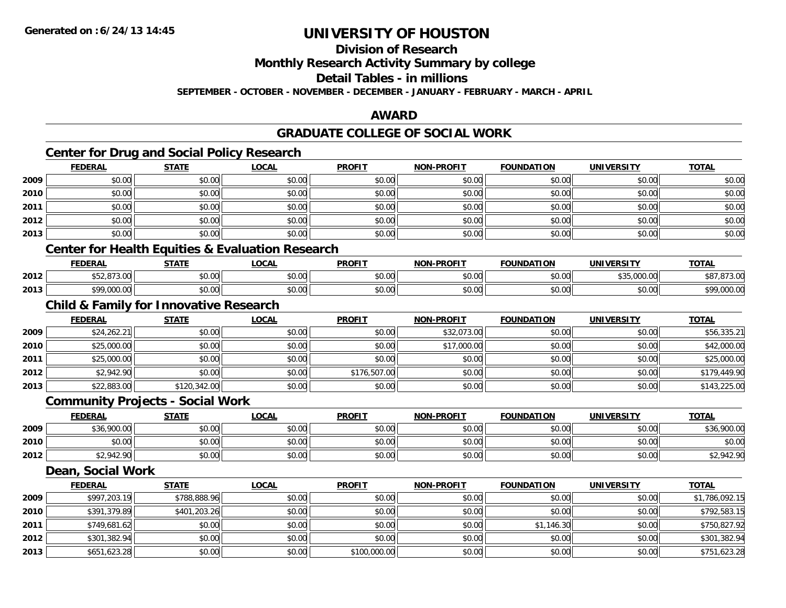**Division of Research**

**Monthly Research Activity Summary by college**

**Detail Tables - in millions**

**SEPTEMBER - OCTOBER - NOVEMBER - DECEMBER - JANUARY - FEBRUARY - MARCH - APRIL**

#### **AWARD**

## **GRADUATE COLLEGE OF SOCIAL WORK**

## **Center for Drug and Social Policy Research**

|      | <b>FEDERAL</b>                                   | <b>STATE</b> | <u>LOCAL</u> | <b>PROFIT</b> | <b>NON-PROFIT</b> | <b>FOUNDATION</b> | <b>UNIVERSITY</b> | <b>TOTAL</b> |
|------|--------------------------------------------------|--------------|--------------|---------------|-------------------|-------------------|-------------------|--------------|
| 2009 | \$0.00                                           | \$0.00       | \$0.00       | \$0.00        | \$0.00            | \$0.00            | \$0.00            | \$0.00       |
| 2010 | \$0.00                                           | \$0.00       | \$0.00       | \$0.00        | \$0.00            | \$0.00            | \$0.00            | \$0.00       |
| 2011 | \$0.00                                           | \$0.00       | \$0.00       | \$0.00        | \$0.00            | \$0.00            | \$0.00            | \$0.00       |
| 2012 | \$0.00                                           | \$0.00       | \$0.00       | \$0.00        | \$0.00            | \$0.00            | \$0.00            | \$0.00       |
| 2013 | \$0.00                                           | \$0.00       | \$0.00       | \$0.00        | \$0.00            | \$0.00            | \$0.00            | \$0.00       |
|      | $\sim$ $\sim$ $\sim$ $\sim$ $\sim$ $\sim$ $\sim$ |              |              |               |                   |                   |                   |              |

#### **Center for Health Equities & Evaluation Research**

|      | EENEDA<br>一つに氏ハト | <b>CTATE</b>  | <b>OCAL</b> | <b>PROFIT</b> | <b>-PROFIT</b><br>NON | <b>FOUNDATION</b>      | IINIVEDSIT                       | <b>TOTA</b>              |
|------|------------------|---------------|-------------|---------------|-----------------------|------------------------|----------------------------------|--------------------------|
| 2012 | 272.22           | 0000<br>JU.UU | \$0.00      | \$0.00        | 0000<br>pu.uu         | $\sim$ 00<br>JU.UU     | $+ - -$<br>0.0000<br>,,,,,,,,,,, | י הר<br>.                |
| 2013 | 0.0000<br>.      | 0000<br>pu.uu | \$0.00      | \$0.00        | ልስ ስስ<br>pu.uu        | $\sim$ $\sim$<br>טט.טע | $\sim$ 00<br>JU.UU               | t O.O<br>$\sim$<br>uuu.u |

## **Child & Family for Innovative Research**

|      | <b>FEDERAL</b> | <b>STATE</b> | <u>LOCAL</u> | <b>PROFIT</b> | <b>NON-PROFIT</b> | <b>FOUNDATION</b> | <b>UNIVERSITY</b> | <b>TOTAL</b> |
|------|----------------|--------------|--------------|---------------|-------------------|-------------------|-------------------|--------------|
| 2009 | \$24,262.21    | \$0.00       | \$0.00       | \$0.00        | \$32,073.00       | \$0.00            | \$0.00            | \$56,335.21  |
| 2010 | \$25,000.00    | \$0.00       | \$0.00       | \$0.00        | \$17,000.00       | \$0.00            | \$0.00            | \$42,000.00  |
| 2011 | \$25,000.00    | \$0.00       | \$0.00       | \$0.00        | \$0.00            | \$0.00            | \$0.00            | \$25,000.00  |
| 2012 | \$2,942.90     | \$0.00       | \$0.00       | \$176,507.00  | \$0.00            | \$0.00            | \$0.00            | \$179,449.90 |
| 2013 | \$22,883.00    | \$120,342.00 | \$0.00       | \$0.00        | \$0.00            | \$0.00            | \$0.00            | \$143,225.00 |

#### **Community Projects - Social Work**

|      | <u>FEDERAL</u> | <b>STATE</b> | <u>LOCAL</u> | <b>PROFIT</b> | <b>NON-PROFIT</b> | <b>FOUNDATION</b> | <b>UNIVERSITY</b> | <b>TOTAL</b> |
|------|----------------|--------------|--------------|---------------|-------------------|-------------------|-------------------|--------------|
| 2009 | \$36,900.00    | \$0.00       | \$0.00       | \$0.00        | \$0.00            | \$0.00            | \$0.00            | \$36,900.00  |
| 2010 | \$0.00         | \$0.00       | \$0.00       | \$0.00        | \$0.00            | \$0.00            | \$0.00            | \$0.00       |
| 2012 | \$2,942.90     | \$0.00       | \$0.00       | \$0.00        | \$0.00            | \$0.00            | \$0.00            | \$2,942.90   |

## **Dean, Social Work**

|      | <b>FEDERAL</b> | <u>STATE</u> | <b>LOCAL</b> | <b>PROFIT</b> | <b>NON-PROFIT</b> | <b>FOUNDATION</b> | <b>UNIVERSITY</b> | <b>TOTAL</b>   |
|------|----------------|--------------|--------------|---------------|-------------------|-------------------|-------------------|----------------|
| 2009 | \$997,203.19   | \$788,888.96 | \$0.00       | \$0.00        | \$0.00            | \$0.00            | \$0.00            | \$1,786,092.15 |
| 2010 | \$391,379.89   | \$401,203.26 | \$0.00       | \$0.00        | \$0.00            | \$0.00            | \$0.00            | \$792,583.15   |
| 2011 | \$749,681.62   | \$0.00       | \$0.00       | \$0.00        | \$0.00            | \$1,146.30        | \$0.00            | \$750,827.92   |
| 2012 | \$301,382.94   | \$0.00       | \$0.00       | \$0.00        | \$0.00            | \$0.00            | \$0.00            | \$301,382.94   |
| 2013 | \$651,623.28   | \$0.00       | \$0.00       | \$100,000.00  | \$0.00            | \$0.00            | \$0.00            | \$751,623.28   |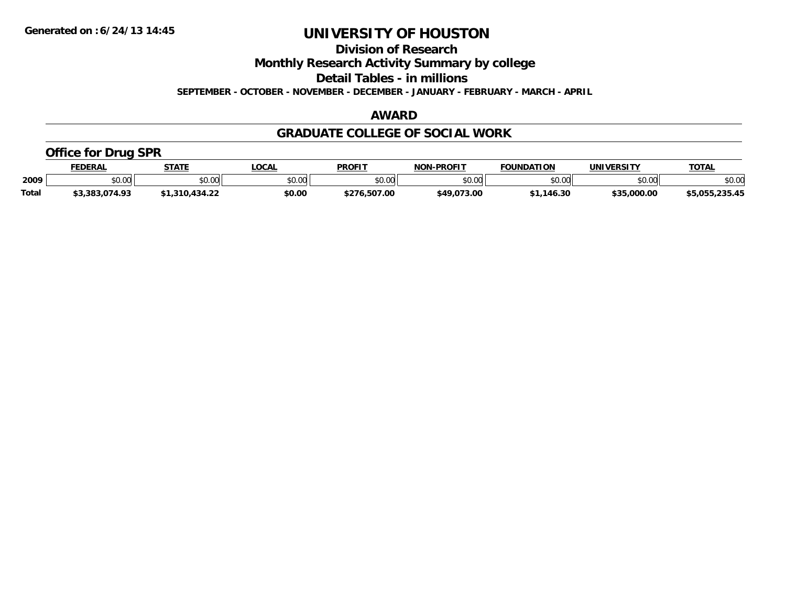**Division of Research**

**Monthly Research Activity Summary by college**

**Detail Tables - in millions**

**SEPTEMBER - OCTOBER - NOVEMBER - DECEMBER - JANUARY - FEBRUARY - MARCH - APRIL**

## **AWARD**

### **GRADUATE COLLEGE OF SOCIAL WORK**

## **Office for Drug SPR**

|              | <b>FEDERAL</b> | <b>STATE</b>         | .OCAL  | <b>PROFIT</b> | <b>NON-PROFIT</b> | <b>FOUNDATION</b> | UNIVERSITY    | <b>TOTAL</b>   |
|--------------|----------------|----------------------|--------|---------------|-------------------|-------------------|---------------|----------------|
| 2009         | \$0.00         | 0.00<br><b>JU.UU</b> | \$0.00 | \$0.00        | ልስ ስስ<br>PO.OO    | \$0.00            | 0000<br>ง∪.∪บ | \$0.00         |
| <b>Total</b> | 3,383,074.93.  | 1,310,434.22٪        | \$0.00 | \$276.507.00  | \$49,073.00       | .146.30           | \$35,000.00   | \$5.055.235.45 |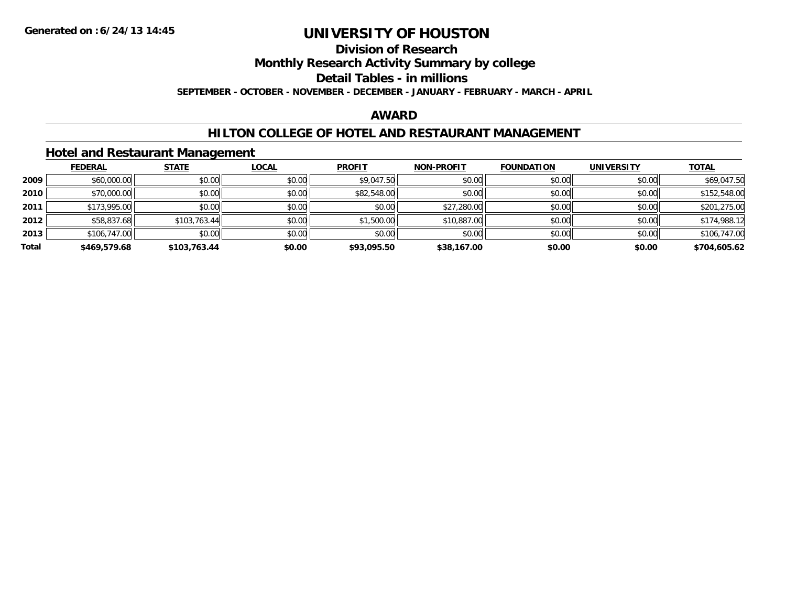## **Division of Research**

**Monthly Research Activity Summary by college**

**Detail Tables - in millions**

**SEPTEMBER - OCTOBER - NOVEMBER - DECEMBER - JANUARY - FEBRUARY - MARCH - APRIL**

## **AWARD**

### **HILTON COLLEGE OF HOTEL AND RESTAURANT MANAGEMENT**

#### **Hotel and Restaurant Management**

|       | <b>FEDERAL</b> | <b>STATE</b> | <b>LOCAL</b> | <b>PROFIT</b> | <b>NON-PROFIT</b> | <b>FOUNDATION</b> | <b>UNIVERSITY</b> | <b>TOTAL</b> |
|-------|----------------|--------------|--------------|---------------|-------------------|-------------------|-------------------|--------------|
| 2009  | \$60,000.00    | \$0.00       | \$0.00       | \$9,047.50    | \$0.00            | \$0.00            | \$0.00            | \$69,047.50  |
| 2010  | \$70,000.00    | \$0.00       | \$0.00       | \$82,548.00   | \$0.00            | \$0.00            | \$0.00            | \$152,548.00 |
| 2011  | \$173,995.00   | \$0.00       | \$0.00       | \$0.00        | \$27,280.00       | \$0.00            | \$0.00            | \$201,275.00 |
| 2012  | \$58,837.68    | \$103,763.44 | \$0.00       | \$1,500.00    | \$10,887.00       | \$0.00            | \$0.00            | \$174,988.12 |
| 2013  | \$106,747.00   | \$0.00       | \$0.00       | \$0.00        | \$0.00            | \$0.00            | \$0.00            | \$106,747.00 |
| Total | \$469,579.68   | \$103,763.44 | \$0.00       | \$93,095.50   | \$38,167.00       | \$0.00            | \$0.00            | \$704,605.62 |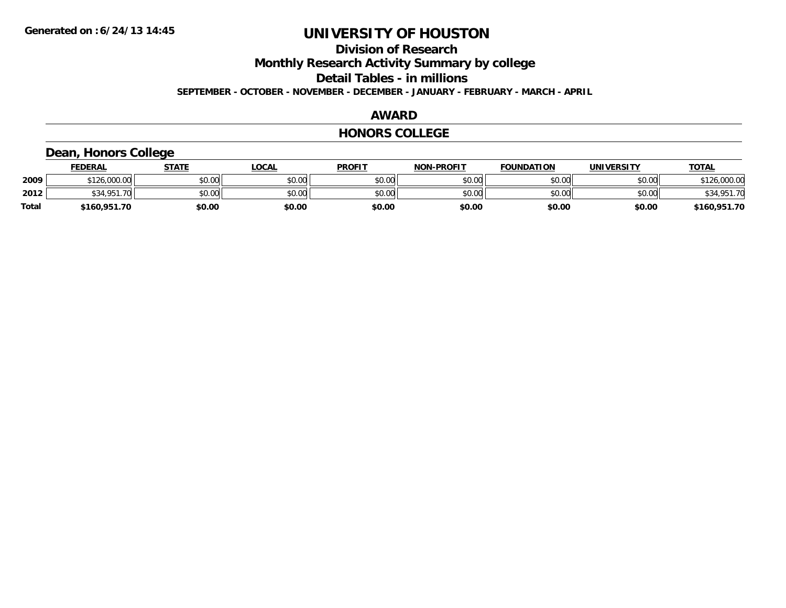**Division of Research**

**Monthly Research Activity Summary by college**

**Detail Tables - in millions**

**SEPTEMBER - OCTOBER - NOVEMBER - DECEMBER - JANUARY - FEBRUARY - MARCH - APRIL**

#### **AWARD**

#### **HONORS COLLEGE**

## **Dean, Honors College**

|       | <b>FEDERAL</b>             | STATE  | <u>LOCAL</u> | <b>PROFIT</b> | <b>NON-PROFIT</b> | <b>FOUNDATION</b> | UNIVERSITY | <b>TOTAL</b> |
|-------|----------------------------|--------|--------------|---------------|-------------------|-------------------|------------|--------------|
| 2009  | \$126,000.00               | \$0.00 | \$0.00       | \$0.00        | \$0.00            | \$0.00            | \$0.00     | \$126,000.00 |
| 2012  | \$34.951<br><b>70</b><br>. | \$0.00 | \$0.00       | \$0.00        | \$0.00            | \$0.00            | \$0.00     | \$34,951.70  |
| Total | \$160,951.70               | \$0.00 | \$0.00       | \$0.00        | \$0.00            | \$0.00            | \$0.00     | \$160,951.70 |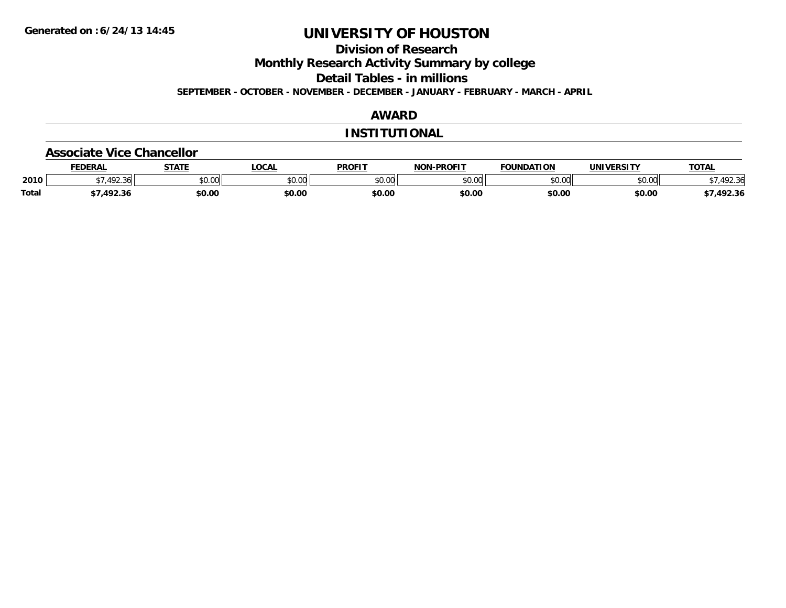**Division of Research**

**Monthly Research Activity Summary by college**

**Detail Tables - in millions**

**SEPTEMBER - OCTOBER - NOVEMBER - DECEMBER - JANUARY - FEBRUARY - MARCH - APRIL**

## **AWARD**

#### **INSTITUTIONAL**

#### **Associate Vice Chancellor**

|              | <b>FEDERA</b>       | -----                | <b>OCAL</b>   | <b>PROFIT</b> | -PROFIT<br>NON. | 71 A N<br><b>OLINIDA</b> | <b>INIVE</b>  | <b>TOTAL</b>    |
|--------------|---------------------|----------------------|---------------|---------------|-----------------|--------------------------|---------------|-----------------|
| 2010         | $\sqrt{2}$<br>72.30 | 0000<br><b>JU.UU</b> | 0.00<br>JU.UU | 40M<br>JU.U   | 0000<br>งบ.บบ   | ልስ ሰሰ<br>טע.טע           | 0000<br>PU.UU | $\sim$<br>92.3t |
| <b>Total</b> | ר רם א              | \$0.00               | \$0.00        | \$0.00        | \$0.00          | \$0.00                   | \$0.00        | 492.36          |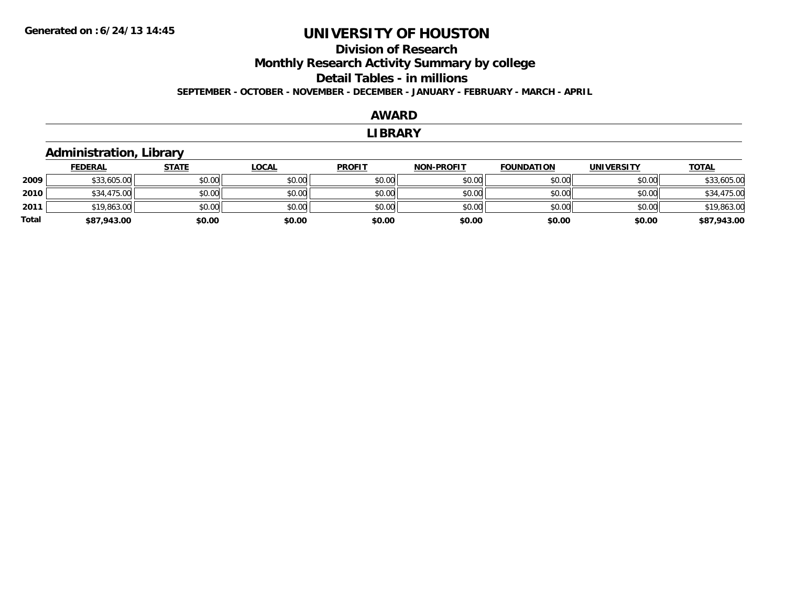### **Division of Research Monthly Research Activity Summary by college Detail Tables - in millions SEPTEMBER - OCTOBER - NOVEMBER - DECEMBER - JANUARY - FEBRUARY - MARCH - APRIL**

#### **AWARD**

#### **LIBRARY**

## **Administration, Library**

|       | <b>FEDERAL</b> | <u>STATE</u> | <u>LOCAL</u> | <b>PROFIT</b> | <b>NON-PROFIT</b> | <b>FOUNDATION</b> | <b>UNIVERSITY</b> | <b>TOTAL</b> |
|-------|----------------|--------------|--------------|---------------|-------------------|-------------------|-------------------|--------------|
| 2009  | \$33,605.00    | \$0.00       | \$0.00       | \$0.00        | \$0.00            | \$0.00            | \$0.00            | \$33,605.00  |
| 2010  | \$34,475.00    | \$0.00       | \$0.00       | \$0.00        | \$0.00            | \$0.00            | \$0.00            | \$34,475.00  |
| 2011  | \$19,863.00    | \$0.00       | \$0.00       | \$0.00        | \$0.00            | \$0.00            | \$0.00            | \$19,863.00  |
| Total | \$87,943.00    | \$0.00       | \$0.00       | \$0.00        | \$0.00            | \$0.00            | \$0.00            | \$87,943.00  |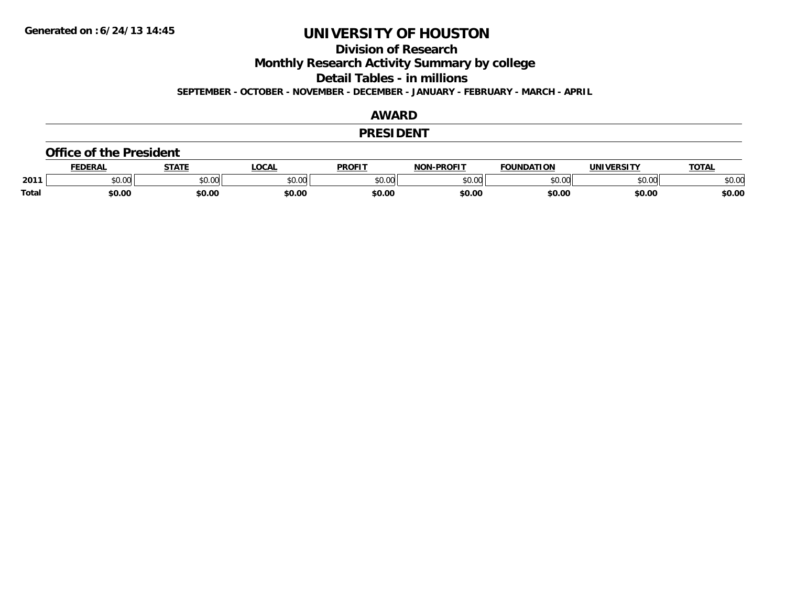**Division of Research**

**Monthly Research Activity Summary by college**

**Detail Tables - in millions**

**SEPTEMBER - OCTOBER - NOVEMBER - DECEMBER - JANUARY - FEBRUARY - MARCH - APRIL**

### **AWARD**

#### **PRESIDENT**

#### **Office of the President**

|              | <b>DERAI</b>  | <b>STATE</b> | LOCAI              | PROFIT          | <b>DDOEIT</b><br>NAN | <b>FOUNDATION</b> | UNIVERSITY | <b>TOTAL</b>   |
|--------------|---------------|--------------|--------------------|-----------------|----------------------|-------------------|------------|----------------|
| 2011         | n vu<br>,u.uu | JU.UU        | $\sim$ 00<br>DU.UL | $\sim$<br>JU.UU | 20M<br>,u.uu         |                   | \$0.00     | ቀስ ስር<br>⊋∪.∪⊌ |
| <b>Total</b> | \$0.00        | \$0.00       | \$0.00             | en nr<br>JU.UL  | \$0.00               | \$0.00            | \$0.00     | \$0.00         |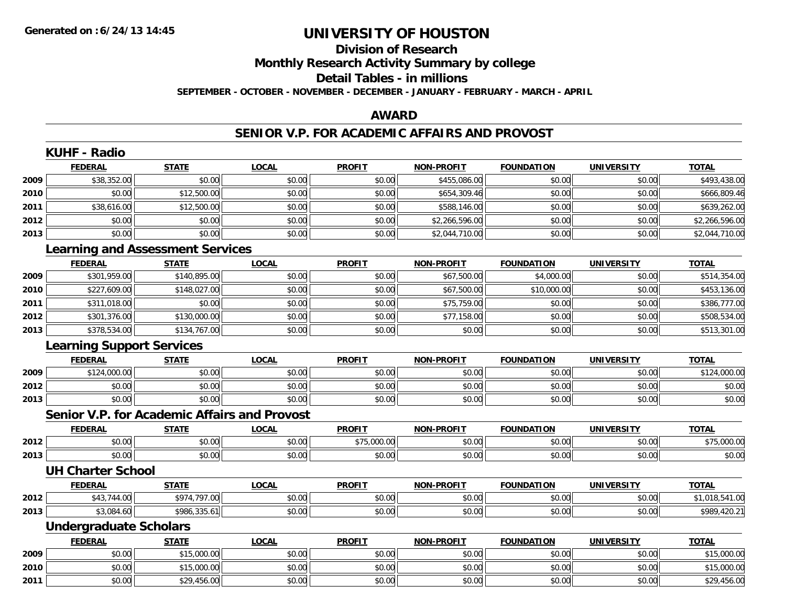# **Division of ResearchMonthly Research Activity Summary by college Detail Tables - in millions**

**SEPTEMBER - OCTOBER - NOVEMBER - DECEMBER - JANUARY - FEBRUARY - MARCH - APRIL**

## **AWARD**

#### **SENIOR V.P. FOR ACADEMIC AFFAIRS AND PROVOST**

|      | <b>KUHF - Radio</b>              |                                                     |              |               |                   |                   |                   |                |
|------|----------------------------------|-----------------------------------------------------|--------------|---------------|-------------------|-------------------|-------------------|----------------|
|      | <b>FEDERAL</b>                   | <b>STATE</b>                                        | <b>LOCAL</b> | <b>PROFIT</b> | NON-PROFIT        | <b>FOUNDATION</b> | <b>UNIVERSITY</b> | <b>TOTAL</b>   |
| 2009 | \$38,352.00                      | \$0.00                                              | \$0.00       | \$0.00        | \$455,086.00      | \$0.00            | \$0.00            | \$493,438.00   |
| 2010 | \$0.00                           | \$12,500.00                                         | \$0.00       | \$0.00        | \$654,309.46      | \$0.00            | \$0.00            | \$666,809.46   |
| 2011 | \$38,616.00                      | \$12,500.00                                         | \$0.00       | \$0.00        | \$588,146.00      | \$0.00            | \$0.00            | \$639,262.00   |
| 2012 | \$0.00                           | \$0.00                                              | \$0.00       | \$0.00        | \$2,266,596.00    | \$0.00            | \$0.00            | \$2,266,596.00 |
| 2013 | \$0.00                           | \$0.00                                              | \$0.00       | \$0.00        | \$2,044,710.00    | \$0.00            | \$0.00            | \$2,044,710.00 |
|      |                                  | <b>Learning and Assessment Services</b>             |              |               |                   |                   |                   |                |
|      | <b>FEDERAL</b>                   | <b>STATE</b>                                        | <b>LOCAL</b> | <b>PROFIT</b> | <b>NON-PROFIT</b> | <b>FOUNDATION</b> | <b>UNIVERSITY</b> | <b>TOTAL</b>   |
| 2009 | \$301,959.00                     | \$140,895.00                                        | \$0.00       | \$0.00        | \$67,500.00       | \$4,000.00        | \$0.00            | \$514,354.00   |
| 2010 | \$227,609.00                     | \$148,027.00                                        | \$0.00       | \$0.00        | \$67,500.00       | \$10,000.00       | \$0.00            | \$453,136.00   |
| 2011 | \$311,018.00                     | \$0.00                                              | \$0.00       | \$0.00        | \$75,759.00       | \$0.00            | \$0.00            | \$386,777.00   |
| 2012 | \$301,376.00                     | \$130,000.00                                        | \$0.00       | \$0.00        | \$77,158.00       | \$0.00            | \$0.00            | \$508,534.00   |
| 2013 | \$378,534.00                     | \$134,767.00                                        | \$0.00       | \$0.00        | \$0.00            | \$0.00            | \$0.00            | \$513,301.00   |
|      | <b>Learning Support Services</b> |                                                     |              |               |                   |                   |                   |                |
|      | <b>FEDERAL</b>                   | <b>STATE</b>                                        | <b>LOCAL</b> | <b>PROFIT</b> | <b>NON-PROFIT</b> | <b>FOUNDATION</b> | <b>UNIVERSITY</b> | <b>TOTAL</b>   |
| 2009 | \$124,000.00                     | \$0.00                                              | \$0.00       | \$0.00        | \$0.00            | \$0.00            | \$0.00            | \$124,000.00   |
| 2012 | \$0.00                           | \$0.00                                              | \$0.00       | \$0.00        | \$0.00            | \$0.00            | \$0.00            | \$0.00         |
| 2013 | \$0.00                           | \$0.00                                              | \$0.00       | \$0.00        | \$0.00            | \$0.00            | \$0.00            | \$0.00         |
|      |                                  | <b>Senior V.P. for Academic Affairs and Provost</b> |              |               |                   |                   |                   |                |
|      | <b>FEDERAL</b>                   | <b>STATE</b>                                        | <b>LOCAL</b> | <b>PROFIT</b> | <b>NON-PROFIT</b> | <b>FOUNDATION</b> | <b>UNIVERSITY</b> | <b>TOTAL</b>   |
| 2012 | \$0.00                           | \$0.00                                              | \$0.00       | \$75,000.00   | \$0.00            | \$0.00            | \$0.00            | \$75,000.00    |
| 2013 | \$0.00                           | \$0.00                                              | \$0.00       | \$0.00        | \$0.00            | \$0.00            | \$0.00            | \$0.00         |
|      | <b>UH Charter School</b>         |                                                     |              |               |                   |                   |                   |                |
|      | <b>FEDERAL</b>                   | <b>STATE</b>                                        | <b>LOCAL</b> | <b>PROFIT</b> | <b>NON-PROFIT</b> | <b>FOUNDATION</b> | <b>UNIVERSITY</b> | <b>TOTAL</b>   |
| 2012 | \$43,744.00                      | \$974,797.00                                        | \$0.00       | \$0.00        | \$0.00            | \$0.00            | \$0.00            | \$1,018,541.00 |
| 2013 | \$3,084.60                       | \$986,335.61                                        | \$0.00       | \$0.00        | \$0.00            | \$0.00            | \$0.00            | \$989,420.21   |
|      | <b>Undergraduate Scholars</b>    |                                                     |              |               |                   |                   |                   |                |
|      | <b>FEDERAL</b>                   | <b>STATE</b>                                        | <b>LOCAL</b> | <b>PROFIT</b> | NON-PROFIT        | <b>FOUNDATION</b> | <b>UNIVERSITY</b> | <b>TOTAL</b>   |
| 2009 | \$0.00                           | \$15,000.00                                         | \$0.00       | \$0.00        | \$0.00            | \$0.00            | \$0.00            | \$15,000.00    |
| 2010 | \$0.00                           | \$15,000.00                                         | \$0.00       | \$0.00        | \$0.00            | \$0.00            | \$0.00            | \$15,000.00    |
| 2011 | \$0.00                           | \$29,456.00                                         | \$0.00       | \$0.00        | \$0.00            | \$0.00            | \$0.00            | \$29,456.00    |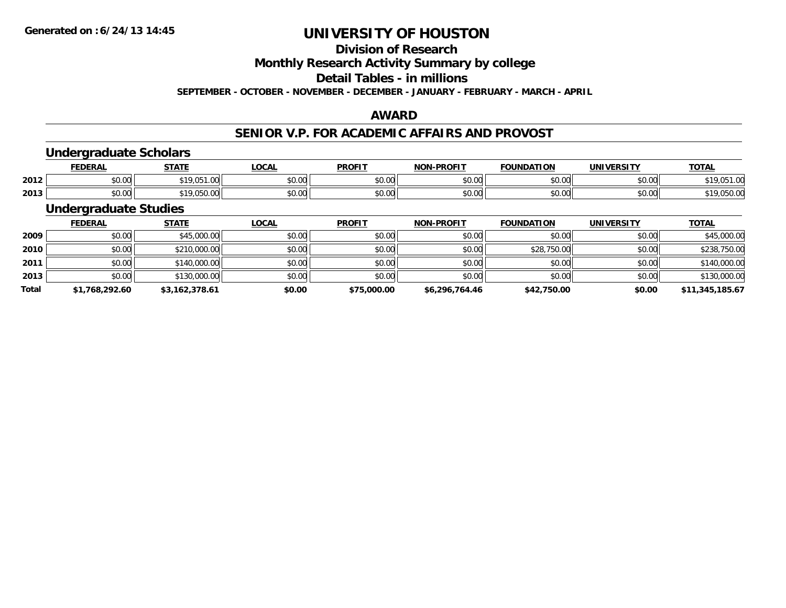## **Division of Research**

**Monthly Research Activity Summary by college**

**Detail Tables - in millions**

**SEPTEMBER - OCTOBER - NOVEMBER - DECEMBER - JANUARY - FEBRUARY - MARCH - APRIL**

## **AWARD**

### **SENIOR V.P. FOR ACADEMIC AFFAIRS AND PROVOST**

## **Undergraduate Scholars**

|      | <b>EDERAL</b> | <b>STATE</b>   | LOCAL                   | <b>PROFIT</b> | <b>NON</b><br><b>LPROFIT</b> | <b>FOUNDATION</b>    | <b>IINIVEDSITV</b> | <b>TOTAL</b>    |
|------|---------------|----------------|-------------------------|---------------|------------------------------|----------------------|--------------------|-----------------|
| 2012 | 0000<br>pu.uu | $\cdots$       | 0 <sup>n</sup><br>JU.UU | 0000<br>וטטוע | $n \cap \neg$<br>,u.uu       | 0000<br>טט.טע        | 0.00<br>PU.UU      | 0.100<br>ں رہے۔ |
| 2013 | 0000<br>DU.UU | 30.050<br>U5U. | $\sim$ $\sim$<br>งบ.บบ  | 0000<br>טע.טע | \$0.00                       | $\sim$ 00<br>,,,,,,, | $\sim$ 00<br>DU.UU | יט.טכט.         |

## **Undergraduate Studies**

|              | <b>FEDERAL</b> | <u>STATE</u>   | <b>LOCAL</b> | <b>PROFIT</b> | <b>NON-PROFIT</b> | <b>FOUNDATION</b> | <b>UNIVERSITY</b> | <b>TOTAL</b>    |
|--------------|----------------|----------------|--------------|---------------|-------------------|-------------------|-------------------|-----------------|
| 2009         | \$0.00         | \$45,000.00    | \$0.00       | \$0.00        | \$0.00            | \$0.00            | \$0.00            | \$45,000.00     |
| 2010         | \$0.00         | \$210,000.00   | \$0.00       | \$0.00        | \$0.00            | \$28,750.00       | \$0.00            | \$238,750.00    |
| 2011         | \$0.00         | \$140,000.00   | \$0.00       | \$0.00        | \$0.00            | \$0.00            | \$0.00            | \$140,000.00    |
| 2013         | \$0.00         | \$130,000.00   | \$0.00       | \$0.00        | \$0.00            | \$0.00            | \$0.00            | \$130,000.00    |
| <b>Total</b> | \$1,768,292.60 | \$3,162,378.61 | \$0.00       | \$75,000.00   | \$6,296,764.46    | \$42,750.00       | \$0.00            | \$11,345,185.67 |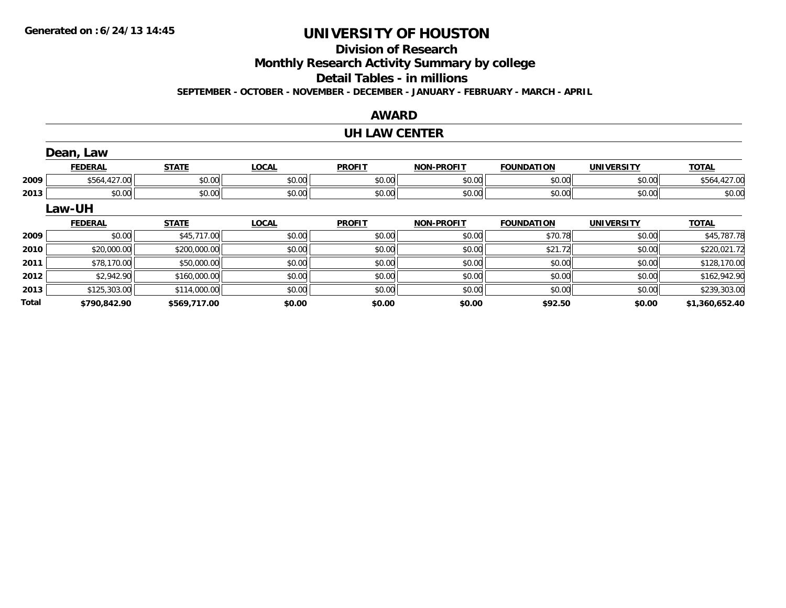**Total**

# **UNIVERSITY OF HOUSTON**

## **Division of Research**

**Monthly Research Activity Summary by college**

**Detail Tables - in millions**

**SEPTEMBER - OCTOBER - NOVEMBER - DECEMBER - JANUARY - FEBRUARY - MARCH - APRIL**

### **AWARD**

#### **UH LAW CENTER**

|      | Dean, Law      |              |              |               |                   |                   |                   |              |
|------|----------------|--------------|--------------|---------------|-------------------|-------------------|-------------------|--------------|
|      | <b>FEDERAL</b> | <b>STATE</b> | <b>LOCAL</b> | <b>PROFIT</b> | <b>NON-PROFIT</b> | <b>FOUNDATION</b> | <b>UNIVERSITY</b> | <b>TOTAL</b> |
| 2009 | \$564,427.00   | \$0.00       | \$0.00       | \$0.00        | \$0.00            | \$0.00            | \$0.00            | \$564,427.00 |
| 2013 | \$0.00         | \$0.00       | \$0.00       | \$0.00        | \$0.00            | \$0.00            | \$0.00            | \$0.00       |
|      | Law-UH         |              |              |               |                   |                   |                   |              |
|      | <b>FEDERAL</b> | <b>STATE</b> | <b>LOCAL</b> | <b>PROFIT</b> | <b>NON-PROFIT</b> | <b>FOUNDATION</b> | <b>UNIVERSITY</b> | <b>TOTAL</b> |
| 2009 | \$0.00         | \$45,717.00  | \$0.00       | \$0.00        | \$0.00            | \$70.78           | \$0.00            | \$45,787.78  |
| 2010 | \$20,000.00    | \$200,000.00 | \$0.00       | \$0.00        | \$0.00            | \$21.72           | \$0.00            | \$220,021.72 |
| 2011 | \$78,170.00    | \$50,000.00  | \$0.00       | \$0.00        | \$0.00            | \$0.00            | \$0.00            | \$128,170.00 |
| 2012 | \$2,942.90     | \$160,000.00 | \$0.00       | \$0.00        | \$0.00            | \$0.00            | \$0.00            | \$162,942.90 |
| 2013 | \$125,303.00   | \$114,000.00 | \$0.00       | \$0.00        | \$0.00            | \$0.00            | \$0.00            | \$239,303.00 |

**\$790,842.90 \$569,717.00 \$0.00 \$0.00 \$0.00 \$92.50 \$0.00 \$1,360,652.40**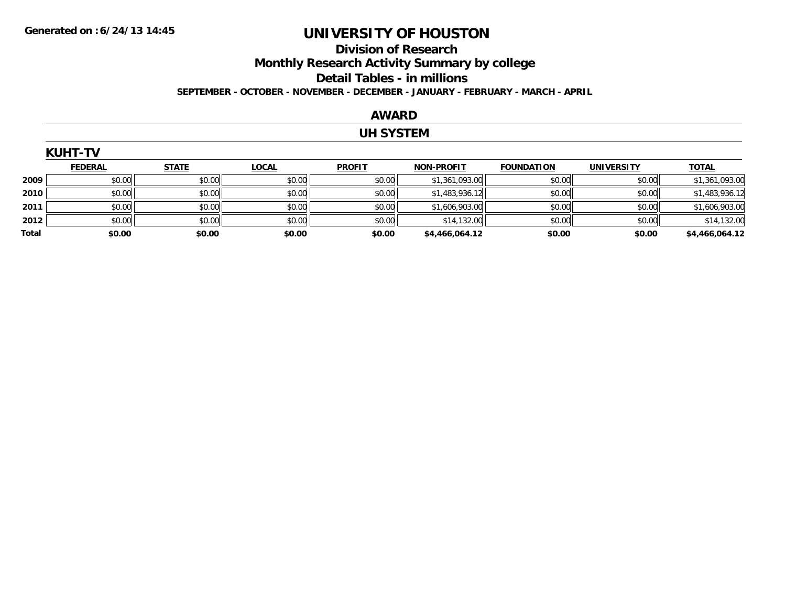## **Division of Research Monthly Research Activity Summary by college Detail Tables - in millions**

**SEPTEMBER - OCTOBER - NOVEMBER - DECEMBER - JANUARY - FEBRUARY - MARCH - APRIL**

#### **AWARD**

## **UH SYSTEM**

|       | <b>KUHT-TV</b> |              |              |               |                   |                   |                   |                |
|-------|----------------|--------------|--------------|---------------|-------------------|-------------------|-------------------|----------------|
|       | <b>FEDERAL</b> | <b>STATE</b> | <b>LOCAL</b> | <b>PROFIT</b> | <b>NON-PROFIT</b> | <b>FOUNDATION</b> | <b>UNIVERSITY</b> | <b>TOTAL</b>   |
| 2009  | \$0.00         | \$0.00       | \$0.00       | \$0.00        | \$1,361,093.00    | \$0.00            | \$0.00            | \$1,361,093.00 |
| 2010  | \$0.00         | \$0.00       | \$0.00       | \$0.00        | \$1,483,936.12    | \$0.00            | \$0.00            | \$1,483,936.12 |
| 2011  | \$0.00         | \$0.00       | \$0.00       | \$0.00        | \$1,606,903.00    | \$0.00            | \$0.00            | \$1,606,903.00 |
| 2012  | \$0.00         | \$0.00       | \$0.00       | \$0.00        | \$14,132.00       | \$0.00            | \$0.00            | \$14,132.00    |
| Total | \$0.00         | \$0.00       | \$0.00       | \$0.00        | \$4,466,064.12    | \$0.00            | \$0.00            | \$4,466,064.12 |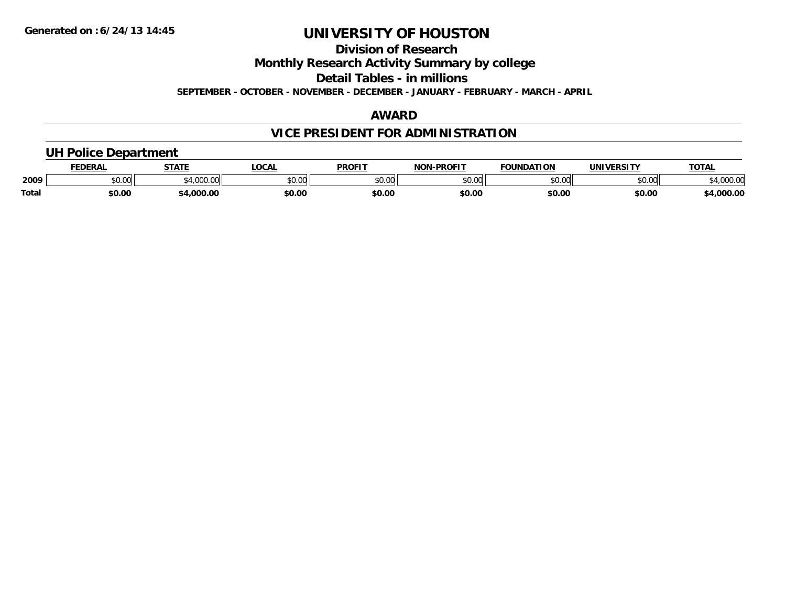**Division of Research**

**Monthly Research Activity Summary by college**

**Detail Tables - in millions**

**SEPTEMBER - OCTOBER - NOVEMBER - DECEMBER - JANUARY - FEBRUARY - MARCH - APRIL**

## **AWARD**

## **VICE PRESIDENT FOR ADMINISTRATION**

## **UH Police Department**

|       | <b>FEDERAL</b> | <b>STATE</b>      | <b>LOCAL</b>  | <b>PROFIT</b> | -PROFIT<br><b>NION</b> | <b>FOUNDATION</b> | UNIVERSITY | <b>TOTA</b>    |
|-------|----------------|-------------------|---------------|---------------|------------------------|-------------------|------------|----------------|
| 2009  | ሶስ ስስ<br>טע.טע | 1.000.01<br>uuu.u | 0000<br>JU.UU | 0000<br>JU.UU | $\sim$ 00<br>ט.טע      | \$0.00            | \$0.00     | 0000<br>JUU.UU |
| Total | \$0.00         | .000.00           | \$0.00        | \$0.OC        | \$0.00                 | \$0.00            | \$0.00     | .000.00        |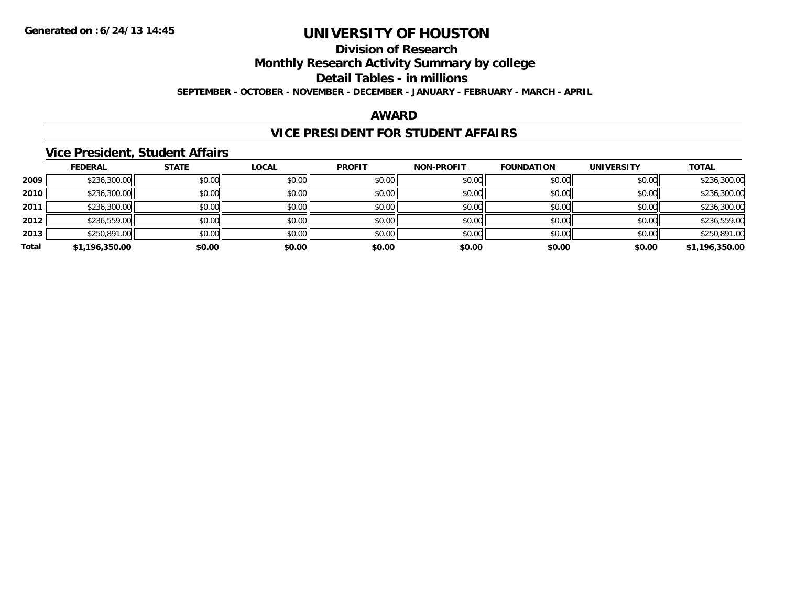**Division of Research**

**Monthly Research Activity Summary by college**

**Detail Tables - in millions**

**SEPTEMBER - OCTOBER - NOVEMBER - DECEMBER - JANUARY - FEBRUARY - MARCH - APRIL**

#### **AWARD**

## **VICE PRESIDENT FOR STUDENT AFFAIRS**

#### **Vice President, Student Affairs**

|       | <b>FEDERAL</b> | <b>STATE</b> | <b>LOCAL</b> | <b>PROFIT</b> | <b>NON-PROFIT</b> | <b>FOUNDATION</b> | <b>UNIVERSITY</b> | <b>TOTAL</b>   |
|-------|----------------|--------------|--------------|---------------|-------------------|-------------------|-------------------|----------------|
| 2009  | \$236,300.00   | \$0.00       | \$0.00       | \$0.00        | \$0.00            | \$0.00            | \$0.00            | \$236,300.00   |
| 2010  | \$236,300.00   | \$0.00       | \$0.00       | \$0.00        | \$0.00            | \$0.00            | \$0.00            | \$236,300.00   |
| 2011  | \$236,300.00   | \$0.00       | \$0.00       | \$0.00        | \$0.00            | \$0.00            | \$0.00            | \$236,300.00   |
| 2012  | \$236,559.00   | \$0.00       | \$0.00       | \$0.00        | \$0.00            | \$0.00            | \$0.00            | \$236,559.00   |
| 2013  | \$250,891.00   | \$0.00       | \$0.00       | \$0.00        | \$0.00            | \$0.00            | \$0.00            | \$250,891.00   |
| Total | \$1,196,350.00 | \$0.00       | \$0.00       | \$0.00        | \$0.00            | \$0.00            | \$0.00            | \$1,196,350.00 |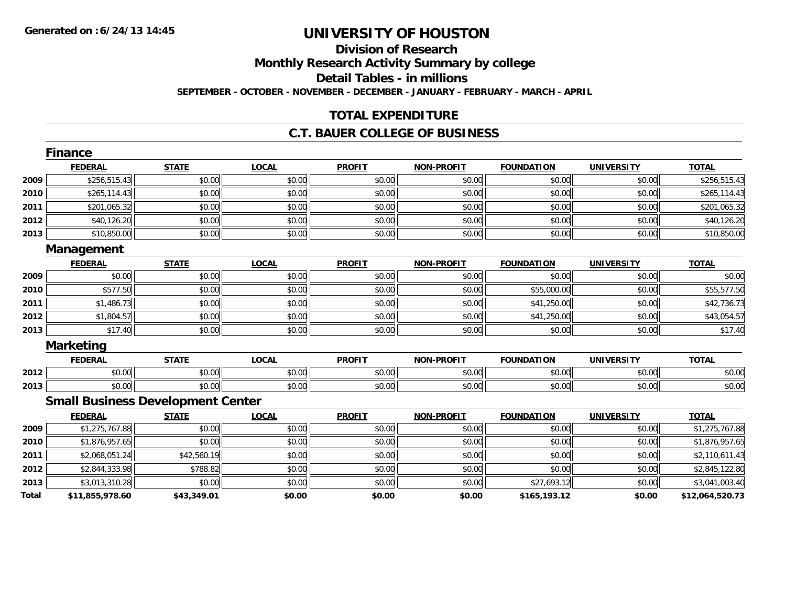# **Division of Research**

**Monthly Research Activity Summary by college**

**Detail Tables - in millions**

**SEPTEMBER - OCTOBER - NOVEMBER - DECEMBER - JANUARY - FEBRUARY - MARCH - APRIL**

## **TOTAL EXPENDITURE**

### **C.T. BAUER COLLEGE OF BUSINESS**

|       | Finance                                  |              |              |               |                   |                   |                   |                 |
|-------|------------------------------------------|--------------|--------------|---------------|-------------------|-------------------|-------------------|-----------------|
|       | <b>FEDERAL</b>                           | <b>STATE</b> | <b>LOCAL</b> | <b>PROFIT</b> | <b>NON-PROFIT</b> | <b>FOUNDATION</b> | <b>UNIVERSITY</b> | <b>TOTAL</b>    |
| 2009  | \$256,515.43                             | \$0.00       | \$0.00       | \$0.00        | \$0.00            | \$0.00            | \$0.00            | \$256,515.43    |
| 2010  | \$265,114.43                             | \$0.00       | \$0.00       | \$0.00        | \$0.00            | \$0.00            | \$0.00            | \$265,114.43    |
| 2011  | \$201,065.32                             | \$0.00       | \$0.00       | \$0.00        | \$0.00            | \$0.00            | \$0.00            | \$201,065.32    |
| 2012  | \$40,126.20                              | \$0.00       | \$0.00       | \$0.00        | \$0.00            | \$0.00            | \$0.00            | \$40,126.20     |
| 2013  | \$10,850.00                              | \$0.00       | \$0.00       | \$0.00        | \$0.00            | \$0.00            | \$0.00            | \$10,850.00     |
|       | Management                               |              |              |               |                   |                   |                   |                 |
|       | <b>FEDERAL</b>                           | <b>STATE</b> | <b>LOCAL</b> | <b>PROFIT</b> | <b>NON-PROFIT</b> | <b>FOUNDATION</b> | <b>UNIVERSITY</b> | <b>TOTAL</b>    |
| 2009  | \$0.00                                   | \$0.00       | \$0.00       | \$0.00        | \$0.00            | \$0.00            | \$0.00            | \$0.00          |
| 2010  | \$577.50                                 | \$0.00       | \$0.00       | \$0.00        | \$0.00            | \$55,000.00       | \$0.00            | \$55,577.50     |
| 2011  | \$1,486.73                               | \$0.00       | \$0.00       | \$0.00        | \$0.00            | \$41,250.00       | \$0.00            | \$42,736.73     |
| 2012  | \$1,804.57                               | \$0.00       | \$0.00       | \$0.00        | \$0.00            | \$41,250.00       | \$0.00            | \$43,054.57     |
| 2013  | \$17.40                                  | \$0.00       | \$0.00       | \$0.00        | \$0.00            | \$0.00            | \$0.00            | \$17.40         |
|       | <b>Marketing</b>                         |              |              |               |                   |                   |                   |                 |
|       | <b>FEDERAL</b>                           | <b>STATE</b> | <b>LOCAL</b> | <b>PROFIT</b> | <b>NON-PROFIT</b> | <b>FOUNDATION</b> | <b>UNIVERSITY</b> | <b>TOTAL</b>    |
| 2012  | \$0.00                                   | \$0.00       | \$0.00       | \$0.00        | \$0.00            | \$0.00            | \$0.00            | \$0.00          |
| 2013  | \$0.00                                   | \$0.00       | \$0.00       | \$0.00        | \$0.00            | \$0.00            | \$0.00            | \$0.00          |
|       | <b>Small Business Development Center</b> |              |              |               |                   |                   |                   |                 |
|       | <b>FEDERAL</b>                           | <b>STATE</b> | <b>LOCAL</b> | <b>PROFIT</b> | <b>NON-PROFIT</b> | <b>FOUNDATION</b> | <b>UNIVERSITY</b> | <b>TOTAL</b>    |
| 2009  | \$1,275,767.88                           | \$0.00       | \$0.00       | \$0.00        | \$0.00            | \$0.00            | \$0.00            | \$1,275,767.88  |
| 2010  | \$1,876,957.65                           | \$0.00       | \$0.00       | \$0.00        | \$0.00            | \$0.00            | \$0.00            | \$1,876,957.65  |
| 2011  | \$2,068,051.24                           | \$42,560.19  | \$0.00       | \$0.00        | \$0.00            | \$0.00            | \$0.00            | \$2,110,611.43  |
| 2012  | \$2,844,333.98                           | \$788.82     | \$0.00       | \$0.00        | \$0.00            | \$0.00            | \$0.00            | \$2,845,122.80  |
| 2013  | \$3,013,310.28                           | \$0.00       | \$0.00       | \$0.00        | \$0.00            | \$27,693.12       | \$0.00            | \$3,041,003.40  |
| Total | \$11,855,978.60                          | \$43,349.01  | \$0.00       | \$0.00        | \$0.00            | \$165,193.12      | \$0.00            | \$12,064,520.73 |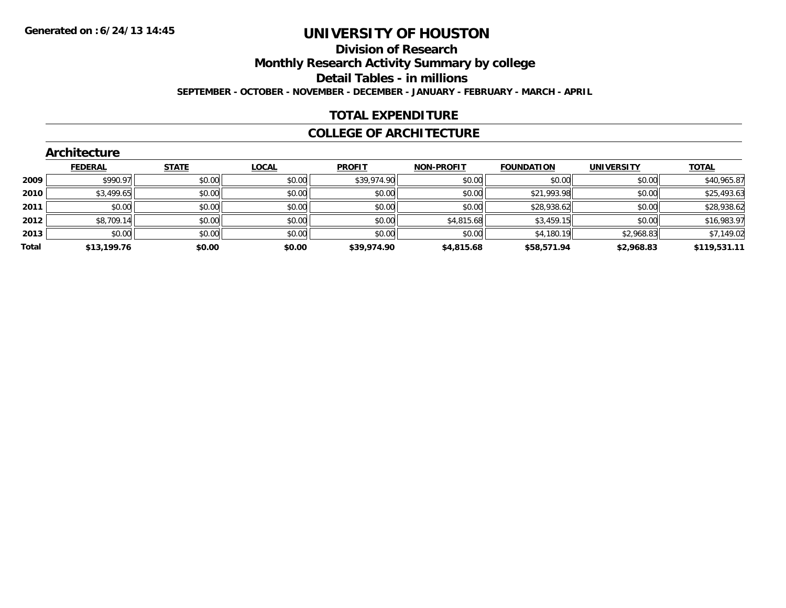#### **Division of Research**

**Monthly Research Activity Summary by college**

**Detail Tables - in millions**

**SEPTEMBER - OCTOBER - NOVEMBER - DECEMBER - JANUARY - FEBRUARY - MARCH - APRIL**

## **TOTAL EXPENDITURE**

#### **COLLEGE OF ARCHITECTURE**

| <b>STATE</b><br><b>TOTAL</b><br><b>FEDERAL</b><br><b>LOCAL</b><br><b>PROFIT</b><br><b>NON-PROFIT</b><br><b>FOUNDATION</b><br><b>UNIVERSITY</b><br>\$39,974.90<br>\$0.00<br>\$990.97<br>\$0.00<br>\$0.00<br>\$0.00<br>\$0.00<br>2009<br>\$0.00<br>\$3,499.65<br>\$0.00<br>\$0.00<br>\$0.00<br>\$21,993.98<br>\$0.00<br>2010<br>\$0.00<br>\$0.00<br>\$0.00<br>\$0.00<br>\$0.00<br>\$28,938.62<br>\$0.00<br>2011<br>\$0.00<br>\$4,815.68<br>\$8,709.14<br>\$0.00<br>\$3,459.15<br>\$0.00<br>2012<br>\$0.00<br>\$0.00<br>\$0.00<br>\$4,180.19<br>\$2,968.83<br>\$0.00<br>2013<br>\$0.00<br>\$0.00<br>Total<br>\$0.00<br>\$13,199.76<br>\$0.00<br>\$39,974.90<br>\$58,571.94<br>\$2,968.83<br>\$4,815.68 | <b>Architecture</b> |  |  |  |              |
|-----------------------------------------------------------------------------------------------------------------------------------------------------------------------------------------------------------------------------------------------------------------------------------------------------------------------------------------------------------------------------------------------------------------------------------------------------------------------------------------------------------------------------------------------------------------------------------------------------------------------------------------------------------------------------------------------------|---------------------|--|--|--|--------------|
|                                                                                                                                                                                                                                                                                                                                                                                                                                                                                                                                                                                                                                                                                                     |                     |  |  |  |              |
|                                                                                                                                                                                                                                                                                                                                                                                                                                                                                                                                                                                                                                                                                                     |                     |  |  |  | \$40,965.87  |
|                                                                                                                                                                                                                                                                                                                                                                                                                                                                                                                                                                                                                                                                                                     |                     |  |  |  | \$25,493.63  |
|                                                                                                                                                                                                                                                                                                                                                                                                                                                                                                                                                                                                                                                                                                     |                     |  |  |  | \$28,938.62  |
|                                                                                                                                                                                                                                                                                                                                                                                                                                                                                                                                                                                                                                                                                                     |                     |  |  |  | \$16,983.97  |
|                                                                                                                                                                                                                                                                                                                                                                                                                                                                                                                                                                                                                                                                                                     |                     |  |  |  | \$7,149.02   |
|                                                                                                                                                                                                                                                                                                                                                                                                                                                                                                                                                                                                                                                                                                     |                     |  |  |  | \$119,531.11 |

#### **Architecture**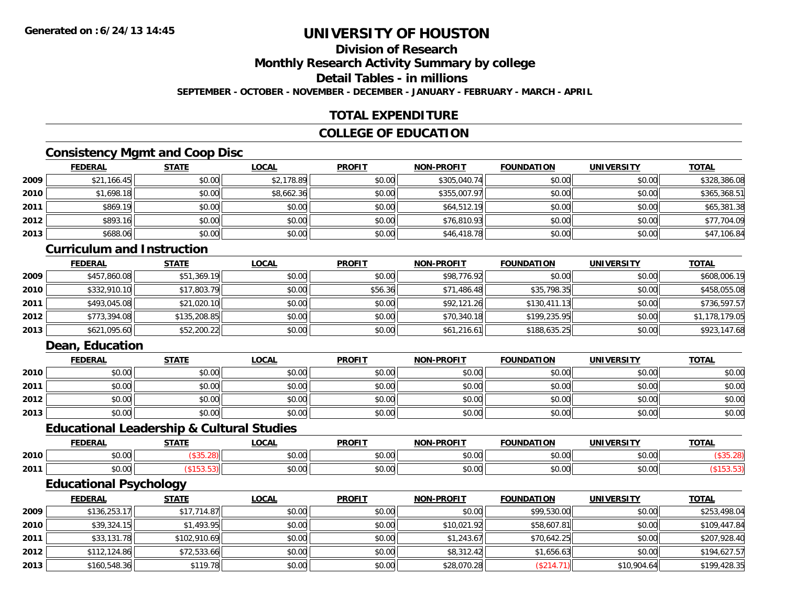## **Division of Research**

**Monthly Research Activity Summary by college**

**Detail Tables - in millions**

**SEPTEMBER - OCTOBER - NOVEMBER - DECEMBER - JANUARY - FEBRUARY - MARCH - APRIL**

## **TOTAL EXPENDITURE**

## **COLLEGE OF EDUCATION**

## **Consistency Mgmt and Coop Disc**

|      | <u>FEDERAL</u> | <b>STATE</b> | <u>LOCAL</u> | <b>PROFIT</b> | <b>NON-PROFIT</b> | <b>FOUNDATION</b> | <b>UNIVERSITY</b> | <b>TOTAL</b> |
|------|----------------|--------------|--------------|---------------|-------------------|-------------------|-------------------|--------------|
| 2009 | \$21,166.45    | \$0.00       | \$2,178.89   | \$0.00        | \$305,040.74      | \$0.00            | \$0.00            | \$328,386.08 |
| 2010 | \$1,698.18     | \$0.00       | \$8,662.36   | \$0.00        | \$355,007.97      | \$0.00            | \$0.00            | \$365,368.51 |
| 2011 | \$869.19       | \$0.00       | \$0.00       | \$0.00        | \$64,512.19       | \$0.00            | \$0.00            | \$65,381.38  |
| 2012 | \$893.16       | \$0.00       | \$0.00       | \$0.00        | \$76,810.93       | \$0.00            | \$0.00            | \$77,704.09  |
| 2013 | \$688.06       | \$0.00       | \$0.00       | \$0.00        | \$46,418.78       | \$0.00            | \$0.00            | \$47,106.84  |

#### **Curriculum and Instruction**

|      | <b>FEDERAL</b> | <b>STATE</b> | <u>LOCAL</u> | <b>PROFIT</b> | <b>NON-PROFIT</b> | <b>FOUNDATION</b> | <b>UNIVERSITY</b> | <b>TOTAL</b>   |
|------|----------------|--------------|--------------|---------------|-------------------|-------------------|-------------------|----------------|
| 2009 | \$457,860.08   | \$51,369.19  | \$0.00       | \$0.00        | \$98,776.92       | \$0.00            | \$0.00            | \$608,006.19   |
| 2010 | \$332,910.10   | \$17,803.79  | \$0.00       | \$56.36       | \$71,486.48       | \$35,798.35       | \$0.00            | \$458,055.08   |
| 2011 | \$493,045.08   | \$21,020.10  | \$0.00       | \$0.00        | \$92,121.26       | \$130,411.13      | \$0.00            | \$736,597.57   |
| 2012 | \$773,394.08   | \$135,208.85 | \$0.00       | \$0.00        | \$70,340.18       | \$199,235.95      | \$0.00            | \$1,178,179.05 |
| 2013 | \$621,095.60   | \$52,200.22  | \$0.00       | \$0.00        | \$61,216.61       | \$188,635.25      | \$0.00            | \$923,147.68   |

## **Dean, Education**

|      | <b>FEDERAL</b> | <b>STATE</b> | <u>LOCAL</u> | <b>PROFIT</b> | <b>NON-PROFIT</b> | <b>FOUNDATION</b> | <b>UNIVERSITY</b> | <b>TOTAL</b> |
|------|----------------|--------------|--------------|---------------|-------------------|-------------------|-------------------|--------------|
| 2010 | \$0.00         | \$0.00       | \$0.00       | \$0.00        | \$0.00            | \$0.00            | \$0.00            | \$0.00       |
| 2011 | \$0.00         | \$0.00       | \$0.00       | \$0.00        | \$0.00            | \$0.00            | \$0.00            | \$0.00       |
| 2012 | \$0.00         | \$0.00       | \$0.00       | \$0.00        | \$0.00            | \$0.00            | \$0.00            | \$0.00       |
| 2013 | \$0.00         | \$0.00       | \$0.00       | \$0.00        | \$0.00            | \$0.00            | \$0.00            | \$0.00       |

#### **Educational Leadership & Cultural Studies**

|      | ____<br>---       | 27.77 | <b>OCAL</b><br>uuni  | <b>DDOLL</b>                             | <b>DDAFIT</b><br>ימוח     | ΓΙΩΝ          | <b>IINIVEDSITV</b> | $T^{\prime}$<br>101r |
|------|-------------------|-------|----------------------|------------------------------------------|---------------------------|---------------|--------------------|----------------------|
| 2010 | $\sim$ 00<br>וטט. |       | 0.00<br>PO.OO        | 0 <sub>n</sub><br>JU.U                   | $\sim$ 00<br>vu.uu        | 0000<br>,,,,  | 0000<br>JU.UU      |                      |
| 2011 | JU.UU             |       | 0000<br><b>JU.UU</b> | $\uparrow$ $\uparrow$ $\uparrow$<br>JU.U | $\sim$ 00 $\sim$<br>PU.UU | ስ ሰሰ<br>70.UU | 0.00<br>JU.UU      |                      |

<u> 1989 - Johann Stoff, amerikansk politiker (d. 1989)</u>

## **Educational Psychology**

|      | <b>FEDERAL</b> | <b>STATE</b> | <b>LOCAL</b> | <b>PROFIT</b> | <b>NON-PROFIT</b> | <b>FOUNDATION</b> | <b>UNIVERSITY</b> | <b>TOTAL</b> |
|------|----------------|--------------|--------------|---------------|-------------------|-------------------|-------------------|--------------|
| 2009 | \$136,253.17   | \$17,714.87  | \$0.00       | \$0.00        | \$0.00            | \$99,530.00       | \$0.00            | \$253,498.04 |
| 2010 | \$39,324.15    | \$1,493.95   | \$0.00       | \$0.00        | \$10,021.92       | \$58,607.81       | \$0.00            | \$109,447.84 |
| 2011 | \$33,131.78    | \$102,910.69 | \$0.00       | \$0.00        | \$1,243.67        | \$70,642.25       | \$0.00            | \$207,928.40 |
| 2012 | \$112,124.86   | \$72,533.66  | \$0.00       | \$0.00        | \$8,312.42        | \$1,656.63        | \$0.00            | \$194,627.57 |
| 2013 | \$160,548.36   | \$119.78     | \$0.00       | \$0.00        | \$28,070.28       | (\$214.71)        | \$10,904.64       | \$199,428.35 |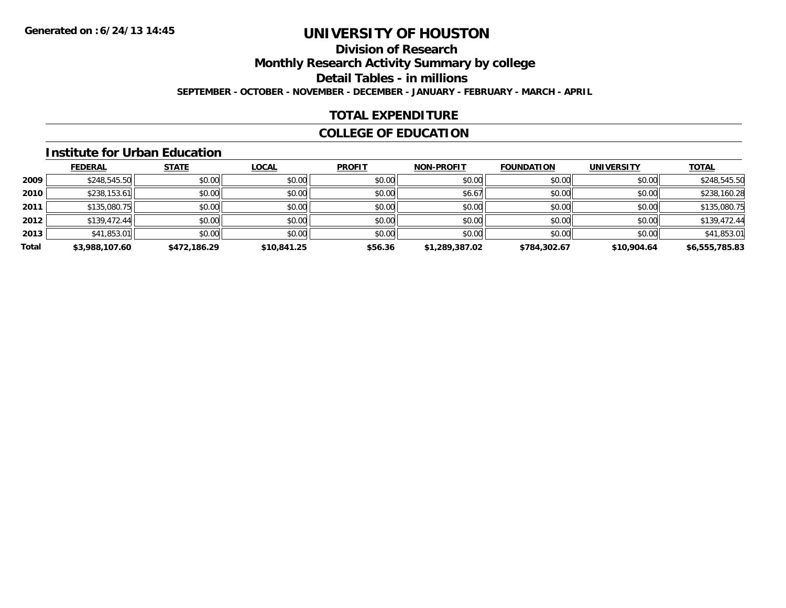## **Division of Research**

**Monthly Research Activity Summary by college**

**Detail Tables - in millions**

**SEPTEMBER - OCTOBER - NOVEMBER - DECEMBER - JANUARY - FEBRUARY - MARCH - APRIL**

## **TOTAL EXPENDITURE**

## **COLLEGE OF EDUCATION**

#### **Institute for Urban Education**

|       | <b>FEDERAL</b> | <b>STATE</b> | <b>LOCAL</b> | <b>PROFIT</b> | <b>NON-PROFIT</b> | <b>FOUNDATION</b> | <b>UNIVERSITY</b> | <b>TOTAL</b>   |
|-------|----------------|--------------|--------------|---------------|-------------------|-------------------|-------------------|----------------|
| 2009  | \$248,545.50   | \$0.00       | \$0.00       | \$0.00        | \$0.00            | \$0.00            | \$0.00            | \$248,545.50   |
| 2010  | \$238,153.61   | \$0.00       | \$0.00       | \$0.00        | \$6.67            | \$0.00            | \$0.00            | \$238,160.28   |
| 2011  | \$135,080.75   | \$0.00       | \$0.00       | \$0.00        | \$0.00            | \$0.00            | \$0.00            | \$135,080.75   |
| 2012  | \$139,472.44   | \$0.00       | \$0.00       | \$0.00        | \$0.00            | \$0.00            | \$0.00            | \$139,472.44   |
| 2013  | \$41,853.01    | \$0.00       | \$0.00       | \$0.00        | \$0.00            | \$0.00            | \$0.00            | \$41,853.01    |
| Total | \$3,988,107.60 | \$472,186.29 | \$10,841.25  | \$56.36       | \$1,289,387.02    | \$784,302.67      | \$10,904.64       | \$6,555,785.83 |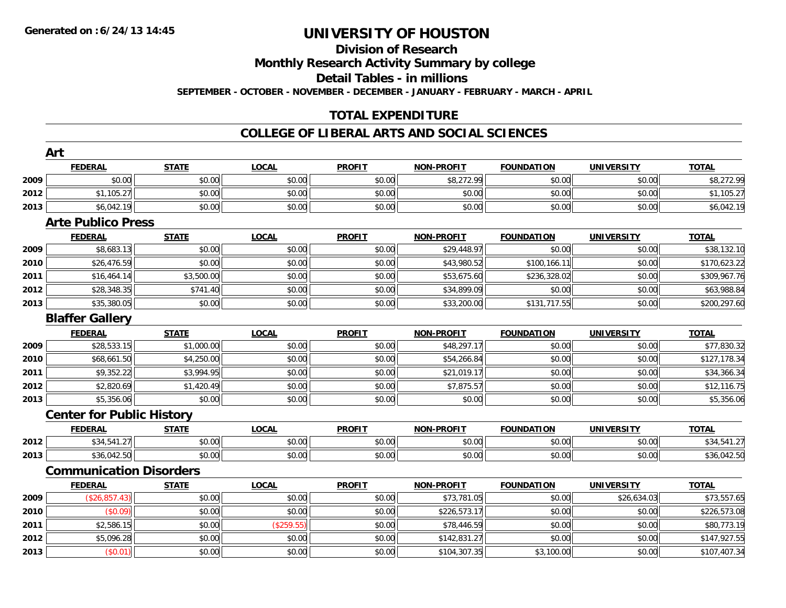## **Division of Research**

**Monthly Research Activity Summary by college**

**Detail Tables - in millions**

**SEPTEMBER - OCTOBER - NOVEMBER - DECEMBER - JANUARY - FEBRUARY - MARCH - APRIL**

## **TOTAL EXPENDITURE**

#### **COLLEGE OF LIBERAL ARTS AND SOCIAL SCIENCES**

|      | Art                              |              |              |               |                   |                   |                   |              |
|------|----------------------------------|--------------|--------------|---------------|-------------------|-------------------|-------------------|--------------|
|      | <b>FEDERAL</b>                   | <b>STATE</b> | <b>LOCAL</b> | <b>PROFIT</b> | <b>NON-PROFIT</b> | <b>FOUNDATION</b> | <b>UNIVERSITY</b> | <b>TOTAL</b> |
| 2009 | \$0.00                           | \$0.00       | \$0.00       | \$0.00        | \$8,272.99        | \$0.00            | \$0.00            | \$8,272.99   |
| 2012 | \$1,105.27                       | \$0.00       | \$0.00       | \$0.00        | \$0.00            | \$0.00            | \$0.00            | \$1,105.27   |
| 2013 | \$6,042.19                       | \$0.00       | \$0.00       | \$0.00        | \$0.00            | \$0.00            | \$0.00            | \$6,042.19   |
|      | <b>Arte Publico Press</b>        |              |              |               |                   |                   |                   |              |
|      | <b>FEDERAL</b>                   | <b>STATE</b> | <b>LOCAL</b> | <b>PROFIT</b> | <b>NON-PROFIT</b> | <b>FOUNDATION</b> | <b>UNIVERSITY</b> | <b>TOTAL</b> |
| 2009 | \$8,683.13                       | \$0.00       | \$0.00       | \$0.00        | \$29,448.97       | \$0.00            | \$0.00            | \$38,132.10  |
| 2010 | \$26,476.59                      | \$0.00       | \$0.00       | \$0.00        | \$43,980.52       | \$100,166.11      | \$0.00            | \$170,623.22 |
| 2011 | \$16,464.14                      | \$3,500.00   | \$0.00       | \$0.00        | \$53,675.60       | \$236,328.02      | \$0.00            | \$309,967.76 |
| 2012 | \$28,348.35                      | \$741.40     | \$0.00       | \$0.00        | \$34,899.09       | \$0.00            | \$0.00            | \$63,988.84  |
| 2013 | \$35,380.05                      | \$0.00       | \$0.00       | \$0.00        | \$33,200.00       | \$131,717.55      | \$0.00            | \$200,297.60 |
|      | <b>Blaffer Gallery</b>           |              |              |               |                   |                   |                   |              |
|      | <b>FEDERAL</b>                   | <b>STATE</b> | <b>LOCAL</b> | <b>PROFIT</b> | <b>NON-PROFIT</b> | <b>FOUNDATION</b> | <b>UNIVERSITY</b> | <b>TOTAL</b> |
| 2009 | \$28,533.15                      | \$1,000.00   | \$0.00       | \$0.00        | \$48,297.17       | \$0.00            | \$0.00            | \$77,830.32  |
| 2010 | \$68,661.50                      | \$4,250.00   | \$0.00       | \$0.00        | \$54,266.84       | \$0.00            | \$0.00            | \$127,178.34 |
| 2011 | \$9,352.22                       | \$3,994.95   | \$0.00       | \$0.00        | \$21,019.17       | \$0.00            | \$0.00            | \$34,366.34  |
| 2012 | \$2,820.69                       | \$1,420.49   | \$0.00       | \$0.00        | \$7,875.57        | \$0.00            | \$0.00            | \$12,116.75  |
| 2013 | \$5,356.06                       | \$0.00       | \$0.00       | \$0.00        | \$0.00            | \$0.00            | \$0.00            | \$5,356.06   |
|      | <b>Center for Public History</b> |              |              |               |                   |                   |                   |              |
|      | <b>FEDERAL</b>                   | <b>STATE</b> | <b>LOCAL</b> | <b>PROFIT</b> | <b>NON-PROFIT</b> | <b>FOUNDATION</b> | <b>UNIVERSITY</b> | <b>TOTAL</b> |
| 2012 | \$34,541.27                      | \$0.00       | \$0.00       | \$0.00        | \$0.00            | \$0.00            | \$0.00            | \$34,541.27  |
| 2013 | \$36,042.50                      | \$0.00       | \$0.00       | \$0.00        | \$0.00            | \$0.00            | \$0.00            | \$36,042.50  |
|      | <b>Communication Disorders</b>   |              |              |               |                   |                   |                   |              |
|      | <b>FEDERAL</b>                   | <b>STATE</b> | <b>LOCAL</b> | <b>PROFIT</b> | <b>NON-PROFIT</b> | <b>FOUNDATION</b> | <b>UNIVERSITY</b> | <b>TOTAL</b> |
| 2009 | (\$26,857.43)                    | \$0.00       | \$0.00       | \$0.00        | \$73,781.05       | \$0.00            | \$26,634.03       | \$73,557.65  |
| 2010 | (\$0.09)                         | \$0.00       | \$0.00       | \$0.00        | \$226,573.17      | \$0.00            | \$0.00            | \$226,573.08 |
| 2011 | \$2,586.15                       | \$0.00       | (\$259.55)   | \$0.00        | \$78,446.59       | \$0.00            | \$0.00            | \$80,773.19  |
| 2012 | \$5,096.28                       | \$0.00       | \$0.00       | \$0.00        | \$142,831.27      | \$0.00            | \$0.00            | \$147,927.55 |
| 2013 | (\$0.01)                         | \$0.00       | \$0.00       | \$0.00        | \$104,307.35      | \$3,100.00        | \$0.00            | \$107,407.34 |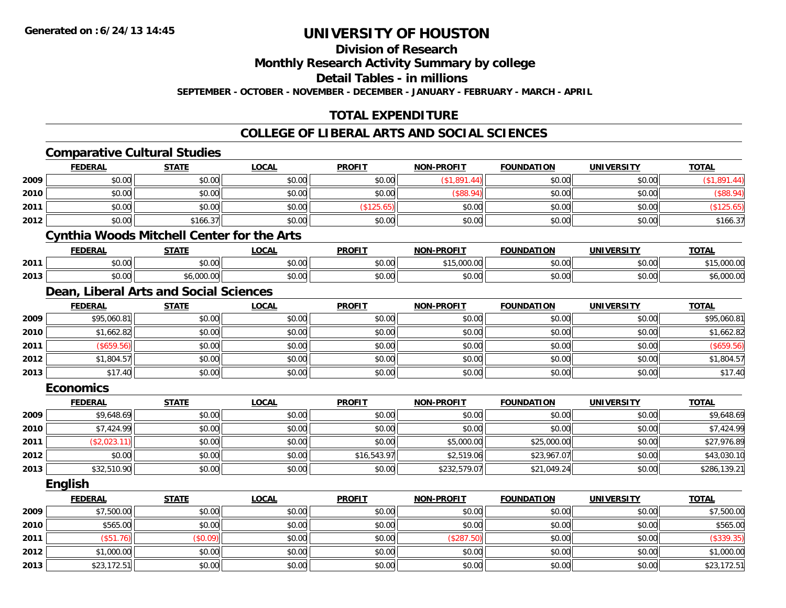**Division of Research**

**Monthly Research Activity Summary by college**

**Detail Tables - in millions**

**SEPTEMBER - OCTOBER - NOVEMBER - DECEMBER - JANUARY - FEBRUARY - MARCH - APRIL**

## **TOTAL EXPENDITURE**

#### **COLLEGE OF LIBERAL ARTS AND SOCIAL SCIENCES**

|      |                  | <b>Comparative Cultural Studies</b>               |              |               |                   |                   |                   |              |
|------|------------------|---------------------------------------------------|--------------|---------------|-------------------|-------------------|-------------------|--------------|
|      | <b>FEDERAL</b>   | <b>STATE</b>                                      | <b>LOCAL</b> | <b>PROFIT</b> | <b>NON-PROFIT</b> | <b>FOUNDATION</b> | <b>UNIVERSITY</b> | <b>TOTAL</b> |
| 2009 | \$0.00           | \$0.00                                            | \$0.00       | \$0.00        | (\$1,891.44)      | \$0.00            | \$0.00            | (\$1,891.44) |
| 2010 | \$0.00           | \$0.00                                            | \$0.00       | \$0.00        | $($ \$88.94)      | \$0.00            | \$0.00            | (\$88.94)    |
| 2011 | \$0.00           | \$0.00                                            | \$0.00       | (\$125.65)    | \$0.00            | \$0.00            | \$0.00            | (\$125.65)   |
| 2012 | \$0.00           | \$166.37                                          | \$0.00       | \$0.00        | \$0.00            | \$0.00            | \$0.00            | \$166.37     |
|      |                  | <b>Cynthia Woods Mitchell Center for the Arts</b> |              |               |                   |                   |                   |              |
|      | <b>FEDERAL</b>   | <b>STATE</b>                                      | <b>LOCAL</b> | <b>PROFIT</b> | <b>NON-PROFIT</b> | <b>FOUNDATION</b> | <b>UNIVERSITY</b> | <b>TOTAL</b> |
| 2011 | \$0.00           | \$0.00                                            | \$0.00       | \$0.00        | \$15,000.00       | \$0.00            | \$0.00            | \$15,000.00  |
| 2013 | \$0.00           | \$6,000.00                                        | \$0.00       | \$0.00        | \$0.00            | \$0.00            | \$0.00            | \$6,000.00   |
|      |                  | Dean, Liberal Arts and Social Sciences            |              |               |                   |                   |                   |              |
|      | <b>FEDERAL</b>   | <b>STATE</b>                                      | <b>LOCAL</b> | <b>PROFIT</b> | <b>NON-PROFIT</b> | <b>FOUNDATION</b> | <b>UNIVERSITY</b> | <b>TOTAL</b> |
| 2009 | \$95,060.81      | \$0.00                                            | \$0.00       | \$0.00        | \$0.00            | \$0.00            | \$0.00            | \$95,060.81  |
| 2010 | \$1,662.82       | \$0.00                                            | \$0.00       | \$0.00        | \$0.00            | \$0.00            | \$0.00            | \$1,662.82   |
| 2011 | (\$659.56)       | \$0.00                                            | \$0.00       | \$0.00        | \$0.00            | \$0.00            | \$0.00            | (\$659.56)   |
| 2012 | \$1,804.57       | \$0.00                                            | \$0.00       | \$0.00        | \$0.00            | \$0.00            | \$0.00            | \$1,804.57   |
| 2013 | \$17.40          | \$0.00                                            | \$0.00       | \$0.00        | \$0.00            | \$0.00            | \$0.00            | \$17.40      |
|      | <b>Economics</b> |                                                   |              |               |                   |                   |                   |              |
|      | <b>FEDERAL</b>   | <b>STATE</b>                                      | <b>LOCAL</b> | <b>PROFIT</b> | <b>NON-PROFIT</b> | <b>FOUNDATION</b> | <b>UNIVERSITY</b> | <b>TOTAL</b> |
| 2009 | \$9,648.69       | \$0.00                                            | \$0.00       | \$0.00        | \$0.00            | \$0.00            | \$0.00            | \$9,648.69   |
| 2010 | \$7,424.99       | \$0.00                                            | \$0.00       | \$0.00        | \$0.00            | \$0.00            | \$0.00            | \$7,424.99   |
| 2011 | (\$2,023.11)     | \$0.00                                            | \$0.00       | \$0.00        | \$5,000.00        | \$25,000.00       | \$0.00            | \$27,976.89  |
| 2012 | \$0.00           | \$0.00                                            | \$0.00       | \$16,543.97   | \$2,519.06        | \$23,967.07       | \$0.00            | \$43,030.10  |
| 2013 | \$32,510.90      | \$0.00                                            | \$0.00       | \$0.00        | \$232,579.07      | \$21,049.24       | \$0.00            | \$286,139.21 |
|      | <b>English</b>   |                                                   |              |               |                   |                   |                   |              |
|      | <b>FEDERAL</b>   | <b>STATE</b>                                      | <b>LOCAL</b> | <b>PROFIT</b> | <b>NON-PROFIT</b> | <b>FOUNDATION</b> | <b>UNIVERSITY</b> | <b>TOTAL</b> |
| 2009 | \$7,500.00       | \$0.00                                            | \$0.00       | \$0.00        | \$0.00            | \$0.00            | \$0.00            | \$7,500.00   |
| 2010 | \$565.00         | \$0.00                                            | \$0.00       | \$0.00        | \$0.00            | \$0.00            | \$0.00            | \$565.00     |
| 2011 | (\$51.76)        | (\$0.09)                                          | \$0.00       | \$0.00        | (\$287.50)        | \$0.00            | \$0.00            | (\$339.35)   |
| 2012 | \$1,000.00       | \$0.00                                            | \$0.00       | \$0.00        | \$0.00            | \$0.00            | \$0.00            | \$1,000.00   |
| 2013 | \$23,172.51      | \$0.00                                            | \$0.00       | \$0.00        | \$0.00            | \$0.00            | \$0.00            | \$23,172.51  |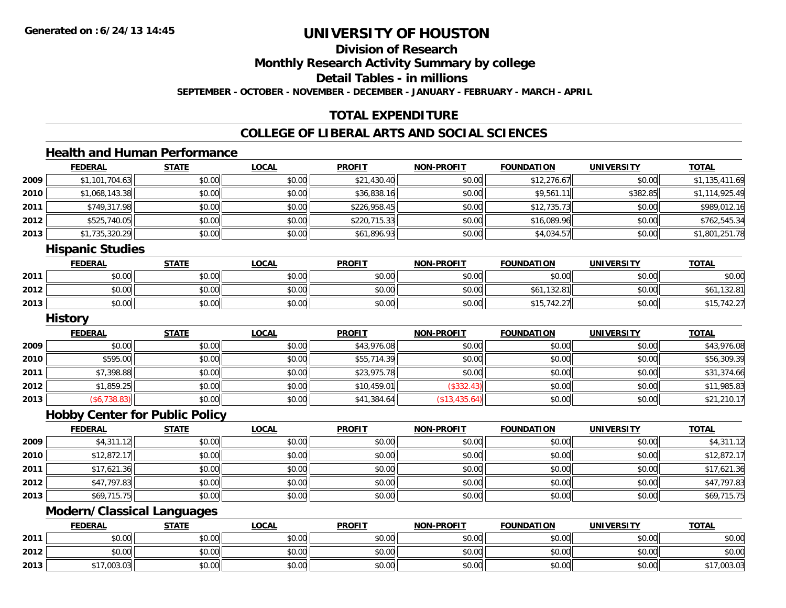**Division of Research**

**Monthly Research Activity Summary by college**

**Detail Tables - in millions**

**SEPTEMBER - OCTOBER - NOVEMBER - DECEMBER - JANUARY - FEBRUARY - MARCH - APRIL**

## **TOTAL EXPENDITURE**

## **COLLEGE OF LIBERAL ARTS AND SOCIAL SCIENCES**

## **Health and Human Performance**

|      | <b>FEDERAL</b> | <b>STATE</b> | <b>LOCAL</b> | <b>PROFIT</b> | <b>NON-PROFIT</b> | <b>FOUNDATION</b> | <b>UNIVERSITY</b> | <u>TOTAL</u>   |
|------|----------------|--------------|--------------|---------------|-------------------|-------------------|-------------------|----------------|
| 2009 | \$1,101,704.63 | \$0.00       | \$0.00       | \$21,430.40   | \$0.00            | \$12,276.67       | \$0.00            | \$1,135,411.69 |
| 2010 | \$1,068,143.38 | \$0.00       | \$0.00       | \$36,838.16   | \$0.00            | \$9,561.11        | \$382.85          | \$1,114,925.49 |
| 2011 | \$749,317.98   | \$0.00       | \$0.00       | \$226,958.45  | \$0.00            | \$12,735.73       | \$0.00            | \$989,012.16   |
| 2012 | \$525,740.05   | \$0.00       | \$0.00       | \$220,715.33  | \$0.00            | \$16,089.96       | \$0.00            | \$762,545.34   |
| 2013 | \$1,735,320.29 | \$0.00       | \$0.00       | \$61,896.93   | \$0.00            | \$4,034.57        | \$0.00            | \$1,801,251.78 |
|      | .              |              |              |               |                   |                   |                   |                |

#### **Hispanic Studies**

|      | FEDERAL                | <b>STATE</b> | <u>LOCAL</u> | <b>PROFIT</b> | <b>NON-PROFIT</b> | <b>FOUNDATION</b> | <b>UNIVERSITY</b> | <b>TOTAL</b> |
|------|------------------------|--------------|--------------|---------------|-------------------|-------------------|-------------------|--------------|
| 2011 | <b>ተ ∩</b><br>JU.UU    | \$0.00       | \$0.00       | \$0.00        | \$0.00            | \$0.00            | \$0.00            | \$0.00       |
| 2012 | ተ በ<br>$\sim$<br>DU.UU | \$0.00       | \$0.00       | \$0.00        | \$0.00            | .132.81           | \$0.00            | 32.81<br>DO. |
| 2013 | ተ በ<br>$\sim$<br>DU.UU | \$0.00       | \$0.00       | \$0.00        | \$0.00            | \$15,742.27       | \$0.00            | 10.07        |

<u> 1980 - Johann Barn, mars eta bainar eta baina eta baina eta baina eta baina eta baina eta baina eta baina e</u>

#### **History**

|      | <b>FEDERAL</b> | <u>STATE</u> | <u>LOCAL</u> | <b>PROFIT</b> | <b>NON-PROFIT</b> | <b>FOUNDATION</b> | <b>UNIVERSITY</b> | <b>TOTAL</b> |
|------|----------------|--------------|--------------|---------------|-------------------|-------------------|-------------------|--------------|
| 2009 | \$0.00         | \$0.00       | \$0.00       | \$43,976.08   | \$0.00            | \$0.00            | \$0.00            | \$43,976.08  |
| 2010 | \$595.00       | \$0.00       | \$0.00       | \$55,714.39   | \$0.00            | \$0.00            | \$0.00            | \$56,309.39  |
| 2011 | \$7,398.88     | \$0.00       | \$0.00       | \$23,975.78   | \$0.00            | \$0.00            | \$0.00            | \$31,374.66  |
| 2012 | \$1,859.25     | \$0.00       | \$0.00       | \$10,459.01   | (\$332.43)        | \$0.00            | \$0.00            | \$11,985.83  |
| 2013 | (\$6,738.83)   | \$0.00       | \$0.00       | \$41,384.64   | (\$13,435.64)     | \$0.00            | \$0.00            | \$21,210.17  |

#### **Hobby Center for Public Policy**

|      | <b>FEDERAL</b> | <b>STATE</b> | <b>LOCAL</b> | <b>PROFIT</b> | NON-PROFIT | <b>FOUNDATION</b> | <b>UNIVERSITY</b> | <b>TOTAL</b> |
|------|----------------|--------------|--------------|---------------|------------|-------------------|-------------------|--------------|
| 2009 | \$4,311.12     | \$0.00       | \$0.00       | \$0.00        | \$0.00     | \$0.00            | \$0.00            | \$4,311.12   |
| 2010 | \$12,872.17    | \$0.00       | \$0.00       | \$0.00        | \$0.00     | \$0.00            | \$0.00            | \$12,872.17  |
| 2011 | \$17,621.36    | \$0.00       | \$0.00       | \$0.00        | \$0.00     | \$0.00            | \$0.00            | \$17,621.36  |
| 2012 | \$47,797.83    | \$0.00       | \$0.00       | \$0.00        | \$0.00     | \$0.00            | \$0.00            | \$47,797.83  |
| 2013 | \$69,715.75    | \$0.00       | \$0.00       | \$0.00        | \$0.00     | \$0.00            | \$0.00            | \$69,715.75  |

<u> 1980 - Johann Barbara, martxa alemaniar amerikan basar da da a shekara 1980 - Andrew Maria Barbara, mash</u>

## **Modern/Classical Languages**

|      | <b>FEDERAL</b> | <b>STATE</b>   | <u>LOCAL</u> | <b>PROFIT</b> | <b>NON-PROFIT</b> | <b>FOUNDATION</b> | UNIVERSITY | <b>TOTAL</b> |
|------|----------------|----------------|--------------|---------------|-------------------|-------------------|------------|--------------|
| 2011 | \$0.00         | 0000<br>PU.UU  | \$0.00       | \$0.00        | \$0.00            | \$0.00            | \$0.00     | \$0.00       |
| 2012 | \$0.00         | 40.00<br>DU.UU | \$0.00       | \$0.00        | \$0.00            | \$0.00            | \$0.00     | \$0.00       |
| 2013 | .003.03        | 4000<br>DU.UU  | \$0.00       | \$0.00        | \$0.00            | \$0.00            | \$0.00     | 003.03       |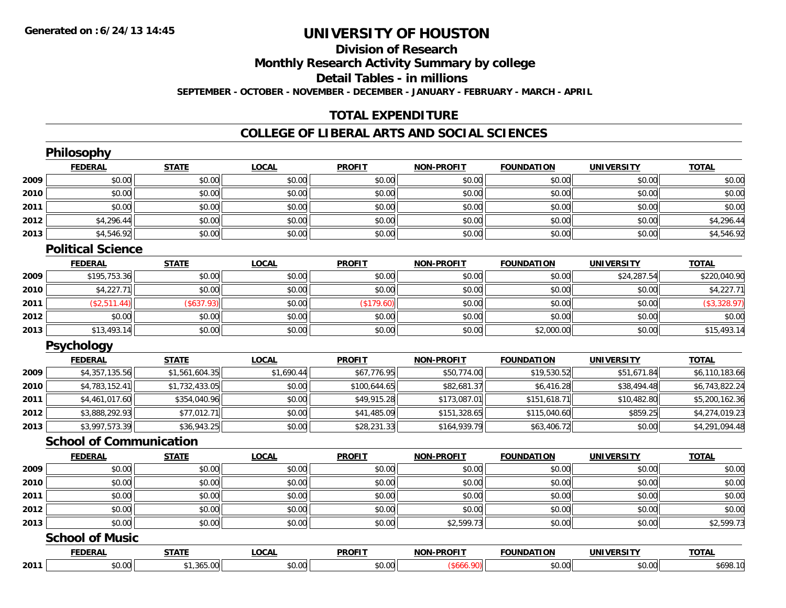## **Division of Research**

**Monthly Research Activity Summary by college**

**Detail Tables - in millions**

**SEPTEMBER - OCTOBER - NOVEMBER - DECEMBER - JANUARY - FEBRUARY - MARCH - APRIL**

## **TOTAL EXPENDITURE**

#### **COLLEGE OF LIBERAL ARTS AND SOCIAL SCIENCES**

|      | Philosophy                     |                |              |               |                   |                   |                   |                |
|------|--------------------------------|----------------|--------------|---------------|-------------------|-------------------|-------------------|----------------|
|      | <b>FEDERAL</b>                 | <b>STATE</b>   | <b>LOCAL</b> | <b>PROFIT</b> | <b>NON-PROFIT</b> | <b>FOUNDATION</b> | <b>UNIVERSITY</b> | <b>TOTAL</b>   |
| 2009 | \$0.00                         | \$0.00         | \$0.00       | \$0.00        | \$0.00            | \$0.00            | \$0.00            | \$0.00         |
| 2010 | \$0.00                         | \$0.00         | \$0.00       | \$0.00        | \$0.00            | \$0.00            | \$0.00            | \$0.00         |
| 2011 | \$0.00                         | \$0.00         | \$0.00       | \$0.00        | \$0.00            | \$0.00            | \$0.00            | \$0.00         |
| 2012 | \$4,296.44                     | \$0.00         | \$0.00       | \$0.00        | \$0.00            | \$0.00            | \$0.00            | \$4,296.44     |
| 2013 | \$4,546.92                     | \$0.00         | \$0.00       | \$0.00        | \$0.00            | \$0.00            | \$0.00            | \$4,546.92     |
|      | <b>Political Science</b>       |                |              |               |                   |                   |                   |                |
|      | <b>FEDERAL</b>                 | <b>STATE</b>   | <b>LOCAL</b> | <b>PROFIT</b> | <b>NON-PROFIT</b> | <b>FOUNDATION</b> | <b>UNIVERSITY</b> | <b>TOTAL</b>   |
| 2009 | \$195,753.36                   | \$0.00         | \$0.00       | \$0.00        | \$0.00            | \$0.00            | \$24,287.54       | \$220,040.90   |
| 2010 | \$4,227.71                     | \$0.00         | \$0.00       | \$0.00        | \$0.00            | \$0.00            | \$0.00            | \$4,227.71     |
| 2011 | (\$2,511.44)                   | (\$637.93)     | \$0.00       | (\$179.60)    | \$0.00            | \$0.00            | \$0.00            | (\$3,328.97)   |
| 2012 | \$0.00                         | \$0.00         | \$0.00       | \$0.00        | \$0.00            | \$0.00            | \$0.00            | \$0.00         |
| 2013 | \$13,493.14                    | \$0.00         | \$0.00       | \$0.00        | \$0.00            | \$2,000.00        | \$0.00            | \$15,493.14    |
|      | Psychology                     |                |              |               |                   |                   |                   |                |
|      | <b>FEDERAL</b>                 | <b>STATE</b>   | <b>LOCAL</b> | <b>PROFIT</b> | <b>NON-PROFIT</b> | <b>FOUNDATION</b> | <b>UNIVERSITY</b> | <b>TOTAL</b>   |
| 2009 | \$4,357,135.56                 | \$1,561,604.35 | \$1,690.44   | \$67,776.95   | \$50,774.00       | \$19,530.52       | \$51,671.84       | \$6,110,183.66 |
| 2010 | \$4,783,152.41                 | \$1,732,433.05 | \$0.00       | \$100,644.65  | \$82,681.37       | \$6,416.28        | \$38,494.48       | \$6,743,822.24 |
| 2011 | \$4,461,017.60                 | \$354,040.96   | \$0.00       | \$49,915.28   | \$173,087.01      | \$151,618.71      | \$10,482.80       | \$5,200,162.36 |
| 2012 | \$3,888,292.93                 | \$77,012.71    | \$0.00       | \$41,485.09   | \$151,328.65      | \$115,040.60      | \$859.25          | \$4,274,019.23 |
| 2013 | \$3,997,573.39                 | \$36,943.25    | \$0.00       | \$28,231.33   | \$164,939.79      | \$63,406.72       | \$0.00            | \$4,291,094.48 |
|      | <b>School of Communication</b> |                |              |               |                   |                   |                   |                |
|      | <b>FEDERAL</b>                 | <b>STATE</b>   | <b>LOCAL</b> | <b>PROFIT</b> | <b>NON-PROFIT</b> | <b>FOUNDATION</b> | <b>UNIVERSITY</b> | <b>TOTAL</b>   |
| 2009 | \$0.00                         | \$0.00         | \$0.00       | \$0.00        | \$0.00            | \$0.00            | \$0.00            | \$0.00         |
| 2010 | \$0.00                         | \$0.00         | \$0.00       | \$0.00        | \$0.00            | \$0.00            | \$0.00            | \$0.00         |
| 2011 | \$0.00                         | \$0.00         | \$0.00       | \$0.00        | \$0.00            | \$0.00            | \$0.00            | \$0.00         |
| 2012 | \$0.00                         | \$0.00         | \$0.00       | \$0.00        | \$0.00            | \$0.00            | \$0.00            | \$0.00         |
| 2013 | \$0.00                         | \$0.00         | \$0.00       | \$0.00        | \$2,599.73        | \$0.00            | \$0.00            | \$2,599.73     |
|      | <b>School of Music</b>         |                |              |               |                   |                   |                   |                |
|      | <b>FEDERAL</b>                 | <b>STATE</b>   | <b>LOCAL</b> | <b>PROFIT</b> | <b>NON-PROFIT</b> | <b>FOUNDATION</b> | <b>UNIVERSITY</b> | <b>TOTAL</b>   |
| 2011 | \$0.00                         | \$1,365.00     | \$0.00       | \$0.00        | (\$666.90)        | \$0.00            | \$0.00            | \$698.10       |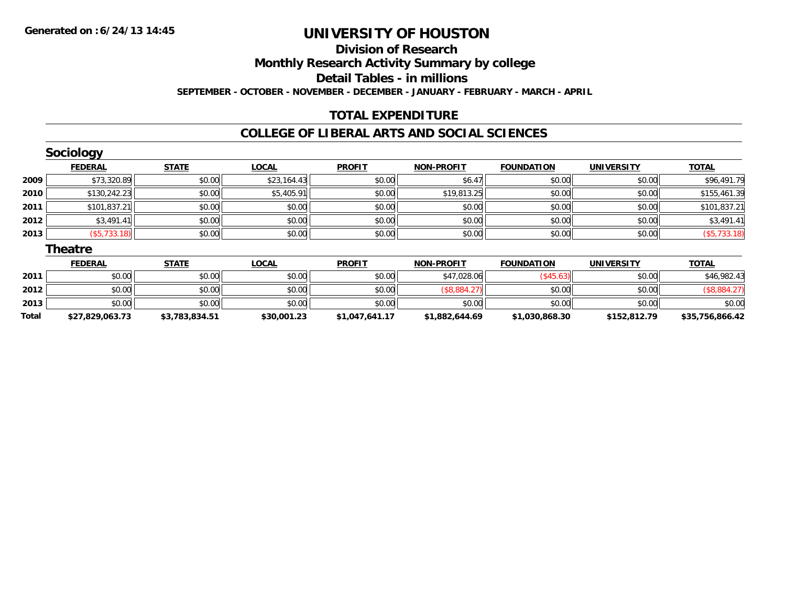## **Division of ResearchMonthly Research Activity Summary by college Detail Tables - in millions SEPTEMBER - OCTOBER - NOVEMBER - DECEMBER - JANUARY - FEBRUARY - MARCH - APRIL**

### **TOTAL EXPENDITURE**

#### **COLLEGE OF LIBERAL ARTS AND SOCIAL SCIENCES**

|      | <b>Sociology</b> |              |              |               |                   |                   |                   |              |
|------|------------------|--------------|--------------|---------------|-------------------|-------------------|-------------------|--------------|
|      | <b>FEDERAL</b>   | <b>STATE</b> | <b>LOCAL</b> | <b>PROFIT</b> | <b>NON-PROFIT</b> | <b>FOUNDATION</b> | <b>UNIVERSITY</b> | <b>TOTAL</b> |
| 2009 | \$73,320.89      | \$0.00       | \$23,164.43  | \$0.00        | \$6.47            | \$0.00            | \$0.00            | \$96,491.79  |
| 2010 | \$130,242.23     | \$0.00       | \$5,405.91   | \$0.00        | \$19,813.25       | \$0.00            | \$0.00            | \$155,461.39 |
| 2011 | \$101,837.21     | \$0.00       | \$0.00       | \$0.00        | \$0.00            | \$0.00            | \$0.00            | \$101,837.21 |
| 2012 | \$3,491.41       | \$0.00       | \$0.00       | \$0.00        | \$0.00            | \$0.00            | \$0.00            | \$3,491.41   |
| 2013 | (\$5,733.18)     | \$0.00       | \$0.00       | \$0.00        | \$0.00            | \$0.00            | \$0.00            | (\$5,733.18) |
|      | <b>Theatre</b>   |              |              |               |                   |                   |                   |              |
|      | <b>FEDERAL</b>   | <b>STATE</b> | <b>LOCAL</b> | <b>PROFIT</b> | <b>NON-PROFIT</b> | <b>FOUNDATION</b> | <b>UNIVERSITY</b> | <b>TOTAL</b> |
| 2011 | \$0.00           | \$0.00       | \$0.00       | \$0.00        | \$47,028.06       | $($ \$45.63) $ $  | \$0.00            | \$46,982.43  |
|      |                  |              |              |               |                   |                   |                   |              |

| 2012  | \$0.00          | \$0.00         | \$0.00      | \$0.00         |                      | \$0.00       | \$0.00       |                 |
|-------|-----------------|----------------|-------------|----------------|----------------------|--------------|--------------|-----------------|
| 2013  | \$0.00          | \$0.00         | \$0.00      | \$0.00         | \$0.00               | \$0.00       | \$0.00       | 0000<br>DU.UU   |
| Total | \$27.829.063.73 | \$3,783,834.51 | \$30,001.23 | \$1,047,641.17 | <b>*1,882,644.69</b> | 1,030,868.30 | \$152,812.79 | \$35.756.866.42 |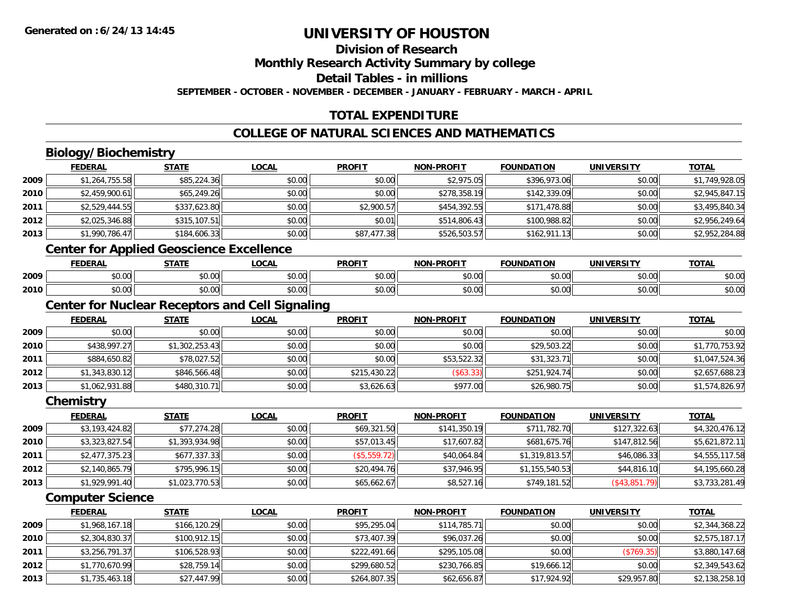### **Division of Research**

**Monthly Research Activity Summary by college**

**Detail Tables - in millions**

**SEPTEMBER - OCTOBER - NOVEMBER - DECEMBER - JANUARY - FEBRUARY - MARCH - APRIL**

## **TOTAL EXPENDITURE**

## **COLLEGE OF NATURAL SCIENCES AND MATHEMATICS**

## **Biology/Biochemistry**

|      | <b>FEDERAL</b> | <b>STATE</b> | <b>LOCAL</b> | <b>PROFIT</b> | <b>NON-PROFIT</b> | <b>FOUNDATION</b> | <b>UNIVERSITY</b> | <b>TOTAL</b>   |
|------|----------------|--------------|--------------|---------------|-------------------|-------------------|-------------------|----------------|
| 2009 | \$1,264,755.58 | \$85,224.36  | \$0.00       | \$0.00        | \$2,975.05        | \$396,973.06      | \$0.00            | \$1,749,928.05 |
| 2010 | \$2,459,900.61 | \$65,249.26  | \$0.00       | \$0.00        | \$278,358.19      | \$142,339.09      | \$0.00            | \$2,945,847.15 |
| 2011 | \$2,529,444.55 | \$337,623.80 | \$0.00       | \$2,900.57    | \$454,392.55      | \$171,478.88      | \$0.00            | \$3,495,840.34 |
| 2012 | \$2,025,346.88 | \$315,107.51 | \$0.00       | \$0.01        | \$514,806.43      | \$100,988.82      | \$0.00            | \$2,956,249.64 |
| 2013 | \$1,990,786.47 | \$184,606.33 | \$0.00       | \$87,477.38   | \$526,503.57      | \$162,911.13      | \$0.00            | \$2,952,284.88 |
|      | .<br>$\sim$    | .            |              |               |                   |                   |                   |                |

#### **Center for Applied Geoscience Excellence**

|      | EENEDAI<br>ERA  | <b>STATE</b>  | 00 <sub>n</sub><br>UUM | <b>PROFIT</b> | <b>DDOCIT</b><br>NAR | ె∩∐NDA .<br>.      | <b>INIE</b>            | <b>TOTA</b>            |
|------|-----------------|---------------|------------------------|---------------|----------------------|--------------------|------------------------|------------------------|
| 2009 | $\sim$<br>₽U.UU | 0000<br>pu.uu | 40.00                  | 0000<br>vv.vv | 0000<br>JU.UUL       | $\sim$ 00<br>₽U.UU | $\sim$ $\sim$<br>vv.vv | $\sim$ $\sim$<br>ง∪.∪บ |
| 2010 | 0.00<br>DU.UU   | 0000<br>DU.UU | $\sim$ $\sim$<br>vu.vu | 0000<br>JU.UU | \$0.00               | $\sim$<br>טט.טע    | $\sim$ $\sim$<br>vu.vu | $\sim$<br>ง∪.∪บ        |

## **Center for Nuclear Receptors and Cell Signaling**

|      | <b>FEDERAL</b> | <b>STATE</b>   | <b>LOCAL</b> | <b>PROFIT</b> | <b>NON-PROFIT</b> | <b>FOUNDATION</b> | <b>UNIVERSITY</b> | <b>TOTAL</b>   |
|------|----------------|----------------|--------------|---------------|-------------------|-------------------|-------------------|----------------|
| 2009 | \$0.00         | \$0.00         | \$0.00       | \$0.00        | \$0.00            | \$0.00            | \$0.00            | \$0.00         |
| 2010 | \$438,997.27   | \$1,302,253.43 | \$0.00       | \$0.00        | \$0.00            | \$29,503.22       | \$0.00            | \$1,770,753.92 |
| 2011 | \$884,650.82   | \$78,027.52    | \$0.00       | \$0.00        | \$53,522.32       | \$31,323.71       | \$0.00            | \$1,047,524.36 |
| 2012 | \$1,343,830.12 | \$846,566.48   | \$0.00       | \$215,430.22  | (\$63.33)         | \$251,924.74      | \$0.00            | \$2,657,688.23 |
| 2013 | \$1,062,931.88 | \$480,310.71   | \$0.00       | \$3,626.63    | \$977.00          | \$26,980.75       | \$0.00            | \$1,574,826.97 |

#### **Chemistry**

|      | <b>FEDERAL</b> | <u>STATE</u>   | <b>LOCAL</b> | <b>PROFIT</b> | <b>NON-PROFIT</b> | <b>FOUNDATION</b> | <b>UNIVERSITY</b> | <u>TOTAL</u>   |
|------|----------------|----------------|--------------|---------------|-------------------|-------------------|-------------------|----------------|
| 2009 | \$3,193,424.82 | \$77,274.28    | \$0.00       | \$69,321.50   | \$141,350.19      | \$711,782.70      | \$127,322.63      | \$4,320,476.12 |
| 2010 | \$3,323,827.54 | \$1,393,934.98 | \$0.00       | \$57,013.45   | \$17,607.82       | \$681,675.76      | \$147,812.56      | \$5,621,872.11 |
| 2011 | \$2,477,375.23 | \$677,337.33   | \$0.00       | (\$5,559.72)  | \$40,064.84       | \$1,319,813.57    | \$46,086.33       | \$4,555,117.58 |
| 2012 | \$2,140,865.79 | \$795,996.15   | \$0.00       | \$20,494.76   | \$37,946.95       | \$1,155,540.53    | \$44,816.10       | \$4,195,660.28 |
| 2013 | \$1,929,991.40 | \$1,023,770.53 | \$0.00       | \$65,662.67   | \$8,527.16        | \$749,181.52      | $($ \$43,851.79)  | \$3,733,281.49 |

#### **Computer Science**

|      | <b>FEDERAL</b> | <b>STATE</b> | <b>LOCAL</b> | <b>PROFIT</b> | <b>NON-PROFIT</b> | <b>FOUNDATION</b> | <b>UNIVERSITY</b> | <b>TOTAL</b>   |
|------|----------------|--------------|--------------|---------------|-------------------|-------------------|-------------------|----------------|
| 2009 | \$1,968,167.18 | \$166,120.29 | \$0.00       | \$95,295.04   | \$114,785,71      | \$0.00            | \$0.00            | \$2,344,368.22 |
| 2010 | \$2,304,830.37 | \$100,912.15 | \$0.00       | \$73,407.39   | \$96,037.26       | \$0.00            | \$0.00            | \$2,575,187.17 |
| 2011 | \$3,256,791.37 | \$106,528.93 | \$0.00       | \$222,491.66  | \$295,105.08      | \$0.00            | (\$769.35)        | \$3,880,147.68 |
| 2012 | \$1,770,670.99 | \$28,759.14  | \$0.00       | \$299,680.52  | \$230.766.85      | \$19,666.12       | \$0.00            | \$2,349,543.62 |
| 2013 | \$1,735,463.18 | \$27,447.99  | \$0.00       | \$264,807.35  | \$62,656.87       | \$17,924.92       | \$29,957.80       | \$2,138,258.10 |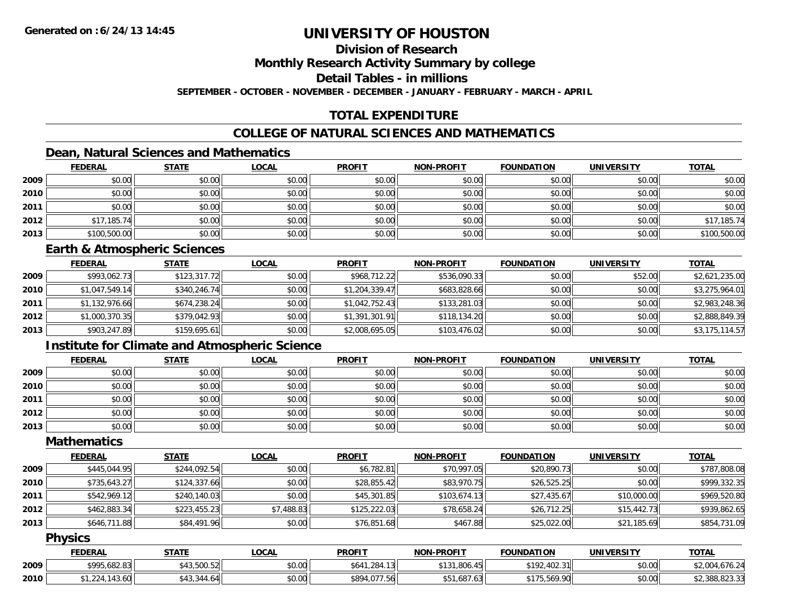### **Division of Research**

**Monthly Research Activity Summary by college**

**Detail Tables - in millions**

**SEPTEMBER - OCTOBER - NOVEMBER - DECEMBER - JANUARY - FEBRUARY - MARCH - APRIL**

## **TOTAL EXPENDITURE**

## **COLLEGE OF NATURAL SCIENCES AND MATHEMATICS**

## **Dean, Natural Sciences and Mathematics**

|      | <b>FEDERAL</b> | <b>STATE</b> | <u>LOCAL</u> | <b>PROFIT</b> | <b>NON-PROFIT</b> | <b>FOUNDATION</b> | <b>UNIVERSITY</b> | <b>TOTAL</b> |
|------|----------------|--------------|--------------|---------------|-------------------|-------------------|-------------------|--------------|
| 2009 | \$0.00         | \$0.00       | \$0.00       | \$0.00        | \$0.00            | \$0.00            | \$0.00            | \$0.00       |
| 2010 | \$0.00         | \$0.00       | \$0.00       | \$0.00        | \$0.00            | \$0.00            | \$0.00            | \$0.00       |
| 2011 | \$0.00         | \$0.00       | \$0.00       | \$0.00        | \$0.00            | \$0.00            | \$0.00            | \$0.00       |
| 2012 | \$17,185.74    | \$0.00       | \$0.00       | \$0.00        | \$0.00            | \$0.00            | \$0.00            | \$17,185.74  |
| 2013 | \$100,500.00   | \$0.00       | \$0.00       | \$0.00        | \$0.00            | \$0.00            | \$0.00            | \$100,500.00 |

#### **Earth & Atmospheric Sciences**

|      | <b>FEDERAL</b> | <u>STATE</u> | <b>LOCAL</b> | <b>PROFIT</b>  | <b>NON-PROFIT</b> | <b>FOUNDATION</b> | <b>UNIVERSITY</b> | <b>TOTAL</b>   |
|------|----------------|--------------|--------------|----------------|-------------------|-------------------|-------------------|----------------|
| 2009 | \$993,062.73   | \$123,317.72 | \$0.00       | \$968,712.22   | \$536,090.33      | \$0.00            | \$52.00           | \$2,621,235.00 |
| 2010 | \$1,047,549.14 | \$340,246.74 | \$0.00       | \$1,204,339.47 | \$683,828.66      | \$0.00            | \$0.00            | \$3,275,964.01 |
| 2011 | \$1,132,976.66 | \$674,238.24 | \$0.00       | \$1,042,752.43 | \$133,281.03      | \$0.00            | \$0.00            | \$2,983,248.36 |
| 2012 | \$1,000,370.35 | \$379,042.93 | \$0.00       | \$1,391,301.91 | \$118,134.20      | \$0.00            | \$0.00            | \$2,888,849.39 |
| 2013 | \$903,247.89   | \$159,695.61 | \$0.00       | \$2,008,695.05 | \$103,476.02      | \$0.00            | \$0.00            | \$3,175,114.57 |

## **Institute for Climate and Atmospheric Science**

|      | <b>FEDERAL</b> | <b>STATE</b> | <b>LOCAL</b> | <b>PROFIT</b> | <b>NON-PROFIT</b> | <b>FOUNDATION</b> | <b>UNIVERSITY</b> | <b>TOTAL</b> |
|------|----------------|--------------|--------------|---------------|-------------------|-------------------|-------------------|--------------|
| 2009 | \$0.00         | \$0.00       | \$0.00       | \$0.00        | \$0.00            | \$0.00            | \$0.00            | \$0.00       |
| 2010 | \$0.00         | \$0.00       | \$0.00       | \$0.00        | \$0.00            | \$0.00            | \$0.00            | \$0.00       |
| 2011 | \$0.00         | \$0.00       | \$0.00       | \$0.00        | \$0.00            | \$0.00            | \$0.00            | \$0.00       |
| 2012 | \$0.00         | \$0.00       | \$0.00       | \$0.00        | \$0.00            | \$0.00            | \$0.00            | \$0.00       |
| 2013 | \$0.00         | \$0.00       | \$0.00       | \$0.00        | \$0.00            | \$0.00            | \$0.00            | \$0.00       |

### **Mathematics**

|      | <b>FEDERAL</b> | <b>STATE</b> | <b>LOCAL</b> | <b>PROFIT</b> | <b>NON-PROFIT</b> | <b>FOUNDATION</b> | <b>UNIVERSITY</b> | <b>TOTAL</b> |
|------|----------------|--------------|--------------|---------------|-------------------|-------------------|-------------------|--------------|
| 2009 | \$445,044.95   | \$244,092.54 | \$0.00       | \$6,782.81    | \$70,997.05       | \$20,890.73       | \$0.00            | \$787,808.08 |
| 2010 | \$735,643.27   | \$124,337.66 | \$0.00       | \$28,855.42   | \$83,970.75       | \$26,525.25       | \$0.00            | \$999,332.35 |
| 2011 | \$542,969.12   | \$240,140.03 | \$0.00       | \$45,301.85   | \$103,674.13      | \$27,435.67       | \$10,000.00       | \$969,520.80 |
| 2012 | \$462,883.34   | \$223,455.23 | \$7,488.83   | \$125,222.03  | \$78,658.24       | \$26,712.25       | \$15,442.73       | \$939,862.65 |
| 2013 | \$646,711.88   | \$84,491.96  | \$0.00       | \$76,851.68   | \$467.88          | \$25,022.00       | \$21,185.69       | \$854,731.09 |

#### **Physics**

|      | <b>FEDERAL</b>     | STATE       | <b>_OCAL</b> | <b>PROFIT</b>    | <b>NON-PROFIT</b> | <b>FOUNDATION</b>  | <b>UNIVERSITY</b> | <b>TOTAL</b>   |
|------|--------------------|-------------|--------------|------------------|-------------------|--------------------|-------------------|----------------|
| 2009 | \$995,682.83       | \$43,500.52 | \$0.00       | .284.13<br>\$641 | \$131,806.45      | 2.402.31<br>\$192. | \$0.00            | \$2,004,676.24 |
| 2010 | .224.147<br>143.60 | \$43.344.64 | \$0.00       | \$894,077.56     | \$51,687.63       | \$175,569.90       | \$0.00            | \$2,388,823.33 |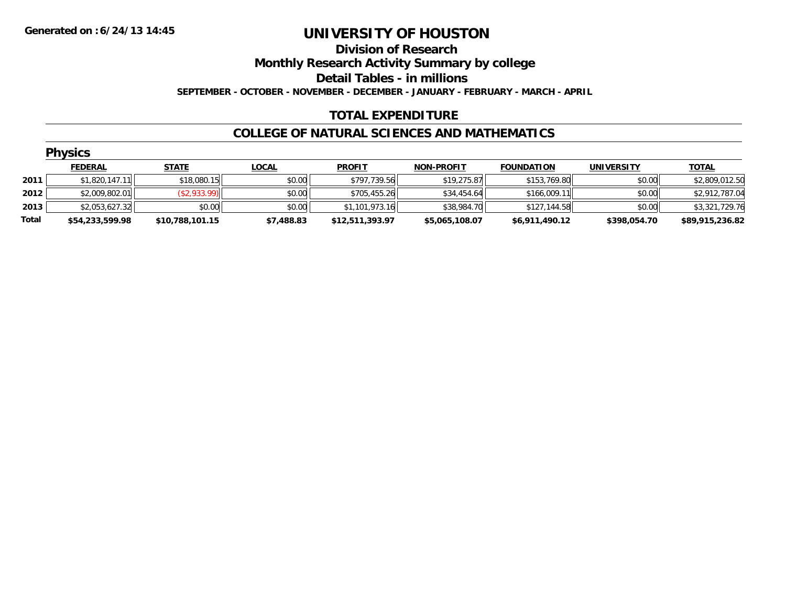**Division of Research**

**Monthly Research Activity Summary by college**

**Detail Tables - in millions**

**SEPTEMBER - OCTOBER - NOVEMBER - DECEMBER - JANUARY - FEBRUARY - MARCH - APRIL**

### **TOTAL EXPENDITURE**

#### **COLLEGE OF NATURAL SCIENCES AND MATHEMATICS**

|       | <b>Physics</b>  |                 |              |                 |                   |                   |                   |                 |  |  |  |
|-------|-----------------|-----------------|--------------|-----------------|-------------------|-------------------|-------------------|-----------------|--|--|--|
|       | <b>FEDERAL</b>  | <b>STATE</b>    | <u>LOCAL</u> | <b>PROFIT</b>   | <b>NON-PROFIT</b> | <b>FOUNDATION</b> | <b>UNIVERSITY</b> | <b>TOTAL</b>    |  |  |  |
| 2011  | \$1,820,147.11  | \$18,080.15     | \$0.00       | \$797,739.56    | \$19,275.87       | \$153,769.80      | \$0.00            | \$2,809,012.50  |  |  |  |
| 2012  | \$2,009,802.01  | (\$2,933.99)    | \$0.00       | \$705,455.26    | \$34,454.64       | \$166,009.11      | \$0.00            | \$2,912,787.04  |  |  |  |
| 2013  | \$2,053,627.32  | \$0.00          | \$0.00       | \$1,101,973.16  | \$38,984.70       | \$127,144.58      | \$0.00            | \$3,321,729.76  |  |  |  |
| Total | \$54,233,599.98 | \$10,788,101.15 | \$7,488.83   | \$12,511,393.97 | \$5,065,108.07    | \$6,911,490.12    | \$398,054.70      | \$89,915,236.82 |  |  |  |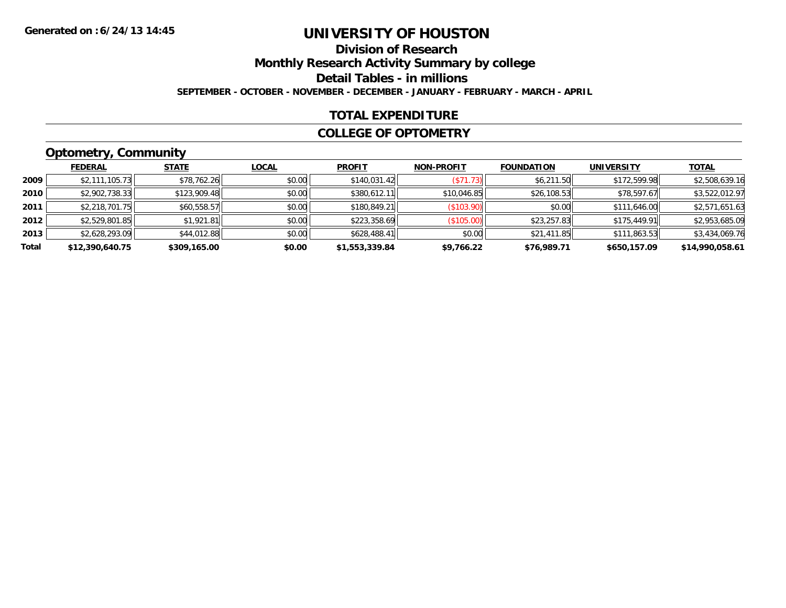## **Division of Research**

**Monthly Research Activity Summary by college**

**Detail Tables - in millions**

**SEPTEMBER - OCTOBER - NOVEMBER - DECEMBER - JANUARY - FEBRUARY - MARCH - APRIL**

### **TOTAL EXPENDITURE**

#### **COLLEGE OF OPTOMETRY**

## **Optometry, Community**

|       | <b>FEDERAL</b>  | <b>STATE</b> | <u>LOCAL</u> | <b>PROFIT</b>  | <b>NON-PROFIT</b> | <b>FOUNDATION</b> | <b>UNIVERSITY</b> | <u>TOTAL</u>    |
|-------|-----------------|--------------|--------------|----------------|-------------------|-------------------|-------------------|-----------------|
| 2009  | \$2,111,105.73  | \$78,762.26  | \$0.00       | \$140,031.42   | (S71.73)          | \$6,211.50        | \$172,599.98      | \$2,508,639.16  |
| 2010  | \$2,902,738.33  | \$123,909.48 | \$0.00       | \$380,612.11   | \$10,046.85       | \$26,108.53       | \$78,597.67       | \$3,522,012.97  |
| 2011  | \$2,218,701.75  | \$60,558.57  | \$0.00       | \$180,849.21   | (S103.90)         | \$0.00            | \$111,646.00      | \$2,571,651.63  |
| 2012  | \$2,529,801.85  | \$1,921.81   | \$0.00       | \$223,358.69   | (\$105.00)        | \$23,257.83       | \$175,449.91      | \$2,953,685.09  |
| 2013  | \$2,628,293.09  | \$44,012.88  | \$0.00       | \$628,488.41   | \$0.00            | \$21,411.85       | \$111,863.53      | \$3,434,069.76  |
| Total | \$12,390,640.75 | \$309,165.00 | \$0.00       | \$1,553,339.84 | \$9,766.22        | \$76,989.71       | \$650,157.09      | \$14,990,058.61 |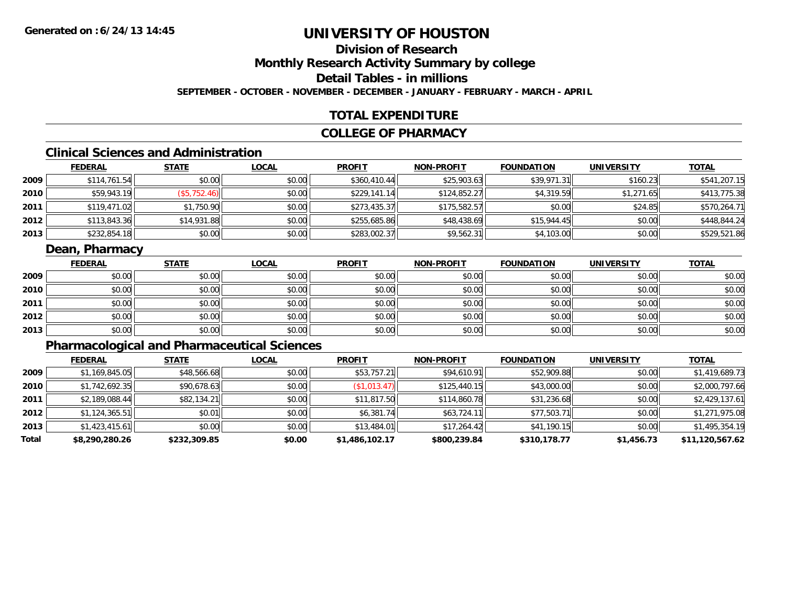## **Division of Research**

**Monthly Research Activity Summary by college**

**Detail Tables - in millions**

**SEPTEMBER - OCTOBER - NOVEMBER - DECEMBER - JANUARY - FEBRUARY - MARCH - APRIL**

## **TOTAL EXPENDITURE**

### **COLLEGE OF PHARMACY**

## **Clinical Sciences and Administration**

|      | <b>FEDERAL</b> | <b>STATE</b> | <b>LOCAL</b> | <b>PROFIT</b> | <b>NON-PROFIT</b> | <b>FOUNDATION</b> | <b>UNIVERSITY</b> | <b>TOTAL</b> |
|------|----------------|--------------|--------------|---------------|-------------------|-------------------|-------------------|--------------|
| 2009 | \$114,761.54   | \$0.00       | \$0.00       | \$360.410.44  | \$25,903.63       | \$39,971.31       | \$160.23          | \$541,207.15 |
| 2010 | \$59,943.19    | (\$5,752.46) | \$0.00       | \$229.141.14  | \$124,852.27      | \$4,319.59        | \$1.271.65        | \$413,775.38 |
| 2011 | \$119,471.02   | \$1,750.90   | \$0.00       | \$273,435.37  | \$175,582.57      | \$0.00            | \$24.85           | \$570,264.71 |
| 2012 | \$113,843.36   | \$14,931.88  | \$0.00       | \$255,685.86  | \$48,438.69       | \$15,944.45       | \$0.00            | \$448,844.24 |
| 2013 | \$232,854.18   | \$0.00       | \$0.00       | \$283,002.37  | \$9,562.31        | \$4,103.00        | \$0.00            | \$529,521.86 |

### **Dean, Pharmacy**

|      | <u>FEDERAL</u> | <b>STATE</b> | <u>LOCAL</u> | <b>PROFIT</b> | <b>NON-PROFIT</b> | <b>FOUNDATION</b> | <b>UNIVERSITY</b> | <b>TOTAL</b> |
|------|----------------|--------------|--------------|---------------|-------------------|-------------------|-------------------|--------------|
| 2009 | \$0.00         | \$0.00       | \$0.00       | \$0.00        | \$0.00            | \$0.00            | \$0.00            | \$0.00       |
| 2010 | \$0.00         | \$0.00       | \$0.00       | \$0.00        | \$0.00            | \$0.00            | \$0.00            | \$0.00       |
| 2011 | \$0.00         | \$0.00       | \$0.00       | \$0.00        | \$0.00            | \$0.00            | \$0.00            | \$0.00       |
| 2012 | \$0.00         | \$0.00       | \$0.00       | \$0.00        | \$0.00            | \$0.00            | \$0.00            | \$0.00       |
| 2013 | \$0.00         | \$0.00       | \$0.00       | \$0.00        | \$0.00            | \$0.00            | \$0.00            | \$0.00       |

## **Pharmacological and Pharmaceutical Sciences**

|       | <b>FEDERAL</b> | <b>STATE</b> | <b>LOCAL</b> | <b>PROFIT</b>  | <b>NON-PROFIT</b> | <b>FOUNDATION</b> | <b>UNIVERSITY</b> | <b>TOTAL</b>    |
|-------|----------------|--------------|--------------|----------------|-------------------|-------------------|-------------------|-----------------|
| 2009  | \$1,169,845.05 | \$48,566.68  | \$0.00       | \$53,757.21    | \$94,610.91       | \$52,909.88       | \$0.00            | \$1,419,689.73  |
| 2010  | \$1,742,692.35 | \$90,678.63  | \$0.00       | (\$1,013.47)   | \$125,440.15      | \$43,000.00       | \$0.00            | \$2,000,797.66  |
| 2011  | \$2,189,088.44 | \$82,134.21  | \$0.00       | \$11,817.50    | \$114,860.78      | \$31,236.68       | \$0.00            | \$2,429,137.61  |
| 2012  | \$1,124,365.51 | \$0.01       | \$0.00       | \$6.381.74     | \$63.724.11       | \$77,503.71       | \$0.00            | \$1,271,975.08  |
| 2013  | \$1,423,415.61 | \$0.00       | \$0.00       | \$13,484.01    | \$17,264.42       | \$41,190.15       | \$0.00            | \$1,495,354.19  |
| Total | \$8,290,280.26 | \$232,309.85 | \$0.00       | \$1,486,102.17 | \$800,239.84      | \$310,178.77      | \$1,456.73        | \$11,120,567.62 |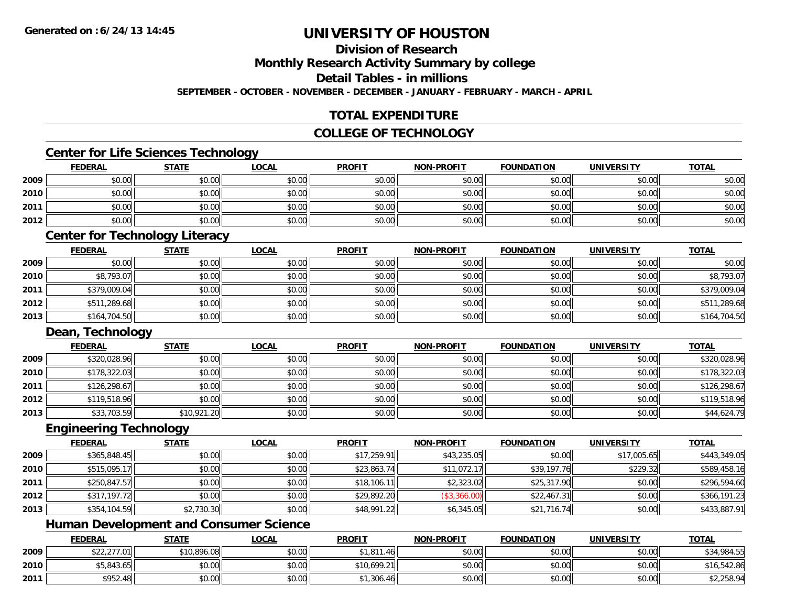## **Division of Research**

**Monthly Research Activity Summary by college**

**Detail Tables - in millions**

**SEPTEMBER - OCTOBER - NOVEMBER - DECEMBER - JANUARY - FEBRUARY - MARCH - APRIL**

### **TOTAL EXPENDITURE**

### **COLLEGE OF TECHNOLOGY**

### **Center for Life Sciences Technology**

|      | <b>FEDERAL</b> | <b>STATE</b> | <u>LOCAL</u> | <b>PROFIT</b> | <b>NON-PROFIT</b> | <b>FOUNDATION</b> | <b>UNIVERSITY</b> | <b>TOTAL</b> |
|------|----------------|--------------|--------------|---------------|-------------------|-------------------|-------------------|--------------|
| 2009 | \$0.00         | \$0.00       | \$0.00       | \$0.00        | \$0.00            | \$0.00            | \$0.00            | \$0.00       |
| 2010 | \$0.00         | \$0.00       | \$0.00       | \$0.00        | \$0.00            | \$0.00            | \$0.00            | \$0.00       |
| 2011 | \$0.00         | \$0.00       | \$0.00       | \$0.00        | \$0.00            | \$0.00            | \$0.00            | \$0.00       |
| 2012 | \$0.00         | \$0.00       | \$0.00       | \$0.00        | \$0.00            | \$0.00            | \$0.00            | \$0.00       |
|      |                |              |              |               |                   |                   |                   |              |

### **Center for Technology Literacy**

|      | <b>FEDERAL</b> | <b>STATE</b> | <u>LOCAL</u> | <b>PROFIT</b> | <b>NON-PROFIT</b> | <b>FOUNDATION</b> | <b>UNIVERSITY</b> | <b>TOTAL</b> |
|------|----------------|--------------|--------------|---------------|-------------------|-------------------|-------------------|--------------|
| 2009 | \$0.00         | \$0.00       | \$0.00       | \$0.00        | \$0.00            | \$0.00            | \$0.00            | \$0.00       |
| 2010 | \$8,793.07     | \$0.00       | \$0.00       | \$0.00        | \$0.00            | \$0.00            | \$0.00            | \$8,793.07   |
| 2011 | \$379,009.04   | \$0.00       | \$0.00       | \$0.00        | \$0.00            | \$0.00            | \$0.00            | \$379,009.04 |
| 2012 | \$511,289.68   | \$0.00       | \$0.00       | \$0.00        | \$0.00            | \$0.00            | \$0.00            | \$511,289.68 |
| 2013 | \$164,704.50   | \$0.00       | \$0.00       | \$0.00        | \$0.00            | \$0.00            | \$0.00            | \$164,704.50 |

### **Dean, Technology**

|      | <b>FEDERAL</b> | <b>STATE</b> | <b>LOCAL</b> | <b>PROFIT</b> | <b>NON-PROFIT</b> | <b>FOUNDATION</b> | UNIVERSITY | <b>TOTAL</b> |
|------|----------------|--------------|--------------|---------------|-------------------|-------------------|------------|--------------|
| 2009 | \$320,028.96   | \$0.00       | \$0.00       | \$0.00        | \$0.00            | \$0.00            | \$0.00     | \$320,028.96 |
| 2010 | \$178,322.03   | \$0.00       | \$0.00       | \$0.00        | \$0.00            | \$0.00            | \$0.00     | \$178,322.03 |
| 2011 | \$126,298.67   | \$0.00       | \$0.00       | \$0.00        | \$0.00            | \$0.00            | \$0.00     | \$126,298.67 |
| 2012 | \$119,518.96   | \$0.00       | \$0.00       | \$0.00        | \$0.00            | \$0.00            | \$0.00     | \$119,518.96 |
| 2013 | \$33,703.59    | \$10,921.20  | \$0.00       | \$0.00        | \$0.00            | \$0.00            | \$0.00     | \$44,624.79  |

#### **Engineering Technology**

|      | <b>FEDERAL</b> | <b>STATE</b> | <u>LOCAL</u> | <b>PROFIT</b> | <b>NON-PROFIT</b> | <b>FOUNDATION</b> | <b>UNIVERSITY</b> | <b>TOTAL</b> |
|------|----------------|--------------|--------------|---------------|-------------------|-------------------|-------------------|--------------|
| 2009 | \$365,848.45   | \$0.00       | \$0.00       | \$17,259.91   | \$43,235.05       | \$0.00            | \$17,005.65       | \$443,349.05 |
| 2010 | \$515,095.17   | \$0.00       | \$0.00       | \$23,863.74   | \$11,072.17       | \$39,197.76       | \$229.32          | \$589,458.16 |
| 2011 | \$250,847.57   | \$0.00       | \$0.00       | \$18,106.11   | \$2,323.02        | \$25,317.90       | \$0.00            | \$296,594.60 |
| 2012 | \$317,197.72   | \$0.00       | \$0.00       | \$29,892.20   | (\$3,366.00)      | \$22,467.31       | \$0.00            | \$366,191.23 |
| 2013 | \$354,104.59   | \$2,730.30   | \$0.00       | \$48,991.22   | \$6,345.05        | \$21,716.74       | \$0.00            | \$433,887.91 |

## **Human Development and Consumer Science**

|      | <b>FEDERAL</b> | <b>STATE</b> | <u>LOCAL</u> | <b>PROFIT</b> | <b>NON-PROFIT</b> | <b>FOUNDATION</b> | <b>UNIVERSITY</b> | <b>TOTAL</b> |
|------|----------------|--------------|--------------|---------------|-------------------|-------------------|-------------------|--------------|
| 2009 | \$22,277.01    | \$10,896.08  | \$0.00       | \$1,811.46    | \$0.00            | \$0.00            | \$0.00            | \$34,984.55  |
| 2010 | \$5,843.65     | \$0.00       | \$0.00       | \$10,699.21   | \$0.00            | \$0.00            | \$0.00            | \$16,542.86  |
| 2011 | \$952.48       | \$0.00       | \$0.00       | ا 306.46, ا ہ | \$0.00            | \$0.00            | \$0.00            | \$2,258.94   |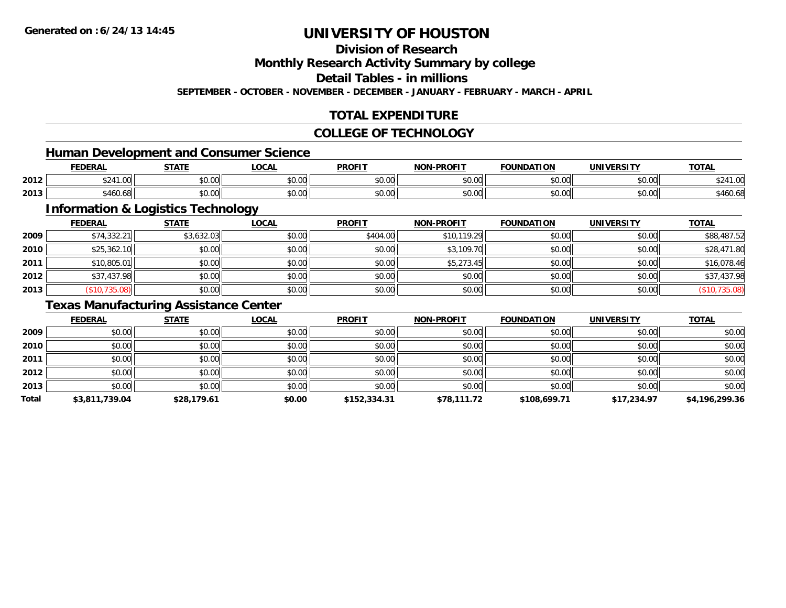## **Division of Research**

**Monthly Research Activity Summary by college**

**Detail Tables - in millions**

**SEPTEMBER - OCTOBER - NOVEMBER - DECEMBER - JANUARY - FEBRUARY - MARCH - APRIL**

## **TOTAL EXPENDITURE**

#### **COLLEGE OF TECHNOLOGY**

### **Human Development and Consumer Science**

|      | <b>FEDERAL</b>            | <b>STATE</b>           | $\sim$<br>.UUAI    | <b>PROFIT</b> | -PROFIT<br>៱៲កស    | חחוז<br>ר גרווווווה | UNIVERSITY | <b>TOTAL</b>            |
|------|---------------------------|------------------------|--------------------|---------------|--------------------|---------------------|------------|-------------------------|
| 2012 | $+0.11$<br>$\sim$<br>יש.ו | $\sim$<br>ሖ ヘ<br>JU.UU | $\sim$ 00<br>JU.UU | 0.00<br>JU.UU | 0000<br>JU.UU      | \$0.00              | \$0.00     | 0.0110<br>. UU "<br>524 |
| 2013 | . .<br>546U.68            | ሶስ ሰሰ<br>JU.UU         | ሶስ ሰሰ<br>JU.UU     | 0.00<br>JU.UU | $\sim$ 00<br>JU.UU | 0000<br>,u.uu       | \$0.00     | 5.11<br>ა460.6c         |

<u> 1980 - Johann Barbara, martxa amerikan bashkar (</u>

## **Information & Logistics Technology**

|      | <b>FEDERAL</b> | <u>STATE</u> | <b>LOCAL</b> | <b>PROFIT</b> | <b>NON-PROFIT</b> | <b>FOUNDATION</b> | <b>UNIVERSITY</b> | <b>TOTAL</b>  |
|------|----------------|--------------|--------------|---------------|-------------------|-------------------|-------------------|---------------|
| 2009 | \$74,332.21    | \$3,632.03   | \$0.00       | \$404.00      | \$10,119.29       | \$0.00            | \$0.00            | \$88,487.52   |
| 2010 | \$25,362.10    | \$0.00       | \$0.00       | \$0.00        | \$3,109.70        | \$0.00            | \$0.00            | \$28,471.80   |
| 2011 | \$10,805.01    | \$0.00       | \$0.00       | \$0.00        | \$5,273.45        | \$0.00            | \$0.00            | \$16,078.46   |
| 2012 | \$37,437.98    | \$0.00       | \$0.00       | \$0.00        | \$0.00            | \$0.00            | \$0.00            | \$37,437.98   |
| 2013 | (\$10,735.08)  | \$0.00       | \$0.00       | \$0.00        | \$0.00            | \$0.00            | \$0.00            | (\$10,735.08) |

## **Texas Manufacturing Assistance Center**

|       | <b>FEDERAL</b> | <b>STATE</b> | LOCAL  | <b>PROFIT</b> | <b>NON-PROFIT</b> | <b>FOUNDATION</b> | <b>UNIVERSITY</b> | <b>TOTAL</b>   |
|-------|----------------|--------------|--------|---------------|-------------------|-------------------|-------------------|----------------|
| 2009  | \$0.00         | \$0.00       | \$0.00 | \$0.00        | \$0.00            | \$0.00            | \$0.00            | \$0.00         |
| 2010  | \$0.00         | \$0.00       | \$0.00 | \$0.00        | \$0.00            | \$0.00            | \$0.00            | \$0.00         |
| 2011  | \$0.00         | \$0.00       | \$0.00 | \$0.00        | \$0.00            | \$0.00            | \$0.00            | \$0.00         |
| 2012  | \$0.00         | \$0.00       | \$0.00 | \$0.00        | \$0.00            | \$0.00            | \$0.00            | \$0.00         |
| 2013  | \$0.00         | \$0.00       | \$0.00 | \$0.00        | \$0.00            | \$0.00            | \$0.00            | \$0.00         |
| Total | \$3,811,739.04 | \$28,179.61  | \$0.00 | \$152,334.31  | \$78,111.72       | \$108,699.71      | \$17,234.97       | \$4,196,299.36 |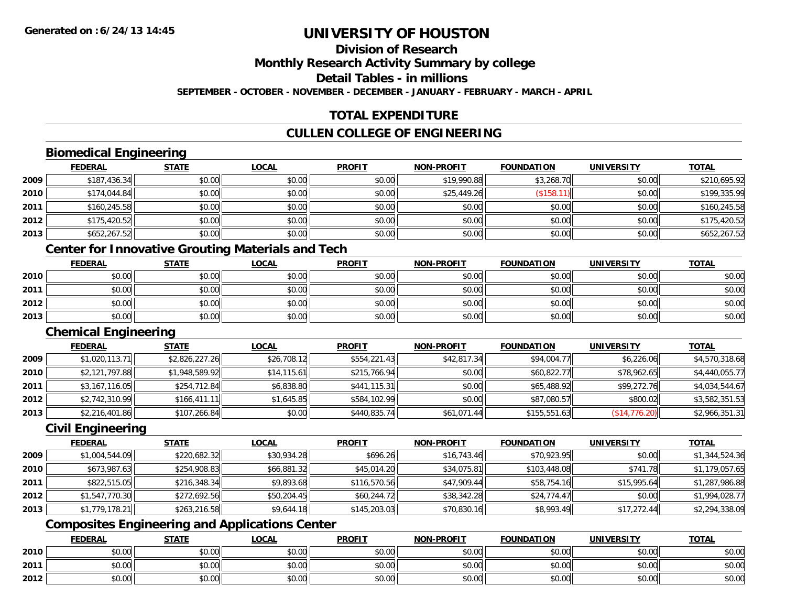## **Division of Research**

**Monthly Research Activity Summary by college**

**Detail Tables - in millions**

**SEPTEMBER - OCTOBER - NOVEMBER - DECEMBER - JANUARY - FEBRUARY - MARCH - APRIL**

## **TOTAL EXPENDITURE**

## **CULLEN COLLEGE OF ENGINEERING**

### **Biomedical Engineering**

|      | <b>FEDERAL</b> | <b>STATE</b> | <b>LOCAL</b> | <b>PROFIT</b> | <b>NON-PROFIT</b> | <b>FOUNDATION</b> | <b>UNIVERSITY</b> | <b>TOTAL</b> |
|------|----------------|--------------|--------------|---------------|-------------------|-------------------|-------------------|--------------|
| 2009 | \$187,436.34   | \$0.00       | \$0.00       | \$0.00        | \$19,990.88       | \$3,268.70        | \$0.00            | \$210.695.92 |
| 2010 | \$174,044.84   | \$0.00       | \$0.00       | \$0.00        | \$25,449.26       | (\$158.11)        | \$0.00            | \$199,335.99 |
| 2011 | \$160,245.58   | \$0.00       | \$0.00       | \$0.00        | \$0.00            | \$0.00            | \$0.00            | \$160,245.58 |
| 2012 | \$175,420.52   | \$0.00       | \$0.00       | \$0.00        | \$0.00            | \$0.00            | \$0.00            | \$175,420.52 |
| 2013 | \$652,267.52   | \$0.00       | \$0.00       | \$0.00        | \$0.00            | \$0.00            | \$0.00            | \$652,267.52 |

## **Center for Innovative Grouting Materials and Tech**

|      | <u>FEDERAL</u> | <b>STATE</b> | <u>LOCAL</u> | <b>PROFIT</b> | <b>NON-PROFIT</b> | <b>FOUNDATION</b> | <b>UNIVERSITY</b> | <b>TOTAL</b> |
|------|----------------|--------------|--------------|---------------|-------------------|-------------------|-------------------|--------------|
| 2010 | \$0.00         | \$0.00       | \$0.00       | \$0.00        | \$0.00            | \$0.00            | \$0.00            | \$0.00       |
| 2011 | \$0.00         | \$0.00       | \$0.00       | \$0.00        | \$0.00            | \$0.00            | \$0.00            | \$0.00       |
| 2012 | \$0.00         | \$0.00       | \$0.00       | \$0.00        | \$0.00            | \$0.00            | \$0.00            | \$0.00       |
| 2013 | \$0.00         | \$0.00       | \$0.00       | \$0.00        | \$0.00            | \$0.00            | \$0.00            | \$0.00       |

#### **Chemical Engineering**

|      | <b>FEDERAL</b> | <b>STATE</b>   | <u>LOCAL</u> | <b>PROFIT</b> | <b>NON-PROFIT</b> | <b>FOUNDATION</b> | UNIVERSITY    | <b>TOTAL</b>   |
|------|----------------|----------------|--------------|---------------|-------------------|-------------------|---------------|----------------|
| 2009 | \$1,020,113.71 | \$2,826,227.26 | \$26,708.12  | \$554,221.43  | \$42,817.34       | \$94,004.77       | \$6,226.06    | \$4,570,318.68 |
| 2010 | \$2,121,797.88 | \$1,948,589.92 | \$14,115.61  | \$215,766.94  | \$0.00            | \$60,822.77       | \$78,962.65   | \$4,440,055.77 |
| 2011 | \$3,167,116.05 | \$254,712.84   | \$6,838.80   | \$441,115.31  | \$0.00            | \$65,488.92       | \$99,272.76   | \$4,034,544.67 |
| 2012 | \$2,742,310.99 | \$166,411.11   | \$1,645.85   | \$584,102.99  | \$0.00            | \$87,080.57       | \$800.02      | \$3,582,351.53 |
| 2013 | \$2,216,401.86 | \$107,266.84   | \$0.00       | \$440,835.74  | \$61,071.44       | \$155,551.63      | (\$14,776.20) | \$2,966,351.31 |

## **Civil Engineering**

|      | <b>FEDERAL</b> | <b>STATE</b> | <b>LOCAL</b> | <b>PROFIT</b> | <b>NON-PROFIT</b> | <b>FOUNDATION</b> | <b>UNIVERSITY</b> | <b>TOTAL</b>   |
|------|----------------|--------------|--------------|---------------|-------------------|-------------------|-------------------|----------------|
| 2009 | \$1,004,544.09 | \$220,682.32 | \$30,934.28  | \$696.26      | \$16,743.46       | \$70,923.95       | \$0.00            | \$1,344,524.36 |
| 2010 | \$673,987.63   | \$254,908.83 | \$66,881.32  | \$45,014.20   | \$34,075.81       | \$103,448.08      | \$741.78          | \$1,179,057.65 |
| 2011 | \$822,515.05   | \$216,348.34 | \$9,893.68   | \$116,570.56  | \$47,909.44       | \$58,754.16       | \$15,995.64       | \$1,287,986.88 |
| 2012 | \$1,547,770.30 | \$272,692.56 | \$50,204.45  | \$60,244.72   | \$38,342.28       | \$24,774.47       | \$0.00            | \$1,994,028.77 |
| 2013 | \$1,779,178.21 | \$263,216.58 | \$9,644.18   | \$145,203.03  | \$70,830.16       | \$8,993.49        | \$17,272.44       | \$2,294,338.09 |

## **Composites Engineering and Applications Center**

|      | <b>FEDERAL</b> | <b>STATE</b>   | <u>LOCAL</u> | <b>PROFIT</b> | <b>NON-PROFIT</b> | <b>FOUNDATION</b> | <b>UNIVERSITY</b> | <b>TOTAL</b> |
|------|----------------|----------------|--------------|---------------|-------------------|-------------------|-------------------|--------------|
| 2010 | \$0.00         | 40.00<br>JU.UU | \$0.00       | \$0.00        | \$0.00            | \$0.00            | \$0.00            | \$0.00       |
| 2011 | \$0.00         | \$0.00         | \$0.00       | \$0.00        | \$0.00            | \$0.00            | \$0.00            | \$0.00       |
| 2012 | \$0.00         | 40.00<br>DU.UU | \$0.00       | \$0.00        | \$0.00            | \$0.00            | \$0.00            | \$0.00       |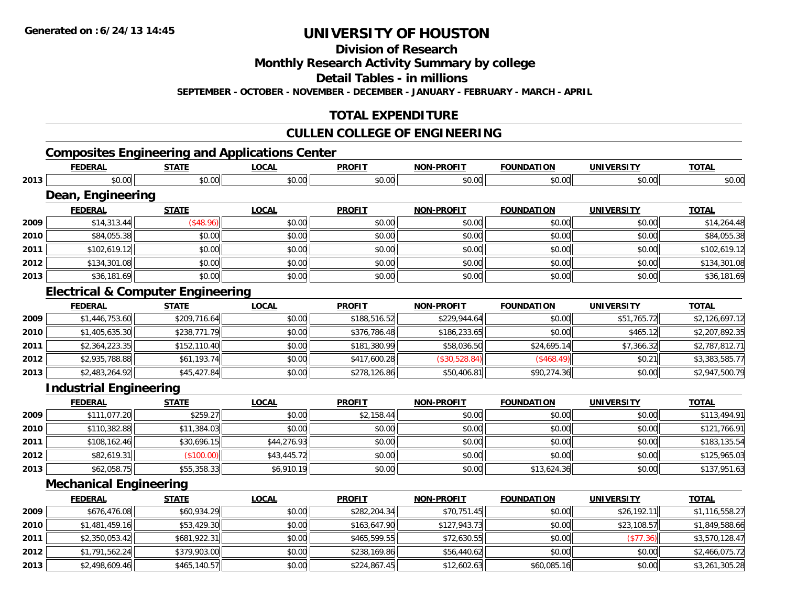**2013**

## **UNIVERSITY OF HOUSTON**

**Division of Research**

**Monthly Research Activity Summary by college**

**Detail Tables - in millions**

**SEPTEMBER - OCTOBER - NOVEMBER - DECEMBER - JANUARY - FEBRUARY - MARCH - APRIL**

## **TOTAL EXPENDITURE**

### **CULLEN COLLEGE OF ENGINEERING**

## **Composites Engineering and Applications Center**

|      | <b>FEDERAL</b>                               | <b>STATE</b> | <b>LOCAL</b> | <b>PROFIT</b> | <b>NON-PROFIT</b> | <b>FOUNDATION</b> | <b>UNIVERSITY</b> | <b>TOTAL</b>   |
|------|----------------------------------------------|--------------|--------------|---------------|-------------------|-------------------|-------------------|----------------|
| 2013 | \$0.00                                       | \$0.00       | \$0.00       | \$0.00        | \$0.00            | \$0.00            | \$0.00            | \$0.00         |
|      | Dean, Engineering                            |              |              |               |                   |                   |                   |                |
|      | <b>FEDERAL</b>                               | <b>STATE</b> | <b>LOCAL</b> | <b>PROFIT</b> | <b>NON-PROFIT</b> | <b>FOUNDATION</b> | <b>UNIVERSITY</b> | <b>TOTAL</b>   |
| 2009 | \$14,313.44                                  | (\$48.96)    | \$0.00       | \$0.00        | \$0.00            | \$0.00            | \$0.00            | \$14,264.48    |
| 2010 | \$84,055.38                                  | \$0.00       | \$0.00       | \$0.00        | \$0.00            | \$0.00            | \$0.00            | \$84,055.38    |
| 2011 | \$102,619.12                                 | \$0.00       | \$0.00       | \$0.00        | \$0.00            | \$0.00            | \$0.00            | \$102,619.12   |
| 2012 | \$134,301.08                                 | \$0.00       | \$0.00       | \$0.00        | \$0.00            | \$0.00            | \$0.00            | \$134,301.08   |
| 2013 | \$36,181.69                                  | \$0.00       | \$0.00       | \$0.00        | \$0.00            | \$0.00            | \$0.00            | \$36,181.69    |
|      | <b>Electrical &amp; Computer Engineering</b> |              |              |               |                   |                   |                   |                |
|      | <b>FEDERAL</b>                               | <b>STATE</b> | <b>LOCAL</b> | <b>PROFIT</b> | <b>NON-PROFIT</b> | <b>FOUNDATION</b> | <b>UNIVERSITY</b> | <b>TOTAL</b>   |
| 2009 | \$1,446,753.60                               | \$209,716.64 | \$0.00       | \$188,516.52  | \$229,944.64      | \$0.00            | \$51,765.72       | \$2,126,697.12 |
| 2010 | \$1,405,635.30                               | \$238,771.79 | \$0.00       | \$376,786.48  | \$186,233.65      | \$0.00            | \$465.12          | \$2,207,892.35 |
| 2011 | \$2,364,223.35                               | \$152,110.40 | \$0.00       | \$181,380.99  | \$58,036.50       | \$24,695.14       | \$7,366.32        | \$2,787,812.71 |
| 2012 | \$2,935,788.88                               | \$61,193.74  | \$0.00       | \$417,600.28  | (\$30,528.84)     | (\$468.49)        | \$0.21            | \$3,383,585.77 |
| 2013 | \$2,483,264.92                               | \$45,427.84  | \$0.00       | \$278,126.86  | \$50,406.81       | \$90,274.36       | \$0.00            | \$2,947,500.79 |
|      | <b>Industrial Engineering</b>                |              |              |               |                   |                   |                   |                |
|      | <b>FEDERAL</b>                               | <b>STATE</b> | <b>LOCAL</b> | <b>PROFIT</b> | <b>NON-PROFIT</b> | <b>FOUNDATION</b> | <b>UNIVERSITY</b> | <b>TOTAL</b>   |
| 2009 | \$111,077.20                                 | \$259.27     | \$0.00       | \$2,158.44    | \$0.00            | \$0.00            | \$0.00            | \$113,494.91   |
| 2010 | \$110,382.88                                 | \$11,384.03  | \$0.00       | \$0.00        | \$0.00            | \$0.00            | \$0.00            | \$121,766.91   |
| 2011 | \$108,162.46                                 | \$30,696.15  | \$44,276.93  | \$0.00        | \$0.00            | \$0.00            | \$0.00            | \$183,135.54   |
| 2012 | \$82,619.31                                  | (\$100.00)   | \$43,445.72  | \$0.00        | \$0.00            | \$0.00            | \$0.00            | \$125,965.03   |
| 2013 | \$62,058.75                                  | \$55,358.33  | \$6,910.19   | \$0.00        | \$0.00            | \$13,624.36       | \$0.00            | \$137,951.63   |
|      | <b>Mechanical Engineering</b>                |              |              |               |                   |                   |                   |                |
|      | <b>FEDERAL</b>                               | <b>STATE</b> | <b>LOCAL</b> | <b>PROFIT</b> | <b>NON-PROFIT</b> | <b>FOUNDATION</b> | <b>UNIVERSITY</b> | <b>TOTAL</b>   |
| 2009 | \$676,476.08                                 | \$60,934.29  | \$0.00       | \$282,204.34  | \$70,751.45       | \$0.00            | \$26,192.11       | \$1,116,558.27 |
| 2010 | \$1,481,459.16                               | \$53,429.30  | \$0.00       | \$163,647.90  | \$127,943.73      | \$0.00            | \$23,108.57       | \$1,849,588.66 |
| 2011 | \$2,350,053.42                               | \$681,922.31 | \$0.00       | \$465,599.55  | \$72,630.55       | \$0.00            | (\$77.36)         | \$3,570,128.47 |
| 2012 | \$1,791,562.24                               | \$379,903.00 | \$0.00       | \$238,169.86  | \$56,440.62       | \$0.00            | \$0.00            | \$2,466,075.72 |

**3** \$2,498,609.46 \$465,140.57 \$465,140.57 \$0.00 \$0.00 \$224,867.45 \$224,867.45 \$12,602.63 \$50,085.16 \$40,085.16 \$3,261,305.28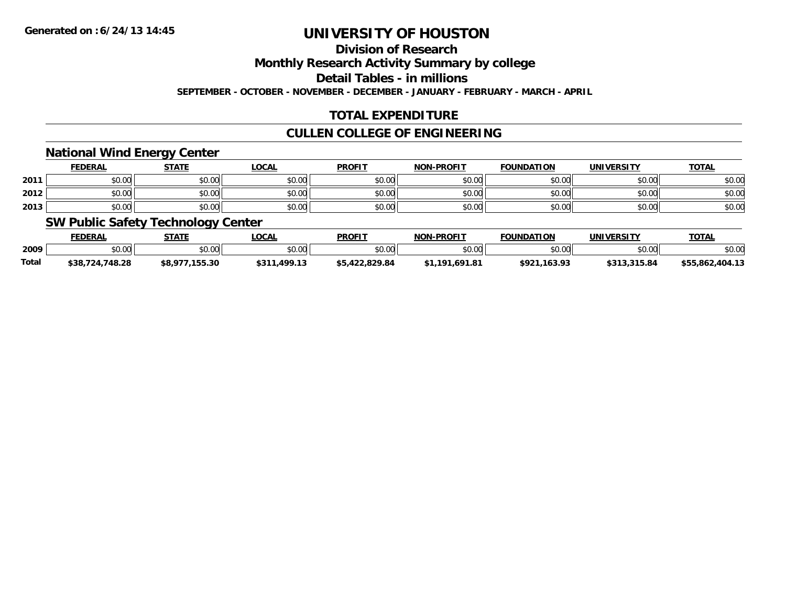## **Division of Research**

**Monthly Research Activity Summary by college**

**Detail Tables - in millions**

**SEPTEMBER - OCTOBER - NOVEMBER - DECEMBER - JANUARY - FEBRUARY - MARCH - APRIL**

## **TOTAL EXPENDITURE**

## **CULLEN COLLEGE OF ENGINEERING**

### **National Wind Energy Center**

|      | <b>FEDERAL</b> | <b>STATE</b>   | <u>LOCAL</u>                                | <b>PROFIT</b>                                         | <b>NON-PROFIT</b> | <b>FOUNDATION</b> | UNIVERSITY | <b>TOTAL</b> |
|------|----------------|----------------|---------------------------------------------|-------------------------------------------------------|-------------------|-------------------|------------|--------------|
| 2011 | 0000<br>,u.uu  | ≮N UU<br>JU.UU | $\mathfrak{c}\cap\mathfrak{a}\cap$<br>JU.UU | $\mathsf{A} \cap \mathsf{A} \cap \mathsf{A}$<br>JU.UU | \$0.00            | \$0.00            | \$0.00     | \$0.00       |
| 2012 | 0000<br>DU.UU  | ደስ ሰሰ<br>PU.UU | $\sigma$ $\Omega$<br>JU.UU                  | $\uparrow$ $\uparrow$<br>JU.UU                        | \$0.00            | \$0.00            | \$0.00     | \$0.00       |
| 2013 | \$0.00         | \$0.00         | \$0.00                                      | t∩ ∩∩<br><b>SU.UU</b>                                 | \$0.00            | \$0.00            | \$0.00     | \$0.00       |

### **SW Public Safety Technology Center**

|       | <b>FEDERAL</b>  | <u>STATE</u>   | _OCAL        | <b>PROFIT</b>  | <b>NON-PROFIT</b> | <b>FOUNDATION</b> | UNIVERSITY   | <b>TOTAL</b>    |
|-------|-----------------|----------------|--------------|----------------|-------------------|-------------------|--------------|-----------------|
| 2009  | \$0.00          | \$0.00         | \$0.00       | \$0.00         | \$0.00            | \$0.00            | \$0.00       | \$0.00          |
| Total | \$38,724,748.28 | \$8,977,155.30 | \$311,499.13 | \$5,422,829.84 | \$1.191.691.81    | \$921.163.93      | \$313,315.84 | \$55.862.404.13 |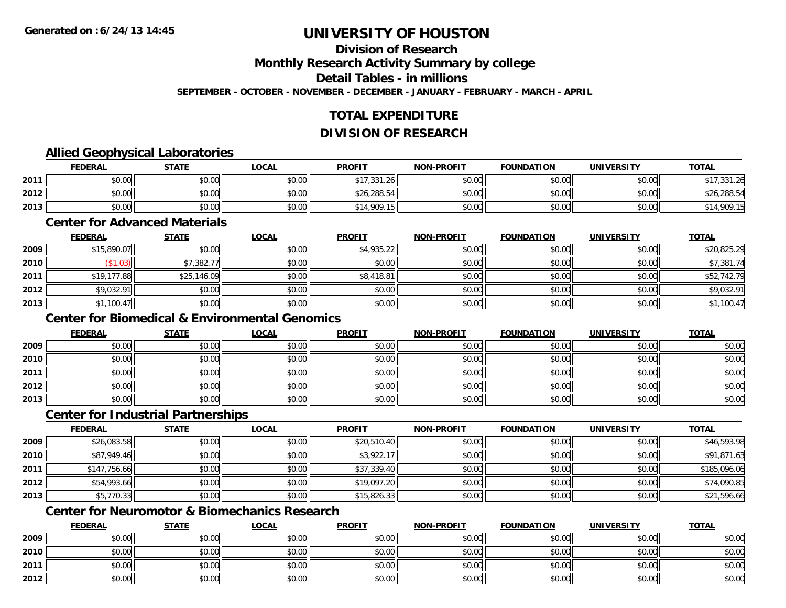## **Division of Research**

**Monthly Research Activity Summary by college**

**Detail Tables - in millions**

**SEPTEMBER - OCTOBER - NOVEMBER - DECEMBER - JANUARY - FEBRUARY - MARCH - APRIL**

## **TOTAL EXPENDITURE**

#### **DIVISION OF RESEARCH**

### **Allied Geophysical Laboratories**

|      | <b>FEDERAL</b> | <b>STATE</b> | <u>LOCAL</u> | <b>PROFIT</b> | <b>NON-PROFIT</b> | <b>FOUNDATION</b> | <b>UNIVERSITY</b> | <b>TOTAL</b> |
|------|----------------|--------------|--------------|---------------|-------------------|-------------------|-------------------|--------------|
| 2011 | \$0.00         | \$0.00       | \$0.00       | \$17,331.26   | \$0.00            | \$0.00            | \$0.00            | ,331.26      |
| 2012 | \$0.00         | \$0.00       | \$0.00       | \$26,288.54   | \$0.00            | \$0.00            | \$0.00            | \$26,288.54  |
| 2013 | \$0.00         | \$0.00       | \$0.00       | \$14,909.15   | \$0.00            | \$0.00            | \$0.00            | 14,909.15    |

#### **Center for Advanced Materials**

|      | <b>FEDERAL</b> | <u>STATE</u> | <b>LOCAL</b> | <b>PROFIT</b> | <b>NON-PROFIT</b> | <b>FOUNDATION</b> | <b>UNIVERSITY</b> | <b>TOTAL</b> |
|------|----------------|--------------|--------------|---------------|-------------------|-------------------|-------------------|--------------|
| 2009 | \$15,890.07    | \$0.00       | \$0.00       | \$4,935.22    | \$0.00            | \$0.00            | \$0.00            | \$20,825.29  |
| 2010 | \$1.03)        | \$7,382.77   | \$0.00       | \$0.00        | \$0.00            | \$0.00            | \$0.00            | \$7,381.74   |
| 2011 | \$19,177.88    | \$25,146.09  | \$0.00       | \$8,418.81    | \$0.00            | \$0.00            | \$0.00            | \$52,742.79  |
| 2012 | \$9,032.91     | \$0.00       | \$0.00       | \$0.00        | \$0.00            | \$0.00            | \$0.00            | \$9,032.91   |
| 2013 | \$1,100.47     | \$0.00       | \$0.00       | \$0.00        | \$0.00            | \$0.00            | \$0.00            | \$1,100.47   |

## **Center for Biomedical & Environmental Genomics**

|      | <u>FEDERAL</u> | <b>STATE</b> | <u>LOCAL</u> | <b>PROFIT</b> | <b>NON-PROFIT</b> | <b>FOUNDATION</b> | <b>UNIVERSITY</b> | <b>TOTAL</b> |
|------|----------------|--------------|--------------|---------------|-------------------|-------------------|-------------------|--------------|
| 2009 | \$0.00         | \$0.00       | \$0.00       | \$0.00        | \$0.00            | \$0.00            | \$0.00            | \$0.00       |
| 2010 | \$0.00         | \$0.00       | \$0.00       | \$0.00        | \$0.00            | \$0.00            | \$0.00            | \$0.00       |
| 2011 | \$0.00         | \$0.00       | \$0.00       | \$0.00        | \$0.00            | \$0.00            | \$0.00            | \$0.00       |
| 2012 | \$0.00         | \$0.00       | \$0.00       | \$0.00        | \$0.00            | \$0.00            | \$0.00            | \$0.00       |
| 2013 | \$0.00         | \$0.00       | \$0.00       | \$0.00        | \$0.00            | \$0.00            | \$0.00            | \$0.00       |

#### **Center for Industrial Partnerships**

|      | <b>FEDERAL</b> | <b>STATE</b> | <b>LOCAL</b> | <b>PROFIT</b> | <b>NON-PROFIT</b> | <b>FOUNDATION</b> | <b>UNIVERSITY</b> | <b>TOTAL</b> |
|------|----------------|--------------|--------------|---------------|-------------------|-------------------|-------------------|--------------|
| 2009 | \$26,083.58    | \$0.00       | \$0.00       | \$20,510.40   | \$0.00            | \$0.00            | \$0.00            | \$46,593.98  |
| 2010 | \$87,949.46    | \$0.00       | \$0.00       | \$3,922.17    | \$0.00            | \$0.00            | \$0.00            | \$91,871.63  |
| 2011 | \$147,756.66   | \$0.00       | \$0.00       | \$37,339.40   | \$0.00            | \$0.00            | \$0.00            | \$185,096.06 |
| 2012 | \$54,993.66    | \$0.00       | \$0.00       | \$19,097.20   | \$0.00            | \$0.00            | \$0.00            | \$74,090.85  |
| 2013 | \$5,770.33     | \$0.00       | \$0.00       | \$15,826.33   | \$0.00            | \$0.00            | \$0.00            | \$21,596.66  |

## **Center for Neuromotor & Biomechanics Research**

|      | <b>FEDERAL</b> | <b>STATE</b> | <u>LOCAL</u> | <b>PROFIT</b> | <b>NON-PROFIT</b> | <b>FOUNDATION</b> | <b>UNIVERSITY</b> | <b>TOTAL</b> |
|------|----------------|--------------|--------------|---------------|-------------------|-------------------|-------------------|--------------|
| 2009 | \$0.00         | \$0.00       | \$0.00       | \$0.00        | \$0.00            | \$0.00            | \$0.00            | \$0.00       |
| 2010 | \$0.00         | \$0.00       | \$0.00       | \$0.00        | \$0.00            | \$0.00            | \$0.00            | \$0.00       |
| 2011 | \$0.00         | \$0.00       | \$0.00       | \$0.00        | \$0.00            | \$0.00            | \$0.00            | \$0.00       |
| 2012 | \$0.00         | \$0.00       | \$0.00       | \$0.00        | \$0.00            | \$0.00            | \$0.00            | \$0.00       |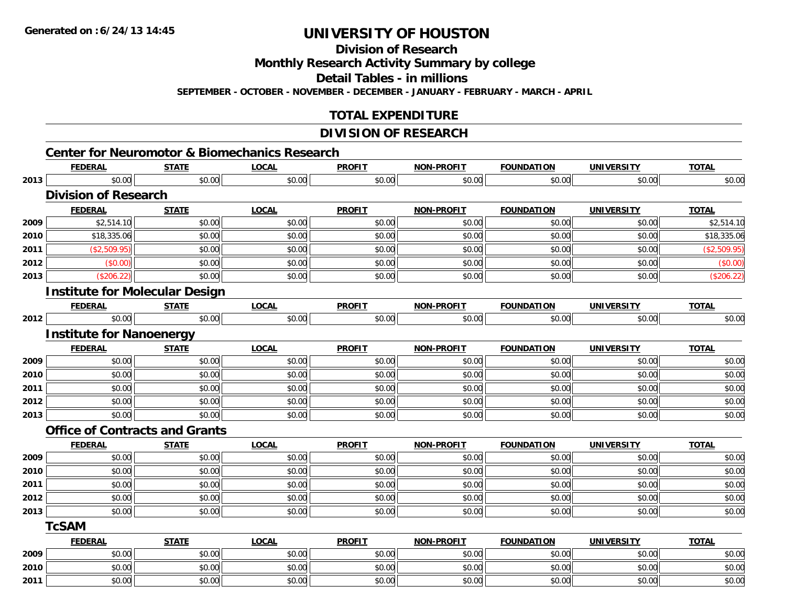**Division of Research**

**Monthly Research Activity Summary by college**

**Detail Tables - in millions**

**SEPTEMBER - OCTOBER - NOVEMBER - DECEMBER - JANUARY - FEBRUARY - MARCH - APRIL**

### **TOTAL EXPENDITURE**

### **DIVISION OF RESEARCH**

|      | <b>FEDERAL</b>                        | <b>STATE</b> | <b>LOCAL</b> | <b>PROFIT</b> | <b>NON-PROFIT</b> | <b>FOUNDATION</b> | <b>UNIVERSITY</b> | <b>TOTAL</b> |
|------|---------------------------------------|--------------|--------------|---------------|-------------------|-------------------|-------------------|--------------|
| 2013 | \$0.00                                | \$0.00       | \$0.00       | \$0.00        | \$0.00            | \$0.00            | \$0.00            | \$0.00       |
|      | <b>Division of Research</b>           |              |              |               |                   |                   |                   |              |
|      | <b>FEDERAL</b>                        | <b>STATE</b> | <b>LOCAL</b> | <b>PROFIT</b> | <b>NON-PROFIT</b> | <b>FOUNDATION</b> | <b>UNIVERSITY</b> | <b>TOTAL</b> |
| 2009 | \$2,514.10                            | \$0.00       | \$0.00       | \$0.00        | \$0.00            | \$0.00            | \$0.00            | \$2,514.10   |
| 2010 | \$18,335.06                           | \$0.00       | \$0.00       | \$0.00        | \$0.00            | \$0.00            | \$0.00            | \$18,335.06  |
| 2011 | (\$2,509.95)                          | \$0.00       | \$0.00       | \$0.00        | \$0.00            | \$0.00            | \$0.00            | (\$2,509.95) |
| 2012 | (\$0.00)                              | \$0.00       | \$0.00       | \$0.00        | \$0.00            | \$0.00            | \$0.00            | (\$0.00)     |
| 2013 | (\$206.22)                            | \$0.00       | \$0.00       | \$0.00        | \$0.00            | \$0.00            | \$0.00            | (\$206.22)   |
|      | <b>Institute for Molecular Design</b> |              |              |               |                   |                   |                   |              |
|      | <b>FEDERAL</b>                        | <b>STATE</b> | <b>LOCAL</b> | <b>PROFIT</b> | <b>NON-PROFIT</b> | <b>FOUNDATION</b> | <b>UNIVERSITY</b> | <b>TOTAL</b> |
| 2012 | \$0.00                                | \$0.00       | \$0.00       | \$0.00        | \$0.00            | \$0.00            | \$0.00            | \$0.00       |
|      | <b>Institute for Nanoenergy</b>       |              |              |               |                   |                   |                   |              |
|      | <b>FEDERAL</b>                        | <b>STATE</b> | <b>LOCAL</b> | <b>PROFIT</b> | <b>NON-PROFIT</b> | <b>FOUNDATION</b> | <b>UNIVERSITY</b> | <b>TOTAL</b> |
| 2009 | \$0.00                                | \$0.00       | \$0.00       | \$0.00        | \$0.00            | \$0.00            | \$0.00            | \$0.00       |
| 2010 | \$0.00                                | \$0.00       | \$0.00       | \$0.00        | \$0.00            | \$0.00            | \$0.00            | \$0.00       |
| 2011 | \$0.00                                | \$0.00       | \$0.00       | \$0.00        | \$0.00            | \$0.00            | \$0.00            | \$0.00       |
| 2012 | \$0.00                                | \$0.00       | \$0.00       | \$0.00        | \$0.00            | \$0.00            | \$0.00            | \$0.00       |
| 2013 | \$0.00                                | \$0.00       | \$0.00       | \$0.00        | \$0.00            | \$0.00            | \$0.00            | \$0.00       |
|      | <b>Office of Contracts and Grants</b> |              |              |               |                   |                   |                   |              |
|      | <b>FEDERAL</b>                        | <b>STATE</b> | <b>LOCAL</b> | <b>PROFIT</b> | <b>NON-PROFIT</b> | <b>FOUNDATION</b> | <b>UNIVERSITY</b> | <b>TOTAL</b> |
| 2009 | \$0.00                                | \$0.00       | \$0.00       | \$0.00        | \$0.00            | \$0.00            | \$0.00            | \$0.00       |
| 2010 | \$0.00                                | \$0.00       | \$0.00       | \$0.00        | \$0.00            | \$0.00            | \$0.00            | \$0.00       |
| 2011 | \$0.00                                | \$0.00       | \$0.00       | \$0.00        | \$0.00            | \$0.00            | \$0.00            | \$0.00       |
| 2012 | \$0.00                                | \$0.00       | \$0.00       | \$0.00        | \$0.00            | \$0.00            | \$0.00            | \$0.00       |
| 2013 | \$0.00                                | \$0.00       | \$0.00       | \$0.00        | \$0.00            | \$0.00            | \$0.00            | \$0.00       |
|      | <b>TcSAM</b>                          |              |              |               |                   |                   |                   |              |
|      | <b>FEDERAL</b>                        | <b>STATE</b> | <b>LOCAL</b> | <b>PROFIT</b> | <b>NON-PROFIT</b> | <b>FOUNDATION</b> | <b>UNIVERSITY</b> | <b>TOTAL</b> |
| 2009 | \$0.00                                | \$0.00       | \$0.00       | \$0.00        | \$0.00            | \$0.00            | \$0.00            | \$0.00       |
| 2010 | \$0.00                                | \$0.00       | \$0.00       | \$0.00        | \$0.00            | \$0.00            | \$0.00            | \$0.00       |
| 2011 | \$0.00                                | \$0.00       | \$0.00       | \$0.00        | \$0.00            | \$0.00            | \$0.00            | \$0.00       |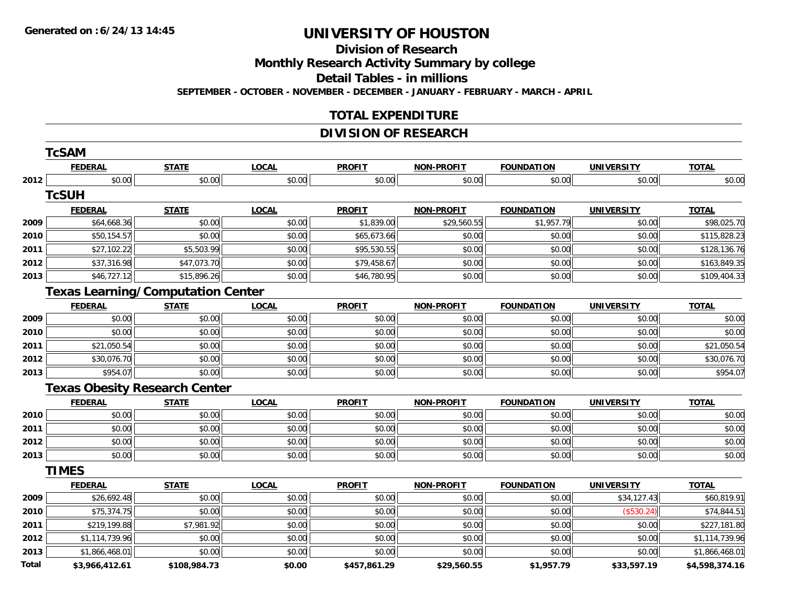**Division of Research**

**Monthly Research Activity Summary by college**

**Detail Tables - in millions**

**SEPTEMBER - OCTOBER - NOVEMBER - DECEMBER - JANUARY - FEBRUARY - MARCH - APRIL**

### **TOTAL EXPENDITURE**

## **DIVISION OF RESEARCH**

|       | <b>TcSAM</b>   |                                          |              |               |                   |                   |                   |                |
|-------|----------------|------------------------------------------|--------------|---------------|-------------------|-------------------|-------------------|----------------|
|       | <b>FEDERAL</b> | <b>STATE</b>                             | <b>LOCAL</b> | <b>PROFIT</b> | <b>NON-PROFIT</b> | <b>FOUNDATION</b> | <b>UNIVERSITY</b> | <b>TOTAL</b>   |
| 2012  | \$0.00         | \$0.00                                   | \$0.00       | \$0.00        | \$0.00            | \$0.00            | \$0.00            | \$0.00         |
|       | <b>TcSUH</b>   |                                          |              |               |                   |                   |                   |                |
|       | <b>FEDERAL</b> | <b>STATE</b>                             | <b>LOCAL</b> | <b>PROFIT</b> | <b>NON-PROFIT</b> | <b>FOUNDATION</b> | <b>UNIVERSITY</b> | <b>TOTAL</b>   |
| 2009  | \$64,668.36    | \$0.00                                   | \$0.00       | \$1,839.00    | \$29,560.55       | \$1,957.79        | \$0.00            | \$98,025.70    |
| 2010  | \$50,154.57    | \$0.00                                   | \$0.00       | \$65,673.66   | \$0.00            | \$0.00            | \$0.00            | \$115,828.23   |
| 2011  | \$27,102.22    | \$5,503.99                               | \$0.00       | \$95,530.55   | \$0.00            | \$0.00            | \$0.00            | \$128,136.76   |
| 2012  | \$37,316.98    | \$47,073.70                              | \$0.00       | \$79,458.67   | \$0.00            | \$0.00            | \$0.00            | \$163,849.35   |
| 2013  | \$46,727.12    | \$15,896.26                              | \$0.00       | \$46,780.95   | \$0.00            | \$0.00            | \$0.00            | \$109,404.33   |
|       |                | <b>Texas Learning/Computation Center</b> |              |               |                   |                   |                   |                |
|       | <b>FEDERAL</b> | <b>STATE</b>                             | <b>LOCAL</b> | <b>PROFIT</b> | <b>NON-PROFIT</b> | <b>FOUNDATION</b> | <b>UNIVERSITY</b> | <b>TOTAL</b>   |
| 2009  | \$0.00         | \$0.00                                   | \$0.00       | \$0.00        | \$0.00            | \$0.00            | \$0.00            | \$0.00         |
| 2010  | \$0.00         | \$0.00                                   | \$0.00       | \$0.00        | \$0.00            | \$0.00            | \$0.00            | \$0.00         |
| 2011  | \$21,050.54    | \$0.00                                   | \$0.00       | \$0.00        | \$0.00            | \$0.00            | \$0.00            | \$21,050.54    |
| 2012  | \$30,076.70    | \$0.00                                   | \$0.00       | \$0.00        | \$0.00            | \$0.00            | \$0.00            | \$30,076.70    |
| 2013  | \$954.07       | \$0.00                                   | \$0.00       | \$0.00        | \$0.00            | \$0.00            | \$0.00            | \$954.07       |
|       |                | <b>Texas Obesity Research Center</b>     |              |               |                   |                   |                   |                |
|       | <b>FEDERAL</b> | <b>STATE</b>                             | <b>LOCAL</b> | <b>PROFIT</b> | <b>NON-PROFIT</b> | <b>FOUNDATION</b> | <b>UNIVERSITY</b> | <b>TOTAL</b>   |
| 2010  | \$0.00         | \$0.00                                   | \$0.00       | \$0.00        | \$0.00            | \$0.00            | \$0.00            | \$0.00         |
| 2011  | \$0.00         | \$0.00                                   | \$0.00       | \$0.00        | \$0.00            | \$0.00            | \$0.00            | \$0.00         |
| 2012  | \$0.00         | \$0.00                                   | \$0.00       | \$0.00        | \$0.00            | \$0.00            | \$0.00            | \$0.00         |
| 2013  | \$0.00         | \$0.00                                   | \$0.00       | \$0.00        | \$0.00            | \$0.00            | \$0.00            | \$0.00         |
|       | <b>TIMES</b>   |                                          |              |               |                   |                   |                   |                |
|       | <b>FEDERAL</b> | <b>STATE</b>                             | <b>LOCAL</b> | <b>PROFIT</b> | <b>NON-PROFIT</b> | <b>FOUNDATION</b> | <b>UNIVERSITY</b> | <b>TOTAL</b>   |
| 2009  | \$26,692.48    | \$0.00                                   | \$0.00       | \$0.00        | \$0.00            | \$0.00            | \$34,127.43       | \$60,819.91    |
| 2010  | \$75,374.75    | \$0.00                                   | \$0.00       | \$0.00        | \$0.00            | \$0.00            | (\$530.24)        | \$74,844.51    |
| 2011  | \$219,199.88   | \$7,981.92                               | \$0.00       | \$0.00        | \$0.00            | \$0.00            | \$0.00            | \$227,181.80   |
| 2012  | \$1,114,739.96 | \$0.00                                   | \$0.00       | \$0.00        | \$0.00            | \$0.00            | \$0.00            | \$1,114,739.96 |
| 2013  | \$1,866,468.01 | \$0.00                                   | \$0.00       | \$0.00        | \$0.00            | \$0.00            | \$0.00            | \$1,866,468.01 |
| Total | \$3,966,412.61 | \$108,984.73                             | \$0.00       | \$457,861.29  | \$29,560.55       | \$1,957.79        | \$33,597.19       | \$4,598,374.16 |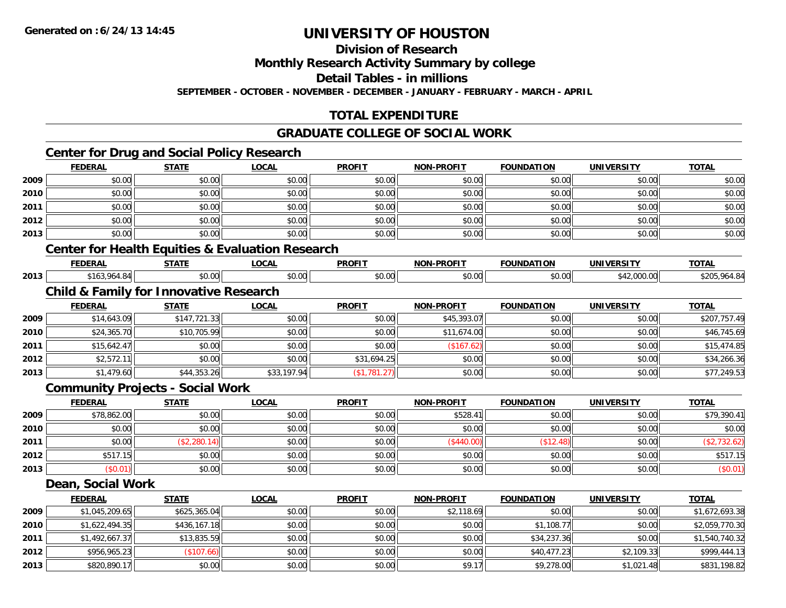**Division of Research**

**Monthly Research Activity Summary by college**

**Detail Tables - in millions**

**SEPTEMBER - OCTOBER - NOVEMBER - DECEMBER - JANUARY - FEBRUARY - MARCH - APRIL**

## **TOTAL EXPENDITURE**

### **GRADUATE COLLEGE OF SOCIAL WORK**

## **Center for Drug and Social Policy Research**

|      | <b>FEDERAL</b>    | <b>STATE</b>                                      | <b>LOCAL</b>                                                | <b>PROFIT</b> | <b>NON-PROFIT</b> | <b>FOUNDATION</b> | <b>UNIVERSITY</b> | <b>TOTAL</b> |
|------|-------------------|---------------------------------------------------|-------------------------------------------------------------|---------------|-------------------|-------------------|-------------------|--------------|
| 2009 | \$0.00            | \$0.00                                            | \$0.00                                                      | \$0.00        | \$0.00            | \$0.00            | \$0.00            | \$0.00       |
| 2010 | \$0.00            | \$0.00                                            | \$0.00                                                      | \$0.00        | \$0.00            | \$0.00            | \$0.00            | \$0.00       |
| 2011 | \$0.00            | \$0.00                                            | \$0.00                                                      | \$0.00        | \$0.00            | \$0.00            | \$0.00            | \$0.00       |
| 2012 | \$0.00            | \$0.00                                            | \$0.00                                                      | \$0.00        | \$0.00            | \$0.00            | \$0.00            | \$0.00       |
| 2013 | \$0.00            | \$0.00                                            | \$0.00                                                      | \$0.00        | \$0.00            | \$0.00            | \$0.00            | \$0.00       |
|      |                   |                                                   | <b>Center for Health Equities &amp; Evaluation Research</b> |               |                   |                   |                   |              |
|      | <b>FEDERAL</b>    | <b>STATE</b>                                      | <b>LOCAL</b>                                                | <b>PROFIT</b> | <b>NON-PROFIT</b> | <b>FOUNDATION</b> | <b>UNIVERSITY</b> | <b>TOTAL</b> |
| 2013 | \$163,964.84      | \$0.00                                            | \$0.00                                                      | \$0.00        | \$0.00            | \$0.00            | \$42,000.00       | \$205,964.84 |
|      |                   | <b>Child &amp; Family for Innovative Research</b> |                                                             |               |                   |                   |                   |              |
|      | <b>FEDERAL</b>    | <b>STATE</b>                                      | <b>LOCAL</b>                                                | <b>PROFIT</b> | <b>NON-PROFIT</b> | <b>FOUNDATION</b> | <b>UNIVERSITY</b> | <b>TOTAL</b> |
| 2009 | \$14,643.09       | \$147,721.33                                      | \$0.00                                                      | \$0.00        | \$45,393.07       | \$0.00            | \$0.00            | \$207,757.49 |
| 2010 | \$24,365.70       | \$10,705.99                                       | \$0.00                                                      | \$0.00        | \$11,674.00       | \$0.00            | \$0.00            | \$46,745.69  |
| 2011 | \$15,642.47       | \$0.00                                            | \$0.00                                                      | \$0.00        | (\$167.62)        | \$0.00            | \$0.00            | \$15,474.85  |
| 2012 | \$2,572.11        | \$0.00                                            | \$0.00                                                      | \$31,694.25   | \$0.00            | \$0.00            | \$0.00            | \$34,266.36  |
| 2013 | \$1,479.60        | \$44,353.26                                       | \$33,197.94                                                 | (\$1,781.27)  | \$0.00            | \$0.00            | \$0.00            | \$77,249.53  |
|      |                   | <b>Community Projects - Social Work</b>           |                                                             |               |                   |                   |                   |              |
|      | <b>FEDERAL</b>    | <b>STATE</b>                                      | <b>LOCAL</b>                                                | <b>PROFIT</b> | <b>NON-PROFIT</b> | <b>FOUNDATION</b> | <b>UNIVERSITY</b> | <b>TOTAL</b> |
| 2009 | \$78,862.00       | \$0.00                                            | \$0.00                                                      | \$0.00        | \$528.41          | \$0.00            | \$0.00            | \$79,390.41  |
| 2010 | \$0.00            | \$0.00                                            | \$0.00                                                      | \$0.00        | \$0.00            | \$0.00            | \$0.00            | \$0.00       |
| 2011 | \$0.00            | (\$2,280.14)                                      | \$0.00                                                      | \$0.00        | (\$440.00)        | (\$12.48)         | \$0.00            | (\$2,732.62) |
| 2012 | \$517.15          | \$0.00                                            | \$0.00                                                      | \$0.00        | \$0.00            | \$0.00            | \$0.00            | \$517.15     |
| 2013 | (\$0.01)          | \$0.00                                            | \$0.00                                                      | \$0.00        | \$0.00            | \$0.00            | \$0.00            | (\$0.01)     |
|      | Dean, Social Work |                                                   |                                                             |               |                   |                   |                   |              |
|      | <b>FEDERAL</b>    | <b>STATE</b>                                      | <b>LOCAL</b>                                                | <b>PROFIT</b> | <b>NON-PROFIT</b> | <b>FOUNDATION</b> | <b>UNIVERSITY</b> | <b>TOTAL</b> |
|      |                   |                                                   | $\overline{a}$                                              |               |                   | $\overline{a}$    | $\sim$ 0.00       |              |

|      | _______        | ______       | ______ |        | __________ | .           |            | _____          |
|------|----------------|--------------|--------|--------|------------|-------------|------------|----------------|
| 2009 | \$1,045,209.65 | \$625,365.04 | \$0.00 | \$0.00 | \$2,118.69 | \$0.00      | \$0.00     | \$1,672,693.38 |
| 2010 | \$1,622,494.35 | \$436,167.18 | \$0.00 | \$0.00 | \$0.00     | \$1,108.77  | \$0.00     | \$2,059,770.30 |
| 2011 | \$1,492,667.37 | \$13,835.59  | \$0.00 | \$0.00 | \$0.00     | \$34.237.36 | \$0.00     | \$1,540,740.32 |
| 2012 | \$956,965.23   | \$107.66     | \$0.00 | \$0.00 | \$0.00     | \$40,477.23 | \$2,109.33 | \$999,444.13   |
| 2013 | \$820,890.17   | \$0.00       | \$0.00 | \$0.00 | \$9.17     | \$9,278.00  | \$1,021.48 | \$831,198.82   |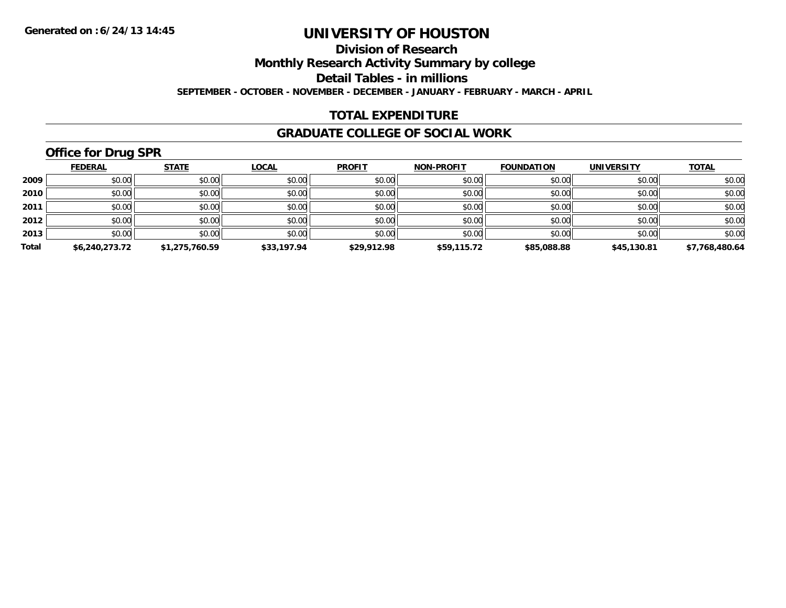**Division of Research**

**Monthly Research Activity Summary by college**

**Detail Tables - in millions**

**SEPTEMBER - OCTOBER - NOVEMBER - DECEMBER - JANUARY - FEBRUARY - MARCH - APRIL**

### **TOTAL EXPENDITURE**

#### **GRADUATE COLLEGE OF SOCIAL WORK**

## **Office for Drug SPR**

|       | <b>FEDERAL</b> | <b>STATE</b>   | <b>LOCAL</b> | <b>PROFIT</b> | <b>NON-PROFIT</b> | <b>FOUNDATION</b> | <b>UNIVERSITY</b> | <b>TOTAL</b>   |
|-------|----------------|----------------|--------------|---------------|-------------------|-------------------|-------------------|----------------|
| 2009  | \$0.00         | \$0.00         | \$0.00       | \$0.00        | \$0.00            | \$0.00            | \$0.00            | \$0.00         |
| 2010  | \$0.00         | \$0.00         | \$0.00       | \$0.00        | \$0.00            | \$0.00            | \$0.00            | \$0.00         |
| 2011  | \$0.00         | \$0.00         | \$0.00       | \$0.00        | \$0.00            | \$0.00            | \$0.00            | \$0.00         |
| 2012  | \$0.00         | \$0.00         | \$0.00       | \$0.00        | \$0.00            | \$0.00            | \$0.00            | \$0.00         |
| 2013  | \$0.00         | \$0.00         | \$0.00       | \$0.00        | \$0.00            | \$0.00            | \$0.00            | \$0.00         |
| Total | \$6,240,273.72 | \$1,275,760.59 | \$33,197.94  | \$29,912.98   | \$59,115.72       | \$85,088.88       | \$45,130.81       | \$7,768,480.64 |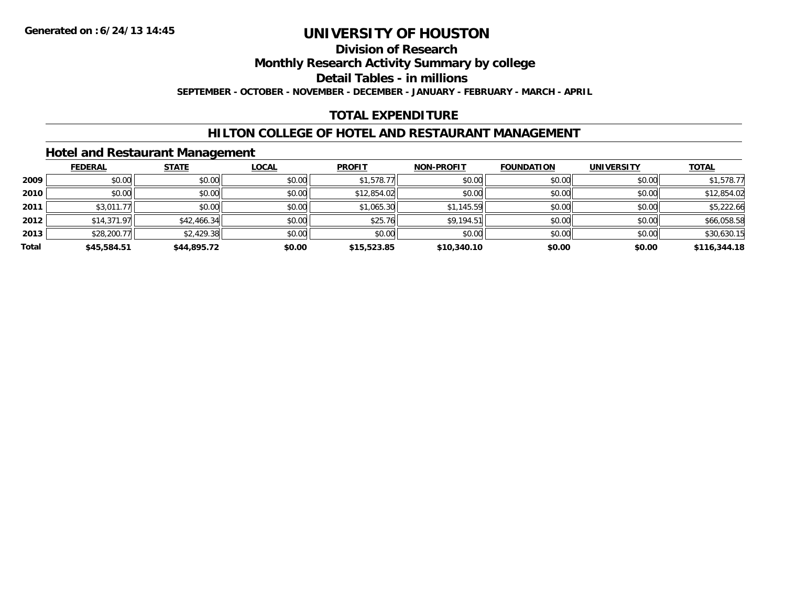#### **Division of Research**

**Monthly Research Activity Summary by college**

**Detail Tables - in millions**

**SEPTEMBER - OCTOBER - NOVEMBER - DECEMBER - JANUARY - FEBRUARY - MARCH - APRIL**

## **TOTAL EXPENDITURE**

### **HILTON COLLEGE OF HOTEL AND RESTAURANT MANAGEMENT**

### **Hotel and Restaurant Management**

|       | <b>FEDERAL</b> | <b>STATE</b> | <u>LOCAL</u> | <b>PROFIT</b> | <b>NON-PROFIT</b> | <b>FOUNDATION</b> | <b>UNIVERSITY</b> | <b>TOTAL</b> |
|-------|----------------|--------------|--------------|---------------|-------------------|-------------------|-------------------|--------------|
| 2009  | \$0.00         | \$0.00       | \$0.00       | \$1,578.77    | \$0.00            | \$0.00            | \$0.00            | \$1,578.77   |
| 2010  | \$0.00         | \$0.00       | \$0.00       | \$12,854.02   | \$0.00            | \$0.00            | \$0.00            | \$12,854.02  |
| 2011  | \$3,011.77     | \$0.00       | \$0.00       | \$1,065.30    | \$1,145.59        | \$0.00            | \$0.00            | \$5,222.66   |
| 2012  | \$14,371.97    | \$42,466.34  | \$0.00       | \$25.76       | \$9,194.51        | \$0.00            | \$0.00            | \$66,058.58  |
| 2013  | \$28,200.77    | \$2,429.38   | \$0.00       | \$0.00        | \$0.00            | \$0.00            | \$0.00            | \$30,630.15  |
| Total | \$45,584.51    | \$44,895.72  | \$0.00       | \$15,523.85   | \$10,340.10       | \$0.00            | \$0.00            | \$116,344.18 |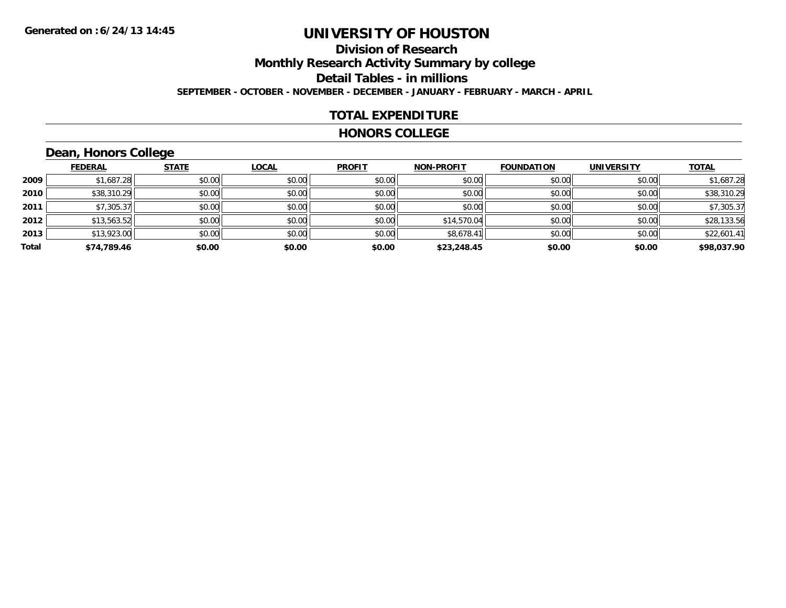# **Division of Research**

**Monthly Research Activity Summary by college**

**Detail Tables - in millions**

**SEPTEMBER - OCTOBER - NOVEMBER - DECEMBER - JANUARY - FEBRUARY - MARCH - APRIL**

## **TOTAL EXPENDITURE**

#### **HONORS COLLEGE**

## **Dean, Honors College**

|       | <b>FEDERAL</b> | <b>STATE</b> | <b>LOCAL</b> | <b>PROFIT</b> | <b>NON-PROFIT</b> | <b>FOUNDATION</b> | <b>UNIVERSITY</b> | <b>TOTAL</b> |
|-------|----------------|--------------|--------------|---------------|-------------------|-------------------|-------------------|--------------|
| 2009  | \$1,687.28     | \$0.00       | \$0.00       | \$0.00        | \$0.00            | \$0.00            | \$0.00            | \$1,687.28   |
| 2010  | \$38,310.29    | \$0.00       | \$0.00       | \$0.00        | \$0.00            | \$0.00            | \$0.00            | \$38,310.29  |
| 2011  | \$7,305.37     | \$0.00       | \$0.00       | \$0.00        | \$0.00            | \$0.00            | \$0.00            | \$7,305.37   |
| 2012  | \$13,563.52    | \$0.00       | \$0.00       | \$0.00        | \$14,570.04       | \$0.00            | \$0.00            | \$28,133.56  |
| 2013  | \$13,923.00    | \$0.00       | \$0.00       | \$0.00        | \$8,678.41        | \$0.00            | \$0.00            | \$22,601.41  |
| Total | \$74,789.46    | \$0.00       | \$0.00       | \$0.00        | \$23,248.45       | \$0.00            | \$0.00            | \$98,037.90  |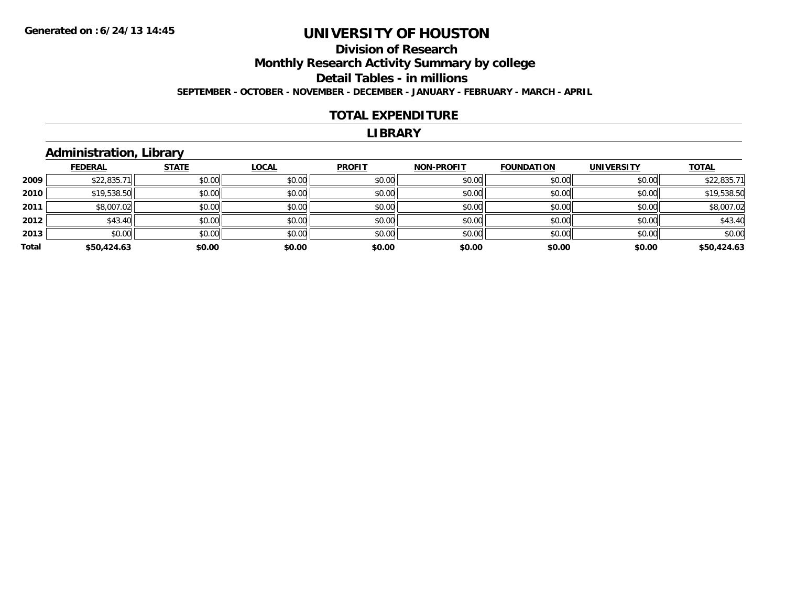## **Division of ResearchMonthly Research Activity Summary by college Detail Tables - in millions SEPTEMBER - OCTOBER - NOVEMBER - DECEMBER - JANUARY - FEBRUARY - MARCH - APRIL**

#### **TOTAL EXPENDITURE**

#### **LIBRARY**

## **Administration, Library**

|       | <b>FEDERAL</b> | <b>STATE</b> | <b>LOCAL</b> | <b>PROFIT</b> | <b>NON-PROFIT</b> | <b>FOUNDATION</b> | <b>UNIVERSITY</b> | <b>TOTAL</b> |
|-------|----------------|--------------|--------------|---------------|-------------------|-------------------|-------------------|--------------|
| 2009  | \$22,835.71    | \$0.00       | \$0.00       | \$0.00        | \$0.00            | \$0.00            | \$0.00            | \$22,835.71  |
| 2010  | \$19,538.50    | \$0.00       | \$0.00       | \$0.00        | \$0.00            | \$0.00            | \$0.00            | \$19,538.50  |
| 2011  | \$8,007.02     | \$0.00       | \$0.00       | \$0.00        | \$0.00            | \$0.00            | \$0.00            | \$8,007.02   |
| 2012  | \$43.40        | \$0.00       | \$0.00       | \$0.00        | \$0.00            | \$0.00            | \$0.00            | \$43.40      |
| 2013  | \$0.00         | \$0.00       | \$0.00       | \$0.00        | \$0.00            | \$0.00            | \$0.00            | \$0.00       |
| Total | \$50,424.63    | \$0.00       | \$0.00       | \$0.00        | \$0.00            | \$0.00            | \$0.00            | \$50,424.63  |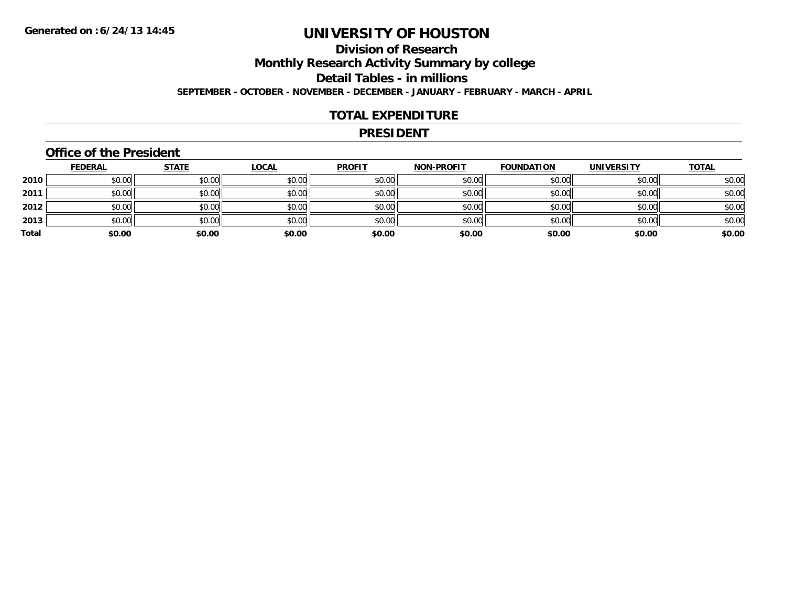## **Division of ResearchMonthly Research Activity Summary by college Detail Tables - in millions SEPTEMBER - OCTOBER - NOVEMBER - DECEMBER - JANUARY - FEBRUARY - MARCH - APRIL**

#### **TOTAL EXPENDITURE**

#### **PRESIDENT**

### **Office of the President**

|       | <b>FEDERAL</b> | <b>STATE</b> | <b>LOCAL</b> | <b>PROFIT</b> | <b>NON-PROFIT</b> | <b>FOUNDATION</b> | <b>UNIVERSITY</b> | <b>TOTAL</b> |
|-------|----------------|--------------|--------------|---------------|-------------------|-------------------|-------------------|--------------|
| 2010  | \$0.00         | \$0.00       | \$0.00       | \$0.00        | \$0.00            | \$0.00            | \$0.00            | \$0.00       |
| 2011  | \$0.00         | \$0.00       | \$0.00       | \$0.00        | \$0.00            | \$0.00            | \$0.00            | \$0.00       |
| 2012  | \$0.00         | \$0.00       | \$0.00       | \$0.00        | \$0.00            | \$0.00            | \$0.00            | \$0.00       |
| 2013  | \$0.00         | \$0.00       | \$0.00       | \$0.00        | \$0.00            | \$0.00            | \$0.00            | \$0.00       |
| Total | \$0.00         | \$0.00       | \$0.00       | \$0.00        | \$0.00            | \$0.00            | \$0.00            | \$0.00       |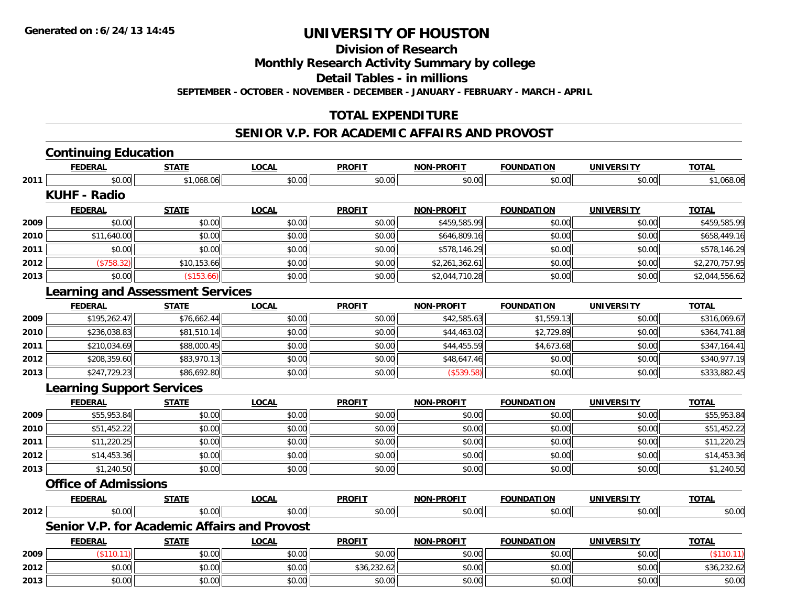**Division of Research**

**Monthly Research Activity Summary by college**

**Detail Tables - in millions**

**SEPTEMBER - OCTOBER - NOVEMBER - DECEMBER - JANUARY - FEBRUARY - MARCH - APRIL**

## **TOTAL EXPENDITURE**

#### **SENIOR V.P. FOR ACADEMIC AFFAIRS AND PROVOST**

|      | <b>Continuing Education</b>      |                                                     |              |               |                   |                   |                   |                |
|------|----------------------------------|-----------------------------------------------------|--------------|---------------|-------------------|-------------------|-------------------|----------------|
|      | <b>FEDERAL</b>                   | <b>STATE</b>                                        | <b>LOCAL</b> | <b>PROFIT</b> | <b>NON-PROFIT</b> | <b>FOUNDATION</b> | <b>UNIVERSITY</b> | <b>TOTAL</b>   |
| 2011 | \$0.00                           | \$1,068.06                                          | \$0.00       | \$0.00        | \$0.00            | \$0.00            | \$0.00            | \$1,068.06     |
|      | <b>KUHF - Radio</b>              |                                                     |              |               |                   |                   |                   |                |
|      | <b>FEDERAL</b>                   | <b>STATE</b>                                        | <b>LOCAL</b> | <b>PROFIT</b> | <b>NON-PROFIT</b> | <b>FOUNDATION</b> | <b>UNIVERSITY</b> | <b>TOTAL</b>   |
| 2009 | \$0.00                           | \$0.00                                              | \$0.00       | \$0.00        | \$459,585.99      | \$0.00            | \$0.00            | \$459,585.99   |
| 2010 | \$11,640.00                      | \$0.00                                              | \$0.00       | \$0.00        | \$646,809.16      | \$0.00            | \$0.00            | \$658,449.16   |
| 2011 | \$0.00                           | \$0.00                                              | \$0.00       | \$0.00        | \$578,146.29      | \$0.00            | \$0.00            | \$578,146.29   |
| 2012 | (\$758.32)                       | \$10,153.66                                         | \$0.00       | \$0.00        | \$2,261,362.61    | \$0.00            | \$0.00            | \$2,270,757.95 |
| 2013 | \$0.00                           | (\$153.66)                                          | \$0.00       | \$0.00        | \$2,044,710.28    | \$0.00            | \$0.00            | \$2,044,556.62 |
|      |                                  | <b>Learning and Assessment Services</b>             |              |               |                   |                   |                   |                |
|      | <b>FEDERAL</b>                   | <b>STATE</b>                                        | <b>LOCAL</b> | <b>PROFIT</b> | <b>NON-PROFIT</b> | <b>FOUNDATION</b> | <b>UNIVERSITY</b> | <b>TOTAL</b>   |
| 2009 | \$195,262.47                     | \$76,662.44                                         | \$0.00       | \$0.00        | \$42,585.63       | \$1,559.13        | \$0.00            | \$316,069.67   |
| 2010 | \$236,038.83                     | \$81,510.14                                         | \$0.00       | \$0.00        | \$44,463.02       | \$2,729.89        | \$0.00            | \$364,741.88   |
| 2011 | \$210,034.69                     | \$88,000.45                                         | \$0.00       | \$0.00        | \$44,455.59       | \$4,673.68        | \$0.00            | \$347,164.41   |
| 2012 | \$208,359.60                     | \$83,970.13                                         | \$0.00       | \$0.00        | \$48,647.46       | \$0.00            | \$0.00            | \$340,977.19   |
| 2013 | \$247,729.23                     | \$86,692.80                                         | \$0.00       | \$0.00        | (\$539.58)        | \$0.00            | \$0.00            | \$333,882.45   |
|      | <b>Learning Support Services</b> |                                                     |              |               |                   |                   |                   |                |
|      | <b>FEDERAL</b>                   | <b>STATE</b>                                        | <b>LOCAL</b> | <b>PROFIT</b> | <b>NON-PROFIT</b> | <b>FOUNDATION</b> | <b>UNIVERSITY</b> | <b>TOTAL</b>   |
| 2009 | \$55,953.84                      | \$0.00                                              | \$0.00       | \$0.00        | \$0.00            | \$0.00            | \$0.00            | \$55,953.84    |
| 2010 | \$51,452.22                      | \$0.00                                              | \$0.00       | \$0.00        | \$0.00            | \$0.00            | \$0.00            | \$51,452.22    |
| 2011 | \$11,220.25                      | \$0.00                                              | \$0.00       | \$0.00        | \$0.00            | \$0.00            | \$0.00            | \$11,220.25    |
| 2012 | \$14,453.36                      | \$0.00                                              | \$0.00       | \$0.00        | \$0.00            | \$0.00            | \$0.00            | \$14,453.36    |
| 2013 | \$1,240.50                       | \$0.00                                              | \$0.00       | \$0.00        | \$0.00            | \$0.00            | \$0.00            | \$1,240.50     |
|      | <b>Office of Admissions</b>      |                                                     |              |               |                   |                   |                   |                |
|      | <b>FEDERAL</b>                   | <b>STATE</b>                                        | <b>LOCAL</b> | <b>PROFIT</b> | <b>NON-PROFIT</b> | <b>FOUNDATION</b> | <b>UNIVERSITY</b> | <b>TOTAL</b>   |
| 2012 | \$0.00                           | \$0.00                                              | \$0.00       | \$0.00        | \$0.00            | \$0.00            | \$0.00            | \$0.00         |
|      |                                  | <b>Senior V.P. for Academic Affairs and Provost</b> |              |               |                   |                   |                   |                |
|      | <b>FEDERAL</b>                   | <b>STATE</b>                                        | <b>LOCAL</b> | <b>PROFIT</b> | <b>NON-PROFIT</b> | <b>FOUNDATION</b> | <b>UNIVERSITY</b> | <b>TOTAL</b>   |
| 2009 | (\$110.11)                       | \$0.00                                              | \$0.00       | \$0.00        | \$0.00            | \$0.00            | \$0.00            | (\$110.11)     |
| 2012 | \$0.00                           | \$0.00                                              | \$0.00       | \$36,232.62   | \$0.00            | \$0.00            | \$0.00            | \$36,232.62    |
| 2013 | \$0.00                           | \$0.00                                              | \$0.00       | \$0.00        | \$0.00            | \$0.00            | \$0.00            | \$0.00         |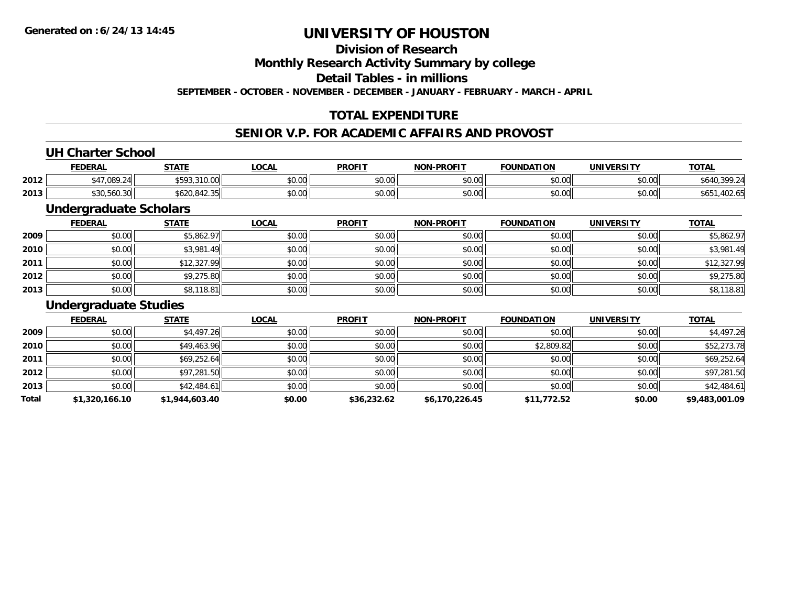**Division of Research**

**Monthly Research Activity Summary by college**

**Detail Tables - in millions**

**SEPTEMBER - OCTOBER - NOVEMBER - DECEMBER - JANUARY - FEBRUARY - MARCH - APRIL**

## **TOTAL EXPENDITURE**

### **SENIOR V.P. FOR ACADEMIC AFFAIRS AND PROVOST**

### **UH Charter School**

|      | <b>FEDERAL</b>           | <b>STATE</b><br>''''                             | .OCAL                         | <b>PROFIT</b>  | <b>NON-PROFIT</b> | <b>FOUNDATION</b> | <b>UNIVERSITY</b> | <u>тота.</u>       |
|------|--------------------------|--------------------------------------------------|-------------------------------|----------------|-------------------|-------------------|-------------------|--------------------|
| 2012 | .089.24                  | ATO<br>5.23001<br>$\cdot$ , $\cup$ , $\cup$<br>. | 0000<br>JU.UU                 | 0.000<br>JU.UU | 0000<br>\$U.UU    | \$0.00            | \$0.00            | .640<br>74         |
| 2013 | .560.30<br>-2111<br>5.SU | .<br>$\sim$<br>6620.842.35                       | $n \cap \neg$<br><b>JU.UU</b> | ሐሴ ሰሰ<br>JU.UU | 0000<br>\$U.UU    | \$0.00            | \$0.00            | .<br>ruz.u.<br>ט ש |

### **Undergraduate Scholars**

|      | <b>FEDERAL</b> | <b>STATE</b> | <b>LOCAL</b> | <b>PROFIT</b> | <b>NON-PROFIT</b> | <b>FOUNDATION</b> | <b>UNIVERSITY</b> | <b>TOTAL</b> |
|------|----------------|--------------|--------------|---------------|-------------------|-------------------|-------------------|--------------|
| 2009 | \$0.00         | \$5,862.97   | \$0.00       | \$0.00        | \$0.00            | \$0.00            | \$0.00            | \$5,862.97   |
| 2010 | \$0.00         | \$3,981.49   | \$0.00       | \$0.00        | \$0.00            | \$0.00            | \$0.00            | \$3,981.49   |
| 2011 | \$0.00         | \$12,327.99  | \$0.00       | \$0.00        | \$0.00            | \$0.00            | \$0.00            | \$12,327.99  |
| 2012 | \$0.00         | \$9,275.80   | \$0.00       | \$0.00        | \$0.00            | \$0.00            | \$0.00            | \$9,275.80   |
| 2013 | \$0.00         | \$8,118.81   | \$0.00       | \$0.00        | \$0.00            | \$0.00            | \$0.00            | \$8,118.81   |

#### **Undergraduate Studies**

|       | <b>FEDERAL</b> | <b>STATE</b>   | <b>LOCAL</b> | <b>PROFIT</b> | <b>NON-PROFIT</b> | <b>FOUNDATION</b> | <b>UNIVERSITY</b> | <b>TOTAL</b>   |
|-------|----------------|----------------|--------------|---------------|-------------------|-------------------|-------------------|----------------|
| 2009  | \$0.00         | \$4,497.26     | \$0.00       | \$0.00        | \$0.00            | \$0.00            | \$0.00            | \$4,497.26     |
| 2010  | \$0.00         | \$49,463.96    | \$0.00       | \$0.00        | \$0.00            | \$2,809.82        | \$0.00            | \$52,273.78    |
| 2011  | \$0.00         | \$69,252.64    | \$0.00       | \$0.00        | \$0.00            | \$0.00            | \$0.00            | \$69,252.64    |
| 2012  | \$0.00         | \$97,281.50    | \$0.00       | \$0.00        | \$0.00            | \$0.00            | \$0.00            | \$97,281.50    |
| 2013  | \$0.00         | \$42,484.61    | \$0.00       | \$0.00        | \$0.00            | \$0.00            | \$0.00            | \$42,484.61    |
| Total | \$1,320,166.10 | \$1,944,603.40 | \$0.00       | \$36,232.62   | \$6,170,226.45    | \$11,772.52       | \$0.00            | \$9,483,001.09 |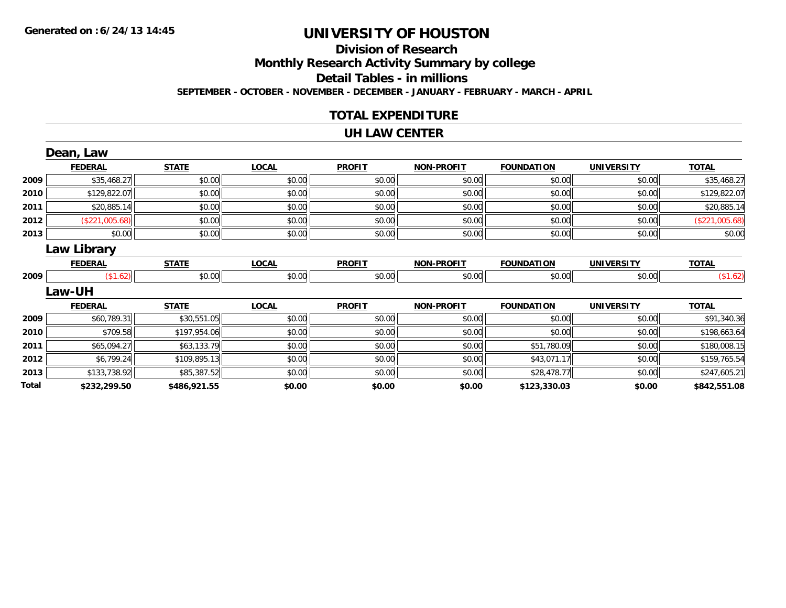## **Division of Research**

**Monthly Research Activity Summary by college**

**Detail Tables - in millions**

**SEPTEMBER - OCTOBER - NOVEMBER - DECEMBER - JANUARY - FEBRUARY - MARCH - APRIL**

### **TOTAL EXPENDITURE**

#### **UH LAW CENTER**

|       | Dean, Law      |              |              |               |                   |                   |                   |                |
|-------|----------------|--------------|--------------|---------------|-------------------|-------------------|-------------------|----------------|
|       | <b>FEDERAL</b> | <b>STATE</b> | <b>LOCAL</b> | <b>PROFIT</b> | <b>NON-PROFIT</b> | <b>FOUNDATION</b> | <b>UNIVERSITY</b> | <b>TOTAL</b>   |
| 2009  | \$35,468.27    | \$0.00       | \$0.00       | \$0.00        | \$0.00            | \$0.00            | \$0.00            | \$35,468.27    |
| 2010  | \$129,822.07   | \$0.00       | \$0.00       | \$0.00        | \$0.00            | \$0.00            | \$0.00            | \$129,822.07   |
| 2011  | \$20,885.14    | \$0.00       | \$0.00       | \$0.00        | \$0.00            | \$0.00            | \$0.00            | \$20,885.14    |
| 2012  | (\$221,005.68) | \$0.00       | \$0.00       | \$0.00        | \$0.00            | \$0.00            | \$0.00            | (\$221,005.68) |
| 2013  | \$0.00         | \$0.00       | \$0.00       | \$0.00        | \$0.00            | \$0.00            | \$0.00            | \$0.00         |
|       | Law Library    |              |              |               |                   |                   |                   |                |
|       | <b>FEDERAL</b> | <b>STATE</b> | <b>LOCAL</b> | <b>PROFIT</b> | <b>NON-PROFIT</b> | <b>FOUNDATION</b> | <b>UNIVERSITY</b> | <b>TOTAL</b>   |
| 2009  | (\$1.62)       | \$0.00       | \$0.00       | \$0.00        | \$0.00            | \$0.00            | \$0.00            | (\$1.62)       |
|       | <b>Law-UH</b>  |              |              |               |                   |                   |                   |                |
|       | <b>FEDERAL</b> | <b>STATE</b> | <b>LOCAL</b> | <b>PROFIT</b> | <b>NON-PROFIT</b> | <b>FOUNDATION</b> | <b>UNIVERSITY</b> | <b>TOTAL</b>   |
| 2009  | \$60,789.31    | \$30,551.05  | \$0.00       | \$0.00        | \$0.00            | \$0.00            | \$0.00            | \$91,340.36    |
| 2010  | \$709.58       | \$197,954.06 | \$0.00       | \$0.00        | \$0.00            | \$0.00            | \$0.00            | \$198,663.64   |
| 2011  | \$65,094.27    | \$63,133.79  | \$0.00       | \$0.00        | \$0.00            | \$51,780.09       | \$0.00            | \$180,008.15   |
| 2012  | \$6,799.24     | \$109,895.13 | \$0.00       | \$0.00        | \$0.00            | \$43,071.17       | \$0.00            | \$159,765.54   |
| 2013  | \$133,738.92   | \$85,387.52  | \$0.00       | \$0.00        | \$0.00            | \$28,478.77       | \$0.00            | \$247,605.21   |
| Total | \$232,299.50   | \$486,921.55 | \$0.00       | \$0.00        | \$0.00            | \$123,330.03      | \$0.00            | \$842,551.08   |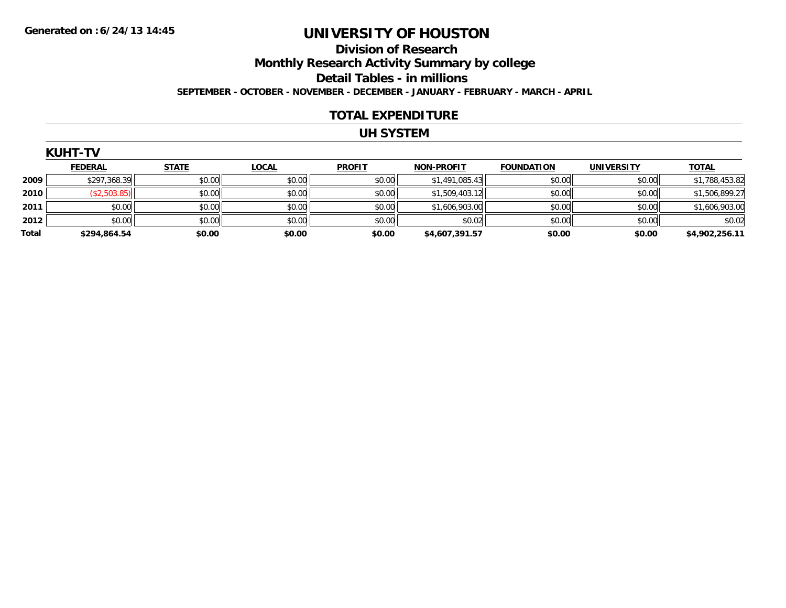## **Division of ResearchMonthly Research Activity Summary by college Detail Tables - in millions SEPTEMBER - OCTOBER - NOVEMBER - DECEMBER - JANUARY - FEBRUARY - MARCH - APRIL**

#### **TOTAL EXPENDITURE**

## **UH SYSTEM**

**TOTAL** 

|      | KUHT-          |              |              |               |                   |                   |                   |              |
|------|----------------|--------------|--------------|---------------|-------------------|-------------------|-------------------|--------------|
|      | <b>FEDERAL</b> | <b>STATE</b> | <u>LOCAL</u> | <b>PROFIT</b> | <b>NON-PROFIT</b> | <b>FOUNDATION</b> | <b>UNIVERSITY</b> | <u>ΤΟΤΑΙ</u> |
| 2009 | \$297,368.39   | \$0.00       | \$0.00       | \$0.00        | \$1,491,085.43    | \$0.00            | \$0.00            | \$1,78       |
| 2010 | 503.85         | \$0.00       | \$0.00       | \$0.00        | \$1,509,403.12    | \$0.00            | \$0.00            | \$1,50       |
|      |                |              |              |               |                   |                   |                   |              |

| 2009  | \$297,368.39 | \$0.00 | \$0.00 | \$0.00 | \$1,491,085.43 | \$0.00 | \$0.00 | \$1,788,453.82 |
|-------|--------------|--------|--------|--------|----------------|--------|--------|----------------|
| 2010  | \$2,503.85)  | \$0.00 | \$0.00 | \$0.00 | \$1,509,403.12 | \$0.00 | \$0.00 | \$1,506,899.27 |
| 2011  | \$0.00       | \$0.00 | \$0.00 | \$0.00 | \$1,606,903.00 | \$0.00 | \$0.00 | \$1,606,903.00 |
| 2012  | \$0.00       | \$0.00 | \$0.00 | \$0.00 | \$0.02         | \$0.00 | \$0.00 | \$0.02         |
| Total | \$294,864.54 | \$0.00 | \$0.00 | \$0.00 | \$4,607,391.57 | \$0.00 | \$0.00 | \$4,902,256.11 |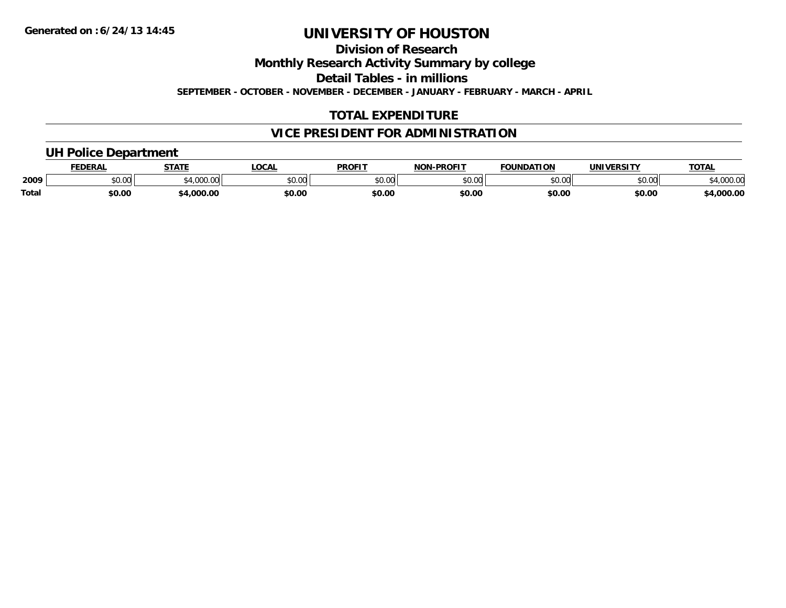**Division of Research**

**Monthly Research Activity Summary by college**

**Detail Tables - in millions**

**SEPTEMBER - OCTOBER - NOVEMBER - DECEMBER - JANUARY - FEBRUARY - MARCH - APRIL**

## **TOTAL EXPENDITURE**

## **VICE PRESIDENT FOR ADMINISTRATION**

### **UH Police Department**

|       | <b>EDERAL</b> | <b>STATE</b> | <b>.OCAL</b> | <b>PROFIT</b> | -PROFIT<br>חחו | <b>FOUNDATION</b> | UNIVERSITY | TOTA.               |
|-------|---------------|--------------|--------------|---------------|----------------|-------------------|------------|---------------------|
| 2009  | \$0.00        | 4.000.00     | \$0.00       | \$0.00        | ልስ ለሰ<br>pv.uu | \$0.00            | \$0.00     | voo oc<br>04,UUU.UL |
| Total | \$0.00        | ,000.00      | \$0.00       | \$0.00        | \$0.00         | \$0.00            | \$0.00     | <b>4,000.00</b> .   |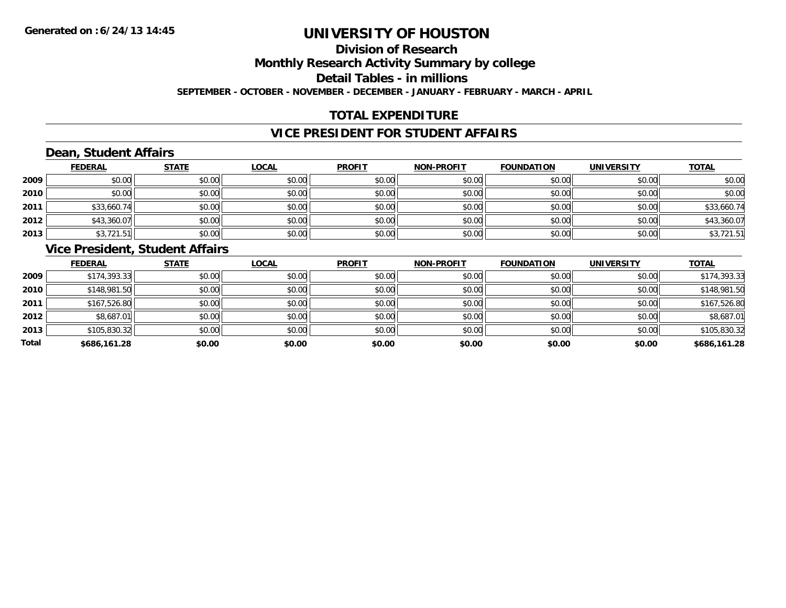## **Division of Research**

**Monthly Research Activity Summary by college**

**Detail Tables - in millions**

**SEPTEMBER - OCTOBER - NOVEMBER - DECEMBER - JANUARY - FEBRUARY - MARCH - APRIL**

## **TOTAL EXPENDITURE**

### **VICE PRESIDENT FOR STUDENT AFFAIRS**

## **Dean, Student Affairs**

|      | <b>FEDERAL</b> | <b>STATE</b> | <b>LOCAL</b> | <b>PROFIT</b> | <b>NON-PROFIT</b> | <b>FOUNDATION</b> | <b>UNIVERSITY</b> | <b>TOTAL</b> |
|------|----------------|--------------|--------------|---------------|-------------------|-------------------|-------------------|--------------|
| 2009 | \$0.00         | \$0.00       | \$0.00       | \$0.00        | \$0.00            | \$0.00            | \$0.00            | \$0.00       |
| 2010 | \$0.00         | \$0.00       | \$0.00       | \$0.00        | \$0.00            | \$0.00            | \$0.00            | \$0.00       |
| 2011 | \$33,660.74    | \$0.00       | \$0.00       | \$0.00        | \$0.00            | \$0.00            | \$0.00            | \$33,660.74  |
| 2012 | \$43,360.07    | \$0.00       | \$0.00       | \$0.00        | \$0.00            | \$0.00            | \$0.00            | \$43,360.07  |
| 2013 | \$3,721.51     | \$0.00       | \$0.00       | \$0.00        | \$0.00            | \$0.00            | \$0.00            | \$3,721.51   |

### **Vice President, Student Affairs**

|       | <b>FEDERAL</b> | <b>STATE</b> | <b>LOCAL</b> | <b>PROFIT</b> | <b>NON-PROFIT</b> | <b>FOUNDATION</b> | <b>UNIVERSITY</b> | <b>TOTAL</b> |
|-------|----------------|--------------|--------------|---------------|-------------------|-------------------|-------------------|--------------|
| 2009  | \$174,393.33   | \$0.00       | \$0.00       | \$0.00        | \$0.00            | \$0.00            | \$0.00            | \$174,393.33 |
| 2010  | \$148,981.50   | \$0.00       | \$0.00       | \$0.00        | \$0.00            | \$0.00            | \$0.00            | \$148,981.50 |
| 2011  | \$167,526.80   | \$0.00       | \$0.00       | \$0.00        | \$0.00            | \$0.00            | \$0.00            | \$167,526.80 |
| 2012  | \$8,687.01     | \$0.00       | \$0.00       | \$0.00        | \$0.00            | \$0.00            | \$0.00            | \$8,687.01   |
| 2013  | \$105,830.32   | \$0.00       | \$0.00       | \$0.00        | \$0.00            | \$0.00            | \$0.00            | \$105,830.32 |
| Total | \$686,161.28   | \$0.00       | \$0.00       | \$0.00        | \$0.00            | \$0.00            | \$0.00            | \$686,161.28 |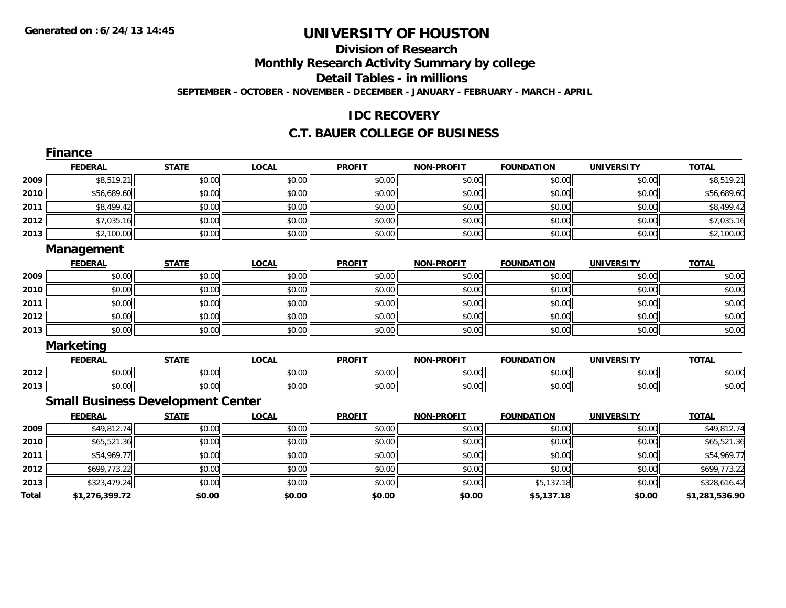## **Division of Research**

**Monthly Research Activity Summary by college**

**Detail Tables - in millions**

**SEPTEMBER - OCTOBER - NOVEMBER - DECEMBER - JANUARY - FEBRUARY - MARCH - APRIL**

### **IDC RECOVERY**

#### **C.T. BAUER COLLEGE OF BUSINESS**

|       | <b>Finance</b>                           |              |              |               |                   |                   |                   |                |
|-------|------------------------------------------|--------------|--------------|---------------|-------------------|-------------------|-------------------|----------------|
|       | <b>FEDERAL</b>                           | <b>STATE</b> | <b>LOCAL</b> | <b>PROFIT</b> | <b>NON-PROFIT</b> | <b>FOUNDATION</b> | <b>UNIVERSITY</b> | <b>TOTAL</b>   |
| 2009  | \$8,519.21                               | \$0.00       | \$0.00       | \$0.00        | \$0.00            | \$0.00            | \$0.00            | \$8,519.21     |
| 2010  | \$56,689.60                              | \$0.00       | \$0.00       | \$0.00        | \$0.00            | \$0.00            | \$0.00            | \$56,689.60    |
| 2011  | \$8,499.42                               | \$0.00       | \$0.00       | \$0.00        | \$0.00            | \$0.00            | \$0.00            | \$8,499.42     |
| 2012  | \$7,035.16                               | \$0.00       | \$0.00       | \$0.00        | \$0.00            | \$0.00            | \$0.00            | \$7,035.16     |
| 2013  | \$2,100.00                               | \$0.00       | \$0.00       | \$0.00        | \$0.00            | \$0.00            | \$0.00            | \$2,100.00     |
|       | Management                               |              |              |               |                   |                   |                   |                |
|       | <b>FEDERAL</b>                           | <b>STATE</b> | <b>LOCAL</b> | <b>PROFIT</b> | <b>NON-PROFIT</b> | <b>FOUNDATION</b> | <b>UNIVERSITY</b> | <b>TOTAL</b>   |
| 2009  | \$0.00                                   | \$0.00       | \$0.00       | \$0.00        | \$0.00            | \$0.00            | \$0.00            | \$0.00         |
| 2010  | \$0.00                                   | \$0.00       | \$0.00       | \$0.00        | \$0.00            | \$0.00            | \$0.00            | \$0.00         |
| 2011  | \$0.00                                   | \$0.00       | \$0.00       | \$0.00        | \$0.00            | \$0.00            | \$0.00            | \$0.00         |
| 2012  | \$0.00                                   | \$0.00       | \$0.00       | \$0.00        | \$0.00            | \$0.00            | \$0.00            | \$0.00         |
| 2013  | \$0.00                                   | \$0.00       | \$0.00       | \$0.00        | \$0.00            | \$0.00            | \$0.00            | \$0.00         |
|       | <b>Marketing</b>                         |              |              |               |                   |                   |                   |                |
|       | <b>FEDERAL</b>                           | <b>STATE</b> | <b>LOCAL</b> | <b>PROFIT</b> | <b>NON-PROFIT</b> | <b>FOUNDATION</b> | <b>UNIVERSITY</b> | <b>TOTAL</b>   |
| 2012  | \$0.00                                   | \$0.00       | \$0.00       | \$0.00        | \$0.00            | \$0.00            | \$0.00            | \$0.00         |
| 2013  | \$0.00                                   | \$0.00       | \$0.00       | \$0.00        | \$0.00            | \$0.00            | \$0.00            | \$0.00         |
|       | <b>Small Business Development Center</b> |              |              |               |                   |                   |                   |                |
|       | <b>FEDERAL</b>                           | <b>STATE</b> | <b>LOCAL</b> | <b>PROFIT</b> | <b>NON-PROFIT</b> | <b>FOUNDATION</b> | <b>UNIVERSITY</b> | <b>TOTAL</b>   |
| 2009  | \$49,812.74                              | \$0.00       | \$0.00       | \$0.00        | \$0.00            | \$0.00            | \$0.00            | \$49,812.74    |
| 2010  | \$65,521.36                              | \$0.00       | \$0.00       | \$0.00        | \$0.00            | \$0.00            | \$0.00            | \$65,521.36    |
| 2011  | \$54,969.77                              | \$0.00       | \$0.00       | \$0.00        | \$0.00            | \$0.00            | \$0.00            | \$54,969.77    |
| 2012  | \$699,773.22                             | \$0.00       | \$0.00       | \$0.00        | \$0.00            | \$0.00            | \$0.00            | \$699,773.22   |
| 2013  | \$323,479.24                             | \$0.00       | \$0.00       | \$0.00        | \$0.00            | \$5,137.18        | \$0.00            | \$328,616.42   |
| Total | \$1,276,399.72                           | \$0.00       | \$0.00       | \$0.00        | \$0.00            | \$5,137.18        | \$0.00            | \$1,281,536.90 |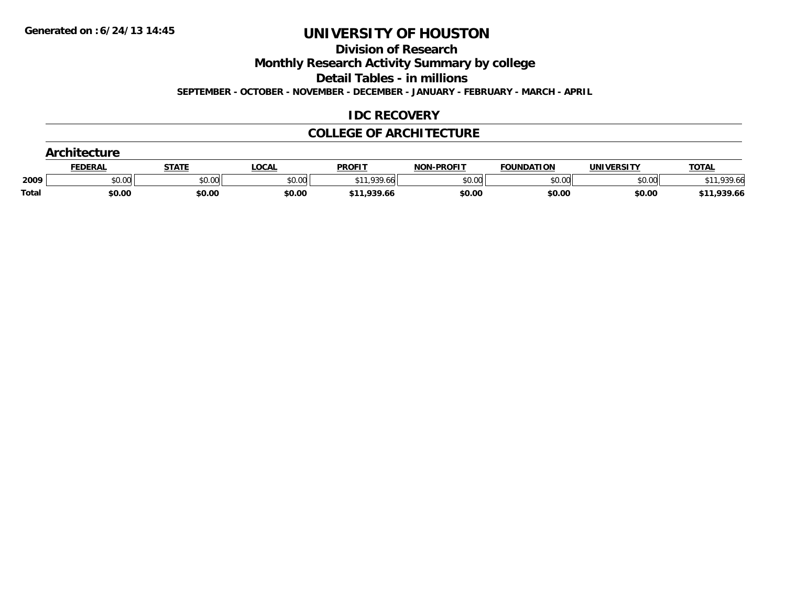**Division of Research**

**Monthly Research Activity Summary by college**

**Detail Tables - in millions**

**SEPTEMBER - OCTOBER - NOVEMBER - DECEMBER - JANUARY - FEBRUARY - MARCH - APRIL**

### **IDC RECOVERY**

#### **COLLEGE OF ARCHITECTURE**

|       | <b>Architecture</b> |              |              |               |                   |                   |                   |              |  |  |
|-------|---------------------|--------------|--------------|---------------|-------------------|-------------------|-------------------|--------------|--|--|
|       | <u>FEDERAL</u>      | <b>STATE</b> | <u>LOCAL</u> | <b>PROFIT</b> | <b>NON-PROFIT</b> | <b>FOUNDATION</b> | <b>UNIVERSITY</b> | <b>TOTAL</b> |  |  |
| 2009  | \$0.00              | \$0.00       | \$0.00       | \$11,939.66   | \$0.00            | \$0.00            | \$0.00            | 11.939.66 ن  |  |  |
| Total | \$0.00              | \$0.00       | \$0.00       | \$11,939.66   | \$0.00            | \$0.00            | \$0.00            | \$11,939.66  |  |  |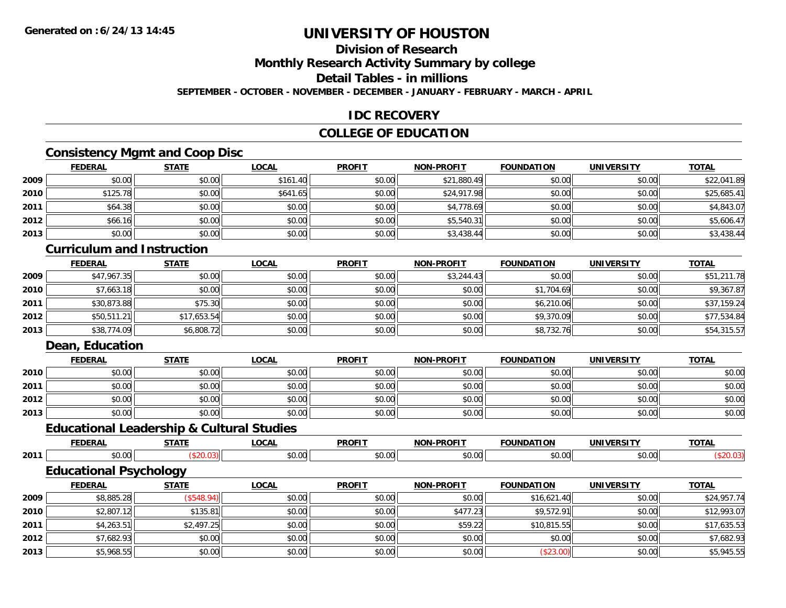## **Division of Research**

**Monthly Research Activity Summary by college**

**Detail Tables - in millions**

**SEPTEMBER - OCTOBER - NOVEMBER - DECEMBER - JANUARY - FEBRUARY - MARCH - APRIL**

### **IDC RECOVERY**

### **COLLEGE OF EDUCATION**

## **Consistency Mgmt and Coop Disc**

|      | <b>FEDERAL</b> | <b>STATE</b> | <u>LOCAL</u> | <b>PROFIT</b> | <b>NON-PROFIT</b> | <b>FOUNDATION</b> | <b>UNIVERSITY</b> | <b>TOTAL</b> |
|------|----------------|--------------|--------------|---------------|-------------------|-------------------|-------------------|--------------|
| 2009 | \$0.00         | \$0.00       | \$161.40     | \$0.00        | \$21,880.49       | \$0.00            | \$0.00            | \$22,041.89  |
| 2010 | \$125.78       | \$0.00       | \$641.65     | \$0.00        | \$24,917.98       | \$0.00            | \$0.00            | \$25,685.41  |
| 2011 | \$64.38        | \$0.00       | \$0.00       | \$0.00        | \$4,778.69        | \$0.00            | \$0.00            | \$4,843.07   |
| 2012 | \$66.16        | \$0.00       | \$0.00       | \$0.00        | \$5,540.31        | \$0.00            | \$0.00            | \$5,606.47   |
| 2013 | \$0.00         | \$0.00       | \$0.00       | \$0.00        | \$3,438.44        | \$0.00            | \$0.00            | \$3,438.44   |

### **Curriculum and Instruction**

|      | <b>FEDERAL</b> | <b>STATE</b> | <b>LOCAL</b> | <b>PROFIT</b> | <b>NON-PROFIT</b> | <b>FOUNDATION</b> | <b>UNIVERSITY</b> | <b>TOTAL</b> |
|------|----------------|--------------|--------------|---------------|-------------------|-------------------|-------------------|--------------|
| 2009 | \$47,967.35    | \$0.00       | \$0.00       | \$0.00        | \$3,244.43        | \$0.00            | \$0.00            | \$51,211.78  |
| 2010 | \$7,663.18     | \$0.00       | \$0.00       | \$0.00        | \$0.00            | \$1,704.69        | \$0.00            | \$9,367.87   |
| 2011 | \$30,873.88    | \$75.30      | \$0.00       | \$0.00        | \$0.00            | \$6,210.06        | \$0.00            | \$37,159.24  |
| 2012 | \$50,511.21    | \$17,653.54  | \$0.00       | \$0.00        | \$0.00            | \$9,370.09        | \$0.00            | \$77,534.84  |
| 2013 | \$38,774.09    | \$6,808.72   | \$0.00       | \$0.00        | \$0.00            | \$8,732.76        | \$0.00            | \$54,315.57  |

## **Dean, Education**

|      | <b>FEDERAL</b> | <b>STATE</b> | <u>LOCAL</u> | <b>PROFIT</b> | <b>NON-PROFIT</b> | <b>FOUNDATION</b> | <b>UNIVERSITY</b> | <b>TOTAL</b> |
|------|----------------|--------------|--------------|---------------|-------------------|-------------------|-------------------|--------------|
| 2010 | \$0.00         | \$0.00       | \$0.00       | \$0.00        | \$0.00            | \$0.00            | \$0.00            | \$0.00       |
| 2011 | \$0.00         | \$0.00       | \$0.00       | \$0.00        | \$0.00            | \$0.00            | \$0.00            | \$0.00       |
| 2012 | \$0.00         | \$0.00       | \$0.00       | \$0.00        | \$0.00            | \$0.00            | \$0.00            | \$0.00       |
| 2013 | \$0.00         | \$0.00       | \$0.00       | \$0.00        | \$0.00            | \$0.00            | \$0.00            | \$0.00       |

#### **Educational Leadership & Cultural Studies**

|      |        | ----- | $\sim$        | <b>PROFIT</b> | .<br>ימו |  | $-2 -$ |
|------|--------|-------|---------------|---------------|----------|--|--------|
| 2011 | $\sim$ |       | $\sim$<br>ט.ט | ົ<br>$\cdots$ | $\sim$   |  |        |

## **Educational Psychology**

|      | <b>FEDERAL</b> | <b>STATE</b> | <u>LOCAL</u> | <b>PROFIT</b> | <b>NON-PROFIT</b> | <b>FOUNDATION</b> | UNIVERSITY | <b>TOTAL</b> |
|------|----------------|--------------|--------------|---------------|-------------------|-------------------|------------|--------------|
| 2009 | \$8,885.28     | (\$548.94)   | \$0.00       | \$0.00        | \$0.00            | \$16,621.40       | \$0.00     | \$24,957.74  |
| 2010 | \$2,807.12     | \$135.81     | \$0.00       | \$0.00        | \$477.23          | \$9,572.91        | \$0.00     | \$12,993.07  |
| 2011 | \$4,263.51     | \$2,497.25   | \$0.00       | \$0.00        | \$59.22           | \$10,815.55       | \$0.00     | \$17,635.53  |
| 2012 | \$7,682.93     | \$0.00       | \$0.00       | \$0.00        | \$0.00            | \$0.00            | \$0.00     | \$7,682.93   |
| 2013 | \$5,968.55     | \$0.00       | \$0.00       | \$0.00        | \$0.00            | (\$23.00)         | \$0.00     | \$5,945.55   |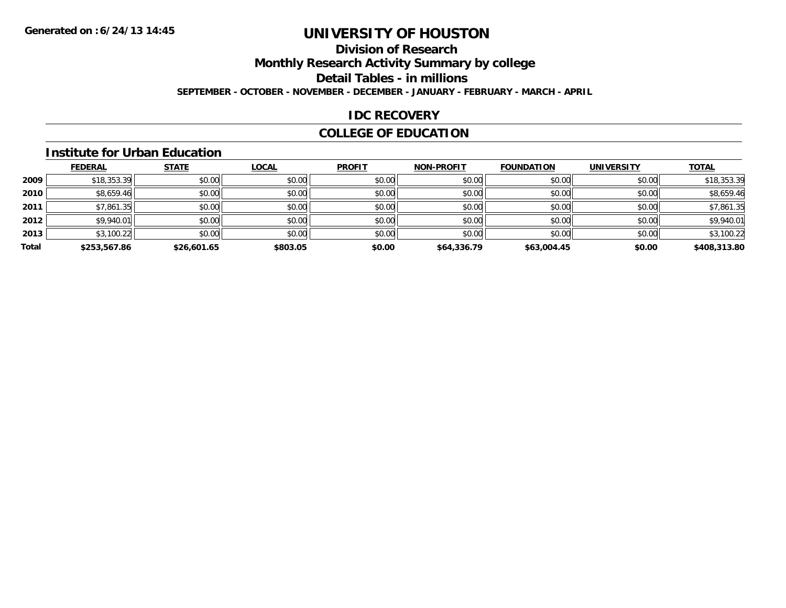## **Division of Research**

**Monthly Research Activity Summary by college**

**Detail Tables - in millions**

**SEPTEMBER - OCTOBER - NOVEMBER - DECEMBER - JANUARY - FEBRUARY - MARCH - APRIL**

### **IDC RECOVERY**

## **COLLEGE OF EDUCATION**

#### **Institute for Urban Education**

|       | <b>FEDERAL</b> | <b>STATE</b> | <b>LOCAL</b> | <b>PROFIT</b> | <b>NON-PROFIT</b> | <b>FOUNDATION</b> | <b>UNIVERSITY</b> | <b>TOTAL</b> |
|-------|----------------|--------------|--------------|---------------|-------------------|-------------------|-------------------|--------------|
| 2009  | \$18,353.39    | \$0.00       | \$0.00       | \$0.00        | \$0.00            | \$0.00            | \$0.00            | \$18,353.39  |
| 2010  | \$8,659.46     | \$0.00       | \$0.00       | \$0.00        | \$0.00            | \$0.00            | \$0.00            | \$8,659.46   |
| 2011  | \$7,861.35     | \$0.00       | \$0.00       | \$0.00        | \$0.00            | \$0.00            | \$0.00            | \$7,861.35   |
| 2012  | \$9,940.01     | \$0.00       | \$0.00       | \$0.00        | \$0.00            | \$0.00            | \$0.00            | \$9,940.01   |
| 2013  | \$3,100.22     | \$0.00       | \$0.00       | \$0.00        | \$0.00            | \$0.00            | \$0.00            | \$3,100.22   |
| Total | \$253,567.86   | \$26,601.65  | \$803.05     | \$0.00        | \$64,336.79       | \$63,004.45       | \$0.00            | \$408,313.80 |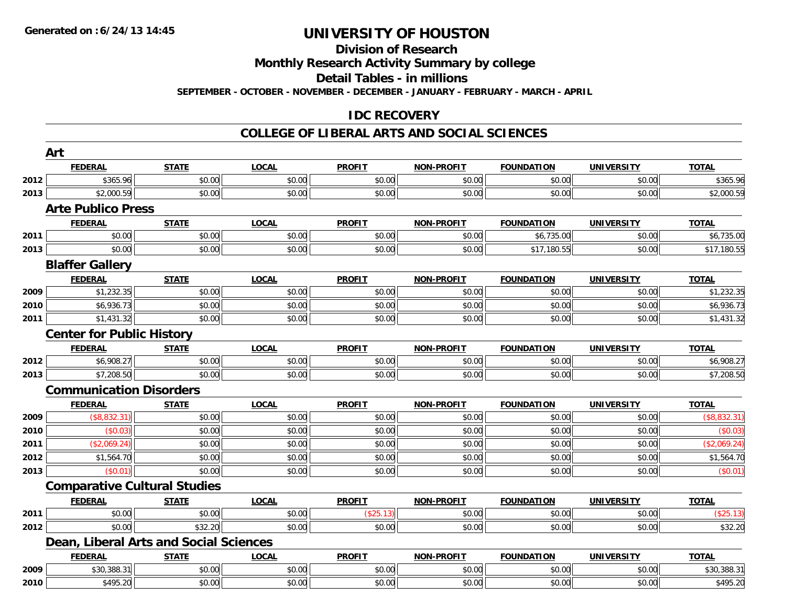## **Division of Research**

**Monthly Research Activity Summary by college**

**Detail Tables - in millions**

**SEPTEMBER - OCTOBER - NOVEMBER - DECEMBER - JANUARY - FEBRUARY - MARCH - APRIL**

### **IDC RECOVERY**

#### **COLLEGE OF LIBERAL ARTS AND SOCIAL SCIENCES**

|      | Art                                 |                                        |              |               |                   |                   |                   |              |
|------|-------------------------------------|----------------------------------------|--------------|---------------|-------------------|-------------------|-------------------|--------------|
|      | <b>FEDERAL</b>                      | <b>STATE</b>                           | <b>LOCAL</b> | <b>PROFIT</b> | NON-PROFIT        | <b>FOUNDATION</b> | <b>UNIVERSITY</b> | <b>TOTAL</b> |
| 2012 | \$365.96                            | \$0.00                                 | \$0.00       | \$0.00        | \$0.00            | \$0.00            | \$0.00            | \$365.96     |
| 2013 | \$2,000.59                          | \$0.00                                 | \$0.00       | \$0.00        | \$0.00            | \$0.00            | \$0.00            | \$2,000.59   |
|      | <b>Arte Publico Press</b>           |                                        |              |               |                   |                   |                   |              |
|      | <b>FEDERAL</b>                      | <b>STATE</b>                           | <b>LOCAL</b> | <b>PROFIT</b> | <b>NON-PROFIT</b> | <b>FOUNDATION</b> | <b>UNIVERSITY</b> | <b>TOTAL</b> |
| 2011 | \$0.00                              | \$0.00                                 | \$0.00       | \$0.00        | \$0.00            | \$6,735.00        | \$0.00            | \$6,735.00   |
| 2013 | \$0.00                              | \$0.00                                 | \$0.00       | \$0.00        | \$0.00            | \$17,180.55       | \$0.00            | \$17,180.55  |
|      | <b>Blaffer Gallery</b>              |                                        |              |               |                   |                   |                   |              |
|      | <b>FEDERAL</b>                      | <b>STATE</b>                           | <b>LOCAL</b> | <b>PROFIT</b> | <b>NON-PROFIT</b> | <b>FOUNDATION</b> | <b>UNIVERSITY</b> | <b>TOTAL</b> |
| 2009 | \$1,232.35                          | \$0.00                                 | \$0.00       | \$0.00        | \$0.00            | \$0.00            | \$0.00            | \$1,232.35   |
| 2010 | \$6,936.73                          | \$0.00                                 | \$0.00       | \$0.00        | \$0.00            | \$0.00            | \$0.00            | \$6,936.73   |
| 2011 | \$1,431.32                          | \$0.00                                 | \$0.00       | \$0.00        | \$0.00            | \$0.00            | \$0.00            | \$1,431.32   |
|      | <b>Center for Public History</b>    |                                        |              |               |                   |                   |                   |              |
|      | <b>FEDERAL</b>                      | <b>STATE</b>                           | <b>LOCAL</b> | <b>PROFIT</b> | <b>NON-PROFIT</b> | <b>FOUNDATION</b> | <b>UNIVERSITY</b> | <b>TOTAL</b> |
| 2012 | \$6,908.27                          | \$0.00                                 | \$0.00       | \$0.00        | \$0.00            | \$0.00            | \$0.00            | \$6,908.27   |
| 2013 | \$7,208.50                          | \$0.00                                 | \$0.00       | \$0.00        | \$0.00            | \$0.00            | \$0.00            | \$7,208.50   |
|      | <b>Communication Disorders</b>      |                                        |              |               |                   |                   |                   |              |
|      | <b>FEDERAL</b>                      | <b>STATE</b>                           | <b>LOCAL</b> | <b>PROFIT</b> | <b>NON-PROFIT</b> | <b>FOUNDATION</b> | <b>UNIVERSITY</b> | <b>TOTAL</b> |
| 2009 | (\$8,832.31)                        | \$0.00                                 | \$0.00       | \$0.00        | \$0.00            | \$0.00            | \$0.00            | (\$8,832.31) |
| 2010 | (\$0.03)                            | \$0.00                                 | \$0.00       | \$0.00        | \$0.00            | \$0.00            | \$0.00            | (\$0.03)     |
| 2011 | (\$2,069.24)                        | \$0.00                                 | \$0.00       | \$0.00        | \$0.00            | \$0.00            | \$0.00            | (\$2,069.24) |
| 2012 | \$1,564.70                          | \$0.00                                 | \$0.00       | \$0.00        | \$0.00            | \$0.00            | \$0.00            | \$1,564.70   |
| 2013 | (\$0.01)                            | \$0.00                                 | \$0.00       | \$0.00        | \$0.00            | \$0.00            | \$0.00            | (\$0.01)     |
|      | <b>Comparative Cultural Studies</b> |                                        |              |               |                   |                   |                   |              |
|      | <b>FEDERAL</b>                      | <b>STATE</b>                           | <b>LOCAL</b> | <b>PROFIT</b> | <b>NON-PROFIT</b> | <b>FOUNDATION</b> | <b>UNIVERSITY</b> | <b>TOTAL</b> |
| 2011 | \$0.00                              | \$0.00                                 | \$0.00       | (\$25.13)     | \$0.00            | \$0.00            | \$0.00            | (\$25.13)    |
| 2012 | \$0.00                              | \$32.20                                | \$0.00       | \$0.00        | \$0.00            | \$0.00            | \$0.00            | \$32.20      |
|      |                                     | Dean, Liberal Arts and Social Sciences |              |               |                   |                   |                   |              |
|      | <b>FEDERAL</b>                      | <b>STATE</b>                           | <b>LOCAL</b> | <b>PROFIT</b> | <b>NON-PROFIT</b> | <b>FOUNDATION</b> | <b>UNIVERSITY</b> | <b>TOTAL</b> |
| 2009 | \$30,388.31                         | \$0.00                                 | \$0.00       | \$0.00        | \$0.00            | \$0.00            | \$0.00            | \$30,388.31  |
| 2010 | \$495.20                            | \$0.00                                 | \$0.00       | \$0.00        | \$0.00            | \$0.00            | \$0.00            | \$495.20     |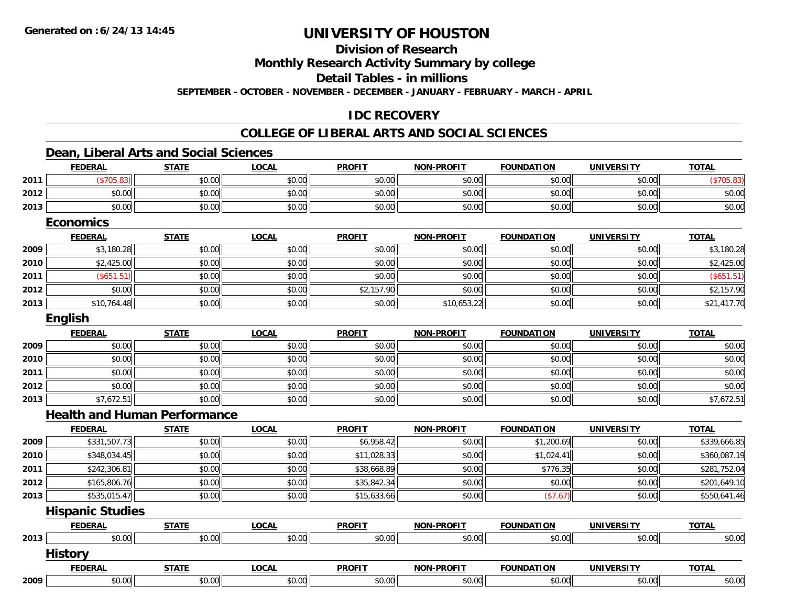**Division of Research**

**Monthly Research Activity Summary by college**

**Detail Tables - in millions**

**SEPTEMBER - OCTOBER - NOVEMBER - DECEMBER - JANUARY - FEBRUARY - MARCH - APRIL**

## **IDC RECOVERY**

## **COLLEGE OF LIBERAL ARTS AND SOCIAL SCIENCES**

### **Dean, Liberal Arts and Social Sciences**

|      | <b>FEDERAL</b>                      | <b>STATE</b> | <b>LOCAL</b> | <b>PROFIT</b> | <b>NON-PROFIT</b> | <b>FOUNDATION</b> | <b>UNIVERSITY</b> | <b>TOTAL</b> |
|------|-------------------------------------|--------------|--------------|---------------|-------------------|-------------------|-------------------|--------------|
| 2011 | (\$705.83)                          | \$0.00       | \$0.00       | \$0.00        | \$0.00            | \$0.00            | \$0.00            | (\$705.83)   |
| 2012 | \$0.00                              | \$0.00       | \$0.00       | \$0.00        | \$0.00            | \$0.00            | \$0.00            | \$0.00       |
| 2013 | \$0.00                              | \$0.00       | \$0.00       | \$0.00        | \$0.00            | \$0.00            | \$0.00            | \$0.00       |
|      | <b>Economics</b>                    |              |              |               |                   |                   |                   |              |
|      | <b>FEDERAL</b>                      | <b>STATE</b> | <b>LOCAL</b> | <b>PROFIT</b> | NON-PROFIT        | <b>FOUNDATION</b> | <b>UNIVERSITY</b> | <b>TOTAL</b> |
| 2009 | \$3,180.28                          | \$0.00       | \$0.00       | \$0.00        | \$0.00            | \$0.00            | \$0.00            | \$3,180.28   |
| 2010 | \$2,425.00                          | \$0.00       | \$0.00       | \$0.00        | \$0.00            | \$0.00            | \$0.00            | \$2,425.00   |
| 2011 | (\$651.51)                          | \$0.00       | \$0.00       | \$0.00        | \$0.00            | \$0.00            | \$0.00            | (\$651.51)   |
| 2012 | \$0.00                              | \$0.00       | \$0.00       | \$2,157.90    | \$0.00            | \$0.00            | \$0.00            | \$2,157.90   |
| 2013 | \$10,764.48                         | \$0.00       | \$0.00       | \$0.00        | \$10,653.22       | \$0.00            | \$0.00            | \$21,417.70  |
|      | English                             |              |              |               |                   |                   |                   |              |
|      | <b>FEDERAL</b>                      | <b>STATE</b> | <b>LOCAL</b> | <b>PROFIT</b> | <b>NON-PROFIT</b> | <b>FOUNDATION</b> | <b>UNIVERSITY</b> | <b>TOTAL</b> |
| 2009 | \$0.00                              | \$0.00       | \$0.00       | \$0.00        | \$0.00            | \$0.00            | \$0.00            | \$0.00       |
| 2010 | \$0.00                              | \$0.00       | \$0.00       | \$0.00        | \$0.00            | \$0.00            | \$0.00            | \$0.00       |
| 2011 | \$0.00                              | \$0.00       | \$0.00       | \$0.00        | \$0.00            | \$0.00            | \$0.00            | \$0.00       |
| 2012 | \$0.00                              | \$0.00       | \$0.00       | \$0.00        | \$0.00            | \$0.00            | \$0.00            | \$0.00       |
| 2013 | \$7,672.51                          | \$0.00       | \$0.00       | \$0.00        | \$0.00            | \$0.00            | \$0.00            | \$7,672.51   |
|      | <b>Health and Human Performance</b> |              |              |               |                   |                   |                   |              |
|      | <b>FEDERAL</b>                      | <b>STATE</b> | <b>LOCAL</b> | <b>PROFIT</b> | <b>NON-PROFIT</b> | <b>FOUNDATION</b> | <b>UNIVERSITY</b> | <b>TOTAL</b> |
| 2009 | \$331,507.73                        | \$0.00       | \$0.00       | \$6,958.42    | \$0.00            | \$1,200.69        | \$0.00            | \$339,666.85 |
| 2010 | \$348,034.45                        | \$0.00       | \$0.00       | \$11,028.33   | \$0.00            | \$1,024.41        | \$0.00            | \$360,087.19 |
| 2011 | \$242,306.81                        | \$0.00       | \$0.00       | \$38,668.89   | \$0.00            | \$776.35          | \$0.00            | \$281,752.04 |
| 2012 | \$165,806.76                        | \$0.00       | \$0.00       | \$35,842.34   | \$0.00            | \$0.00            | \$0.00            | \$201,649.10 |
| 2013 | \$535,015.47                        | \$0.00       | \$0.00       | \$15,633.66   | \$0.00            | (\$7.67)          | \$0.00            | \$550,641.46 |
|      | <b>Hispanic Studies</b>             |              |              |               |                   |                   |                   |              |
|      | <b>FEDERAL</b>                      | <b>STATE</b> | <b>LOCAL</b> | <b>PROFIT</b> | <b>NON-PROFIT</b> | <b>FOUNDATION</b> | <b>UNIVERSITY</b> | <b>TOTAL</b> |
| 2013 | \$0.00                              | \$0.00       | \$0.00       | \$0.00        | \$0.00            | \$0.00            | \$0.00            | \$0.00       |
|      | <b>History</b>                      |              |              |               |                   |                   |                   |              |
|      | <b>FEDERAL</b>                      | <b>STATE</b> | <b>LOCAL</b> | <b>PROFIT</b> | <b>NON-PROFIT</b> | <b>FOUNDATION</b> | <b>UNIVERSITY</b> | <b>TOTAL</b> |
| 2009 | \$0.00                              | \$0.00       | \$0.00       | \$0.00        | \$0.00            | \$0.00            | \$0.00            | \$0.00       |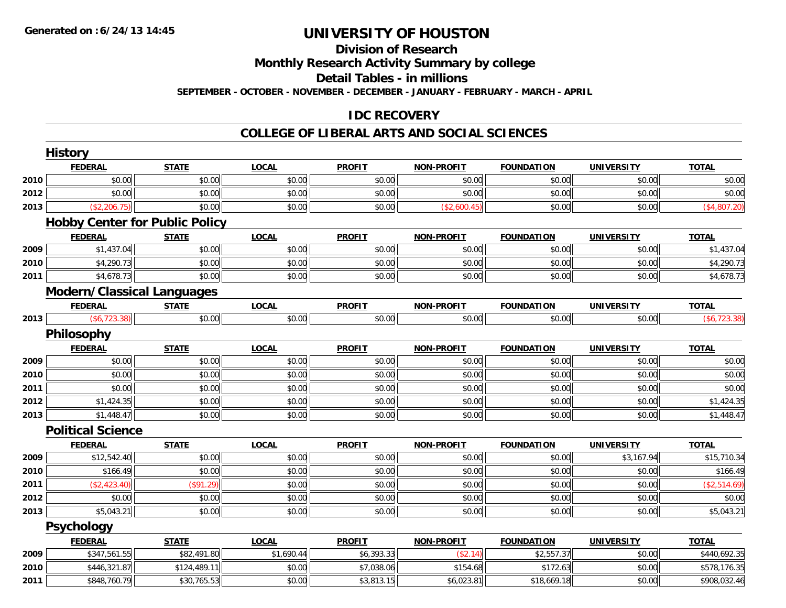## **Division of Research**

**Monthly Research Activity Summary by college**

**Detail Tables - in millions**

**SEPTEMBER - OCTOBER - NOVEMBER - DECEMBER - JANUARY - FEBRUARY - MARCH - APRIL**

## **IDC RECOVERY**

#### **COLLEGE OF LIBERAL ARTS AND SOCIAL SCIENCES**

|      | <b>History</b>                        |              |              |               |                   |                   |                   |              |
|------|---------------------------------------|--------------|--------------|---------------|-------------------|-------------------|-------------------|--------------|
|      | <b>FEDERAL</b>                        | <b>STATE</b> | <b>LOCAL</b> | <b>PROFIT</b> | <b>NON-PROFIT</b> | <b>FOUNDATION</b> | <b>UNIVERSITY</b> | <b>TOTAL</b> |
| 2010 | \$0.00                                | \$0.00       | \$0.00       | \$0.00        | \$0.00            | \$0.00            | \$0.00            | \$0.00       |
| 2012 | \$0.00                                | \$0.00       | \$0.00       | \$0.00        | \$0.00            | \$0.00            | \$0.00            | \$0.00       |
| 2013 | (\$2,206.75)                          | \$0.00       | \$0.00       | \$0.00        | (\$2,600.45)      | \$0.00            | \$0.00            | (\$4,807.20) |
|      | <b>Hobby Center for Public Policy</b> |              |              |               |                   |                   |                   |              |
|      | <b>FEDERAL</b>                        | <b>STATE</b> | <b>LOCAL</b> | <b>PROFIT</b> | <b>NON-PROFIT</b> | <b>FOUNDATION</b> | <b>UNIVERSITY</b> | <b>TOTAL</b> |
| 2009 | \$1,437.04                            | \$0.00       | \$0.00       | \$0.00        | \$0.00            | \$0.00            | \$0.00            | \$1,437.04   |
| 2010 | \$4,290.73                            | \$0.00       | \$0.00       | \$0.00        | \$0.00            | \$0.00            | \$0.00            | \$4,290.73   |
| 2011 | \$4,678.73                            | \$0.00       | \$0.00       | \$0.00        | \$0.00            | \$0.00            | \$0.00            | \$4,678.73   |
|      | <b>Modern/Classical Languages</b>     |              |              |               |                   |                   |                   |              |
|      | <b>FEDERAL</b>                        | <b>STATE</b> | <b>LOCAL</b> | <b>PROFIT</b> | <b>NON-PROFIT</b> | <b>FOUNDATION</b> | <b>UNIVERSITY</b> | <b>TOTAL</b> |
| 2013 | $(\$6,723.38)$                        | \$0.00       | \$0.00       | \$0.00        | \$0.00            | \$0.00            | \$0.00            | (\$6,723.38) |
|      | Philosophy                            |              |              |               |                   |                   |                   |              |
|      | <b>FEDERAL</b>                        | <b>STATE</b> | <b>LOCAL</b> | <b>PROFIT</b> | <b>NON-PROFIT</b> | <b>FOUNDATION</b> | <b>UNIVERSITY</b> | <b>TOTAL</b> |
| 2009 | \$0.00                                | \$0.00       | \$0.00       | \$0.00        | \$0.00            | \$0.00            | \$0.00            | \$0.00       |
| 2010 | \$0.00                                | \$0.00       | \$0.00       | \$0.00        | \$0.00            | \$0.00            | \$0.00            | \$0.00       |
| 2011 | \$0.00                                | \$0.00       | \$0.00       | \$0.00        | \$0.00            | \$0.00            | \$0.00            | \$0.00       |
| 2012 | \$1,424.35                            | \$0.00       | \$0.00       | \$0.00        | \$0.00            | \$0.00            | \$0.00            | \$1,424.35   |
| 2013 | \$1,448.47                            | \$0.00       | \$0.00       | \$0.00        | \$0.00            | \$0.00            | \$0.00            | \$1,448.47   |
|      | <b>Political Science</b>              |              |              |               |                   |                   |                   |              |
|      | <b>FEDERAL</b>                        | <b>STATE</b> | <b>LOCAL</b> | <b>PROFIT</b> | <b>NON-PROFIT</b> | <b>FOUNDATION</b> | <b>UNIVERSITY</b> | <b>TOTAL</b> |
| 2009 | \$12,542.40                           | \$0.00       | \$0.00       | \$0.00        | \$0.00            | \$0.00            | \$3,167.94        | \$15,710.34  |
| 2010 | \$166.49                              | \$0.00       | \$0.00       | \$0.00        | \$0.00            | \$0.00            | \$0.00            | \$166.49     |
| 2011 | (\$2,423.40)                          | (\$91.29)    | \$0.00       | \$0.00        | \$0.00            | \$0.00            | \$0.00            | (\$2,514.69) |
| 2012 | \$0.00                                | \$0.00       | \$0.00       | \$0.00        | \$0.00            | \$0.00            | \$0.00            | \$0.00       |
| 2013 | \$5,043.21                            | \$0.00       | \$0.00       | \$0.00        | \$0.00            | \$0.00            | \$0.00            | \$5,043.21   |
|      | Psychology                            |              |              |               |                   |                   |                   |              |
|      | <b>FEDERAL</b>                        | <b>STATE</b> | <b>LOCAL</b> | <b>PROFIT</b> | <b>NON-PROFIT</b> | <b>FOUNDATION</b> | <b>UNIVERSITY</b> | <b>TOTAL</b> |
| 2009 | \$347,561.55                          | \$82,491.80  | \$1,690.44   | \$6,393.33    | (\$2.14)          | \$2,557.37        | \$0.00            | \$440,692.35 |
| 2010 | \$446,321.87                          | \$124,489.11 | \$0.00       | \$7,038.06    | \$154.68          | \$172.63          | \$0.00            | \$578,176.35 |
| 2011 | \$848,760.79                          | \$30,765.53  | \$0.00       | \$3,813.15    | \$6,023.81        | \$18,669.18       | \$0.00            | \$908,032.46 |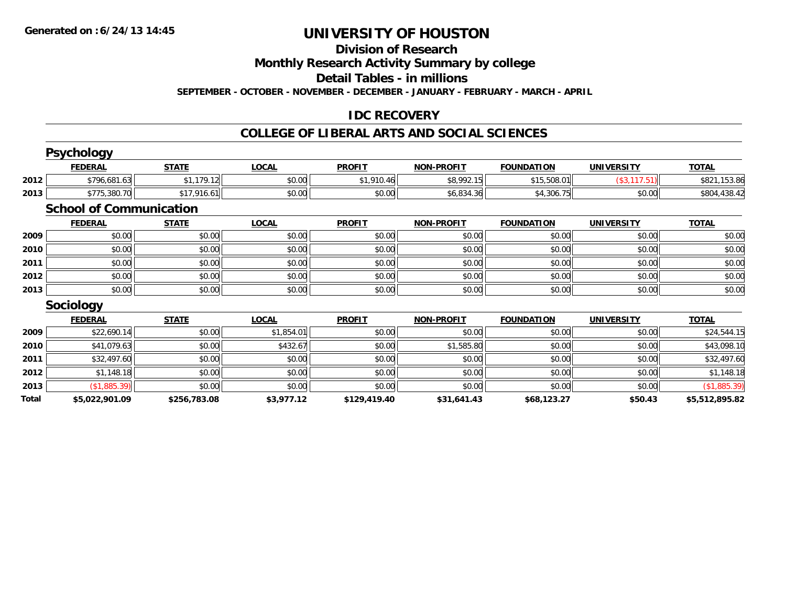#### **Division of Research**

**Monthly Research Activity Summary by college**

**Detail Tables - in millions**

**SEPTEMBER - OCTOBER - NOVEMBER - DECEMBER - JANUARY - FEBRUARY - MARCH - APRIL**

## **IDC RECOVERY**

#### **COLLEGE OF LIBERAL ARTS AND SOCIAL SCIENCES**

|       | <b>Psychology</b>              |              |              |               |                   |                   |                    |                |
|-------|--------------------------------|--------------|--------------|---------------|-------------------|-------------------|--------------------|----------------|
|       | <b>FEDERAL</b>                 | <b>STATE</b> | <b>LOCAL</b> | <b>PROFIT</b> | <b>NON-PROFIT</b> | <b>FOUNDATION</b> | <b>UNIVERSITY</b>  | <b>TOTAL</b>   |
| 2012  | \$796,681.63                   | \$1,179.12   | \$0.00       | \$1,910.46    | \$8,992.15        | \$15,508.01       | $($ \$3,117.51 $)$ | \$821,153.86   |
| 2013  | \$775,380.70                   | \$17,916.61  | \$0.00       | \$0.00        | \$6,834.36        | \$4,306.75        | \$0.00             | \$804,438.42   |
|       | <b>School of Communication</b> |              |              |               |                   |                   |                    |                |
|       | <b>FEDERAL</b>                 | <b>STATE</b> | <b>LOCAL</b> | <b>PROFIT</b> | <b>NON-PROFIT</b> | <b>FOUNDATION</b> | <b>UNIVERSITY</b>  | <b>TOTAL</b>   |
| 2009  | \$0.00                         | \$0.00       | \$0.00       | \$0.00        | \$0.00            | \$0.00            | \$0.00             | \$0.00         |
| 2010  | \$0.00                         | \$0.00       | \$0.00       | \$0.00        | \$0.00            | \$0.00            | \$0.00             | \$0.00         |
| 2011  | \$0.00                         | \$0.00       | \$0.00       | \$0.00        | \$0.00            | \$0.00            | \$0.00             | \$0.00         |
| 2012  | \$0.00                         | \$0.00       | \$0.00       | \$0.00        | \$0.00            | \$0.00            | \$0.00             | \$0.00         |
| 2013  | \$0.00                         | \$0.00       | \$0.00       | \$0.00        | \$0.00            | \$0.00            | \$0.00             | \$0.00         |
|       | <b>Sociology</b>               |              |              |               |                   |                   |                    |                |
|       | <b>FEDERAL</b>                 | <b>STATE</b> | <b>LOCAL</b> | <b>PROFIT</b> | <b>NON-PROFIT</b> | <b>FOUNDATION</b> | <b>UNIVERSITY</b>  | <b>TOTAL</b>   |
| 2009  | \$22,690.14                    | \$0.00       | \$1,854.01   | \$0.00        | \$0.00            | \$0.00            | \$0.00             | \$24,544.15    |
| 2010  | \$41,079.63                    | \$0.00       | \$432.67     | \$0.00        | \$1,585.80        | \$0.00            | \$0.00             | \$43,098.10    |
| 2011  | \$32,497.60                    | \$0.00       | \$0.00       | \$0.00        | \$0.00            | \$0.00            | \$0.00             | \$32,497.60    |
| 2012  | \$1,148.18                     | \$0.00       | \$0.00       | \$0.00        | \$0.00            | \$0.00            | \$0.00             | \$1,148.18     |
| 2013  | (\$1,885.39)                   | \$0.00       | \$0.00       | \$0.00        | \$0.00            | \$0.00            | \$0.00             | (\$1,885.39)   |
| Total | \$5,022,901.09                 | \$256,783.08 | \$3,977.12   | \$129,419.40  | \$31,641.43       | \$68,123.27       | \$50.43            | \$5,512,895.82 |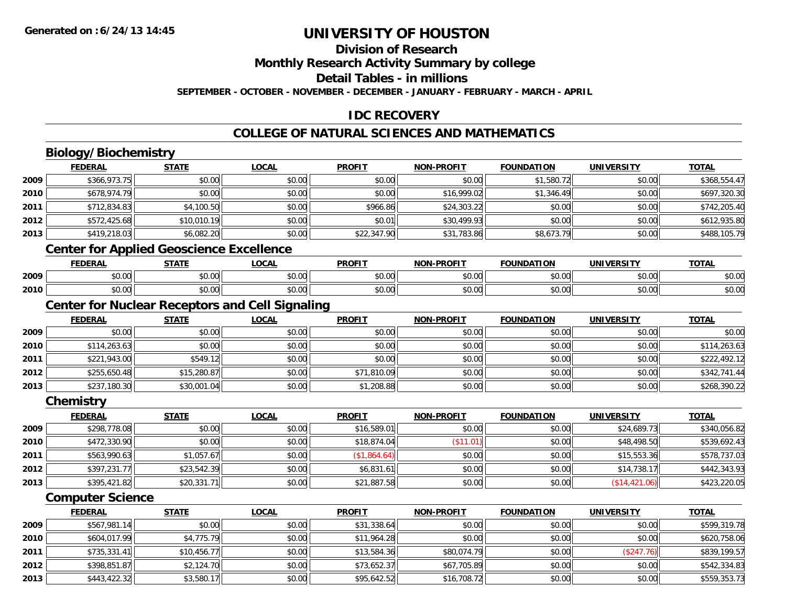**2013**

## **UNIVERSITY OF HOUSTON**

#### **Division of Research**

**Monthly Research Activity Summary by college**

**Detail Tables - in millions**

**SEPTEMBER - OCTOBER - NOVEMBER - DECEMBER - JANUARY - FEBRUARY - MARCH - APRIL**

## **IDC RECOVERY**

#### **COLLEGE OF NATURAL SCIENCES AND MATHEMATICS**

#### **Biology/Biochemistry FEDERAL STATE LOCAL PROFIT NON-PROFIT FOUNDATION UNIVERSITY TOTALTOTAL 20099** \$366,973.75 \$0.00 \$0.00 \$0.00 \$0.00 \$0.00 \$0.00 \$0.00 \$0.00 \$1,580.72 \$1,580.72 \$0.00 \$368,554.47 **2010** $\textsf{[0]} \quad \textsf{[0]} \quad \textsf{[0]} \quad \textsf{[0]} \quad \textsf{[0]} \quad \textsf{[0]} \quad \textsf{[0]} \quad \textsf{[0]} \quad \textsf{[0]} \quad \textsf{[0]} \quad \textsf{[0]} \quad \textsf{[0]} \quad \textsf{[0]} \quad \textsf{[0]} \quad \textsf{[0]} \quad \textsf{[0]} \quad \textsf{[0]} \quad \textsf{[0]} \quad \textsf{[0]} \quad \textsf{[0]} \quad \textsf{[0]} \quad \textsf{[0]} \quad \textsf{[0]} \quad \textsf{[0]} \quad \textsf{$ **2011** \$712,834.83 \$4,100.50 \$0.00 \$966.86 \$24,303.22 \$0.00 \$0.00 \$742,205.40 **2012** \$572,425.68 \$10,010.19 \$0.00 \$0.01 \$30,499.93 \$0.00 \$0.00 \$612,935.80 **2013** \$419,218.03 \$6,082.20 \$0.00 \$22,347.90 \$31,783.86 \$8,673.79 \$0.00 \$488,105.79 **Center for Applied Geoscience Excellence FEDERAL STATE LOCAL PROFIT NON-PROFIT FOUNDATION UNIVERSITY TOTAL2009** \$0.00 \$0.00 \$0.00 \$0.00 \$0.00 \$0.00 \$0.00 \$0.00 **2010**0 \$0.00 \$0.00 \$0.00 \$0.00 \$0.00 \$0.00 \$0.00 \$0.00 \$0.00 \$0.00 \$0.00 \$0.00 \$0.00 \$0.00 \$0.00 \$0.00 \$0.00 \$0.00 **Center for Nuclear Receptors and Cell Signaling FEDERAL STATE LOCAL PROFIT NON-PROFIT FOUNDATION UNIVERSITY TOTAL2009** \$0.00 \$0.00 \$0.00 \$0.00 \$0.00 \$0.00 \$0.00 \$0.00 **2010** $\textsf{[0]} \quad \textsf{[0]} \quad \textsf{[0]} \quad \textsf{[0]} \quad \textsf{[0]} \quad \textsf{[0]} \quad \textsf{[0]} \quad \textsf{[0]} \quad \textsf{[0]} \quad \textsf{[0]} \quad \textsf{[0]} \quad \textsf{[0]} \quad \textsf{[0]} \quad \textsf{[0]} \quad \textsf{[0]} \quad \textsf{[0]} \quad \textsf{[0]} \quad \textsf{[0]} \quad \textsf{[0]} \quad \textsf{[0]} \quad \textsf{[0]} \quad \textsf{[0]} \quad \textsf{[0]} \quad \textsf{[0]} \quad \textsf{$ **2011** \$221,943.00 \$549.12 \$0.00 \$0.00 \$0.00 \$0.00 \$0.00 \$222,492.12 **2012** \$255,650.48 \$15,280.87 \$0.00 \$71,810.09 \$0.00 \$0.00 \$0.00 \$342,741.44 **2013** \$237,180.30 \$30,001.04 \$0.00 \$1,208.88 \$0.00 \$0.00 \$0.00 \$268,390.22 **Chemistry FEDERAL STATE LOCAL PROFIT NON-PROFIT FOUNDATION UNIVERSITY TOTALTOTAL 20099** \$298,778.08 \$0.00 \$0.00 \$0.00 \$0.00 \$16,589.01 \$16,589.01 \$0.00 \$0.00 \$0.00 \$24,689.73 \$24,689.73 \$340,056.82 **2010** \$472,330.90 \$0.00 \$0.00 \$18,874.04 (\$11.01) \$0.00 \$48,498.50 \$539,692.43 **2011** $\bm{1} \vert \bm{3} \vert \bm{4} \bm{5}$   $\bm{5}$   $\bm{5}$   $\bm{5}$   $\bm{5}$   $\bm{5}$   $\bm{5}$   $\bm{5}$   $\bm{5}$   $\bm{6}$   $\bm{5}$   $\bm{7}$   $\bm{6}$   $\bm{7}$   $\bm{6}$   $\bm{6}$   $\bm{6}$   $\bm{6}$   $\bm{6}$   $\bm{6}$   $\bm{6}$   $\bm{6}$   $\bm{6}$   $\bm{6}$   $\bm{6}$   $\$ **2012** \$397,231.77 \$23,542.39 \$0.00 \$6,831.61 \$0.00 \$0.00 \$14,738.17 \$442,343.93 **2013** \$395,421.82 \$20,331.71 \$0.00 \$21,887.58 \$0.00 \$0.00 (\$14,421.06) \$423,220.05 **Computer Science FEDERAL STATE LOCAL PROFIT NON-PROFIT FOUNDATION UNIVERSITY TOTAL2009** \$567,981.14 \$0.00 \$0.00 \$31,338.64 \$0.00 \$0.00 \$0.00 \$599,319.78 **2010**0 \$604,017.99|| \$4,775.79|| \$0.00|| \$11,964.28|| \$0.00|| \$0.00|| \$0.00|| \$0.00|| \$620,758.06 **2011** \$735,331.41 \$10,456.77 \$0.00 \$13,584.36 \$80,074.79 \$0.00 (\$247.76) \$839,199.57 **2012**

\$398,851.87 \$2,124.70 \$0.00 \$73,652.37 \$67,705.89 \$0.00 \$0.00 \$542,334.83

 $\bf{3} \vert \hspace{1.5cm}$  \$443,422.32  $\vert$  \$3,580.17 $\vert$  \$0.00 \$0.00 \$0.00 \$16,708.72 \$16,708.72 \$0.00 \$0.00 \$0.00 \$0.00 \$559,353.73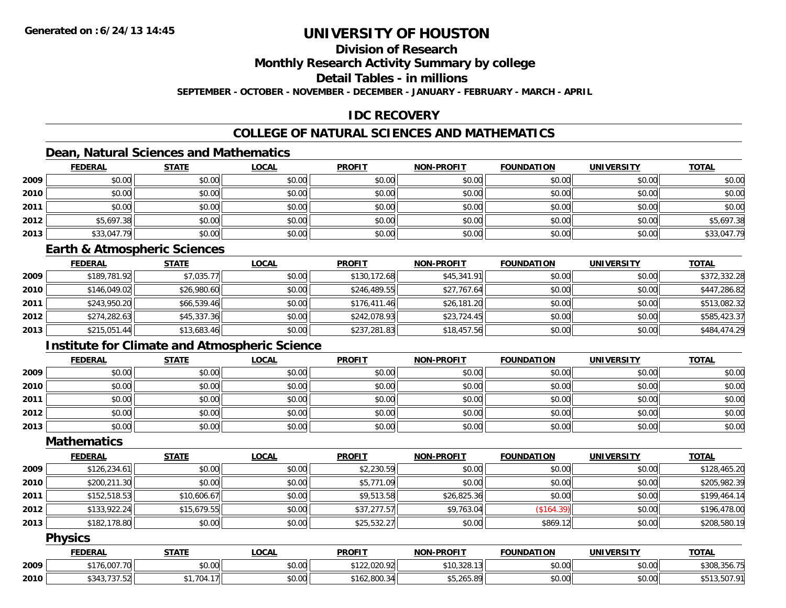### **Division of Research**

**Monthly Research Activity Summary by college**

**Detail Tables - in millions**

**SEPTEMBER - OCTOBER - NOVEMBER - DECEMBER - JANUARY - FEBRUARY - MARCH - APRIL**

## **IDC RECOVERY**

## **COLLEGE OF NATURAL SCIENCES AND MATHEMATICS**

## **Dean, Natural Sciences and Mathematics**

|      | <b>FEDERAL</b> | <b>STATE</b> | <u>LOCAL</u> | <b>PROFIT</b> | <b>NON-PROFIT</b> | <b>FOUNDATION</b> | <b>UNIVERSITY</b> | <b>TOTAL</b> |
|------|----------------|--------------|--------------|---------------|-------------------|-------------------|-------------------|--------------|
| 2009 | \$0.00         | \$0.00       | \$0.00       | \$0.00        | \$0.00            | \$0.00            | \$0.00            | \$0.00       |
| 2010 | \$0.00         | \$0.00       | \$0.00       | \$0.00        | \$0.00            | \$0.00            | \$0.00            | \$0.00       |
| 2011 | \$0.00         | \$0.00       | \$0.00       | \$0.00        | \$0.00            | \$0.00            | \$0.00            | \$0.00       |
| 2012 | \$5,697.38     | \$0.00       | \$0.00       | \$0.00        | \$0.00            | \$0.00            | \$0.00            | \$5,697.38   |
| 2013 | \$33,047.79    | \$0.00       | \$0.00       | \$0.00        | \$0.00            | \$0.00            | \$0.00            | \$33,047.79  |

#### **Earth & Atmospheric Sciences**

|      | <b>FEDERAL</b> | <u>STATE</u> | <b>LOCAL</b> | <b>PROFIT</b> | <b>NON-PROFIT</b> | <b>FOUNDATION</b> | <b>UNIVERSITY</b> | <b>TOTAL</b> |
|------|----------------|--------------|--------------|---------------|-------------------|-------------------|-------------------|--------------|
| 2009 | \$189,781.92   | \$7,035.77   | \$0.00       | \$130,172.68  | \$45,341.91       | \$0.00            | \$0.00            | \$372,332.28 |
| 2010 | \$146,049.02   | \$26,980.60  | \$0.00       | \$246,489.55  | \$27,767.64       | \$0.00            | \$0.00            | \$447,286.82 |
| 2011 | \$243,950.20   | \$66,539.46  | \$0.00       | \$176,411.46  | \$26,181.20       | \$0.00            | \$0.00            | \$513,082.32 |
| 2012 | \$274,282.63   | \$45,337.36  | \$0.00       | \$242,078.93  | \$23,724.45       | \$0.00            | \$0.00            | \$585,423.37 |
| 2013 | \$215,051.44   | \$13,683.46  | \$0.00       | \$237,281.83  | \$18,457.56       | \$0.00            | \$0.00            | \$484,474.29 |

## **Institute for Climate and Atmospheric Science**

|      | <b>FEDERAL</b> | <b>STATE</b> | <u>LOCAL</u> | <b>PROFIT</b> | <b>NON-PROFIT</b> | <b>FOUNDATION</b> | <b>UNIVERSITY</b> | <b>TOTAL</b> |
|------|----------------|--------------|--------------|---------------|-------------------|-------------------|-------------------|--------------|
| 2009 | \$0.00         | \$0.00       | \$0.00       | \$0.00        | \$0.00            | \$0.00            | \$0.00            | \$0.00       |
| 2010 | \$0.00         | \$0.00       | \$0.00       | \$0.00        | \$0.00            | \$0.00            | \$0.00            | \$0.00       |
| 2011 | \$0.00         | \$0.00       | \$0.00       | \$0.00        | \$0.00            | \$0.00            | \$0.00            | \$0.00       |
| 2012 | \$0.00         | \$0.00       | \$0.00       | \$0.00        | \$0.00            | \$0.00            | \$0.00            | \$0.00       |
| 2013 | \$0.00         | \$0.00       | \$0.00       | \$0.00        | \$0.00            | \$0.00            | \$0.00            | \$0.00       |

### **Mathematics**

|      | <b>FEDERAL</b> | <b>STATE</b> | <b>LOCAL</b> | <b>PROFIT</b> | <b>NON-PROFIT</b> | <b>FOUNDATION</b> | <b>UNIVERSITY</b> | <b>TOTAL</b> |
|------|----------------|--------------|--------------|---------------|-------------------|-------------------|-------------------|--------------|
| 2009 | \$126, 234.61  | \$0.00       | \$0.00       | \$2,230.59    | \$0.00            | \$0.00            | \$0.00            | \$128,465.20 |
| 2010 | \$200,211.30   | \$0.00       | \$0.00       | \$5,771.09    | \$0.00            | \$0.00            | \$0.00            | \$205,982.39 |
| 2011 | \$152,518.53   | \$10,606.67  | \$0.00       | \$9,513.58    | \$26,825.36       | \$0.00            | \$0.00            | \$199,464.14 |
| 2012 | \$133,922.24   | \$15,679.55  | \$0.00       | \$37,277.57   | \$9,763.04        | (\$164.39)        | \$0.00            | \$196,478.00 |
| 2013 | \$182,178.80   | \$0.00       | \$0.00       | \$25,532.27   | \$0.00            | \$869.12          | \$0.00            | \$208,580.19 |

#### **Physics**

|      | <b>FEDERAL</b>              | <b>CTATE</b><br>9 I A I I | .OCAI  | <b>PROFIT</b>               | <b>N-PROFIT</b><br>ש∩ו            | <b>FOUNDATION</b> | <b>UNIVERSITY</b> | <b>TOTAL</b> |
|------|-----------------------------|---------------------------|--------|-----------------------------|-----------------------------------|-------------------|-------------------|--------------|
| 2009 | 007.7<br>$*176.00.$         | $\sim$ $\sim$<br>vu.uu    | \$0.00 | AA<br>0.0000<br>122.UZU.YZL | $\sim$ 120 ב $\sim$<br>10.320.131 | 0.00<br>JU.UU     | 4000<br>JU.UU     | \$308,356.75 |
| 2010 | ሮ ሰጣ<br>$\sim$<br>, , , , , | .704.17                   | \$0.00 | 0000<br>. 162.800.34°       | $AT$ $AT$ $A$ $A$<br>∍ו 205.סש    | 0000<br>JU.UU     | \$0.00            | $-07.01$     |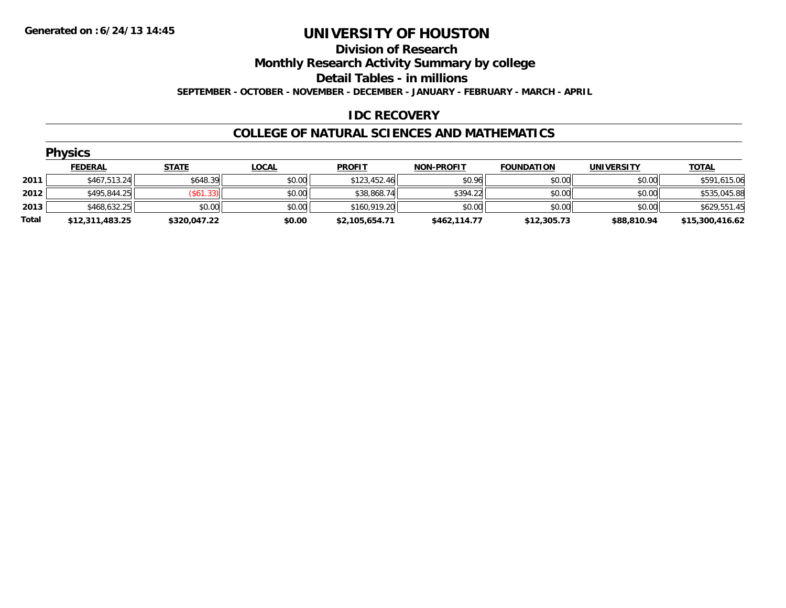#### **Division of Research**

**Monthly Research Activity Summary by college**

**Detail Tables - in millions**

**SEPTEMBER - OCTOBER - NOVEMBER - DECEMBER - JANUARY - FEBRUARY - MARCH - APRIL**

### **IDC RECOVERY**

#### **COLLEGE OF NATURAL SCIENCES AND MATHEMATICS**

|       | <b>Physics</b>  |                  |              |                |                   |                   |                   |                 |
|-------|-----------------|------------------|--------------|----------------|-------------------|-------------------|-------------------|-----------------|
|       | <b>FEDERAL</b>  | <b>STATE</b>     | <b>LOCAL</b> | <b>PROFIT</b>  | <b>NON-PROFIT</b> | <b>FOUNDATION</b> | <b>UNIVERSITY</b> | <b>TOTAL</b>    |
| 2011  | \$467,513.24    | \$648.39         | \$0.00       | \$123,452.46   | \$0.96            | \$0.00            | \$0.00            | \$591,615.06    |
| 2012  | \$495,844.25    | $($ \$61.33) $ $ | \$0.00       | \$38,868.74    | \$394.22          | \$0.00            | \$0.00            | \$535,045.88    |
| 2013  | \$468,632.25    | \$0.00           | \$0.00       | \$160,919.20   | \$0.00            | \$0.00            | \$0.00            | \$629,551.45    |
| Total | \$12,311,483.25 | \$320,047.22     | \$0.00       | \$2,105,654.71 | \$462,114.77      | \$12,305.73       | \$88,810.94       | \$15,300,416.62 |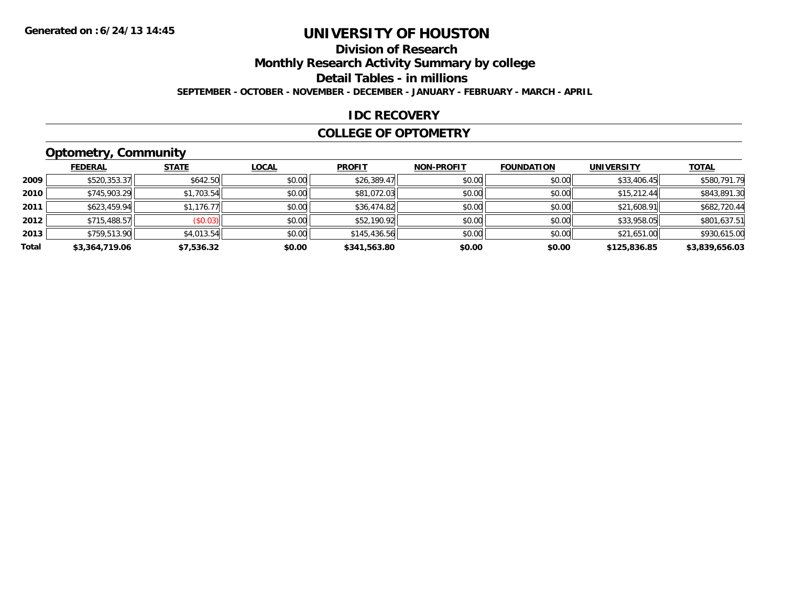## **Division of Research**

**Monthly Research Activity Summary by college**

**Detail Tables - in millions**

**SEPTEMBER - OCTOBER - NOVEMBER - DECEMBER - JANUARY - FEBRUARY - MARCH - APRIL**

#### **IDC RECOVERY**

#### **COLLEGE OF OPTOMETRY**

## **Optometry, Community**

|       | .              |              |              |               |                   |                   |                   |                |
|-------|----------------|--------------|--------------|---------------|-------------------|-------------------|-------------------|----------------|
|       | <b>FEDERAL</b> | <b>STATE</b> | <b>LOCAL</b> | <b>PROFIT</b> | <b>NON-PROFIT</b> | <b>FOUNDATION</b> | <b>UNIVERSITY</b> | <b>TOTAL</b>   |
| 2009  | \$520,353.37   | \$642.50     | \$0.00       | \$26,389.47   | \$0.00            | \$0.00            | \$33,406.45       | \$580,791.79   |
| 2010  | \$745,903.29   | \$1,703.54   | \$0.00       | \$81,072.03   | \$0.00            | \$0.00            | \$15.212.44       | \$843,891.30   |
| 2011  | \$623,459.94   | \$1,176.77   | \$0.00       | \$36,474.82   | \$0.00            | \$0.00            | \$21,608.91       | \$682,720.44   |
| 2012  | \$715,488.57   | (\$0.03)     | \$0.00       | \$52,190.92   | \$0.00            | \$0.00            | \$33,958.05       | \$801,637.51   |
| 2013  | \$759,513.90   | \$4,013.54   | \$0.00       | \$145,436.56  | \$0.00            | \$0.00            | \$21,651.00       | \$930,615.00   |
| Total | \$3,364,719.06 | \$7,536.32   | \$0.00       | \$341,563.80  | \$0.00            | \$0.00            | \$125,836.85      | \$3,839,656.03 |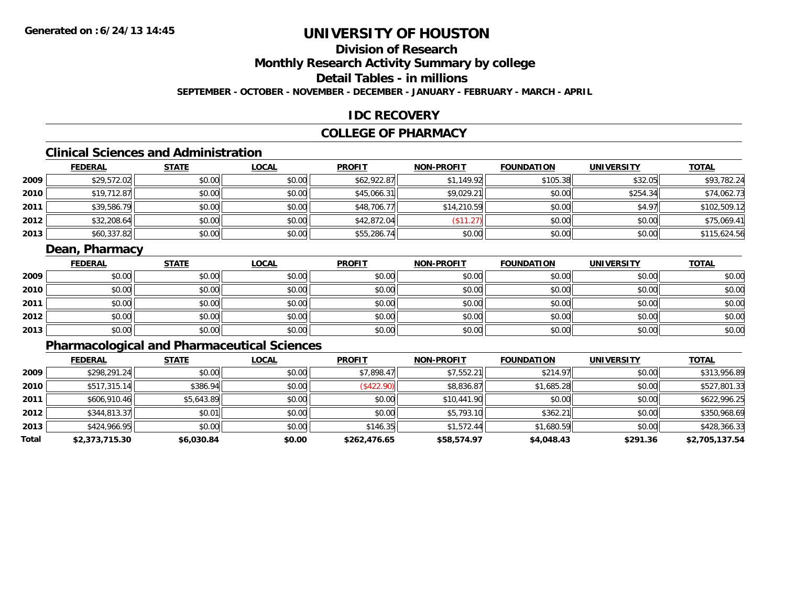## **Division of Research**

**Monthly Research Activity Summary by college**

**Detail Tables - in millions**

**SEPTEMBER - OCTOBER - NOVEMBER - DECEMBER - JANUARY - FEBRUARY - MARCH - APRIL**

### **IDC RECOVERY**

### **COLLEGE OF PHARMACY**

## **Clinical Sciences and Administration**

|      | <b>FEDERAL</b> | <b>STATE</b> | <b>LOCAL</b> | <b>PROFIT</b> | <b>NON-PROFIT</b> | <b>FOUNDATION</b> | <b>UNIVERSITY</b> | <b>TOTAL</b> |
|------|----------------|--------------|--------------|---------------|-------------------|-------------------|-------------------|--------------|
| 2009 | \$29,572.02    | \$0.00       | \$0.00       | \$62,922.87   | \$1,149.92        | \$105.38          | \$32.05           | \$93,782.24  |
| 2010 | \$19,712.87    | \$0.00       | \$0.00       | \$45,066.31   | \$9,029.21        | \$0.00            | \$254.34          | \$74,062.73  |
| 2011 | \$39,586.79    | \$0.00       | \$0.00       | \$48,706.77   | \$14,210.59       | \$0.00            | \$4.97            | \$102,509.12 |
| 2012 | \$32,208.64    | \$0.00       | \$0.00       | \$42,872.04   | $($ \$11.27)      | \$0.00            | \$0.00            | \$75,069.41  |
| 2013 | \$60,337.82    | \$0.00       | \$0.00       | \$55,286.74   | \$0.00            | \$0.00            | \$0.00            | \$115,624.56 |

### **Dean, Pharmacy**

|      | <b>FEDERAL</b> | <b>STATE</b> | <u>LOCAL</u> | <b>PROFIT</b> | <b>NON-PROFIT</b> | <b>FOUNDATION</b> | <b>UNIVERSITY</b> | <b>TOTAL</b> |
|------|----------------|--------------|--------------|---------------|-------------------|-------------------|-------------------|--------------|
| 2009 | \$0.00         | \$0.00       | \$0.00       | \$0.00        | \$0.00            | \$0.00            | \$0.00            | \$0.00       |
| 2010 | \$0.00         | \$0.00       | \$0.00       | \$0.00        | \$0.00            | \$0.00            | \$0.00            | \$0.00       |
| 2011 | \$0.00         | \$0.00       | \$0.00       | \$0.00        | \$0.00            | \$0.00            | \$0.00            | \$0.00       |
| 2012 | \$0.00         | \$0.00       | \$0.00       | \$0.00        | \$0.00            | \$0.00            | \$0.00            | \$0.00       |
| 2013 | \$0.00         | \$0.00       | \$0.00       | \$0.00        | \$0.00            | \$0.00            | \$0.00            | \$0.00       |

## **Pharmacological and Pharmaceutical Sciences**

|       | <b>FEDERAL</b> | <b>STATE</b> | <b>LOCAL</b> | <b>PROFIT</b> | <b>NON-PROFIT</b> | <b>FOUNDATION</b> | <b>UNIVERSITY</b> | <b>TOTAL</b>   |
|-------|----------------|--------------|--------------|---------------|-------------------|-------------------|-------------------|----------------|
| 2009  | \$298,291.24   | \$0.00       | \$0.00       | \$7,898.47    | \$7,552.21        | \$214.97          | \$0.00            | \$313,956.89   |
| 2010  | \$517,315.14   | \$386.94     | \$0.00       | (\$422.90)    | \$8,836.87        | \$1,685.28        | \$0.00            | \$527,801.33   |
| 2011  | \$606,910.46   | \$5,643.89   | \$0.00       | \$0.00        | \$10,441.90       | \$0.00            | \$0.00            | \$622,996.25   |
| 2012  | \$344,813.37   | \$0.01       | \$0.00       | \$0.00        | \$5,793.10        | \$362.21          | \$0.00            | \$350,968.69   |
| 2013  | \$424,966.95   | \$0.00       | \$0.00       | \$146.35      | \$1,572.44        | \$1,680.59        | \$0.00            | \$428,366.33   |
| Total | \$2,373,715.30 | \$6,030.84   | \$0.00       | \$262,476.65  | \$58,574.97       | \$4,048.43        | \$291.36          | \$2,705,137.54 |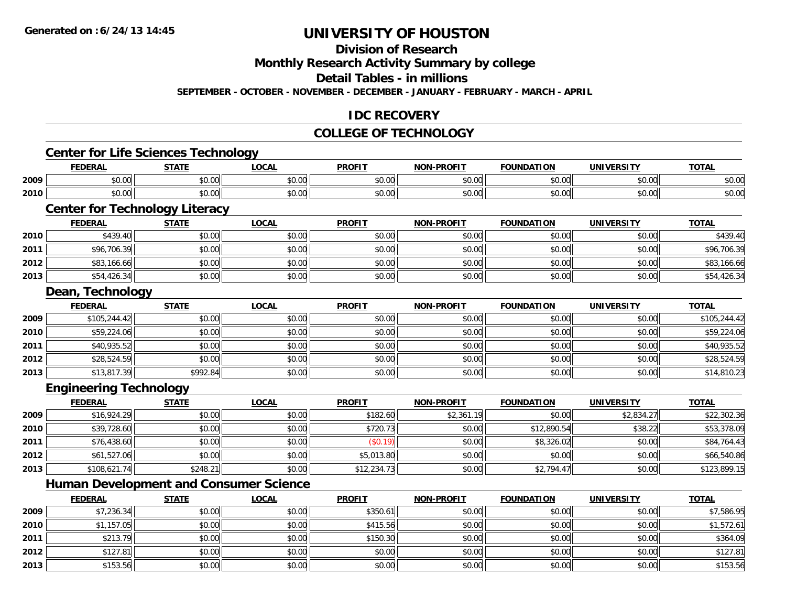**2013**

# **UNIVERSITY OF HOUSTON**

**Division of Research**

**Monthly Research Activity Summary by college**

**Detail Tables - in millions**

**SEPTEMBER - OCTOBER - NOVEMBER - DECEMBER - JANUARY - FEBRUARY - MARCH - APRIL**

### **IDC RECOVERY**

## **COLLEGE OF TECHNOLOGY**

|      | <b>Center for Life Sciences Technology</b>    |              |              |               |                   |                   |                   |              |
|------|-----------------------------------------------|--------------|--------------|---------------|-------------------|-------------------|-------------------|--------------|
|      | <b>FEDERAL</b>                                | <b>STATE</b> | <b>LOCAL</b> | <b>PROFIT</b> | <b>NON-PROFIT</b> | <b>FOUNDATION</b> | <b>UNIVERSITY</b> | <b>TOTAL</b> |
| 2009 | \$0.00                                        | \$0.00       | \$0.00       | \$0.00        | \$0.00            | \$0.00            | \$0.00            | \$0.00       |
| 2010 | \$0.00                                        | \$0.00       | \$0.00       | \$0.00        | \$0.00            | \$0.00            | \$0.00            | \$0.00       |
|      | <b>Center for Technology Literacy</b>         |              |              |               |                   |                   |                   |              |
|      | <b>FEDERAL</b>                                | <b>STATE</b> | <b>LOCAL</b> | <b>PROFIT</b> | <b>NON-PROFIT</b> | <b>FOUNDATION</b> | <b>UNIVERSITY</b> | <b>TOTAL</b> |
| 2010 | \$439.40                                      | \$0.00       | \$0.00       | \$0.00        | \$0.00            | \$0.00            | \$0.00            | \$439.40     |
| 2011 | \$96,706.39                                   | \$0.00       | \$0.00       | \$0.00        | \$0.00            | \$0.00            | \$0.00            | \$96,706.39  |
| 2012 | \$83,166.66                                   | \$0.00       | \$0.00       | \$0.00        | \$0.00            | \$0.00            | \$0.00            | \$83,166.66  |
| 2013 | \$54,426.34                                   | \$0.00       | \$0.00       | \$0.00        | \$0.00            | \$0.00            | \$0.00            | \$54,426.34  |
|      | Dean, Technology                              |              |              |               |                   |                   |                   |              |
|      | <b>FEDERAL</b>                                | <b>STATE</b> | <b>LOCAL</b> | <b>PROFIT</b> | <b>NON-PROFIT</b> | <b>FOUNDATION</b> | <b>UNIVERSITY</b> | <b>TOTAL</b> |
| 2009 | \$105,244.42                                  | \$0.00       | \$0.00       | \$0.00        | \$0.00            | \$0.00            | \$0.00            | \$105,244.42 |
| 2010 | \$59,224.06                                   | \$0.00       | \$0.00       | \$0.00        | \$0.00            | \$0.00            | \$0.00            | \$59,224.06  |
| 2011 | \$40,935.52                                   | \$0.00       | \$0.00       | \$0.00        | \$0.00            | \$0.00            | \$0.00            | \$40,935.52  |
| 2012 | \$28,524.59                                   | \$0.00       | \$0.00       | \$0.00        | \$0.00            | \$0.00            | \$0.00            | \$28,524.59  |
| 2013 | \$13,817.39                                   | \$992.84     | \$0.00       | \$0.00        | \$0.00            | \$0.00            | \$0.00            | \$14,810.23  |
|      | <b>Engineering Technology</b>                 |              |              |               |                   |                   |                   |              |
|      | <b>FEDERAL</b>                                | <b>STATE</b> | <b>LOCAL</b> | <b>PROFIT</b> | <b>NON-PROFIT</b> | <b>FOUNDATION</b> | <b>UNIVERSITY</b> | <b>TOTAL</b> |
| 2009 | \$16,924.29                                   | \$0.00       | \$0.00       | \$182.60      | \$2,361.19        | \$0.00            | \$2,834.27        | \$22,302.36  |
| 2010 | \$39,728.60                                   | \$0.00       | \$0.00       | \$720.73      | \$0.00            | \$12,890.54       | \$38.22           | \$53,378.09  |
| 2011 | \$76,438.60                                   | \$0.00       | \$0.00       | (\$0.19)      | \$0.00            | \$8,326.02        | \$0.00            | \$84,764.43  |
| 2012 | \$61,527.06                                   | \$0.00       | \$0.00       | \$5,013.80    | \$0.00            | \$0.00            | \$0.00            | \$66,540.86  |
| 2013 | \$108,621.74                                  | \$248.21     | \$0.00       | \$12,234.73   | \$0.00            | \$2,794.47        | \$0.00            | \$123,899.15 |
|      | <b>Human Development and Consumer Science</b> |              |              |               |                   |                   |                   |              |
|      | <b>FEDERAL</b>                                | <b>STATE</b> | <b>LOCAL</b> | <b>PROFIT</b> | <b>NON-PROFIT</b> | <b>FOUNDATION</b> | <b>UNIVERSITY</b> | <b>TOTAL</b> |
| 2009 | \$7,236.34                                    | \$0.00       | \$0.00       | \$350.61      | \$0.00            | \$0.00            | \$0.00            | \$7,586.95   |
| 2010 | \$1,157.05                                    | \$0.00       | \$0.00       | \$415.56      | \$0.00            | \$0.00            | \$0.00            | \$1,572.61   |
| 2011 | \$213.79                                      | \$0.00       | \$0.00       | \$150.30      | \$0.00            | \$0.00            | \$0.00            | \$364.09     |
| 2012 | \$127.81                                      | \$0.00       | \$0.00       | \$0.00        | \$0.00            | \$0.00            | \$0.00            | \$127.81     |

\$153.56 \$0.00 \$0.00 \$0.00 \$0.00 \$0.00 \$0.00 \$153.56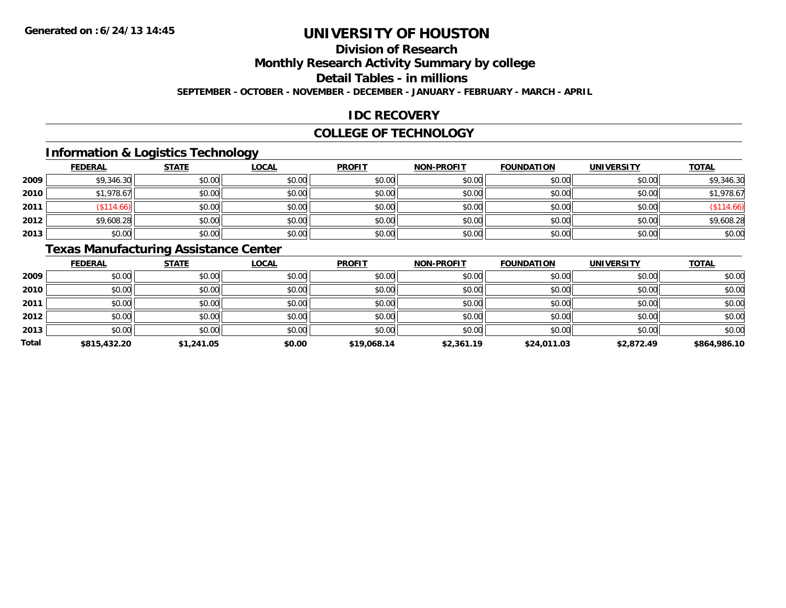## **Division of Research**

**Monthly Research Activity Summary by college**

**Detail Tables - in millions**

**SEPTEMBER - OCTOBER - NOVEMBER - DECEMBER - JANUARY - FEBRUARY - MARCH - APRIL**

### **IDC RECOVERY**

#### **COLLEGE OF TECHNOLOGY**

## **Information & Logistics Technology**

|      | <b>FEDERAL</b> | <b>STATE</b> | <u>LOCAL</u> | <b>PROFIT</b> | <b>NON-PROFIT</b> | <b>FOUNDATION</b> | <b>UNIVERSITY</b> | <b>TOTAL</b> |
|------|----------------|--------------|--------------|---------------|-------------------|-------------------|-------------------|--------------|
| 2009 | \$9,346.30     | \$0.00       | \$0.00       | \$0.00        | \$0.00            | \$0.00            | \$0.00            | \$9,346.30   |
| 2010 | \$1,978.67     | \$0.00       | \$0.00       | \$0.00        | \$0.00            | \$0.00            | \$0.00            | \$1,978.67   |
| 2011 | \$114.66       | \$0.00       | \$0.00       | \$0.00        | \$0.00            | \$0.00            | \$0.00            | \$114.66     |
| 2012 | \$9,608.28     | \$0.00       | \$0.00       | \$0.00        | \$0.00            | \$0.00            | \$0.00            | \$9,608.28   |
| 2013 | \$0.00         | \$0.00       | \$0.00       | \$0.00        | \$0.00            | \$0.00            | \$0.00            | \$0.00       |

## **Texas Manufacturing Assistance Center**

|              | <b>FEDERAL</b> | <b>STATE</b> | <b>LOCAL</b> | <b>PROFIT</b> | <b>NON-PROFIT</b> | <b>FOUNDATION</b> | <b>UNIVERSITY</b> | <b>TOTAL</b> |
|--------------|----------------|--------------|--------------|---------------|-------------------|-------------------|-------------------|--------------|
| 2009         | \$0.00         | \$0.00       | \$0.00       | \$0.00        | \$0.00            | \$0.00            | \$0.00            | \$0.00       |
| 2010         | \$0.00         | \$0.00       | \$0.00       | \$0.00        | \$0.00            | \$0.00            | \$0.00            | \$0.00       |
| 2011         | \$0.00         | \$0.00       | \$0.00       | \$0.00        | \$0.00            | \$0.00            | \$0.00            | \$0.00       |
| 2012         | \$0.00         | \$0.00       | \$0.00       | \$0.00        | \$0.00            | \$0.00            | \$0.00            | \$0.00       |
| 2013         | \$0.00         | \$0.00       | \$0.00       | \$0.00        | \$0.00            | \$0.00            | \$0.00            | \$0.00       |
| <b>Total</b> | \$815,432.20   | \$1,241.05   | \$0.00       | \$19,068.14   | \$2,361.19        | \$24,011.03       | \$2,872.49        | \$864,986.10 |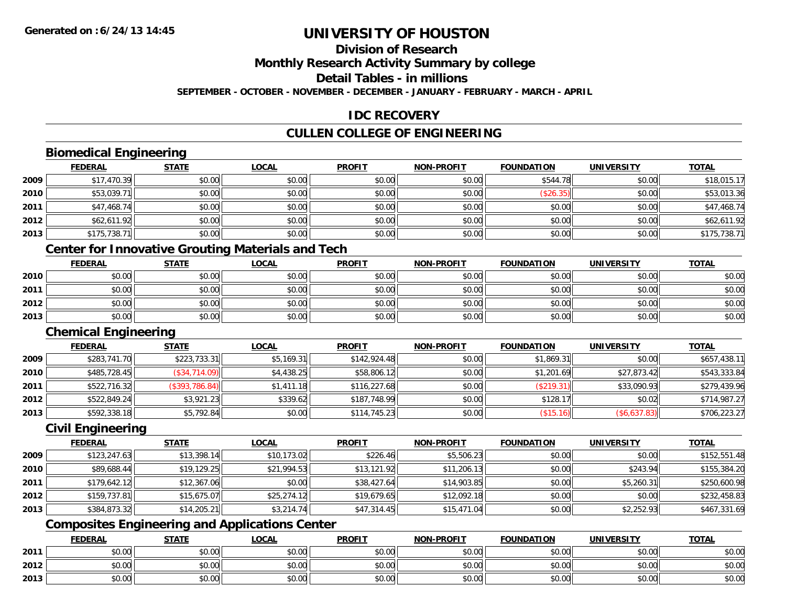## **Division of Research**

**Monthly Research Activity Summary by college**

**Detail Tables - in millions**

**SEPTEMBER - OCTOBER - NOVEMBER - DECEMBER - JANUARY - FEBRUARY - MARCH - APRIL**

### **IDC RECOVERY**

## **CULLEN COLLEGE OF ENGINEERING**

## **Biomedical Engineering**

|        | <b>FEDERAL</b> | <b>STATE</b> | <b>LOCAL</b> | <b>PROFIT</b> | NON-PROFIT | <b>FOUNDATION</b> | <b>UNIVERSITY</b> | <b>TOTAL</b> |
|--------|----------------|--------------|--------------|---------------|------------|-------------------|-------------------|--------------|
| 2009   | \$17,470.39    | \$0.00       | \$0.00       | \$0.00        | \$0.00     | \$544.78          | \$0.00            | \$18,015.17  |
| ا 2010 | \$53,039.71    | \$0.00       | \$0.00       | \$0.00        | \$0.00     | (\$26.35)         | \$0.00            | \$53,013.36  |
| 2011   | \$47,468.74    | \$0.00       | \$0.00       | \$0.00        | \$0.00     | \$0.00            | \$0.00            | \$47,468.74  |
| 2012   | \$62,611.92    | \$0.00       | \$0.00       | \$0.00        | \$0.00     | \$0.00            | \$0.00            | \$62,611.92  |
| 2013   | \$175,738.71   | \$0.00       | \$0.00       | \$0.00        | \$0.00     | \$0.00            | \$0.00            | \$175,738.71 |

### **Center for Innovative Grouting Materials and Tech**

|      | <u>FEDERAL</u> | <b>STATE</b> | <u>LOCAL</u> | <b>PROFIT</b> | <b>NON-PROFIT</b> | <b>FOUNDATION</b> | <b>UNIVERSITY</b> | <b>TOTAL</b> |
|------|----------------|--------------|--------------|---------------|-------------------|-------------------|-------------------|--------------|
| 2010 | \$0.00         | \$0.00       | \$0.00       | \$0.00        | \$0.00            | \$0.00            | \$0.00            | \$0.00       |
| 2011 | \$0.00         | \$0.00       | \$0.00       | \$0.00        | \$0.00            | \$0.00            | \$0.00            | \$0.00       |
| 2012 | \$0.00         | \$0.00       | \$0.00       | \$0.00        | \$0.00            | \$0.00            | \$0.00            | \$0.00       |
| 2013 | \$0.00         | \$0.00       | \$0.00       | \$0.00        | \$0.00            | \$0.00            | \$0.00            | \$0.00       |

#### **Chemical Engineering**

|      | <b>FEDERAL</b> | <b>STATE</b>    | <u>LOCAL</u> | <b>PROFIT</b> | <b>NON-PROFIT</b> | <b>FOUNDATION</b> | <b>UNIVERSITY</b> | <b>TOTAL</b> |
|------|----------------|-----------------|--------------|---------------|-------------------|-------------------|-------------------|--------------|
| 2009 | \$283,741.70   | \$223,733.31    | \$5,169.31   | \$142,924.48  | \$0.00            | \$1,869.31        | \$0.00            | \$657,438.11 |
| 2010 | \$485,728.45   | $(\$34,714.09)$ | \$4,438.25   | \$58,806.12   | \$0.00            | \$1,201.69        | \$27,873.42       | \$543,333.84 |
| 2011 | \$522,716.32   | (S393, 786.84)  | \$1,411.18   | \$116,227.68  | \$0.00            | (\$219.31)        | \$33,090.93       | \$279,439.96 |
| 2012 | \$522,849.24   | \$3,921.23      | \$339.62     | \$187,748.99  | \$0.00            | \$128.1           | \$0.02            | \$714,987.27 |
| 2013 | \$592,338.18   | \$5,792.84      | \$0.00       | \$114,745.23  | \$0.00            | (\$15.16)         | (\$6,637.83)      | \$706,223.27 |

### **Civil Engineering**

|      | <b>FEDERAL</b> | <b>STATE</b> | <b>LOCAL</b> | <b>PROFIT</b> | <b>NON-PROFIT</b> | <b>FOUNDATION</b> | <b>UNIVERSITY</b> | <b>TOTAL</b> |
|------|----------------|--------------|--------------|---------------|-------------------|-------------------|-------------------|--------------|
| 2009 | \$123,247.63   | \$13,398.14  | \$10,173.02  | \$226.46      | \$5,506.23        | \$0.00            | \$0.00            | \$152,551.48 |
| 2010 | \$89,688.44    | \$19,129.25  | \$21,994.53  | \$13,121.92   | \$11,206.13       | \$0.00            | \$243.94          | \$155,384.20 |
| 2011 | \$179,642.12   | \$12,367.06  | \$0.00       | \$38,427.64   | \$14,903.85       | \$0.00            | \$5,260.31        | \$250,600.98 |
| 2012 | \$159,737.81   | \$15,675.07  | \$25,274.12  | \$19,679.65   | \$12,092.18       | \$0.00            | \$0.00            | \$232,458.83 |
| 2013 | \$384,873.32   | \$14,205.21  | \$3,214.74   | \$47,314.45   | \$15,471.04       | \$0.00            | \$2,252.93        | \$467,331.69 |

## **Composites Engineering and Applications Center**

|      | <b>FEDERAL</b> | <b>STATE</b> | <b>_OCAL</b>  | <b>PROFIT</b> | <b>NON-PROFIT</b>                                  | <b>FOUNDATION</b> | <b>UNIVERSITY</b> | <b>TOTAL</b> |
|------|----------------|--------------|---------------|---------------|----------------------------------------------------|-------------------|-------------------|--------------|
| 2011 | 0000<br>vu.uu  | \$0.00       | 0000<br>JU.UU | \$0.00        | $\mathsf{A}\cap\mathsf{A}\cap\mathsf{A}$<br>\$0.00 | \$0.00            | \$0.00            | \$0.00       |
| 2012 | pu.uu          | \$0.00       | 0000<br>DU.UG | \$0.00        | 40.00<br><b>SU.UU</b>                              | \$0.00            | \$0.00            | \$0.00       |
| 2013 | 0000<br>pu.uu  | \$0.00       | 0000<br>ง∪.∪บ | \$0.00        | $\mathsf{A}\cap\mathsf{A}\cap\mathsf{A}$<br>\$0.00 | \$0.00            | \$0.00            | \$0.00       |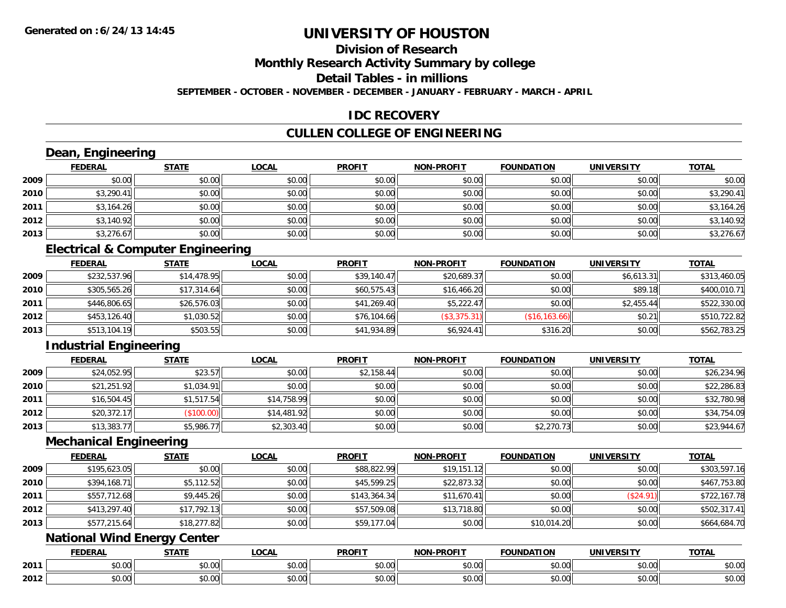## **Division of Research**

**Monthly Research Activity Summary by college**

**Detail Tables - in millions**

**SEPTEMBER - OCTOBER - NOVEMBER - DECEMBER - JANUARY - FEBRUARY - MARCH - APRIL**

### **IDC RECOVERY**

## **CULLEN COLLEGE OF ENGINEERING**

### **Dean, Engineering**

|      | <b>FEDERAL</b> | <b>STATE</b> | <u>LOCAL</u> | <b>PROFIT</b> | <b>NON-PROFIT</b> | <b>FOUNDATION</b> | <b>UNIVERSITY</b> | <b>TOTAL</b> |
|------|----------------|--------------|--------------|---------------|-------------------|-------------------|-------------------|--------------|
| 2009 | \$0.00         | \$0.00       | \$0.00       | \$0.00        | \$0.00            | \$0.00            | \$0.00            | \$0.00       |
| 2010 | \$3,290.41     | \$0.00       | \$0.00       | \$0.00        | \$0.00            | \$0.00            | \$0.00            | \$3,290.41   |
| 2011 | \$3,164.26     | \$0.00       | \$0.00       | \$0.00        | \$0.00            | \$0.00            | \$0.00            | \$3,164.26   |
| 2012 | \$3,140.92     | \$0.00       | \$0.00       | \$0.00        | \$0.00            | \$0.00            | \$0.00            | \$3,140.92   |
| 2013 | \$3,276.67     | \$0.00       | \$0.00       | \$0.00        | \$0.00            | \$0.00            | \$0.00            | \$3,276.67   |

### **Electrical & Computer Engineering**

|      | <b>FEDERAL</b> | <u>STATE</u> | <b>LOCAL</b> | <b>PROFIT</b> | <b>NON-PROFIT</b> | <b>FOUNDATION</b> | <b>UNIVERSITY</b> | <b>TOTAL</b> |
|------|----------------|--------------|--------------|---------------|-------------------|-------------------|-------------------|--------------|
| 2009 | \$232,537.96   | \$14,478.95  | \$0.00       | \$39,140.47   | \$20,689.37       | \$0.00            | \$6.613.31        | \$313,460.05 |
| 2010 | \$305,565.26   | \$17,314.64  | \$0.00       | \$60,575.43   | \$16,466.20       | \$0.00            | \$89.18           | \$400,010.71 |
| 2011 | \$446,806.65   | \$26,576.03  | \$0.00       | \$41,269.40   | \$5,222.47        | \$0.00            | \$2,455.44        | \$522,330.00 |
| 2012 | \$453,126.40   | \$1,030.52   | \$0.00       | \$76,104.66   | (\$3,375.31)      | (\$16, 163.66)    | \$0.21            | \$510,722.82 |
| 2013 | \$513,104.19   | \$503.55     | \$0.00       | \$41,934.89   | \$6,924.41        | \$316.20          | \$0.00            | \$562,783.25 |

## **Industrial Engineering**

|      | <b>FEDERAL</b> | <b>STATE</b> | <b>LOCAL</b> | <b>PROFIT</b> | <b>NON-PROFIT</b> | <b>FOUNDATION</b> | <b>UNIVERSITY</b> | <b>TOTAL</b> |
|------|----------------|--------------|--------------|---------------|-------------------|-------------------|-------------------|--------------|
| 2009 | \$24,052.95    | \$23.57      | \$0.00       | \$2,158.44    | \$0.00            | \$0.00            | \$0.00            | \$26,234.96  |
| 2010 | \$21,251.92    | \$1,034.91   | \$0.00       | \$0.00        | \$0.00            | \$0.00            | \$0.00            | \$22,286.83  |
| 2011 | \$16,504.45    | \$1,517.54   | \$14,758.99  | \$0.00        | \$0.00            | \$0.00            | \$0.00            | \$32,780.98  |
| 2012 | \$20,372.17    | (\$100.00)   | \$14,481.92  | \$0.00        | \$0.00            | \$0.00            | \$0.00            | \$34,754.09  |
| 2013 | \$13,383.77    | \$5,986.77   | \$2,303.40   | \$0.00        | \$0.00            | \$2,270.73        | \$0.00            | \$23,944.67  |

#### **Mechanical Engineering**

|      | <b>FEDERAL</b> | <b>STATE</b> | <b>LOCAL</b> | <b>PROFIT</b> | <b>NON-PROFIT</b> | <b>FOUNDATION</b> | <b>UNIVERSITY</b> | <b>TOTAL</b> |
|------|----------------|--------------|--------------|---------------|-------------------|-------------------|-------------------|--------------|
| 2009 | \$195,623.05   | \$0.00       | \$0.00       | \$88,822.99   | \$19,151.12       | \$0.00            | \$0.00            | \$303,597.16 |
| 2010 | \$394,168.71   | \$5,112.52   | \$0.00       | \$45,599.25   | \$22,873.32       | \$0.00            | \$0.00            | \$467,753.80 |
| 2011 | \$557,712.68   | \$9,445.26   | \$0.00       | \$143,364.34  | \$11,670.41       | \$0.00            | (\$24.91)         | \$722,167.78 |
| 2012 | \$413,297.40   | \$17,792.13  | \$0.00       | \$57,509.08   | \$13,718.80       | \$0.00            | \$0.00            | \$502,317.41 |
| 2013 | \$577,215.64   | \$18,277.82  | \$0.00       | \$59,177.04   | \$0.00            | \$10,014.20       | \$0.00            | \$664,684.70 |

### **National Wind Energy Center**

|      | <b>FEDERAL</b> | <b>CTATE</b>    | LOCAI              | <b>PROFIT</b> | <b>DDAELT</b><br><b>NIONI</b><br>ж. | <b>FOUNDATION</b> | UNIVERSITY           | <b>TOTAL</b>             |
|------|----------------|-----------------|--------------------|---------------|-------------------------------------|-------------------|----------------------|--------------------------|
| 2011 | ልስ ባህ<br>שט.טע | ሖጣ<br>JU.UU     | $\sim$ 00<br>DU.UU | 0000<br>JU.UU | $\sim$<br>$\sim$<br>PO.OO           | 0000<br>JU.UU     | 0000<br><b>DU.UG</b> | $\sim$<br><b>JU.UU</b>   |
| 2012 | nn na<br>JU.UU | $\sim$<br>JU.UU | $\sim$ 00<br>PU.UU | 0000<br>JU.UU | 0.00<br>vv.vv                       | 0.00<br>JU.UU     | 0000<br><b>DU.UG</b> | $\cdots$<br><b>JU.UU</b> |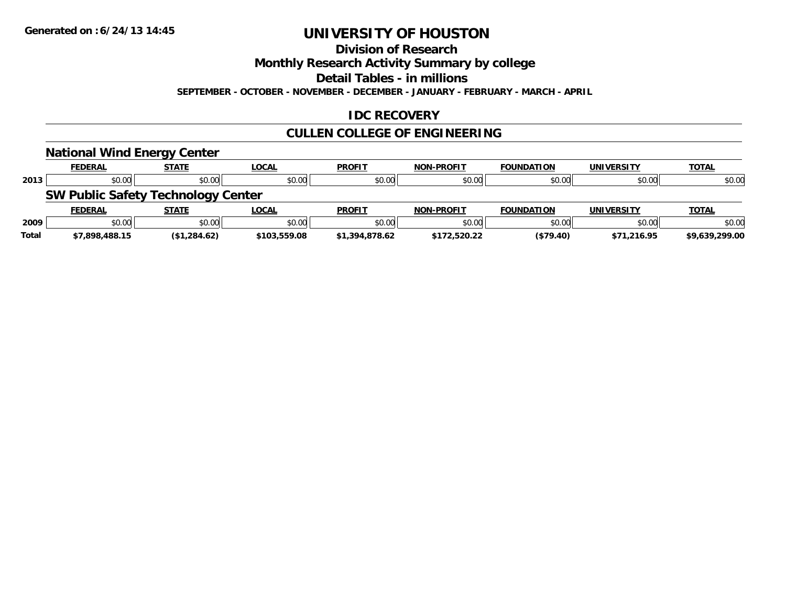#### **Division of Research**

**Monthly Research Activity Summary by college**

**Detail Tables - in millions**

**SEPTEMBER - OCTOBER - NOVEMBER - DECEMBER - JANUARY - FEBRUARY - MARCH - APRIL**

### **IDC RECOVERY**

## **CULLEN COLLEGE OF ENGINEERING**

|              | <b>National Wind Energy Center</b>        |              |              |                |                   |                   |                   |                |
|--------------|-------------------------------------------|--------------|--------------|----------------|-------------------|-------------------|-------------------|----------------|
|              | <b>FEDERAL</b>                            | <b>STATE</b> | <u>LOCAL</u> | <b>PROFIT</b>  | <b>NON-PROFIT</b> | <b>FOUNDATION</b> | <b>UNIVERSITY</b> | <b>TOTAL</b>   |
| 2013         | \$0.00                                    | \$0.00       | \$0.00       | \$0.00         | \$0.00            | \$0.00            | \$0.00            | \$0.00         |
|              | <b>SW Public Safety Technology Center</b> |              |              |                |                   |                   |                   |                |
|              | <b>FEDERAL</b>                            | <b>STATE</b> | LOCAL        | <b>PROFIT</b>  | <b>NON-PROFIT</b> | <b>FOUNDATION</b> | <b>UNIVERSITY</b> | <b>TOTAL</b>   |
| 2009         | \$0.00                                    | \$0.00       | \$0.00       | \$0.00         | \$0.00            | \$0.00            | \$0.00            | \$0.00         |
| <b>Total</b> | \$7,898,488.15                            | (\$1,284.62) | \$103,559.08 | \$1,394,878.62 | \$172,520.22      | (\$79.40)         | \$71,216.95       | \$9.639.299.00 |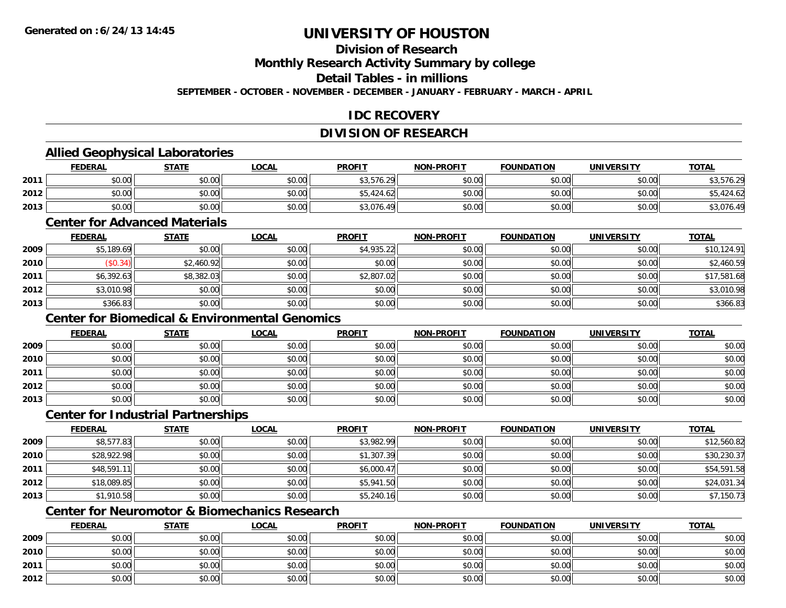### **Division of Research**

**Monthly Research Activity Summary by college**

**Detail Tables - in millions**

**SEPTEMBER - OCTOBER - NOVEMBER - DECEMBER - JANUARY - FEBRUARY - MARCH - APRIL**

### **IDC RECOVERY**

### **DIVISION OF RESEARCH**

### **Allied Geophysical Laboratories**

|      | <b>FEDERAL</b> | <b>STATE</b> | <u>LOCAL</u> | <b>PROFIT</b> | <b>NON-PROFIT</b> | <b>FOUNDATION</b> | <b>UNIVERSITY</b> | <b>TOTAL</b>                |
|------|----------------|--------------|--------------|---------------|-------------------|-------------------|-------------------|-----------------------------|
| 2011 | \$0.00         | \$0.00       | \$0.00       | \$3,576.29    | \$0.00            | \$0.00            | \$0.00            | $F \rightarrow C$<br>576.29 |
| 2012 | \$0.00         | \$0.00       | \$0.00       | \$5,424.62    | \$0.00            | \$0.00            | \$0.00            | 424.62                      |
| 2013 | \$0.00         | \$0.00       | \$0.00       | \$3,076.49    | \$0.00            | \$0.00            | \$0.00            | $\sim$<br>45,010.4          |

#### **Center for Advanced Materials**

|      | <b>FEDERAL</b> | <u>STATE</u> | <b>LOCAL</b> | <b>PROFIT</b> | <b>NON-PROFIT</b> | <b>FOUNDATION</b> | <b>UNIVERSITY</b> | <b>TOTAL</b> |
|------|----------------|--------------|--------------|---------------|-------------------|-------------------|-------------------|--------------|
| 2009 | \$5,189.69     | \$0.00       | \$0.00       | \$4,935.22    | \$0.00            | \$0.00            | \$0.00            | \$10,124.91  |
| 2010 | \$0.34)        | \$2,460.92   | \$0.00       | \$0.00        | \$0.00            | \$0.00            | \$0.00            | \$2,460.59   |
| 2011 | \$6,392.63     | \$8,382.03   | \$0.00       | \$2,807.02    | \$0.00            | \$0.00            | \$0.00            | \$17,581.68  |
| 2012 | \$3,010.98     | \$0.00       | \$0.00       | \$0.00        | \$0.00            | \$0.00            | \$0.00            | \$3,010.98   |
| 2013 | \$366.83       | \$0.00       | \$0.00       | \$0.00        | \$0.00            | \$0.00            | \$0.00            | \$366.83     |

## **Center for Biomedical & Environmental Genomics**

|      | <u>FEDERAL</u> | <b>STATE</b> | <u>LOCAL</u> | <b>PROFIT</b> | <b>NON-PROFIT</b> | <b>FOUNDATION</b> | <b>UNIVERSITY</b> | <b>TOTAL</b> |
|------|----------------|--------------|--------------|---------------|-------------------|-------------------|-------------------|--------------|
| 2009 | \$0.00         | \$0.00       | \$0.00       | \$0.00        | \$0.00            | \$0.00            | \$0.00            | \$0.00       |
| 2010 | \$0.00         | \$0.00       | \$0.00       | \$0.00        | \$0.00            | \$0.00            | \$0.00            | \$0.00       |
| 2011 | \$0.00         | \$0.00       | \$0.00       | \$0.00        | \$0.00            | \$0.00            | \$0.00            | \$0.00       |
| 2012 | \$0.00         | \$0.00       | \$0.00       | \$0.00        | \$0.00            | \$0.00            | \$0.00            | \$0.00       |
| 2013 | \$0.00         | \$0.00       | \$0.00       | \$0.00        | \$0.00            | \$0.00            | \$0.00            | \$0.00       |

#### **Center for Industrial Partnerships**

|      | <b>FEDERAL</b> | <b>STATE</b> | <b>LOCAL</b> | <b>PROFIT</b> | <b>NON-PROFIT</b> | <b>FOUNDATION</b> | <b>UNIVERSITY</b> | <b>TOTAL</b> |
|------|----------------|--------------|--------------|---------------|-------------------|-------------------|-------------------|--------------|
| 2009 | \$8,577.83     | \$0.00       | \$0.00       | \$3,982.99    | \$0.00            | \$0.00            | \$0.00            | \$12,560.82  |
| 2010 | \$28,922.98    | \$0.00       | \$0.00       | \$1,307.39    | \$0.00            | \$0.00            | \$0.00            | \$30,230.37  |
| 2011 | \$48,591.11    | \$0.00       | \$0.00       | \$6,000.47    | \$0.00            | \$0.00            | \$0.00            | \$54,591.58  |
| 2012 | \$18,089.85    | \$0.00       | \$0.00       | \$5,941.50    | \$0.00            | \$0.00            | \$0.00            | \$24,031.34  |
| 2013 | \$1,910.58     | \$0.00       | \$0.00       | \$5,240.16    | \$0.00            | \$0.00            | \$0.00            | \$7,150.73   |

## **Center for Neuromotor & Biomechanics Research**

|      | <b>FEDERAL</b> | <b>STATE</b> | <u>LOCAL</u> | <b>PROFIT</b> | <b>NON-PROFIT</b> | <b>FOUNDATION</b> | <b>UNIVERSITY</b> | <b>TOTAL</b> |
|------|----------------|--------------|--------------|---------------|-------------------|-------------------|-------------------|--------------|
| 2009 | \$0.00         | \$0.00       | \$0.00       | \$0.00        | \$0.00            | \$0.00            | \$0.00            | \$0.00       |
| 2010 | \$0.00         | \$0.00       | \$0.00       | \$0.00        | \$0.00            | \$0.00            | \$0.00            | \$0.00       |
| 2011 | \$0.00         | \$0.00       | \$0.00       | \$0.00        | \$0.00            | \$0.00            | \$0.00            | \$0.00       |
| 2012 | \$0.00         | \$0.00       | \$0.00       | \$0.00        | \$0.00            | \$0.00            | \$0.00            | \$0.00       |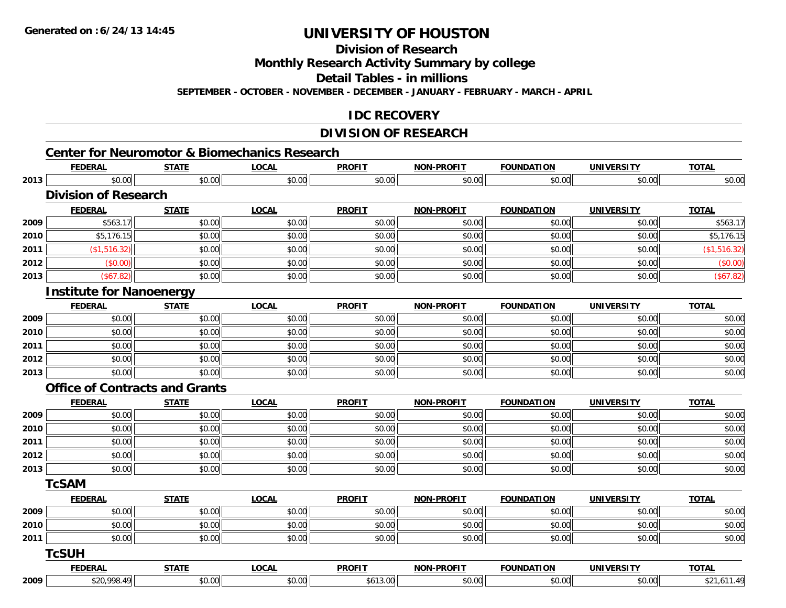**Division of Research**

**Monthly Research Activity Summary by college**

**Detail Tables - in millions**

**SEPTEMBER - OCTOBER - NOVEMBER - DECEMBER - JANUARY - FEBRUARY - MARCH - APRIL**

### **IDC RECOVERY**

## **DIVISION OF RESEARCH**

|      | <b>FEDERAL</b>                        | <b>STATE</b> | <b>LOCAL</b> | <b>PROFIT</b> | <b>NON-PROFIT</b> | <b>FOUNDATION</b> | <b>UNIVERSITY</b> | <b>TOTAL</b> |
|------|---------------------------------------|--------------|--------------|---------------|-------------------|-------------------|-------------------|--------------|
| 2013 | \$0.00                                | \$0.00       | \$0.00       | \$0.00        | \$0.00            | \$0.00            | \$0.00            | \$0.00       |
|      | <b>Division of Research</b>           |              |              |               |                   |                   |                   |              |
|      | <b>FEDERAL</b>                        | <b>STATE</b> | <b>LOCAL</b> | <b>PROFIT</b> | NON-PROFIT        | <b>FOUNDATION</b> | <b>UNIVERSITY</b> | <b>TOTAL</b> |
| 2009 | \$563.17                              | \$0.00       | \$0.00       | \$0.00        | \$0.00            | \$0.00            | \$0.00            | \$563.17     |
| 2010 | \$5,176.15                            | \$0.00       | \$0.00       | \$0.00        | \$0.00            | \$0.00            | \$0.00            | \$5,176.15   |
| 2011 | (\$1,516.32)                          | \$0.00       | \$0.00       | \$0.00        | \$0.00            | \$0.00            | \$0.00            | (\$1,516.32) |
| 2012 | (\$0.00)                              | \$0.00       | \$0.00       | \$0.00        | \$0.00            | \$0.00            | \$0.00            | (\$0.00)     |
| 2013 | (\$67.82)                             | \$0.00       | \$0.00       | \$0.00        | \$0.00            | \$0.00            | \$0.00            | (\$67.82)    |
|      | <b>Institute for Nanoenergy</b>       |              |              |               |                   |                   |                   |              |
|      | <b>FEDERAL</b>                        | <b>STATE</b> | <b>LOCAL</b> | <b>PROFIT</b> | <b>NON-PROFIT</b> | <b>FOUNDATION</b> | <b>UNIVERSITY</b> | <b>TOTAL</b> |
| 2009 | \$0.00                                | \$0.00       | \$0.00       | \$0.00        | \$0.00            | \$0.00            | \$0.00            | \$0.00       |
| 2010 | \$0.00                                | \$0.00       | \$0.00       | \$0.00        | \$0.00            | \$0.00            | \$0.00            | \$0.00       |
| 2011 | \$0.00                                | \$0.00       | \$0.00       | \$0.00        | \$0.00            | \$0.00            | \$0.00            | \$0.00       |
| 2012 | \$0.00                                | \$0.00       | \$0.00       | \$0.00        | \$0.00            | \$0.00            | \$0.00            | \$0.00       |
| 2013 | \$0.00                                | \$0.00       | \$0.00       | \$0.00        | \$0.00            | \$0.00            | \$0.00            | \$0.00       |
|      | <b>Office of Contracts and Grants</b> |              |              |               |                   |                   |                   |              |
|      | <b>FEDERAL</b>                        | <b>STATE</b> | <b>LOCAL</b> | <b>PROFIT</b> | <b>NON-PROFIT</b> | <b>FOUNDATION</b> | <b>UNIVERSITY</b> | <b>TOTAL</b> |
| 2009 | \$0.00                                | \$0.00       | \$0.00       | \$0.00        | \$0.00            | \$0.00            | \$0.00            | \$0.00       |
| 2010 | \$0.00                                | \$0.00       | \$0.00       | \$0.00        | \$0.00            | \$0.00            | \$0.00            | \$0.00       |
| 2011 | \$0.00                                | \$0.00       | \$0.00       | \$0.00        | \$0.00            | \$0.00            | \$0.00            | \$0.00       |
| 2012 | \$0.00                                | \$0.00       | \$0.00       | \$0.00        | \$0.00            | \$0.00            | \$0.00            | \$0.00       |
| 2013 | \$0.00                                | \$0.00       | \$0.00       | \$0.00        | \$0.00            | \$0.00            | \$0.00            | \$0.00       |
|      | <b>TcSAM</b>                          |              |              |               |                   |                   |                   |              |
|      | <b>FEDERAL</b>                        | <b>STATE</b> | <b>LOCAL</b> | <b>PROFIT</b> | NON-PROFIT        | <b>FOUNDATION</b> | <b>UNIVERSITY</b> | <b>TOTAL</b> |
| 2009 | \$0.00                                | \$0.00       | \$0.00       | \$0.00        | \$0.00            | \$0.00            | \$0.00            | \$0.00       |
| 2010 | \$0.00                                | \$0.00       | \$0.00       | \$0.00        | \$0.00            | \$0.00            | \$0.00            | \$0.00       |
| 2011 | \$0.00                                | \$0.00       | \$0.00       | \$0.00        | \$0.00            | \$0.00            | \$0.00            | \$0.00       |
|      | <b>TcSUH</b>                          |              |              |               |                   |                   |                   |              |
|      | <b>FEDERAL</b>                        | <b>STATE</b> | <b>LOCAL</b> | <b>PROFIT</b> | <b>NON-PROFIT</b> | <b>FOUNDATION</b> | <b>UNIVERSITY</b> | <b>TOTAL</b> |
| 2009 | \$20,998.49                           | \$0.00       | \$0.00       | \$613.00      | \$0.00            | \$0.00            | \$0.00            | \$21,611.49  |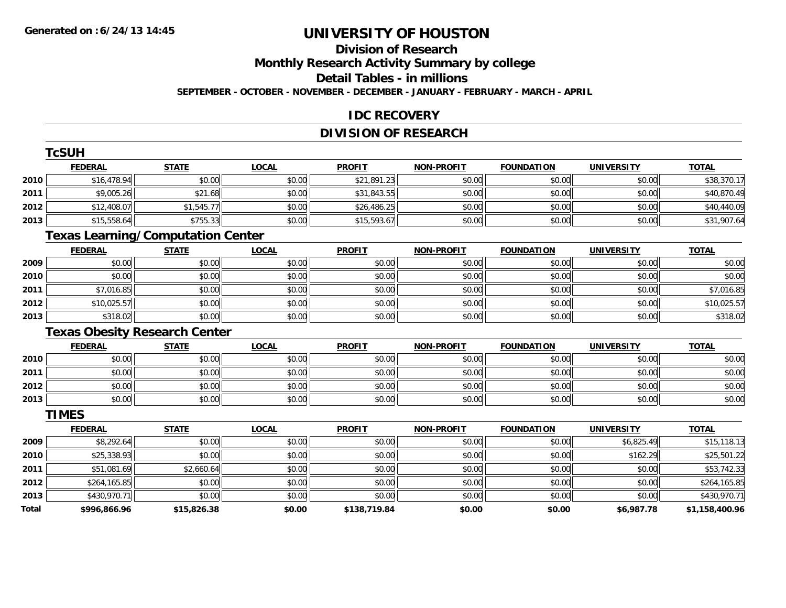## **Division of Research**

**Monthly Research Activity Summary by college**

**Detail Tables - in millions**

**SEPTEMBER - OCTOBER - NOVEMBER - DECEMBER - JANUARY - FEBRUARY - MARCH - APRIL**

### **IDC RECOVERY**

## **DIVISION OF RESEARCH**

|       | <b>TcSUH</b>                             |              |              |               |                   |                   |                   |                |
|-------|------------------------------------------|--------------|--------------|---------------|-------------------|-------------------|-------------------|----------------|
|       | <b>FEDERAL</b>                           | <b>STATE</b> | <b>LOCAL</b> | <b>PROFIT</b> | <b>NON-PROFIT</b> | <b>FOUNDATION</b> | <b>UNIVERSITY</b> | <b>TOTAL</b>   |
| 2010  | \$16,478.94                              | \$0.00       | \$0.00       | \$21,891.23   | \$0.00            | \$0.00            | \$0.00            | \$38,370.17    |
| 2011  | \$9,005.26                               | \$21.68      | \$0.00       | \$31,843.55   | \$0.00            | \$0.00            | \$0.00            | \$40,870.49    |
| 2012  | \$12,408.07                              | \$1,545.77   | \$0.00       | \$26,486.25   | \$0.00            | \$0.00            | \$0.00            | \$40,440.09    |
| 2013  | \$15,558.64                              | \$755.33     | \$0.00       | \$15,593.67   | \$0.00            | \$0.00            | \$0.00            | \$31,907.64    |
|       | <b>Texas Learning/Computation Center</b> |              |              |               |                   |                   |                   |                |
|       | <b>FEDERAL</b>                           | <b>STATE</b> | <b>LOCAL</b> | <b>PROFIT</b> | <b>NON-PROFIT</b> | <b>FOUNDATION</b> | <b>UNIVERSITY</b> | <b>TOTAL</b>   |
| 2009  | \$0.00                                   | \$0.00       | \$0.00       | \$0.00        | \$0.00            | \$0.00            | \$0.00            | \$0.00         |
| 2010  | \$0.00                                   | \$0.00       | \$0.00       | \$0.00        | \$0.00            | \$0.00            | \$0.00            | \$0.00         |
| 2011  | \$7,016.85                               | \$0.00       | \$0.00       | \$0.00        | \$0.00            | \$0.00            | \$0.00            | \$7,016.85     |
| 2012  | \$10,025.57                              | \$0.00       | \$0.00       | \$0.00        | \$0.00            | \$0.00            | \$0.00            | \$10,025.57    |
| 2013  | \$318.02                                 | \$0.00       | \$0.00       | \$0.00        | \$0.00            | \$0.00            | \$0.00            | \$318.02       |
|       | <b>Texas Obesity Research Center</b>     |              |              |               |                   |                   |                   |                |
|       | <b>FEDERAL</b>                           | <b>STATE</b> | <b>LOCAL</b> | <b>PROFIT</b> | <b>NON-PROFIT</b> | <b>FOUNDATION</b> | <b>UNIVERSITY</b> | <b>TOTAL</b>   |
| 2010  | \$0.00                                   | \$0.00       | \$0.00       | \$0.00        | \$0.00            | \$0.00            | \$0.00            | \$0.00         |
| 2011  | \$0.00                                   | \$0.00       | \$0.00       | \$0.00        | \$0.00            | \$0.00            | \$0.00            | \$0.00         |
| 2012  | \$0.00                                   | \$0.00       | \$0.00       | \$0.00        | \$0.00            | \$0.00            | \$0.00            | \$0.00         |
| 2013  | \$0.00                                   | \$0.00       | \$0.00       | \$0.00        | \$0.00            | \$0.00            | \$0.00            | \$0.00         |
|       | <b>TIMES</b>                             |              |              |               |                   |                   |                   |                |
|       | <b>FEDERAL</b>                           | <b>STATE</b> | <b>LOCAL</b> | <b>PROFIT</b> | <b>NON-PROFIT</b> | <b>FOUNDATION</b> | <b>UNIVERSITY</b> | <b>TOTAL</b>   |
| 2009  | \$8,292.64                               | \$0.00       | \$0.00       | \$0.00        | \$0.00            | \$0.00            | \$6,825.49        | \$15,118.13    |
| 2010  | \$25,338.93                              | \$0.00       | \$0.00       | \$0.00        | \$0.00            | \$0.00            | \$162.29          | \$25,501.22    |
| 2011  | \$51,081.69                              | \$2,660.64   | \$0.00       | \$0.00        | \$0.00            | \$0.00            | \$0.00            | \$53,742.33    |
| 2012  | \$264,165.85                             | \$0.00       | \$0.00       | \$0.00        | \$0.00            | \$0.00            | \$0.00            | \$264,165.85   |
| 2013  | \$430,970.71                             | \$0.00       | \$0.00       | \$0.00        | \$0.00            | \$0.00            | \$0.00            | \$430,970.71   |
| Total | \$996,866.96                             | \$15,826.38  | \$0.00       | \$138,719.84  | \$0.00            | \$0.00            | \$6,987.78        | \$1,158,400.96 |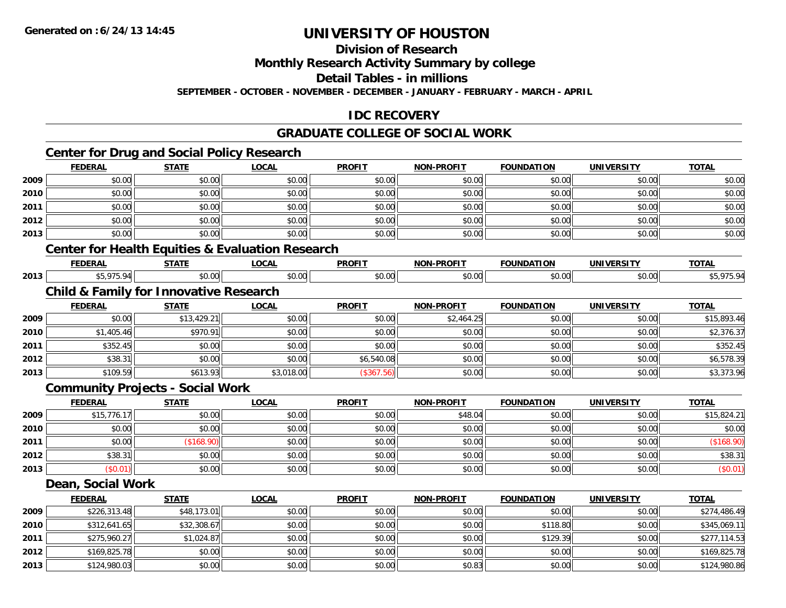**2013**

# **UNIVERSITY OF HOUSTON**

**Division of Research**

**Monthly Research Activity Summary by college**

**Detail Tables - in millions**

**SEPTEMBER - OCTOBER - NOVEMBER - DECEMBER - JANUARY - FEBRUARY - MARCH - APRIL**

## **IDC RECOVERY**

## **GRADUATE COLLEGE OF SOCIAL WORK**

## **Center for Drug and Social Policy Research**

|      | <b>FEDERAL</b>    | <b>STATE</b>                                      | <b>LOCAL</b>                                                | <b>PROFIT</b> | <b>NON-PROFIT</b> | <b>FOUNDATION</b> | <b>UNIVERSITY</b> | <b>TOTAL</b> |
|------|-------------------|---------------------------------------------------|-------------------------------------------------------------|---------------|-------------------|-------------------|-------------------|--------------|
| 2009 | \$0.00            | \$0.00                                            | \$0.00                                                      | \$0.00        | \$0.00            | \$0.00            | \$0.00            | \$0.00       |
| 2010 | \$0.00            | \$0.00                                            | \$0.00                                                      | \$0.00        | \$0.00            | \$0.00            | \$0.00            | \$0.00       |
| 2011 | \$0.00            | \$0.00                                            | \$0.00                                                      | \$0.00        | \$0.00            | \$0.00            | \$0.00            | \$0.00       |
| 2012 | \$0.00            | \$0.00                                            | \$0.00                                                      | \$0.00        | \$0.00            | \$0.00            | \$0.00            | \$0.00       |
| 2013 | \$0.00            | \$0.00                                            | \$0.00                                                      | \$0.00        | \$0.00            | \$0.00            | \$0.00            | \$0.00       |
|      |                   |                                                   | <b>Center for Health Equities &amp; Evaluation Research</b> |               |                   |                   |                   |              |
|      | <b>FEDERAL</b>    | <b>STATE</b>                                      | <b>LOCAL</b>                                                | <b>PROFIT</b> | <b>NON-PROFIT</b> | <b>FOUNDATION</b> | <b>UNIVERSITY</b> | <b>TOTAL</b> |
| 2013 | \$5,975.94        | \$0.00                                            | \$0.00                                                      | \$0.00        | \$0.00            | \$0.00            | \$0.00            | \$5,975.94   |
|      |                   | <b>Child &amp; Family for Innovative Research</b> |                                                             |               |                   |                   |                   |              |
|      | <b>FEDERAL</b>    | <b>STATE</b>                                      | <b>LOCAL</b>                                                | <b>PROFIT</b> | NON-PROFIT        | <b>FOUNDATION</b> | <b>UNIVERSITY</b> | <b>TOTAL</b> |
| 2009 | \$0.00            | \$13,429.21                                       | \$0.00                                                      | \$0.00        | \$2,464.25        | \$0.00            | \$0.00            | \$15,893.46  |
| 2010 | \$1,405.46        | \$970.91                                          | \$0.00                                                      | \$0.00        | \$0.00            | \$0.00            | \$0.00            | \$2,376.37   |
| 2011 | \$352.45          | \$0.00                                            | \$0.00                                                      | \$0.00        | \$0.00            | \$0.00            | \$0.00            | \$352.45     |
| 2012 | \$38.31           | \$0.00                                            | \$0.00                                                      | \$6,540.08    | \$0.00            | \$0.00            | \$0.00            | \$6,578.39   |
| 2013 | \$109.59          | \$613.93                                          | \$3,018.00                                                  | (\$367.56)    | \$0.00            | \$0.00            | \$0.00            | \$3,373.96   |
|      |                   | <b>Community Projects - Social Work</b>           |                                                             |               |                   |                   |                   |              |
|      | <b>FEDERAL</b>    | <b>STATE</b>                                      | <b>LOCAL</b>                                                | <b>PROFIT</b> | <b>NON-PROFIT</b> | <b>FOUNDATION</b> | <b>UNIVERSITY</b> | <b>TOTAL</b> |
| 2009 | \$15,776.17       | \$0.00                                            | \$0.00                                                      | \$0.00        | \$48.04           | \$0.00            | \$0.00            | \$15,824.21  |
| 2010 | \$0.00            | \$0.00                                            | \$0.00                                                      | \$0.00        | \$0.00            | \$0.00            | \$0.00            | \$0.00       |
| 2011 | \$0.00            | (\$168.90)                                        | \$0.00                                                      | \$0.00        | \$0.00            | \$0.00            | \$0.00            | (\$168.90)   |
| 2012 | \$38.31           | \$0.00                                            | \$0.00                                                      | \$0.00        | \$0.00            | \$0.00            | \$0.00            | \$38.31      |
| 2013 | (\$0.01)          | \$0.00                                            | \$0.00                                                      | \$0.00        | \$0.00            | \$0.00            | \$0.00            | (\$0.01)     |
|      | Dean, Social Work |                                                   |                                                             |               |                   |                   |                   |              |
|      | <b>FEDERAL</b>    | <b>STATE</b>                                      | <b>LOCAL</b>                                                | <b>PROFIT</b> | <b>NON-PROFIT</b> | <b>FOUNDATION</b> | <b>UNIVERSITY</b> | <b>TOTAL</b> |
| 2009 | \$226,313.48      | \$48,173.01                                       | \$0.00                                                      | \$0.00        | \$0.00            | \$0.00            | \$0.00            | \$274,486.49 |
| 2010 | \$312,641.65      | \$32,308.67                                       | \$0.00                                                      | \$0.00        | \$0.00            | \$118.80          | \$0.00            | \$345,069.11 |
| 2011 | \$275,960.27      | \$1,024.87                                        | \$0.00                                                      | \$0.00        | \$0.00            | \$129.39          | \$0.00            | \$277,114.53 |
| 2012 | \$169,825.78      | \$0.00                                            | \$0.00                                                      | \$0.00        | \$0.00            | \$0.00            | \$0.00            | \$169,825.78 |

\$124,980.03 \$0.00 \$0.00 \$0.00 \$0.83 \$0.00 \$0.00 \$124,980.86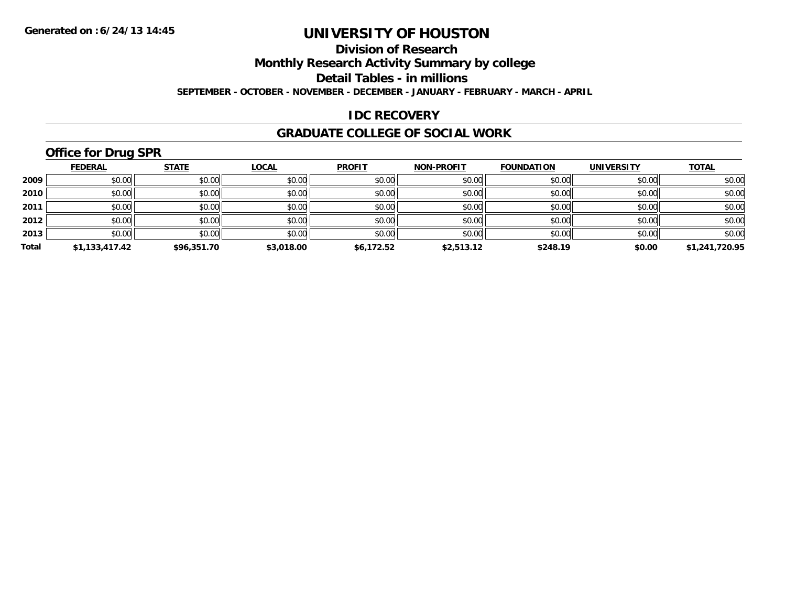## **Division of Research**

**Monthly Research Activity Summary by college**

**Detail Tables - in millions**

**SEPTEMBER - OCTOBER - NOVEMBER - DECEMBER - JANUARY - FEBRUARY - MARCH - APRIL**

### **IDC RECOVERY**

#### **GRADUATE COLLEGE OF SOCIAL WORK**

## **Office for Drug SPR**

|       | <b>FEDERAL</b> | <b>STATE</b> | <b>LOCAL</b> | <b>PROFIT</b> | <b>NON-PROFIT</b> | <b>FOUNDATION</b> | <b>UNIVERSITY</b> | <b>TOTAL</b>   |
|-------|----------------|--------------|--------------|---------------|-------------------|-------------------|-------------------|----------------|
| 2009  | \$0.00         | \$0.00       | \$0.00       | \$0.00        | \$0.00            | \$0.00            | \$0.00            | \$0.00         |
| 2010  | \$0.00         | \$0.00       | \$0.00       | \$0.00        | \$0.00            | \$0.00            | \$0.00            | \$0.00         |
| 2011  | \$0.00         | \$0.00       | \$0.00       | \$0.00        | \$0.00            | \$0.00            | \$0.00            | \$0.00         |
| 2012  | \$0.00         | \$0.00       | \$0.00       | \$0.00        | \$0.00            | \$0.00            | \$0.00            | \$0.00         |
| 2013  | \$0.00         | \$0.00       | \$0.00       | \$0.00        | \$0.00            | \$0.00            | \$0.00            | \$0.00         |
| Total | \$1,133,417.42 | \$96,351.70  | \$3,018.00   | \$6,172.52    | \$2,513.12        | \$248.19          | \$0.00            | \$1,241,720.95 |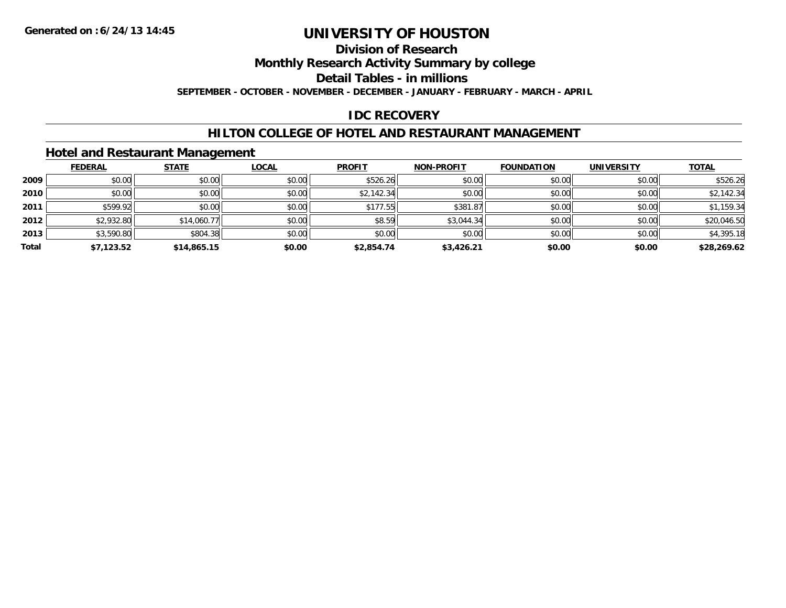## **Division of Research**

**Monthly Research Activity Summary by college**

**Detail Tables - in millions**

**SEPTEMBER - OCTOBER - NOVEMBER - DECEMBER - JANUARY - FEBRUARY - MARCH - APRIL**

### **IDC RECOVERY**

### **HILTON COLLEGE OF HOTEL AND RESTAURANT MANAGEMENT**

### **Hotel and Restaurant Management**

|       | <b>FEDERAL</b> | <b>STATE</b> | <u>LOCAL</u> | <b>PROFIT</b> | <b>NON-PROFIT</b> | <b>FOUNDATION</b> | <b>UNIVERSITY</b> | <b>TOTAL</b> |
|-------|----------------|--------------|--------------|---------------|-------------------|-------------------|-------------------|--------------|
| 2009  | \$0.00         | \$0.00       | \$0.00       | \$526.26      | \$0.00            | \$0.00            | \$0.00            | \$526.26     |
| 2010  | \$0.00         | \$0.00       | \$0.00       | \$2,142.34    | \$0.00            | \$0.00            | \$0.00            | \$2,142.34   |
| 2011  | \$599.92       | \$0.00       | \$0.00       | \$177.55      | \$381.87          | \$0.00            | \$0.00            | \$1,159.34   |
| 2012  | \$2,932.80     | \$14,060.77  | \$0.00       | \$8.59        | \$3,044.34        | \$0.00            | \$0.00            | \$20,046.50  |
| 2013  | \$3,590.80     | \$804.38     | \$0.00       | \$0.00        | \$0.00            | \$0.00            | \$0.00            | \$4,395.18   |
| Total | \$7,123.52     | \$14,865.15  | \$0.00       | \$2,854.74    | \$3,426.21        | \$0.00            | \$0.00            | \$28,269.62  |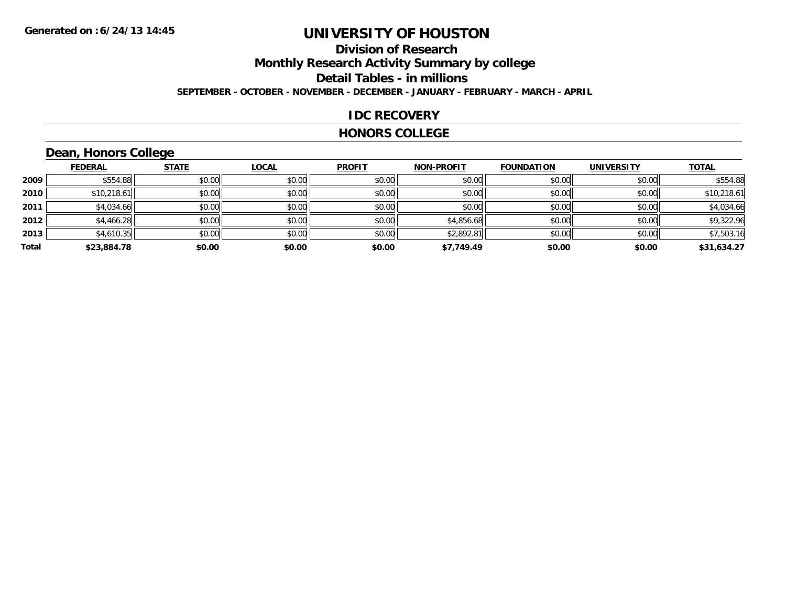### **Division of ResearchMonthly Research Activity Summary by college Detail Tables - in millions SEPTEMBER - OCTOBER - NOVEMBER - DECEMBER - JANUARY - FEBRUARY - MARCH - APRIL**

#### **IDC RECOVERY**

#### **HONORS COLLEGE**

## **Dean, Honors College**

|       | <b>FEDERAL</b> | <b>STATE</b> | <b>LOCAL</b> | <b>PROFIT</b> | <b>NON-PROFIT</b> | <b>FOUNDATION</b> | <b>UNIVERSITY</b> | <b>TOTAL</b> |
|-------|----------------|--------------|--------------|---------------|-------------------|-------------------|-------------------|--------------|
| 2009  | \$554.88       | \$0.00       | \$0.00       | \$0.00        | \$0.00            | \$0.00            | \$0.00            | \$554.88     |
| 2010  | \$10,218.61    | \$0.00       | \$0.00       | \$0.00        | \$0.00            | \$0.00            | \$0.00            | \$10,218.61  |
| 2011  | \$4,034.66     | \$0.00       | \$0.00       | \$0.00        | \$0.00            | \$0.00            | \$0.00            | \$4,034.66   |
| 2012  | \$4,466.28     | \$0.00       | \$0.00       | \$0.00        | \$4,856.68        | \$0.00            | \$0.00            | \$9,322.96   |
| 2013  | \$4,610.35     | \$0.00       | \$0.00       | \$0.00        | \$2,892.81        | \$0.00            | \$0.00            | \$7,503.16   |
| Total | \$23,884.78    | \$0.00       | \$0.00       | \$0.00        | \$7,749.49        | \$0.00            | \$0.00            | \$31,634.27  |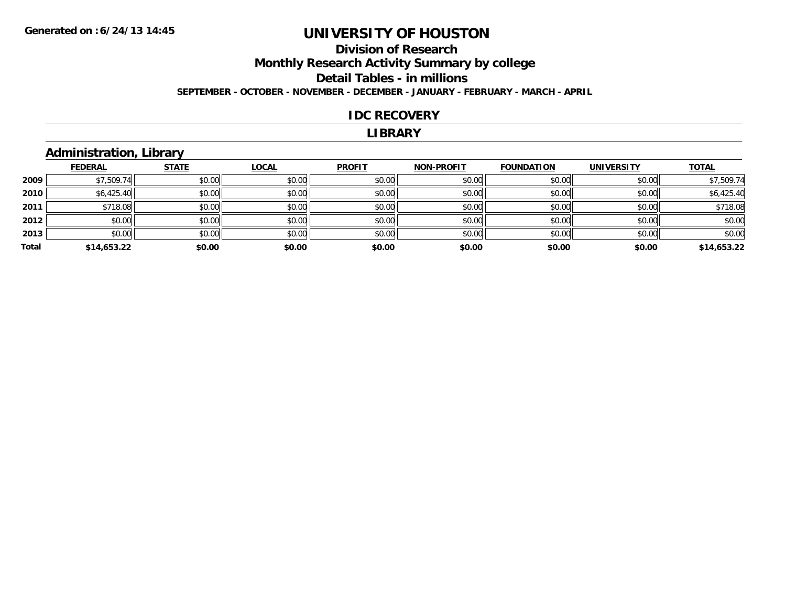## **Division of Research Monthly Research Activity Summary by college Detail Tables - in millions**

**SEPTEMBER - OCTOBER - NOVEMBER - DECEMBER - JANUARY - FEBRUARY - MARCH - APRIL**

#### **IDC RECOVERY**

#### **LIBRARY**

### **Administration, Library**

|       | <b>FEDERAL</b> | <b>STATE</b> | <b>LOCAL</b> | <b>PROFIT</b> | <b>NON-PROFIT</b> | <b>FOUNDATION</b> | <b>UNIVERSITY</b> | <b>TOTAL</b> |
|-------|----------------|--------------|--------------|---------------|-------------------|-------------------|-------------------|--------------|
| 2009  | \$7,509.74     | \$0.00       | \$0.00       | \$0.00        | \$0.00            | \$0.00            | \$0.00            | \$7,509.74   |
| 2010  | \$6,425.40     | \$0.00       | \$0.00       | \$0.00        | \$0.00            | \$0.00            | \$0.00            | \$6,425.40   |
| 2011  | \$718.08       | \$0.00       | \$0.00       | \$0.00        | \$0.00            | \$0.00            | \$0.00            | \$718.08     |
| 2012  | \$0.00         | \$0.00       | \$0.00       | \$0.00        | \$0.00            | \$0.00            | \$0.00            | \$0.00       |
| 2013  | \$0.00         | \$0.00       | \$0.00       | \$0.00        | \$0.00            | \$0.00            | \$0.00            | \$0.00       |
| Total | \$14,653.22    | \$0.00       | \$0.00       | \$0.00        | \$0.00            | \$0.00            | \$0.00            | \$14,653.22  |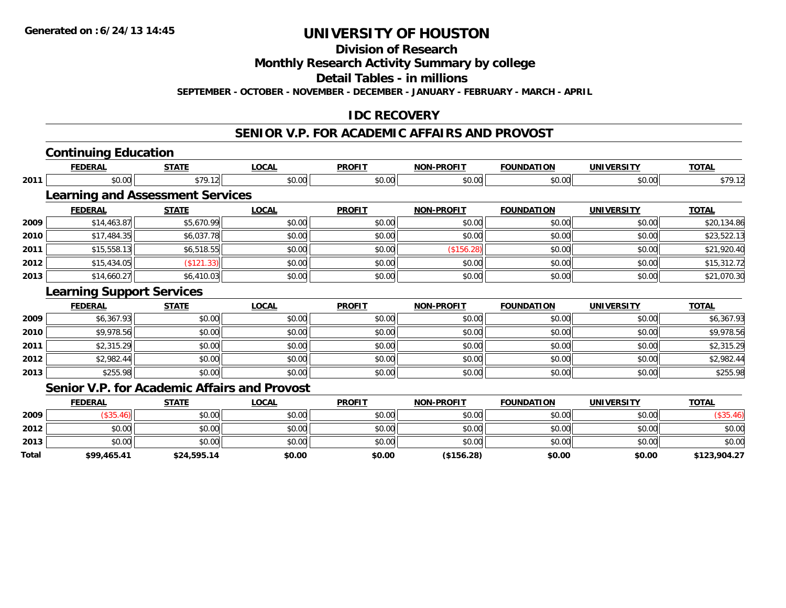**Total**

# **UNIVERSITY OF HOUSTON**

**Division of Research**

**Monthly Research Activity Summary by college**

**Detail Tables - in millions**

**SEPTEMBER - OCTOBER - NOVEMBER - DECEMBER - JANUARY - FEBRUARY - MARCH - APRIL**

### **IDC RECOVERY**

#### **SENIOR V.P. FOR ACADEMIC AFFAIRS AND PROVOST**

|      | <b>Continuing Education</b>             |              |                                                     |               |                   |                   |                   |              |
|------|-----------------------------------------|--------------|-----------------------------------------------------|---------------|-------------------|-------------------|-------------------|--------------|
|      | <b>FEDERAL</b>                          | <b>STATE</b> | <b>LOCAL</b>                                        | <b>PROFIT</b> | <b>NON-PROFIT</b> | <b>FOUNDATION</b> | <b>UNIVERSITY</b> | <b>TOTAL</b> |
| 2011 | \$0.00                                  | \$79.12      | \$0.00                                              | \$0.00        | \$0.00            | \$0.00            | \$0.00            | \$79.12      |
|      | <b>Learning and Assessment Services</b> |              |                                                     |               |                   |                   |                   |              |
|      | <b>FEDERAL</b>                          | <b>STATE</b> | <b>LOCAL</b>                                        | <b>PROFIT</b> | <b>NON-PROFIT</b> | <b>FOUNDATION</b> | <b>UNIVERSITY</b> | <b>TOTAL</b> |
| 2009 | \$14,463.87                             | \$5,670.99   | \$0.00                                              | \$0.00        | \$0.00            | \$0.00            | \$0.00            | \$20,134.86  |
| 2010 | \$17,484.35                             | \$6,037.78   | \$0.00                                              | \$0.00        | \$0.00            | \$0.00            | \$0.00            | \$23,522.13  |
| 2011 | \$15,558.13                             | \$6,518.55   | \$0.00                                              | \$0.00        | (\$156.28)        | \$0.00            | \$0.00            | \$21,920.40  |
| 2012 | \$15,434.05                             | (\$121.33)   | \$0.00                                              | \$0.00        | \$0.00            | \$0.00            | \$0.00            | \$15,312.72  |
| 2013 | \$14,660.27                             | \$6,410.03   | \$0.00                                              | \$0.00        | \$0.00            | \$0.00            | \$0.00            | \$21,070.30  |
|      | <b>Learning Support Services</b>        |              |                                                     |               |                   |                   |                   |              |
|      |                                         |              |                                                     |               |                   |                   |                   |              |
|      | <b>FEDERAL</b>                          | <b>STATE</b> | <b>LOCAL</b>                                        | <b>PROFIT</b> | <b>NON-PROFIT</b> | <b>FOUNDATION</b> | <b>UNIVERSITY</b> | <b>TOTAL</b> |
| 2009 | \$6,367.93                              | \$0.00       | \$0.00                                              | \$0.00        | \$0.00            | \$0.00            | \$0.00            | \$6,367.93   |
| 2010 | \$9,978.56                              | \$0.00       | \$0.00                                              | \$0.00        | \$0.00            | \$0.00            | \$0.00            | \$9,978.56   |
| 2011 | \$2,315.29                              | \$0.00       | \$0.00                                              | \$0.00        | \$0.00            | \$0.00            | \$0.00            | \$2,315.29   |
| 2012 | \$2,982.44                              | \$0.00       | \$0.00                                              | \$0.00        | \$0.00            | \$0.00            | \$0.00            | \$2,982.44   |
| 2013 | \$255.98                                | \$0.00       | \$0.00                                              | \$0.00        | \$0.00            | \$0.00            | \$0.00            | \$255.98     |
|      |                                         |              | <b>Senior V.P. for Academic Affairs and Provost</b> |               |                   |                   |                   |              |
|      | <b>FEDERAL</b>                          | <b>STATE</b> | <b>LOCAL</b>                                        | <b>PROFIT</b> | <b>NON-PROFIT</b> | <b>FOUNDATION</b> | <b>UNIVERSITY</b> | <b>TOTAL</b> |
| 2009 | (\$35.46)                               | \$0.00       | \$0.00                                              | \$0.00        | \$0.00            | \$0.00            | \$0.00            | (\$35.46)    |
| 2012 | \$0.00                                  | \$0.00       | \$0.00                                              | \$0.00        | \$0.00            | \$0.00            | \$0.00            | \$0.00       |

**\$99,465.41 \$24,595.14 \$0.00 \$0.00 (\$156.28) \$0.00 \$0.00 \$123,904.27**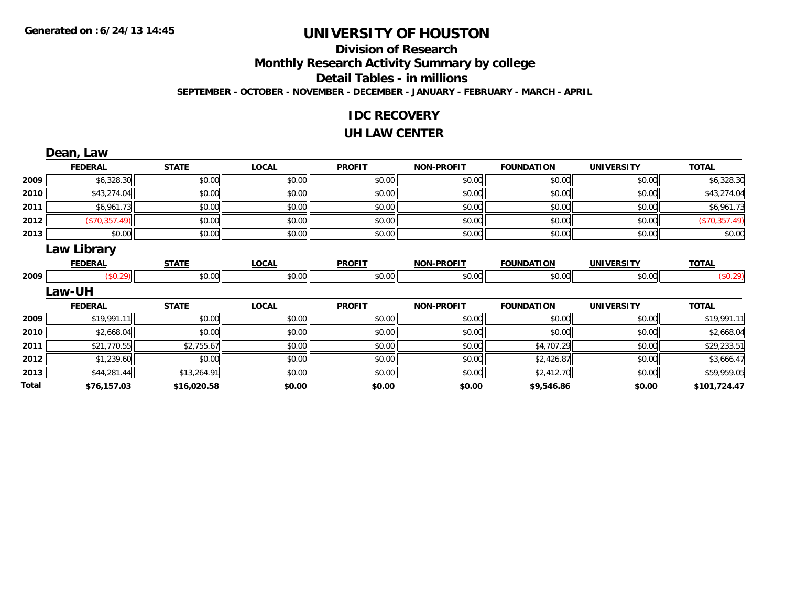## **Division of Research**

**Monthly Research Activity Summary by college**

**Detail Tables - in millions**

**SEPTEMBER - OCTOBER - NOVEMBER - DECEMBER - JANUARY - FEBRUARY - MARCH - APRIL**

#### **IDC RECOVERY**

#### **UH LAW CENTER**

|       | Dean, Law          |              |              |               |                   |                   |                   |               |
|-------|--------------------|--------------|--------------|---------------|-------------------|-------------------|-------------------|---------------|
|       | <b>FEDERAL</b>     | <b>STATE</b> | <b>LOCAL</b> | <b>PROFIT</b> | <b>NON-PROFIT</b> | <b>FOUNDATION</b> | <b>UNIVERSITY</b> | <b>TOTAL</b>  |
| 2009  | \$6,328.30         | \$0.00       | \$0.00       | \$0.00        | \$0.00            | \$0.00            | \$0.00            | \$6,328.30    |
| 2010  | \$43,274.04        | \$0.00       | \$0.00       | \$0.00        | \$0.00            | \$0.00            | \$0.00            | \$43,274.04   |
| 2011  | \$6,961.73         | \$0.00       | \$0.00       | \$0.00        | \$0.00            | \$0.00            | \$0.00            | \$6,961.73    |
| 2012  | (\$70,357.49)      | \$0.00       | \$0.00       | \$0.00        | \$0.00            | \$0.00            | \$0.00            | (\$70,357.49) |
| 2013  | \$0.00             | \$0.00       | \$0.00       | \$0.00        | \$0.00            | \$0.00            | \$0.00            | \$0.00        |
|       | <b>Law Library</b> |              |              |               |                   |                   |                   |               |
|       | <b>FEDERAL</b>     | <b>STATE</b> | <b>LOCAL</b> | <b>PROFIT</b> | <b>NON-PROFIT</b> | <b>FOUNDATION</b> | <b>UNIVERSITY</b> | <b>TOTAL</b>  |
| 2009  | (\$0.29)           | \$0.00       | \$0.00       | \$0.00        | \$0.00            | \$0.00            | \$0.00            | (\$0.29)      |
|       | Law-UH             |              |              |               |                   |                   |                   |               |
|       | <b>FEDERAL</b>     | <b>STATE</b> | <b>LOCAL</b> | <b>PROFIT</b> | <b>NON-PROFIT</b> | <b>FOUNDATION</b> | <b>UNIVERSITY</b> | <b>TOTAL</b>  |
| 2009  | \$19,991.11        | \$0.00       | \$0.00       | \$0.00        | \$0.00            | \$0.00            | \$0.00            | \$19,991.11   |
| 2010  | \$2,668.04         | \$0.00       | \$0.00       | \$0.00        | \$0.00            | \$0.00            | \$0.00            | \$2,668.04    |
| 2011  | \$21,770.55        | \$2,755.67   | \$0.00       | \$0.00        | \$0.00            | \$4,707.29        | \$0.00            | \$29,233.51   |
| 2012  | \$1,239.60         | \$0.00       | \$0.00       | \$0.00        | \$0.00            | \$2,426.87        | \$0.00            | \$3,666.47    |
| 2013  | \$44,281.44        | \$13,264.91  | \$0.00       | \$0.00        | \$0.00            | \$2,412.70        | \$0.00            | \$59,959.05   |
| Total | \$76,157.03        | \$16,020.58  | \$0.00       | \$0.00        | \$0.00            | \$9,546.86        | \$0.00            | \$101,724.47  |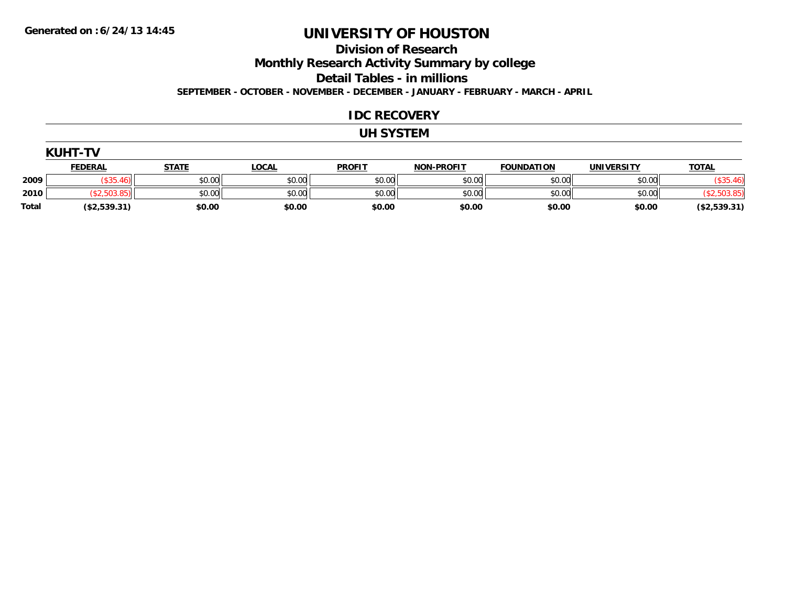**Division of Research**

**Monthly Research Activity Summary by college**

**Detail Tables - in millions**

**SEPTEMBER - OCTOBER - NOVEMBER - DECEMBER - JANUARY - FEBRUARY - MARCH - APRIL**

#### **IDC RECOVERY**

#### **UH SYSTEM**

|              | <b>KUHT-TV</b> |              |              |               |                   |                   |                   |              |  |  |
|--------------|----------------|--------------|--------------|---------------|-------------------|-------------------|-------------------|--------------|--|--|
|              | <b>FEDERAL</b> | <b>STATE</b> | <u>LOCAL</u> | <b>PROFIT</b> | <b>NON-PROFIT</b> | <b>FOUNDATION</b> | <b>UNIVERSITY</b> | <b>TOTAL</b> |  |  |
| 2009         | \$35.46        | \$0.00       | \$0.00       | \$0.00        | \$0.00            | \$0.00            | \$0.00            | \$35         |  |  |
| 2010         | (\$2,503.85)   | \$0.00       | \$0.00       | \$0.00        | \$0.00            | \$0.00            | \$0.00            |              |  |  |
| <b>Total</b> | (\$2,539.31)   | \$0.00       | \$0.00       | \$0.00        | \$0.00            | \$0.00            | \$0.00            | (\$2,539.31) |  |  |